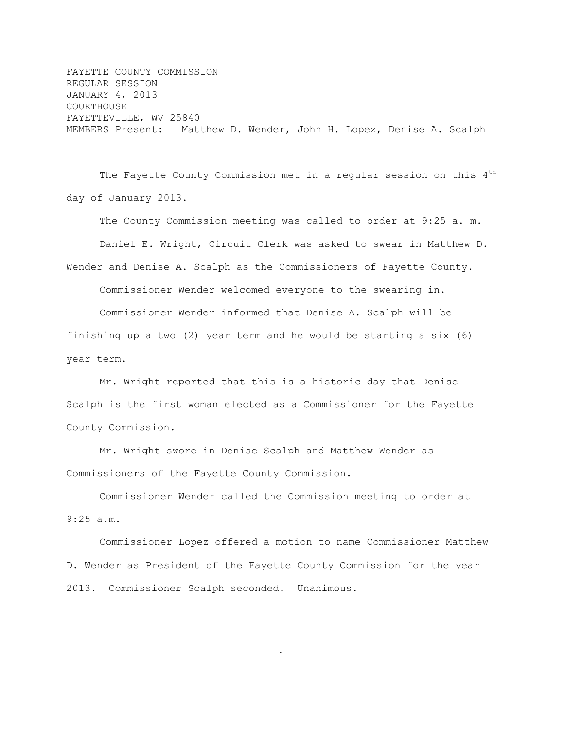FAYETTE COUNTY COMMISSION REGULAR SESSION JANUARY 4, 2013 COURTHOUSE FAYETTEVILLE, WV 25840 MEMBERS Present: Matthew D. Wender, John H. Lopez, Denise A. Scalph

The Fayette County Commission met in a regular session on this 4<sup>th</sup> day of January 2013.

The County Commission meeting was called to order at 9:25 a. m.

Daniel E. Wright, Circuit Clerk was asked to swear in Matthew D.

Wender and Denise A. Scalph as the Commissioners of Fayette County.

Commissioner Wender welcomed everyone to the swearing in.

Commissioner Wender informed that Denise A. Scalph will be finishing up a two (2) year term and he would be starting a six (6) year term.

Mr. Wright reported that this is a historic day that Denise Scalph is the first woman elected as a Commissioner for the Fayette County Commission.

Mr. Wright swore in Denise Scalph and Matthew Wender as Commissioners of the Fayette County Commission.

Commissioner Wender called the Commission meeting to order at 9:25 a.m.

Commissioner Lopez offered a motion to name Commissioner Matthew D. Wender as President of the Fayette County Commission for the year 2013. Commissioner Scalph seconded. Unanimous.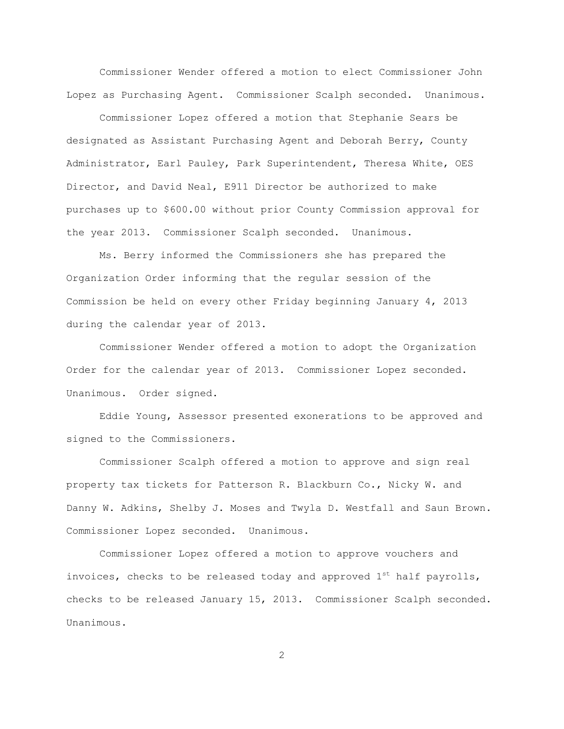Commissioner Wender offered a motion to elect Commissioner John Lopez as Purchasing Agent. Commissioner Scalph seconded. Unanimous.

Commissioner Lopez offered a motion that Stephanie Sears be designated as Assistant Purchasing Agent and Deborah Berry, County Administrator, Earl Pauley, Park Superintendent, Theresa White, OES Director, and David Neal, E911 Director be authorized to make purchases up to \$600.00 without prior County Commission approval for the year 2013. Commissioner Scalph seconded. Unanimous.

Ms. Berry informed the Commissioners she has prepared the Organization Order informing that the regular session of the Commission be held on every other Friday beginning January 4, 2013 during the calendar year of 2013.

Commissioner Wender offered a motion to adopt the Organization Order for the calendar year of 2013. Commissioner Lopez seconded. Unanimous. Order signed.

Eddie Young, Assessor presented exonerations to be approved and signed to the Commissioners.

Commissioner Scalph offered a motion to approve and sign real property tax tickets for Patterson R. Blackburn Co., Nicky W. and Danny W. Adkins, Shelby J. Moses and Twyla D. Westfall and Saun Brown. Commissioner Lopez seconded. Unanimous.

Commissioner Lopez offered a motion to approve vouchers and invoices, checks to be released today and approved  $1^{st}$  half payrolls, checks to be released January 15, 2013. Commissioner Scalph seconded. Unanimous.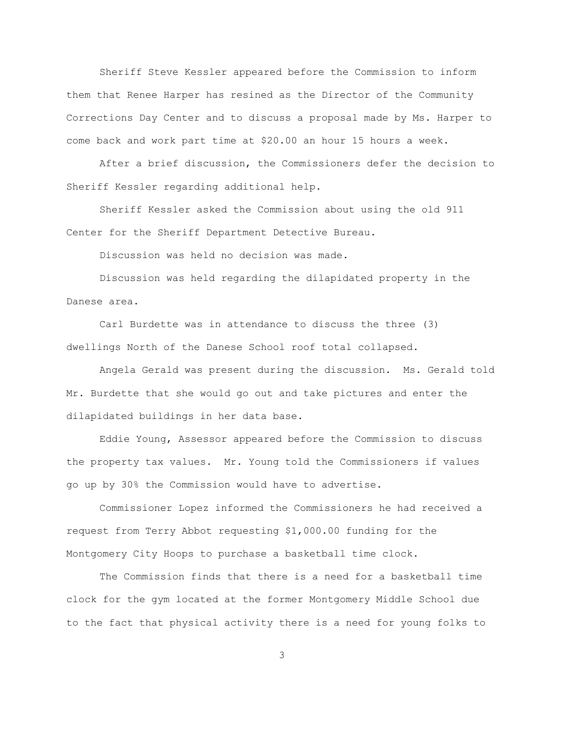Sheriff Steve Kessler appeared before the Commission to inform them that Renee Harper has resined as the Director of the Community Corrections Day Center and to discuss a proposal made by Ms. Harper to come back and work part time at \$20.00 an hour 15 hours a week.

After a brief discussion, the Commissioners defer the decision to Sheriff Kessler regarding additional help.

Sheriff Kessler asked the Commission about using the old 911 Center for the Sheriff Department Detective Bureau.

Discussion was held no decision was made.

Discussion was held regarding the dilapidated property in the Danese area.

Carl Burdette was in attendance to discuss the three (3) dwellings North of the Danese School roof total collapsed.

Angela Gerald was present during the discussion. Ms. Gerald told Mr. Burdette that she would go out and take pictures and enter the dilapidated buildings in her data base.

Eddie Young, Assessor appeared before the Commission to discuss the property tax values. Mr. Young told the Commissioners if values go up by 30% the Commission would have to advertise.

Commissioner Lopez informed the Commissioners he had received a request from Terry Abbot requesting \$1,000.00 funding for the Montgomery City Hoops to purchase a basketball time clock.

The Commission finds that there is a need for a basketball time clock for the gym located at the former Montgomery Middle School due to the fact that physical activity there is a need for young folks to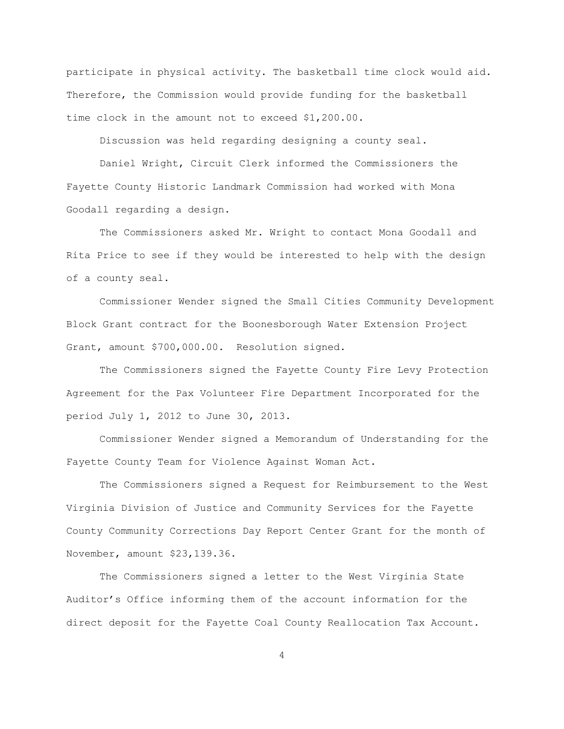participate in physical activity. The basketball time clock would aid. Therefore, the Commission would provide funding for the basketball time clock in the amount not to exceed \$1,200.00.

Discussion was held regarding designing a county seal.

Daniel Wright, Circuit Clerk informed the Commissioners the Fayette County Historic Landmark Commission had worked with Mona Goodall regarding a design.

The Commissioners asked Mr. Wright to contact Mona Goodall and Rita Price to see if they would be interested to help with the design of a county seal.

Commissioner Wender signed the Small Cities Community Development Block Grant contract for the Boonesborough Water Extension Project Grant, amount \$700,000.00. Resolution signed.

The Commissioners signed the Fayette County Fire Levy Protection Agreement for the Pax Volunteer Fire Department Incorporated for the period July 1, 2012 to June 30, 2013.

Commissioner Wender signed a Memorandum of Understanding for the Fayette County Team for Violence Against Woman Act.

The Commissioners signed a Request for Reimbursement to the West Virginia Division of Justice and Community Services for the Fayette County Community Corrections Day Report Center Grant for the month of November, amount \$23,139.36.

The Commissioners signed a letter to the West Virginia State Auditor"s Office informing them of the account information for the direct deposit for the Fayette Coal County Reallocation Tax Account.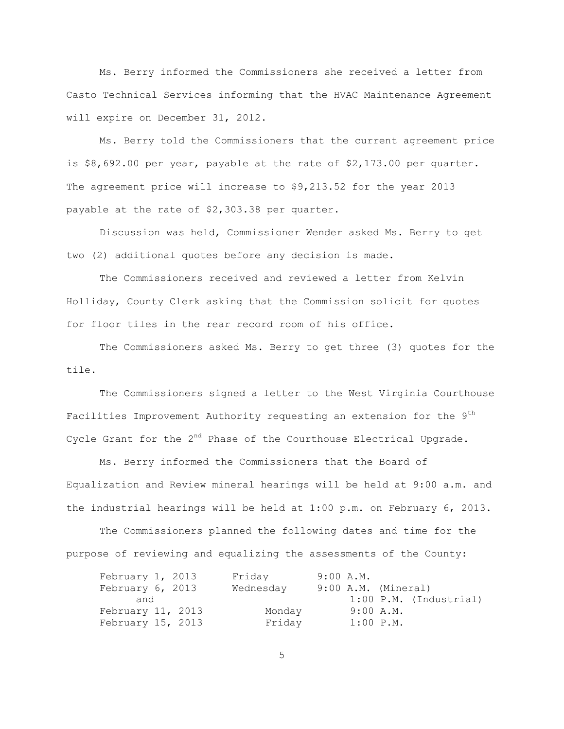Ms. Berry informed the Commissioners she received a letter from Casto Technical Services informing that the HVAC Maintenance Agreement will expire on December 31, 2012.

Ms. Berry told the Commissioners that the current agreement price is \$8,692.00 per year, payable at the rate of \$2,173.00 per quarter. The agreement price will increase to \$9,213.52 for the year 2013 payable at the rate of \$2,303.38 per quarter.

Discussion was held, Commissioner Wender asked Ms. Berry to get two (2) additional quotes before any decision is made.

The Commissioners received and reviewed a letter from Kelvin Holliday, County Clerk asking that the Commission solicit for quotes for floor tiles in the rear record room of his office.

The Commissioners asked Ms. Berry to get three (3) quotes for the tile.

The Commissioners signed a letter to the West Virginia Courthouse Facilities Improvement Authority requesting an extension for the 9<sup>th</sup> Cycle Grant for the  $2^{nd}$  Phase of the Courthouse Electrical Upgrade.

Ms. Berry informed the Commissioners that the Board of Equalization and Review mineral hearings will be held at 9:00 a.m. and the industrial hearings will be held at 1:00 p.m. on February 6, 2013.

The Commissioners planned the following dates and time for the purpose of reviewing and equalizing the assessments of the County:

| February 1, 2013  | Friday    | $9:00$ $A.M.$       |                          |
|-------------------|-----------|---------------------|--------------------------|
| February 6, 2013  | Wednesday | 9:00 A.M. (Mineral) |                          |
| and               |           |                     | $1:00$ P.M. (Industrial) |
| February 11, 2013 | Monday    | $9:00$ A.M.         |                          |
| February 15, 2013 | Friday    | $1:00$ $P.M.$       |                          |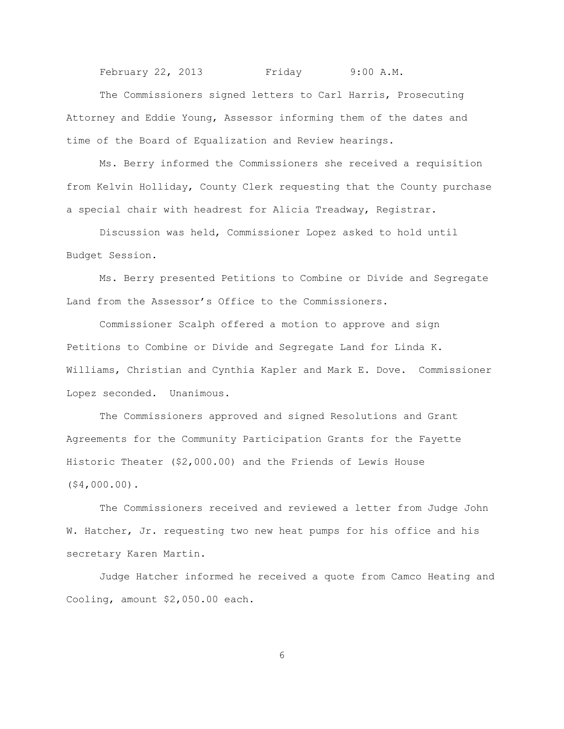February 22, 2013 Friday 9:00 A.M.

The Commissioners signed letters to Carl Harris, Prosecuting Attorney and Eddie Young, Assessor informing them of the dates and time of the Board of Equalization and Review hearings.

Ms. Berry informed the Commissioners she received a requisition from Kelvin Holliday, County Clerk requesting that the County purchase a special chair with headrest for Alicia Treadway, Registrar.

Discussion was held, Commissioner Lopez asked to hold until Budget Session.

Ms. Berry presented Petitions to Combine or Divide and Segregate Land from the Assessor"s Office to the Commissioners.

Commissioner Scalph offered a motion to approve and sign Petitions to Combine or Divide and Segregate Land for Linda K. Williams, Christian and Cynthia Kapler and Mark E. Dove. Commissioner Lopez seconded. Unanimous.

The Commissioners approved and signed Resolutions and Grant Agreements for the Community Participation Grants for the Fayette Historic Theater (\$2,000.00) and the Friends of Lewis House (\$4,000.00).

The Commissioners received and reviewed a letter from Judge John W. Hatcher, Jr. requesting two new heat pumps for his office and his secretary Karen Martin.

Judge Hatcher informed he received a quote from Camco Heating and Cooling, amount \$2,050.00 each.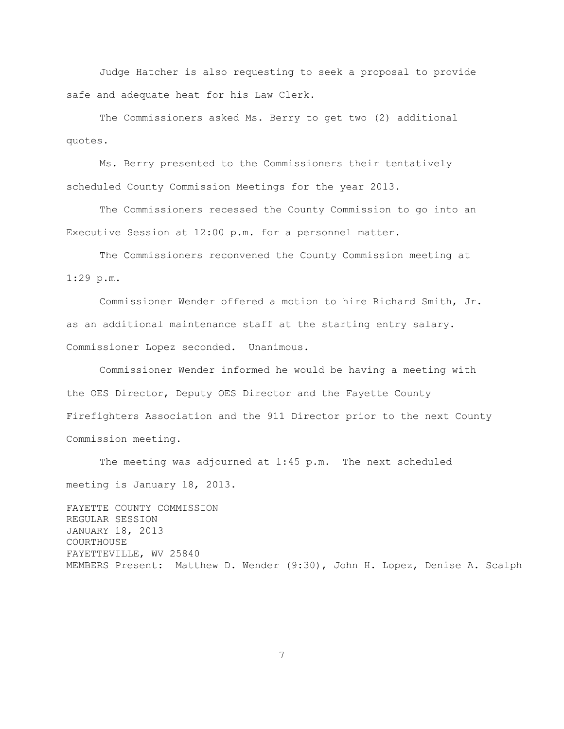Judge Hatcher is also requesting to seek a proposal to provide safe and adequate heat for his Law Clerk.

The Commissioners asked Ms. Berry to get two (2) additional quotes.

Ms. Berry presented to the Commissioners their tentatively scheduled County Commission Meetings for the year 2013.

The Commissioners recessed the County Commission to go into an Executive Session at 12:00 p.m. for a personnel matter.

The Commissioners reconvened the County Commission meeting at 1:29 p.m.

Commissioner Wender offered a motion to hire Richard Smith, Jr. as an additional maintenance staff at the starting entry salary. Commissioner Lopez seconded. Unanimous.

Commissioner Wender informed he would be having a meeting with the OES Director, Deputy OES Director and the Fayette County Firefighters Association and the 911 Director prior to the next County Commission meeting.

The meeting was adjourned at 1:45 p.m. The next scheduled meeting is January 18, 2013. FAYETTE COUNTY COMMISSION REGULAR SESSION JANUARY 18, 2013 COURTHOUSE FAYETTEVILLE, WV 25840 MEMBERS Present: Matthew D. Wender (9:30), John H. Lopez, Denise A. Scalph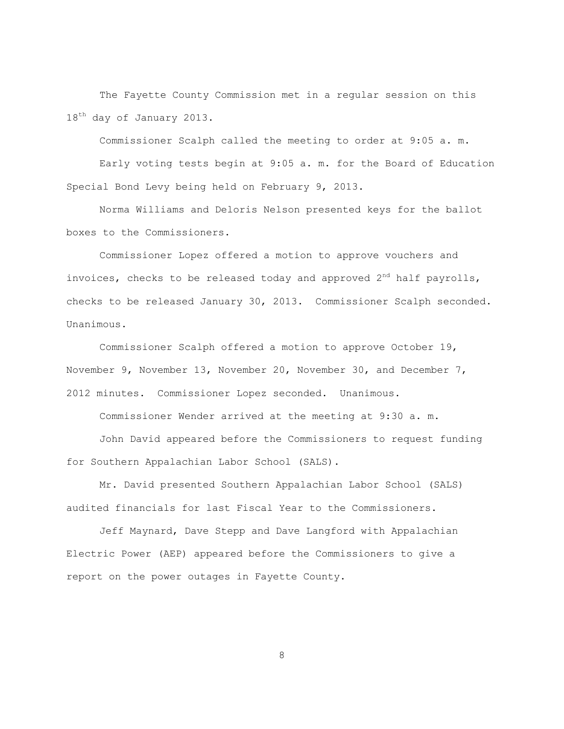The Fayette County Commission met in a regular session on this 18<sup>th</sup> day of January 2013.

Commissioner Scalph called the meeting to order at 9:05 a. m. Early voting tests begin at 9:05 a. m. for the Board of Education Special Bond Levy being held on February 9, 2013.

Norma Williams and Deloris Nelson presented keys for the ballot boxes to the Commissioners.

Commissioner Lopez offered a motion to approve vouchers and invoices, checks to be released today and approved  $2<sup>nd</sup>$  half payrolls, checks to be released January 30, 2013. Commissioner Scalph seconded. Unanimous.

Commissioner Scalph offered a motion to approve October 19, November 9, November 13, November 20, November 30, and December 7, 2012 minutes. Commissioner Lopez seconded. Unanimous.

Commissioner Wender arrived at the meeting at 9:30 a. m.

John David appeared before the Commissioners to request funding for Southern Appalachian Labor School (SALS).

Mr. David presented Southern Appalachian Labor School (SALS) audited financials for last Fiscal Year to the Commissioners.

Jeff Maynard, Dave Stepp and Dave Langford with Appalachian Electric Power (AEP) appeared before the Commissioners to give a report on the power outages in Fayette County.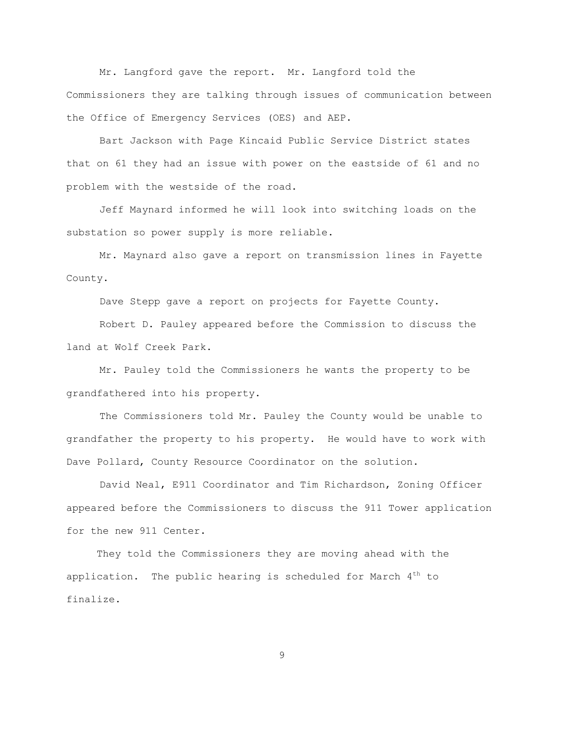Mr. Langford gave the report. Mr. Langford told the Commissioners they are talking through issues of communication between the Office of Emergency Services (OES) and AEP.

Bart Jackson with Page Kincaid Public Service District states that on 61 they had an issue with power on the eastside of 61 and no problem with the westside of the road.

Jeff Maynard informed he will look into switching loads on the substation so power supply is more reliable.

Mr. Maynard also gave a report on transmission lines in Fayette County.

Dave Stepp gave a report on projects for Fayette County.

Robert D. Pauley appeared before the Commission to discuss the land at Wolf Creek Park.

Mr. Pauley told the Commissioners he wants the property to be grandfathered into his property.

The Commissioners told Mr. Pauley the County would be unable to grandfather the property to his property. He would have to work with Dave Pollard, County Resource Coordinator on the solution.

David Neal, E911 Coordinator and Tim Richardson, Zoning Officer appeared before the Commissioners to discuss the 911 Tower application for the new 911 Center.

 They told the Commissioners they are moving ahead with the application. The public hearing is scheduled for March  $4<sup>th</sup>$  to finalize.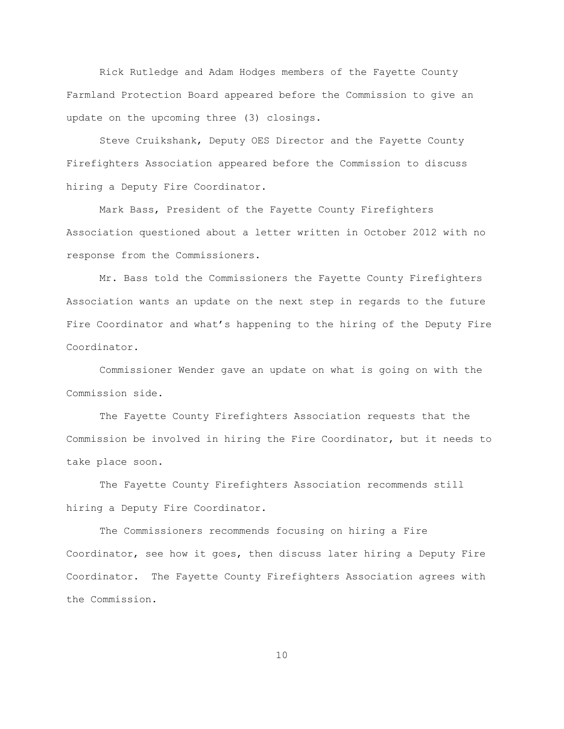Rick Rutledge and Adam Hodges members of the Fayette County Farmland Protection Board appeared before the Commission to give an update on the upcoming three (3) closings.

Steve Cruikshank, Deputy OES Director and the Fayette County Firefighters Association appeared before the Commission to discuss hiring a Deputy Fire Coordinator.

Mark Bass, President of the Fayette County Firefighters Association questioned about a letter written in October 2012 with no response from the Commissioners.

Mr. Bass told the Commissioners the Fayette County Firefighters Association wants an update on the next step in regards to the future Fire Coordinator and what"s happening to the hiring of the Deputy Fire Coordinator.

Commissioner Wender gave an update on what is going on with the Commission side.

The Fayette County Firefighters Association requests that the Commission be involved in hiring the Fire Coordinator, but it needs to take place soon.

The Fayette County Firefighters Association recommends still hiring a Deputy Fire Coordinator.

The Commissioners recommends focusing on hiring a Fire Coordinator, see how it goes, then discuss later hiring a Deputy Fire Coordinator. The Fayette County Firefighters Association agrees with the Commission.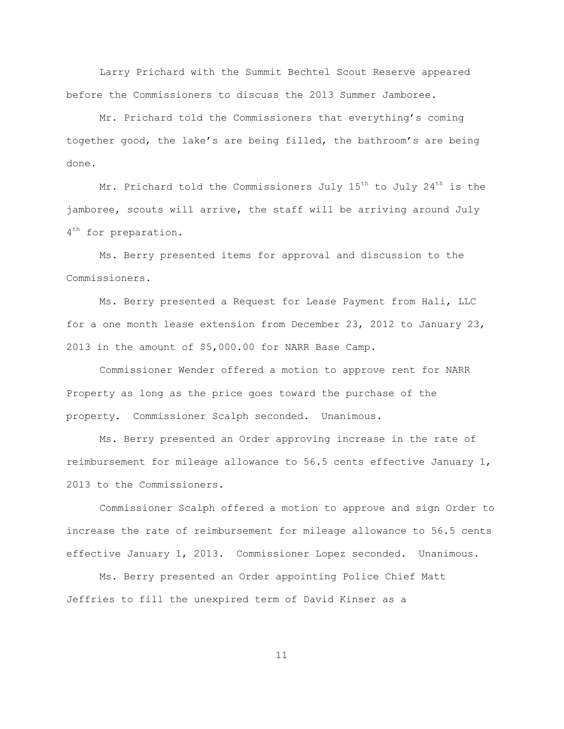Larry Prichard with the Summit Bechtel Scout Reserve appeared before the Commissioners to discuss the 2013 Summer Jamboree.

Mr. Prichard told the Commissioners that everything"s coming together good, the lake"s are being filled, the bathroom"s are being done.

Mr. Prichard told the Commissioners July  $15<sup>th</sup>$  to July  $24<sup>th</sup>$  is the jamboree, scouts will arrive, the staff will be arriving around July 4<sup>th</sup> for preparation.

Ms. Berry presented items for approval and discussion to the Commissioners.

Ms. Berry presented a Request for Lease Payment from Hali, LLC for a one month lease extension from December 23, 2012 to January 23, 2013 in the amount of \$5,000.00 for NARR Base Camp.

Commissioner Wender offered a motion to approve rent for NARR Property as long as the price goes toward the purchase of the property. Commissioner Scalph seconded. Unanimous.

Ms. Berry presented an Order approving increase in the rate of reimbursement for mileage allowance to 56.5 cents effective January 1, 2013 to the Commissioners.

Commissioner Scalph offered a motion to approve and sign Order to increase the rate of reimbursement for mileage allowance to 56.5 cents effective January 1, 2013. Commissioner Lopez seconded. Unanimous.

Ms. Berry presented an Order appointing Police Chief Matt Jeffries to fill the unexpired term of David Kinser as a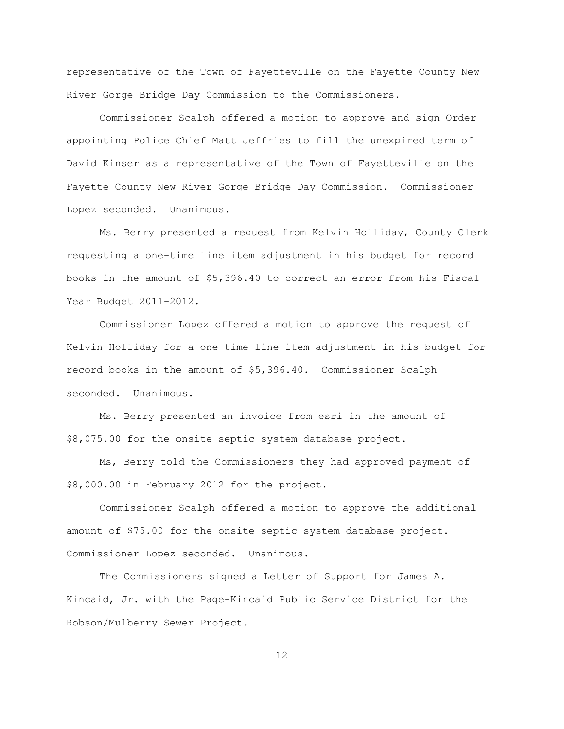representative of the Town of Fayetteville on the Fayette County New River Gorge Bridge Day Commission to the Commissioners.

Commissioner Scalph offered a motion to approve and sign Order appointing Police Chief Matt Jeffries to fill the unexpired term of David Kinser as a representative of the Town of Fayetteville on the Fayette County New River Gorge Bridge Day Commission. Commissioner Lopez seconded. Unanimous.

Ms. Berry presented a request from Kelvin Holliday, County Clerk requesting a one-time line item adjustment in his budget for record books in the amount of \$5,396.40 to correct an error from his Fiscal Year Budget 2011-2012.

Commissioner Lopez offered a motion to approve the request of Kelvin Holliday for a one time line item adjustment in his budget for record books in the amount of \$5,396.40. Commissioner Scalph seconded. Unanimous.

Ms. Berry presented an invoice from esri in the amount of \$8,075.00 for the onsite septic system database project.

Ms, Berry told the Commissioners they had approved payment of \$8,000.00 in February 2012 for the project.

Commissioner Scalph offered a motion to approve the additional amount of \$75.00 for the onsite septic system database project. Commissioner Lopez seconded. Unanimous.

The Commissioners signed a Letter of Support for James A. Kincaid, Jr. with the Page-Kincaid Public Service District for the Robson/Mulberry Sewer Project.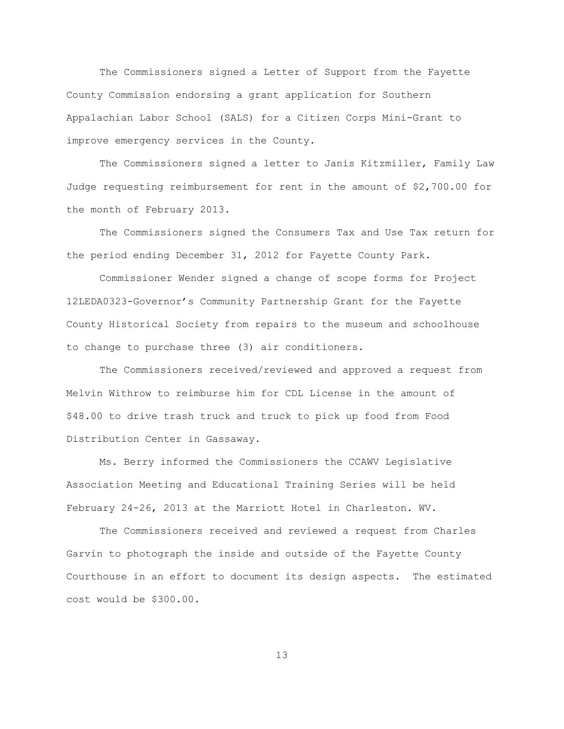The Commissioners signed a Letter of Support from the Fayette County Commission endorsing a grant application for Southern Appalachian Labor School (SALS) for a Citizen Corps Mini-Grant to improve emergency services in the County.

The Commissioners signed a letter to Janis Kitzmiller, Family Law Judge requesting reimbursement for rent in the amount of \$2,700.00 for the month of February 2013.

The Commissioners signed the Consumers Tax and Use Tax return for the period ending December 31, 2012 for Fayette County Park.

Commissioner Wender signed a change of scope forms for Project 12LEDA0323-Governor"s Community Partnership Grant for the Fayette County Historical Society from repairs to the museum and schoolhouse to change to purchase three (3) air conditioners.

The Commissioners received/reviewed and approved a request from Melvin Withrow to reimburse him for CDL License in the amount of \$48.00 to drive trash truck and truck to pick up food from Food Distribution Center in Gassaway.

Ms. Berry informed the Commissioners the CCAWV Legislative Association Meeting and Educational Training Series will be held February 24-26, 2013 at the Marriott Hotel in Charleston. WV.

The Commissioners received and reviewed a request from Charles Garvin to photograph the inside and outside of the Fayette County Courthouse in an effort to document its design aspects. The estimated cost would be \$300.00.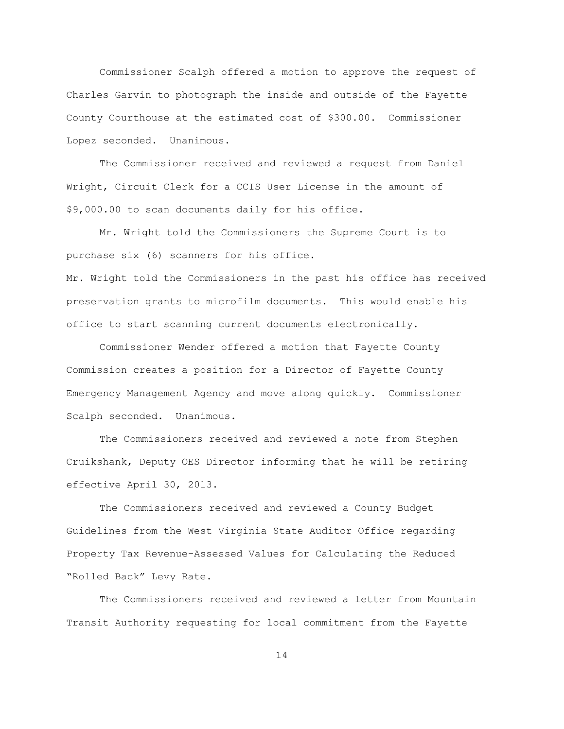Commissioner Scalph offered a motion to approve the request of Charles Garvin to photograph the inside and outside of the Fayette County Courthouse at the estimated cost of \$300.00. Commissioner Lopez seconded. Unanimous.

The Commissioner received and reviewed a request from Daniel Wright, Circuit Clerk for a CCIS User License in the amount of \$9,000.00 to scan documents daily for his office.

Mr. Wright told the Commissioners the Supreme Court is to purchase six (6) scanners for his office.

Mr. Wright told the Commissioners in the past his office has received preservation grants to microfilm documents. This would enable his office to start scanning current documents electronically.

Commissioner Wender offered a motion that Fayette County Commission creates a position for a Director of Fayette County Emergency Management Agency and move along quickly. Commissioner Scalph seconded. Unanimous.

The Commissioners received and reviewed a note from Stephen Cruikshank, Deputy OES Director informing that he will be retiring effective April 30, 2013.

The Commissioners received and reviewed a County Budget Guidelines from the West Virginia State Auditor Office regarding Property Tax Revenue-Assessed Values for Calculating the Reduced "Rolled Back" Levy Rate.

The Commissioners received and reviewed a letter from Mountain Transit Authority requesting for local commitment from the Fayette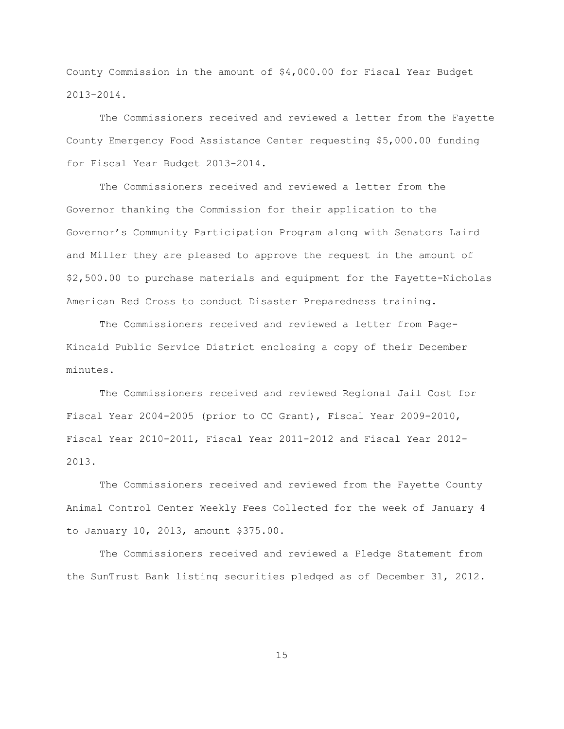County Commission in the amount of \$4,000.00 for Fiscal Year Budget 2013-2014.

The Commissioners received and reviewed a letter from the Fayette County Emergency Food Assistance Center requesting \$5,000.00 funding for Fiscal Year Budget 2013-2014.

The Commissioners received and reviewed a letter from the Governor thanking the Commission for their application to the Governor"s Community Participation Program along with Senators Laird and Miller they are pleased to approve the request in the amount of \$2,500.00 to purchase materials and equipment for the Fayette-Nicholas American Red Cross to conduct Disaster Preparedness training.

The Commissioners received and reviewed a letter from Page-Kincaid Public Service District enclosing a copy of their December minutes.

The Commissioners received and reviewed Regional Jail Cost for Fiscal Year 2004-2005 (prior to CC Grant), Fiscal Year 2009-2010, Fiscal Year 2010-2011, Fiscal Year 2011-2012 and Fiscal Year 2012- 2013.

The Commissioners received and reviewed from the Fayette County Animal Control Center Weekly Fees Collected for the week of January 4 to January 10, 2013, amount \$375.00.

The Commissioners received and reviewed a Pledge Statement from the SunTrust Bank listing securities pledged as of December 31, 2012.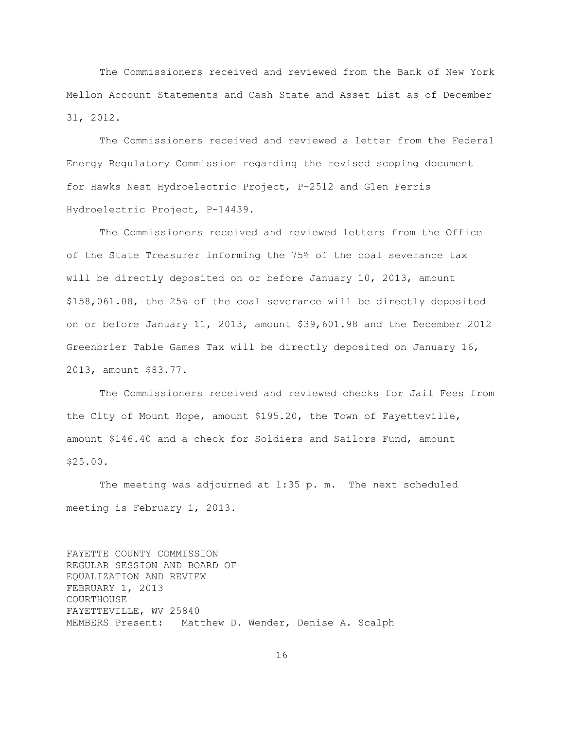The Commissioners received and reviewed from the Bank of New York Mellon Account Statements and Cash State and Asset List as of December 31, 2012.

The Commissioners received and reviewed a letter from the Federal Energy Regulatory Commission regarding the revised scoping document for Hawks Nest Hydroelectric Project, P-2512 and Glen Ferris Hydroelectric Project, P-14439.

The Commissioners received and reviewed letters from the Office of the State Treasurer informing the 75% of the coal severance tax will be directly deposited on or before January 10, 2013, amount \$158,061.08, the 25% of the coal severance will be directly deposited on or before January 11, 2013, amount \$39,601.98 and the December 2012 Greenbrier Table Games Tax will be directly deposited on January 16, 2013, amount \$83.77.

The Commissioners received and reviewed checks for Jail Fees from the City of Mount Hope, amount \$195.20, the Town of Fayetteville, amount \$146.40 and a check for Soldiers and Sailors Fund, amount \$25.00.

The meeting was adjourned at 1:35 p. m. The next scheduled meeting is February 1, 2013.

FAYETTE COUNTY COMMISSION REGULAR SESSION AND BOARD OF EQUALIZATION AND REVIEW FEBRUARY 1, 2013 COURTHOUSE FAYETTEVILLE, WV 25840 MEMBERS Present: Matthew D. Wender, Denise A. Scalph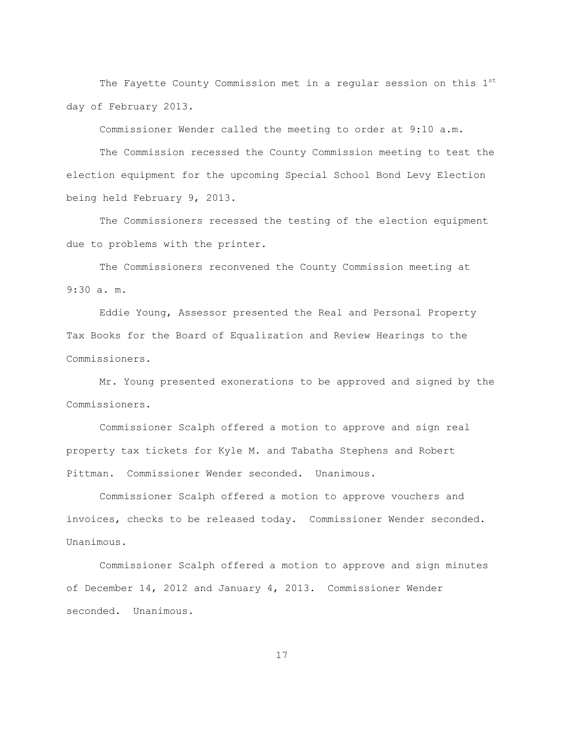The Fayette County Commission met in a regular session on this  $1<sup>st</sup>$ day of February 2013.

Commissioner Wender called the meeting to order at 9:10 a.m.

The Commission recessed the County Commission meeting to test the election equipment for the upcoming Special School Bond Levy Election being held February 9, 2013.

The Commissioners recessed the testing of the election equipment due to problems with the printer.

The Commissioners reconvened the County Commission meeting at 9:30 a. m.

Eddie Young, Assessor presented the Real and Personal Property Tax Books for the Board of Equalization and Review Hearings to the Commissioners.

Mr. Young presented exonerations to be approved and signed by the Commissioners.

Commissioner Scalph offered a motion to approve and sign real property tax tickets for Kyle M. and Tabatha Stephens and Robert Pittman. Commissioner Wender seconded. Unanimous.

Commissioner Scalph offered a motion to approve vouchers and invoices, checks to be released today. Commissioner Wender seconded. Unanimous.

Commissioner Scalph offered a motion to approve and sign minutes of December 14, 2012 and January 4, 2013. Commissioner Wender seconded. Unanimous.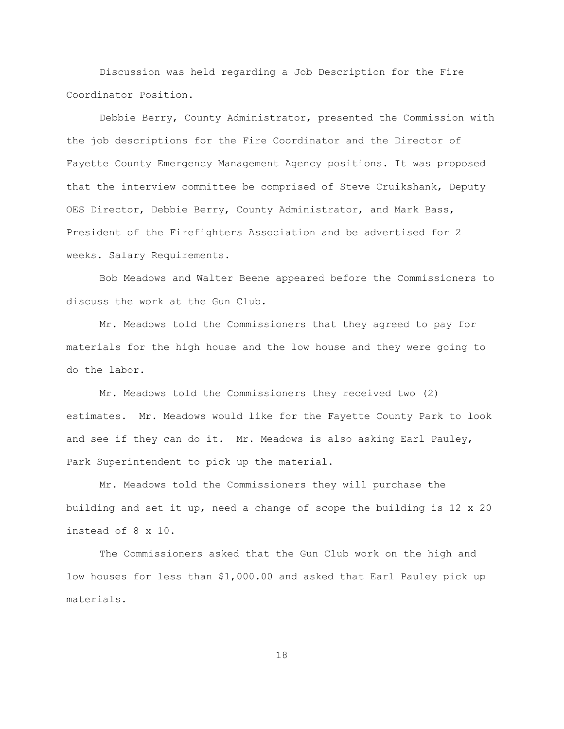Discussion was held regarding a Job Description for the Fire Coordinator Position.

Debbie Berry, County Administrator, presented the Commission with the job descriptions for the Fire Coordinator and the Director of Fayette County Emergency Management Agency positions. It was proposed that the interview committee be comprised of Steve Cruikshank, Deputy OES Director, Debbie Berry, County Administrator, and Mark Bass, President of the Firefighters Association and be advertised for 2 weeks. Salary Requirements.

Bob Meadows and Walter Beene appeared before the Commissioners to discuss the work at the Gun Club.

Mr. Meadows told the Commissioners that they agreed to pay for materials for the high house and the low house and they were going to do the labor.

Mr. Meadows told the Commissioners they received two (2) estimates. Mr. Meadows would like for the Fayette County Park to look and see if they can do it. Mr. Meadows is also asking Earl Pauley, Park Superintendent to pick up the material.

Mr. Meadows told the Commissioners they will purchase the building and set it up, need a change of scope the building is 12 x 20 instead of 8 x 10.

The Commissioners asked that the Gun Club work on the high and low houses for less than \$1,000.00 and asked that Earl Pauley pick up materials.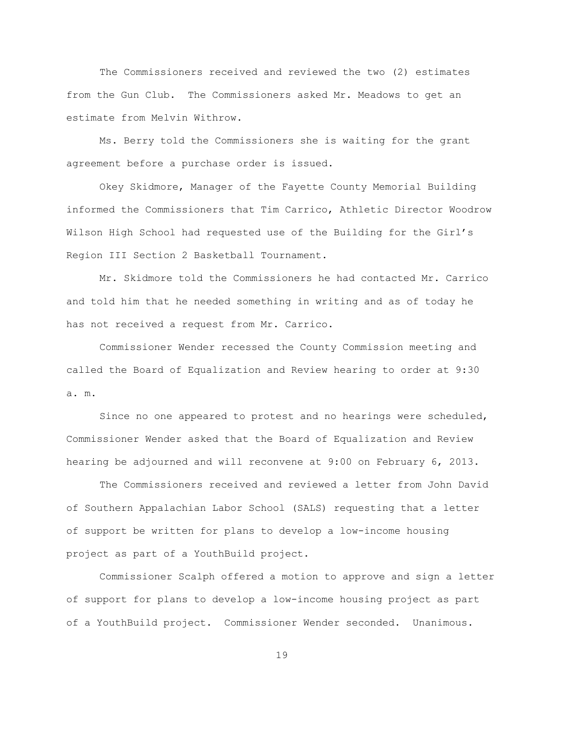The Commissioners received and reviewed the two (2) estimates from the Gun Club. The Commissioners asked Mr. Meadows to get an estimate from Melvin Withrow.

Ms. Berry told the Commissioners she is waiting for the grant agreement before a purchase order is issued.

Okey Skidmore, Manager of the Fayette County Memorial Building informed the Commissioners that Tim Carrico, Athletic Director Woodrow Wilson High School had requested use of the Building for the Girl"s Region III Section 2 Basketball Tournament.

Mr. Skidmore told the Commissioners he had contacted Mr. Carrico and told him that he needed something in writing and as of today he has not received a request from Mr. Carrico.

Commissioner Wender recessed the County Commission meeting and called the Board of Equalization and Review hearing to order at 9:30 a. m.

Since no one appeared to protest and no hearings were scheduled, Commissioner Wender asked that the Board of Equalization and Review hearing be adjourned and will reconvene at 9:00 on February 6, 2013.

The Commissioners received and reviewed a letter from John David of Southern Appalachian Labor School (SALS) requesting that a letter of support be written for plans to develop a low-income housing project as part of a YouthBuild project.

Commissioner Scalph offered a motion to approve and sign a letter of support for plans to develop a low-income housing project as part of a YouthBuild project. Commissioner Wender seconded. Unanimous.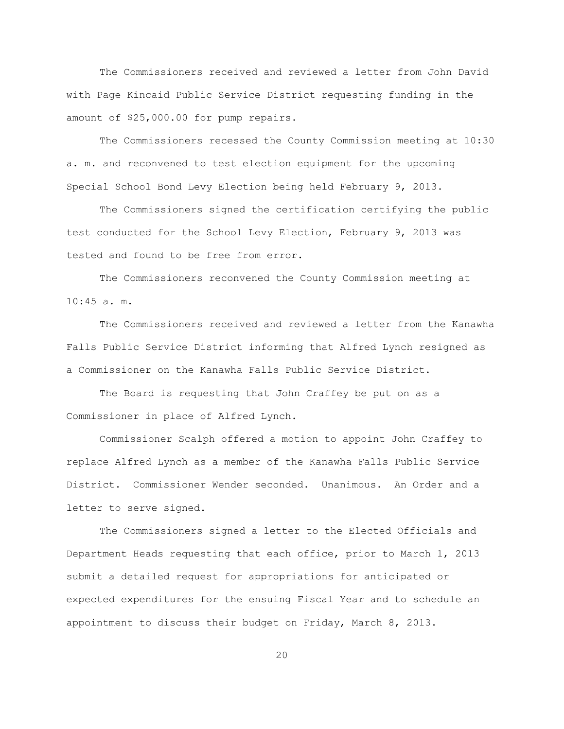The Commissioners received and reviewed a letter from John David with Page Kincaid Public Service District requesting funding in the amount of \$25,000.00 for pump repairs.

The Commissioners recessed the County Commission meeting at 10:30 a. m. and reconvened to test election equipment for the upcoming Special School Bond Levy Election being held February 9, 2013.

The Commissioners signed the certification certifying the public test conducted for the School Levy Election, February 9, 2013 was tested and found to be free from error.

The Commissioners reconvened the County Commission meeting at 10:45 a. m.

The Commissioners received and reviewed a letter from the Kanawha Falls Public Service District informing that Alfred Lynch resigned as a Commissioner on the Kanawha Falls Public Service District.

The Board is requesting that John Craffey be put on as a Commissioner in place of Alfred Lynch.

Commissioner Scalph offered a motion to appoint John Craffey to replace Alfred Lynch as a member of the Kanawha Falls Public Service District. Commissioner Wender seconded. Unanimous. An Order and a letter to serve signed.

The Commissioners signed a letter to the Elected Officials and Department Heads requesting that each office, prior to March 1, 2013 submit a detailed request for appropriations for anticipated or expected expenditures for the ensuing Fiscal Year and to schedule an appointment to discuss their budget on Friday, March 8, 2013.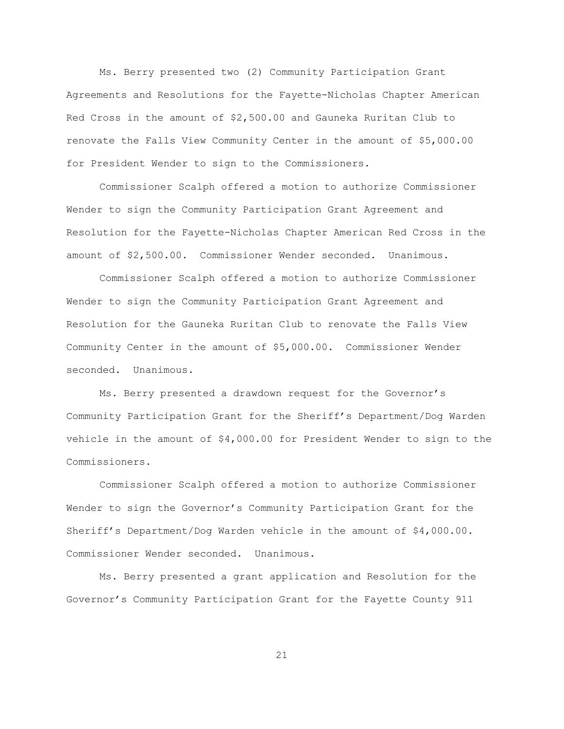Ms. Berry presented two (2) Community Participation Grant Agreements and Resolutions for the Fayette-Nicholas Chapter American Red Cross in the amount of \$2,500.00 and Gauneka Ruritan Club to renovate the Falls View Community Center in the amount of \$5,000.00 for President Wender to sign to the Commissioners.

Commissioner Scalph offered a motion to authorize Commissioner Wender to sign the Community Participation Grant Agreement and Resolution for the Fayette-Nicholas Chapter American Red Cross in the amount of \$2,500.00. Commissioner Wender seconded. Unanimous.

Commissioner Scalph offered a motion to authorize Commissioner Wender to sign the Community Participation Grant Agreement and Resolution for the Gauneka Ruritan Club to renovate the Falls View Community Center in the amount of \$5,000.00. Commissioner Wender seconded. Unanimous.

Ms. Berry presented a drawdown request for the Governor"s Community Participation Grant for the Sheriff"s Department/Dog Warden vehicle in the amount of \$4,000.00 for President Wender to sign to the Commissioners.

Commissioner Scalph offered a motion to authorize Commissioner Wender to sign the Governor"s Community Participation Grant for the Sheriff"s Department/Dog Warden vehicle in the amount of \$4,000.00. Commissioner Wender seconded. Unanimous.

Ms. Berry presented a grant application and Resolution for the Governor"s Community Participation Grant for the Fayette County 911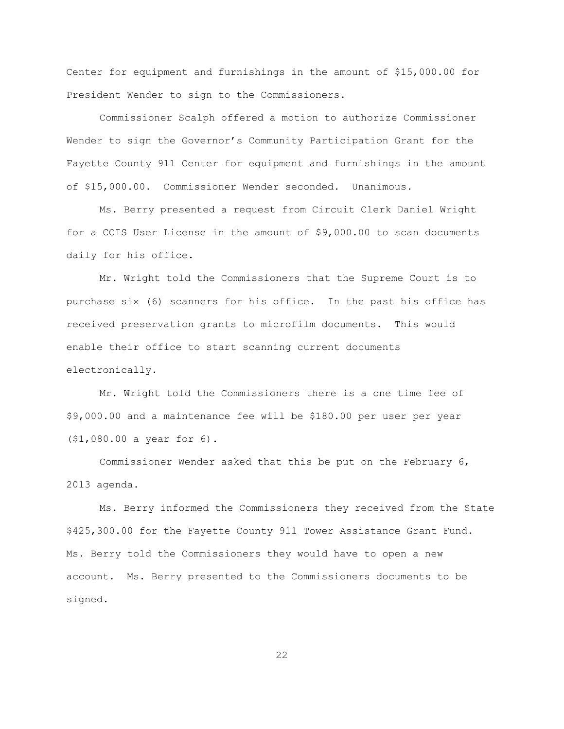Center for equipment and furnishings in the amount of \$15,000.00 for President Wender to sign to the Commissioners.

Commissioner Scalph offered a motion to authorize Commissioner Wender to sign the Governor"s Community Participation Grant for the Fayette County 911 Center for equipment and furnishings in the amount of \$15,000.00. Commissioner Wender seconded. Unanimous.

Ms. Berry presented a request from Circuit Clerk Daniel Wright for a CCIS User License in the amount of \$9,000.00 to scan documents daily for his office.

Mr. Wright told the Commissioners that the Supreme Court is to purchase six (6) scanners for his office. In the past his office has received preservation grants to microfilm documents. This would enable their office to start scanning current documents electronically.

Mr. Wright told the Commissioners there is a one time fee of \$9,000.00 and a maintenance fee will be \$180.00 per user per year (\$1,080.00 a year for 6).

Commissioner Wender asked that this be put on the February 6, 2013 agenda.

Ms. Berry informed the Commissioners they received from the State \$425,300.00 for the Fayette County 911 Tower Assistance Grant Fund. Ms. Berry told the Commissioners they would have to open a new account. Ms. Berry presented to the Commissioners documents to be signed.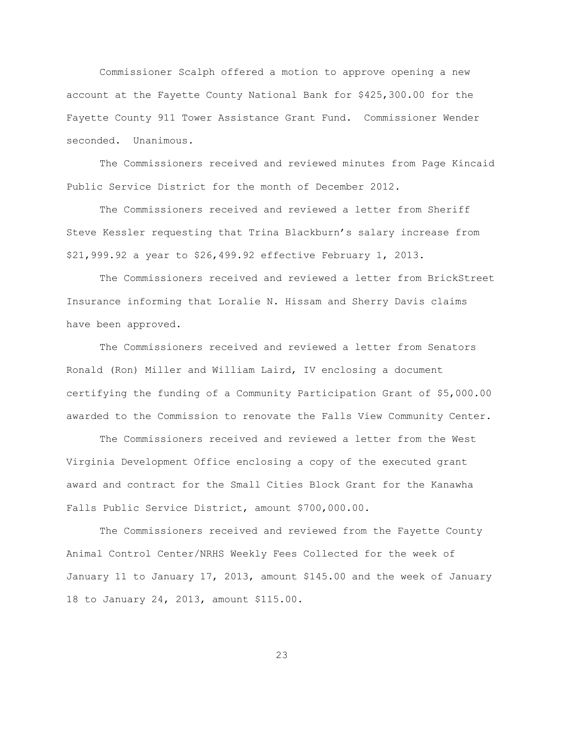Commissioner Scalph offered a motion to approve opening a new account at the Fayette County National Bank for \$425,300.00 for the Fayette County 911 Tower Assistance Grant Fund. Commissioner Wender seconded. Unanimous.

The Commissioners received and reviewed minutes from Page Kincaid Public Service District for the month of December 2012.

The Commissioners received and reviewed a letter from Sheriff Steve Kessler requesting that Trina Blackburn"s salary increase from \$21,999.92 a year to \$26,499.92 effective February 1, 2013.

The Commissioners received and reviewed a letter from BrickStreet Insurance informing that Loralie N. Hissam and Sherry Davis claims have been approved.

The Commissioners received and reviewed a letter from Senators Ronald (Ron) Miller and William Laird, IV enclosing a document certifying the funding of a Community Participation Grant of \$5,000.00 awarded to the Commission to renovate the Falls View Community Center.

The Commissioners received and reviewed a letter from the West Virginia Development Office enclosing a copy of the executed grant award and contract for the Small Cities Block Grant for the Kanawha Falls Public Service District, amount \$700,000.00.

The Commissioners received and reviewed from the Fayette County Animal Control Center/NRHS Weekly Fees Collected for the week of January 11 to January 17, 2013, amount \$145.00 and the week of January 18 to January 24, 2013, amount \$115.00.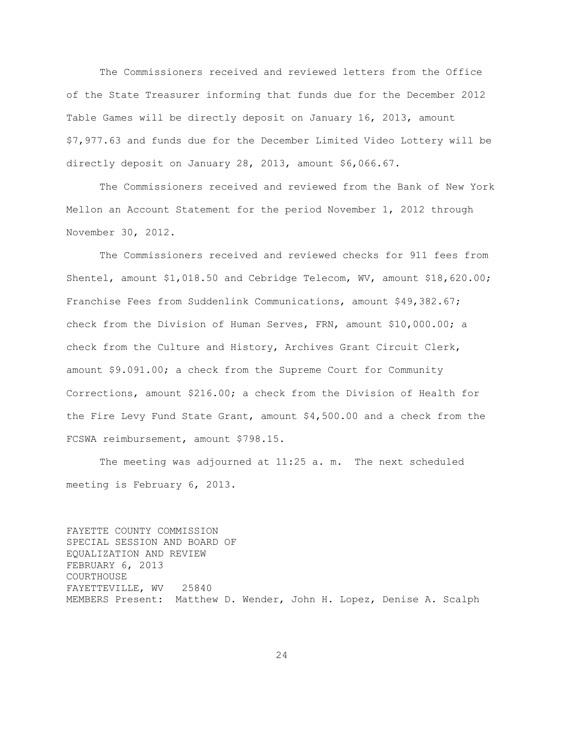The Commissioners received and reviewed letters from the Office of the State Treasurer informing that funds due for the December 2012 Table Games will be directly deposit on January 16, 2013, amount \$7,977.63 and funds due for the December Limited Video Lottery will be directly deposit on January 28, 2013, amount \$6,066.67.

The Commissioners received and reviewed from the Bank of New York Mellon an Account Statement for the period November 1, 2012 through November 30, 2012.

The Commissioners received and reviewed checks for 911 fees from Shentel, amount \$1,018.50 and Cebridge Telecom, WV, amount \$18,620.00; Franchise Fees from Suddenlink Communications, amount \$49,382.67; check from the Division of Human Serves, FRN, amount \$10,000.00; a check from the Culture and History, Archives Grant Circuit Clerk, amount \$9.091.00; a check from the Supreme Court for Community Corrections, amount \$216.00; a check from the Division of Health for the Fire Levy Fund State Grant, amount \$4,500.00 and a check from the FCSWA reimbursement, amount \$798.15.

The meeting was adjourned at 11:25 a. m. The next scheduled meeting is February 6, 2013.

FAYETTE COUNTY COMMISSION SPECIAL SESSION AND BOARD OF EQUALIZATION AND REVIEW FEBRUARY 6, 2013 COURTHOUSE FAYETTEVILLE, WV 25840 MEMBERS Present: Matthew D. Wender, John H. Lopez, Denise A. Scalph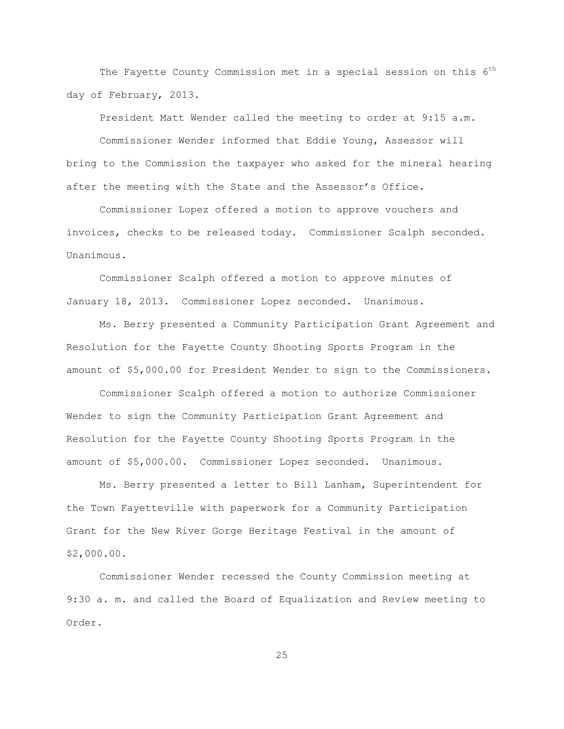The Fayette County Commission met in a special session on this  $6<sup>th</sup>$ day of February, 2013.

President Matt Wender called the meeting to order at 9:15 a.m.

Commissioner Wender informed that Eddie Young, Assessor will bring to the Commission the taxpayer who asked for the mineral hearing after the meeting with the State and the Assessor"s Office.

Commissioner Lopez offered a motion to approve vouchers and invoices, checks to be released today. Commissioner Scalph seconded. Unanimous.

Commissioner Scalph offered a motion to approve minutes of January 18, 2013. Commissioner Lopez seconded. Unanimous.

Ms. Berry presented a Community Participation Grant Agreement and Resolution for the Fayette County Shooting Sports Program in the amount of \$5,000.00 for President Wender to sign to the Commissioners.

Commissioner Scalph offered a motion to authorize Commissioner Wender to sign the Community Participation Grant Agreement and Resolution for the Fayette County Shooting Sports Program in the amount of \$5,000.00. Commissioner Lopez seconded. Unanimous.

Ms. Berry presented a letter to Bill Lanham, Superintendent for the Town Fayetteville with paperwork for a Community Participation Grant for the New River Gorge Heritage Festival in the amount of \$2,000.00.

Commissioner Wender recessed the County Commission meeting at 9:30 a. m. and called the Board of Equalization and Review meeting to Order.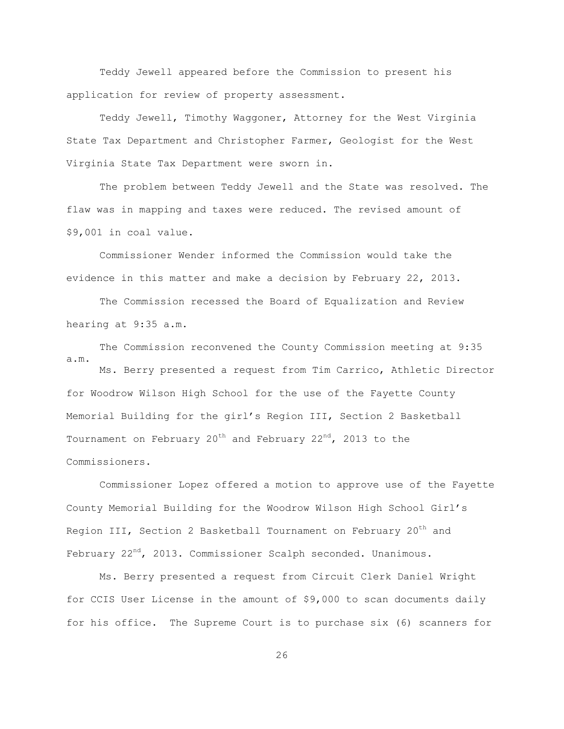Teddy Jewell appeared before the Commission to present his application for review of property assessment.

Teddy Jewell, Timothy Waggoner, Attorney for the West Virginia State Tax Department and Christopher Farmer, Geologist for the West Virginia State Tax Department were sworn in.

The problem between Teddy Jewell and the State was resolved. The flaw was in mapping and taxes were reduced. The revised amount of \$9,001 in coal value.

Commissioner Wender informed the Commission would take the evidence in this matter and make a decision by February 22, 2013.

The Commission recessed the Board of Equalization and Review hearing at 9:35 a.m.

The Commission reconvened the County Commission meeting at 9:35 a.m.

Ms. Berry presented a request from Tim Carrico, Athletic Director for Woodrow Wilson High School for the use of the Fayette County Memorial Building for the girl"s Region III, Section 2 Basketball Tournament on February  $20^{th}$  and February  $22^{nd}$ , 2013 to the Commissioners.

Commissioner Lopez offered a motion to approve use of the Fayette County Memorial Building for the Woodrow Wilson High School Girl"s Region III, Section 2 Basketball Tournament on February  $20<sup>th</sup>$  and February 22<sup>nd</sup>, 2013. Commissioner Scalph seconded. Unanimous.

Ms. Berry presented a request from Circuit Clerk Daniel Wright for CCIS User License in the amount of \$9,000 to scan documents daily for his office. The Supreme Court is to purchase six (6) scanners for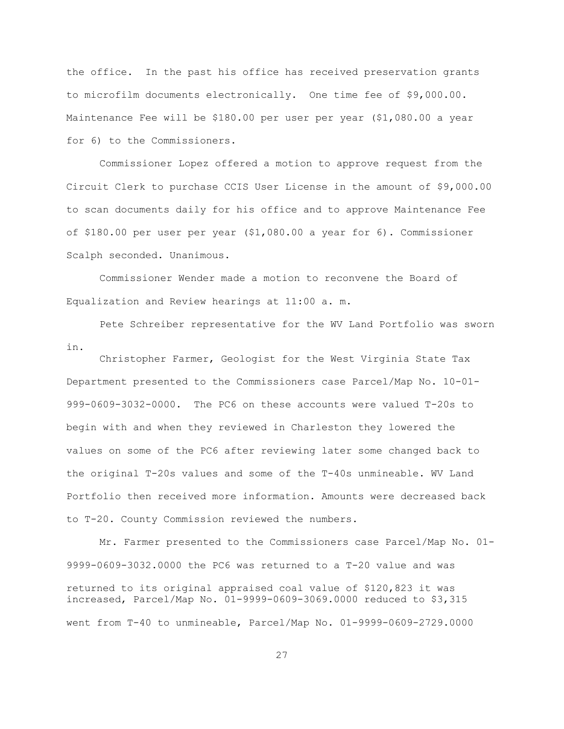the office. In the past his office has received preservation grants to microfilm documents electronically. One time fee of \$9,000.00. Maintenance Fee will be \$180.00 per user per year (\$1,080.00 a year for 6) to the Commissioners.

Commissioner Lopez offered a motion to approve request from the Circuit Clerk to purchase CCIS User License in the amount of \$9,000.00 to scan documents daily for his office and to approve Maintenance Fee of \$180.00 per user per year (\$1,080.00 a year for 6). Commissioner Scalph seconded. Unanimous.

Commissioner Wender made a motion to reconvene the Board of Equalization and Review hearings at 11:00 a. m.

Pete Schreiber representative for the WV Land Portfolio was sworn in.

Christopher Farmer, Geologist for the West Virginia State Tax Department presented to the Commissioners case Parcel/Map No. 10-01- 999-0609-3032-0000. The PC6 on these accounts were valued T-20s to begin with and when they reviewed in Charleston they lowered the values on some of the PC6 after reviewing later some changed back to the original T-20s values and some of the T-40s unmineable. WV Land Portfolio then received more information. Amounts were decreased back to T-20. County Commission reviewed the numbers.

Mr. Farmer presented to the Commissioners case Parcel/Map No. 01- 9999-0609-3032.0000 the PC6 was returned to a T-20 value and was returned to its original appraised coal value of \$120,823 it was increased, Parcel/Map No. 01-9999-0609-3069.0000 reduced to \$3,315 went from T-40 to unmineable, Parcel/Map No. 01-9999-0609-2729.0000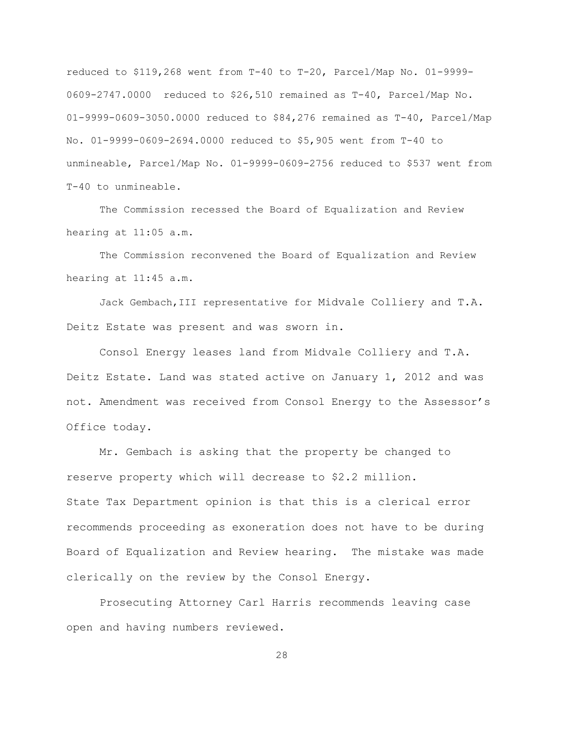reduced to \$119,268 went from T-40 to T-20, Parcel/Map No. 01-9999- 0609-2747.0000 reduced to \$26,510 remained as T-40, Parcel/Map No. 01-9999-0609-3050.0000 reduced to \$84,276 remained as T-40, Parcel/Map No. 01-9999-0609-2694.0000 reduced to \$5,905 went from T-40 to unmineable, Parcel/Map No. 01-9999-0609-2756 reduced to \$537 went from T-40 to unmineable.

The Commission recessed the Board of Equalization and Review hearing at 11:05 a.m.

The Commission reconvened the Board of Equalization and Review hearing at 11:45 a.m.

Jack Gembach,III representative for Midvale Colliery and T.A. Deitz Estate was present and was sworn in.

Consol Energy leases land from Midvale Colliery and T.A. Deitz Estate. Land was stated active on January 1, 2012 and was not. Amendment was received from Consol Energy to the Assessor"s Office today.

Mr. Gembach is asking that the property be changed to reserve property which will decrease to \$2.2 million. State Tax Department opinion is that this is a clerical error recommends proceeding as exoneration does not have to be during Board of Equalization and Review hearing. The mistake was made clerically on the review by the Consol Energy.

 Prosecuting Attorney Carl Harris recommends leaving case open and having numbers reviewed.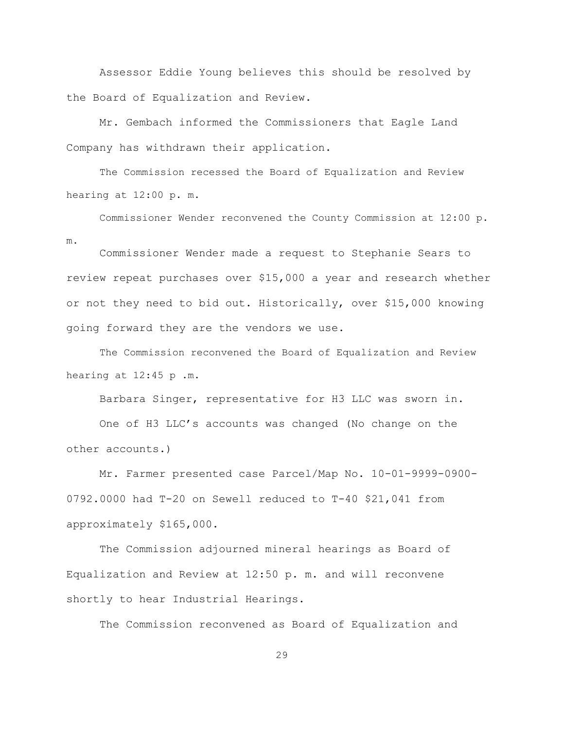Assessor Eddie Young believes this should be resolved by the Board of Equalization and Review.

Mr. Gembach informed the Commissioners that Eagle Land Company has withdrawn their application.

The Commission recessed the Board of Equalization and Review hearing at 12:00 p. m.

Commissioner Wender reconvened the County Commission at 12:00 p. m.

Commissioner Wender made a request to Stephanie Sears to review repeat purchases over \$15,000 a year and research whether or not they need to bid out. Historically, over \$15,000 knowing going forward they are the vendors we use.

The Commission reconvened the Board of Equalization and Review hearing at 12:45 p .m.

Barbara Singer, representative for H3 LLC was sworn in.

One of H3 LLC"s accounts was changed (No change on the other accounts.)

Mr. Farmer presented case Parcel/Map No. 10-01-9999-0900- 0792.0000 had T-20 on Sewell reduced to T-40 \$21,041 from approximately \$165,000.

The Commission adjourned mineral hearings as Board of Equalization and Review at 12:50 p. m. and will reconvene shortly to hear Industrial Hearings.

The Commission reconvened as Board of Equalization and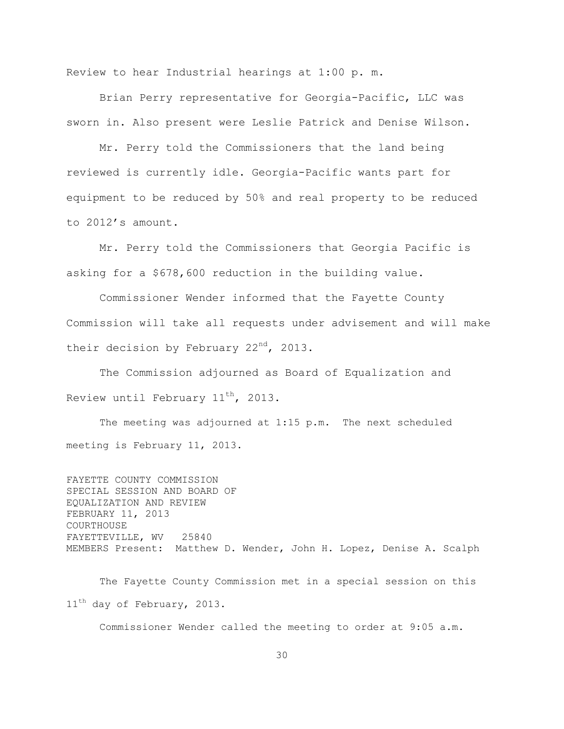Review to hear Industrial hearings at 1:00 p. m.

Brian Perry representative for Georgia-Pacific, LLC was sworn in. Also present were Leslie Patrick and Denise Wilson.

Mr. Perry told the Commissioners that the land being reviewed is currently idle. Georgia-Pacific wants part for equipment to be reduced by 50% and real property to be reduced to 2012"s amount.

Mr. Perry told the Commissioners that Georgia Pacific is asking for a \$678,600 reduction in the building value.

Commissioner Wender informed that the Fayette County Commission will take all requests under advisement and will make their decision by February 22<sup>nd</sup>, 2013.

The Commission adjourned as Board of Equalization and Review until February  $11^{\text{th}}$ , 2013.

The meeting was adjourned at 1:15 p.m. The next scheduled meeting is February 11, 2013.

FAYETTE COUNTY COMMISSION SPECIAL SESSION AND BOARD OF EQUALIZATION AND REVIEW FEBRUARY 11, 2013 COURTHOUSE FAYETTEVILLE, WV 25840 MEMBERS Present: Matthew D. Wender, John H. Lopez, Denise A. Scalph

The Fayette County Commission met in a special session on this 11<sup>th</sup> day of February, 2013.

Commissioner Wender called the meeting to order at 9:05 a.m.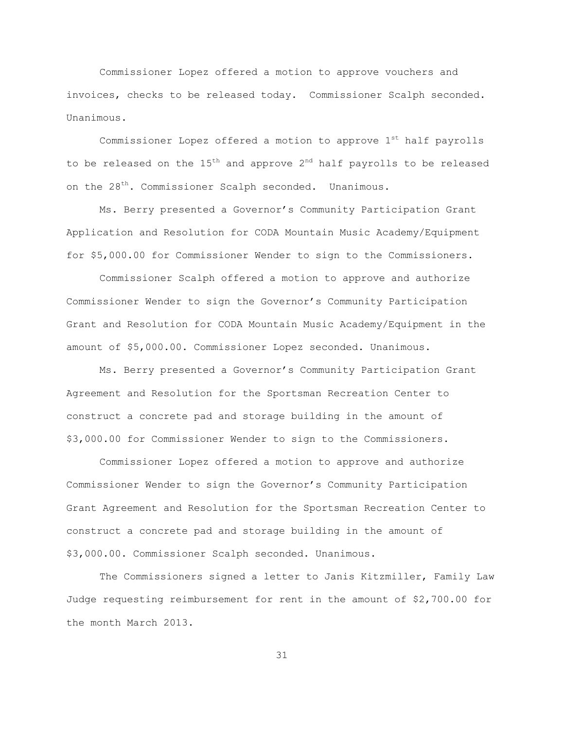Commissioner Lopez offered a motion to approve vouchers and invoices, checks to be released today. Commissioner Scalph seconded. Unanimous.

Commissioner Lopez offered a motion to approve  $1<sup>st</sup>$  half payrolls to be released on the  $15^{th}$  and approve  $2^{nd}$  half payrolls to be released on the 28<sup>th</sup>. Commissioner Scalph seconded. Unanimous.

Ms. Berry presented a Governor"s Community Participation Grant Application and Resolution for CODA Mountain Music Academy/Equipment for \$5,000.00 for Commissioner Wender to sign to the Commissioners.

Commissioner Scalph offered a motion to approve and authorize Commissioner Wender to sign the Governor"s Community Participation Grant and Resolution for CODA Mountain Music Academy/Equipment in the amount of \$5,000.00. Commissioner Lopez seconded. Unanimous.

Ms. Berry presented a Governor"s Community Participation Grant Agreement and Resolution for the Sportsman Recreation Center to construct a concrete pad and storage building in the amount of \$3,000.00 for Commissioner Wender to sign to the Commissioners.

Commissioner Lopez offered a motion to approve and authorize Commissioner Wender to sign the Governor"s Community Participation Grant Agreement and Resolution for the Sportsman Recreation Center to construct a concrete pad and storage building in the amount of \$3,000.00. Commissioner Scalph seconded. Unanimous.

The Commissioners signed a letter to Janis Kitzmiller, Family Law Judge requesting reimbursement for rent in the amount of \$2,700.00 for the month March 2013.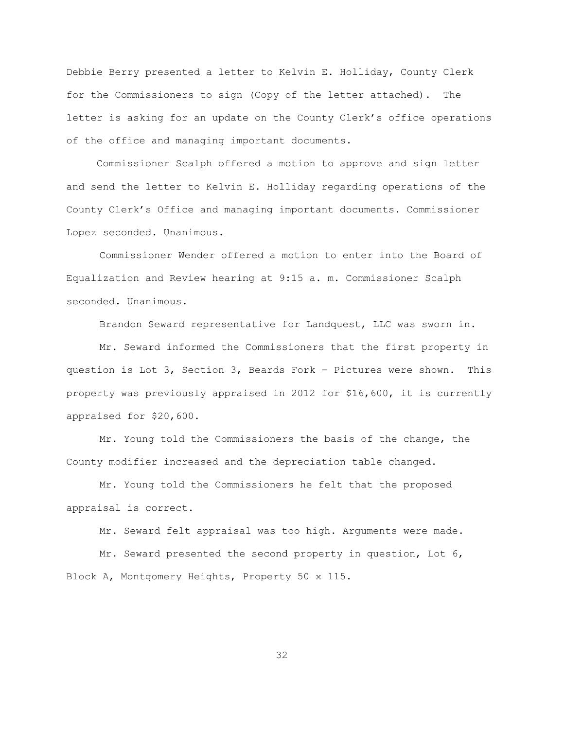Debbie Berry presented a letter to Kelvin E. Holliday, County Clerk for the Commissioners to sign (Copy of the letter attached). The letter is asking for an update on the County Clerk"s office operations of the office and managing important documents.

 Commissioner Scalph offered a motion to approve and sign letter and send the letter to Kelvin E. Holliday regarding operations of the County Clerk"s Office and managing important documents. Commissioner Lopez seconded. Unanimous.

Commissioner Wender offered a motion to enter into the Board of Equalization and Review hearing at 9:15 a. m. Commissioner Scalph seconded. Unanimous.

Brandon Seward representative for Landquest, LLC was sworn in.

Mr. Seward informed the Commissioners that the first property in question is Lot 3, Section 3, Beards Fork – Pictures were shown. This property was previously appraised in 2012 for \$16,600, it is currently appraised for \$20,600.

Mr. Young told the Commissioners the basis of the change, the County modifier increased and the depreciation table changed.

Mr. Young told the Commissioners he felt that the proposed appraisal is correct.

Mr. Seward felt appraisal was too high. Arguments were made.

Mr. Seward presented the second property in question, Lot 6, Block A, Montgomery Heights, Property 50 x 115.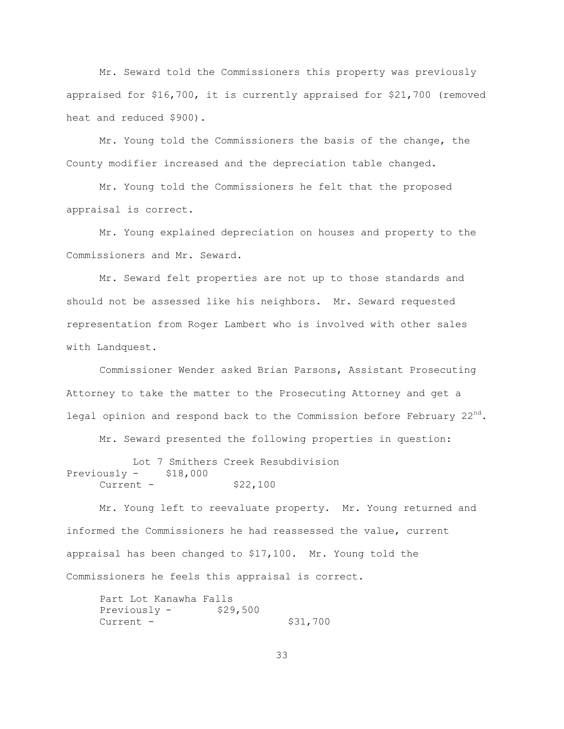Mr. Seward told the Commissioners this property was previously appraised for \$16,700, it is currently appraised for \$21,700 (removed heat and reduced \$900).

Mr. Young told the Commissioners the basis of the change, the County modifier increased and the depreciation table changed.

Mr. Young told the Commissioners he felt that the proposed appraisal is correct.

Mr. Young explained depreciation on houses and property to the Commissioners and Mr. Seward.

Mr. Seward felt properties are not up to those standards and should not be assessed like his neighbors. Mr. Seward requested representation from Roger Lambert who is involved with other sales with Landquest.

Commissioner Wender asked Brian Parsons, Assistant Prosecuting Attorney to take the matter to the Prosecuting Attorney and get a legal opinion and respond back to the Commission before February  $22<sup>nd</sup>$ .

Mr. Seward presented the following properties in question:

```
Lot 7 Smithers Creek Resubdivision
Previously - $18,000
    Current - $22,100
```
Mr. Young left to reevaluate property. Mr. Young returned and informed the Commissioners he had reassessed the value, current appraisal has been changed to \$17,100. Mr. Young told the Commissioners he feels this appraisal is correct.

Part Lot Kanawha Falls Previously  $-$  \$29,500 Current - \$31,700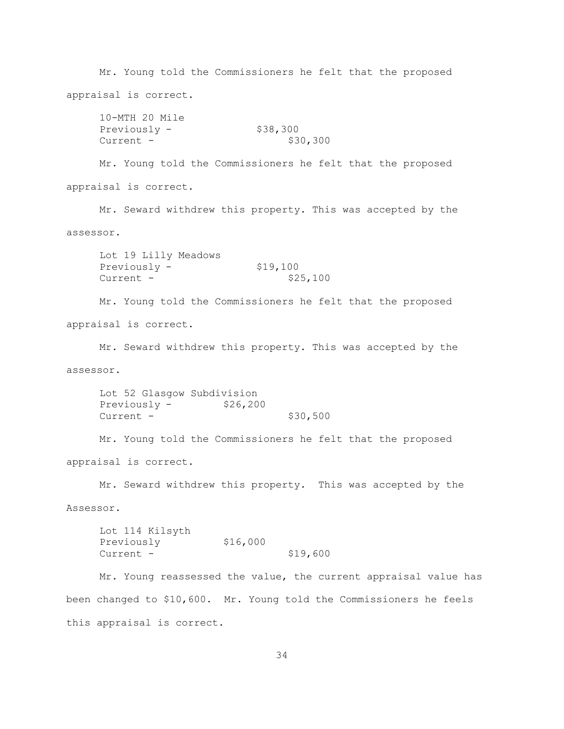Mr. Young told the Commissioners he felt that the proposed appraisal is correct. 10-MTH 20 Mile Previously  $-$  \$38,300 Current - \$30,300 Mr. Young told the Commissioners he felt that the proposed appraisal is correct. Mr. Seward withdrew this property. This was accepted by the assessor. Lot 19 Lilly Meadows Previously  $-$  \$19,100 Current - \$25,100 Mr. Young told the Commissioners he felt that the proposed appraisal is correct. Mr. Seward withdrew this property. This was accepted by the assessor. Lot 52 Glasgow Subdivision Previously - \$26,200 Current - \$30,500 Mr. Young told the Commissioners he felt that the proposed appraisal is correct. Mr. Seward withdrew this property. This was accepted by the Assessor. Lot 114 Kilsyth Previously \$16,000 Current - \$19,600 Mr. Young reassessed the value, the current appraisal value has been changed to \$10,600. Mr. Young told the Commissioners he feels this appraisal is correct.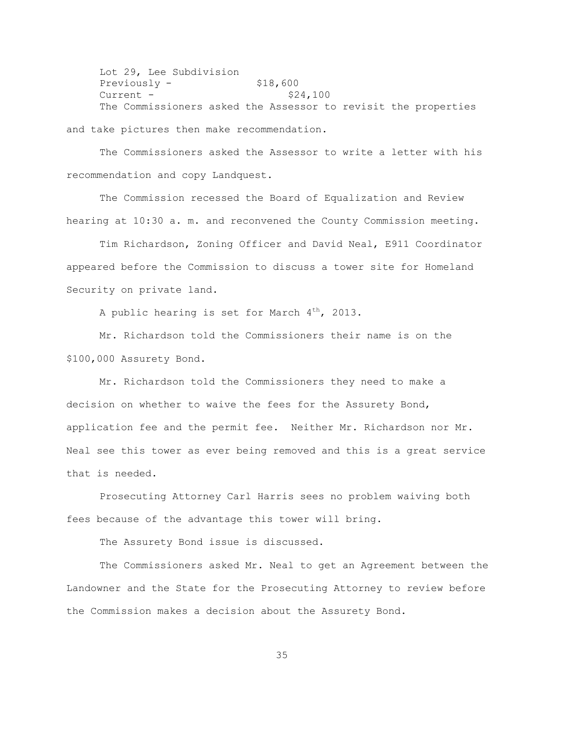Lot 29, Lee Subdivision  $Previously -$  \$18,600  $Current -$  \$24,100 The Commissioners asked the Assessor to revisit the properties

and take pictures then make recommendation.

The Commissioners asked the Assessor to write a letter with his recommendation and copy Landquest.

The Commission recessed the Board of Equalization and Review hearing at 10:30 a. m. and reconvened the County Commission meeting.

Tim Richardson, Zoning Officer and David Neal, E911 Coordinator appeared before the Commission to discuss a tower site for Homeland Security on private land.

A public hearing is set for March  $4^{th}$ , 2013.

Mr. Richardson told the Commissioners their name is on the \$100,000 Assurety Bond.

Mr. Richardson told the Commissioners they need to make a decision on whether to waive the fees for the Assurety Bond, application fee and the permit fee. Neither Mr. Richardson nor Mr. Neal see this tower as ever being removed and this is a great service that is needed.

Prosecuting Attorney Carl Harris sees no problem waiving both fees because of the advantage this tower will bring.

The Assurety Bond issue is discussed.

The Commissioners asked Mr. Neal to get an Agreement between the Landowner and the State for the Prosecuting Attorney to review before the Commission makes a decision about the Assurety Bond.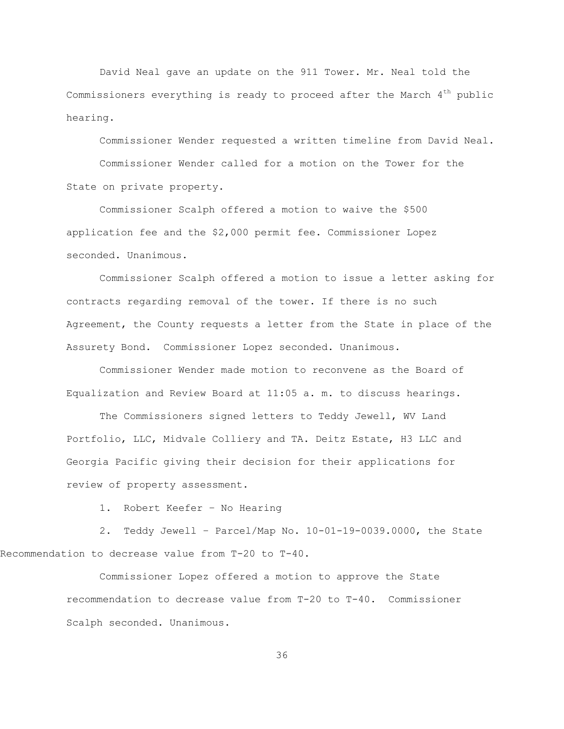David Neal gave an update on the 911 Tower. Mr. Neal told the Commissioners everything is ready to proceed after the March  $4<sup>th</sup>$  public hearing.

Commissioner Wender requested a written timeline from David Neal. Commissioner Wender called for a motion on the Tower for the State on private property.

Commissioner Scalph offered a motion to waive the \$500 application fee and the \$2,000 permit fee. Commissioner Lopez seconded. Unanimous.

Commissioner Scalph offered a motion to issue a letter asking for contracts regarding removal of the tower. If there is no such Agreement, the County requests a letter from the State in place of the Assurety Bond. Commissioner Lopez seconded. Unanimous.

Commissioner Wender made motion to reconvene as the Board of Equalization and Review Board at 11:05 a. m. to discuss hearings.

The Commissioners signed letters to Teddy Jewell, WV Land Portfolio, LLC, Midvale Colliery and TA. Deitz Estate, H3 LLC and Georgia Pacific giving their decision for their applications for review of property assessment.

1. Robert Keefer – No Hearing

2. Teddy Jewell – Parcel/Map No. 10-01-19-0039.0000, the State Recommendation to decrease value from T-20 to T-40.

> Commissioner Lopez offered a motion to approve the State recommendation to decrease value from T-20 to T-40. Commissioner Scalph seconded. Unanimous.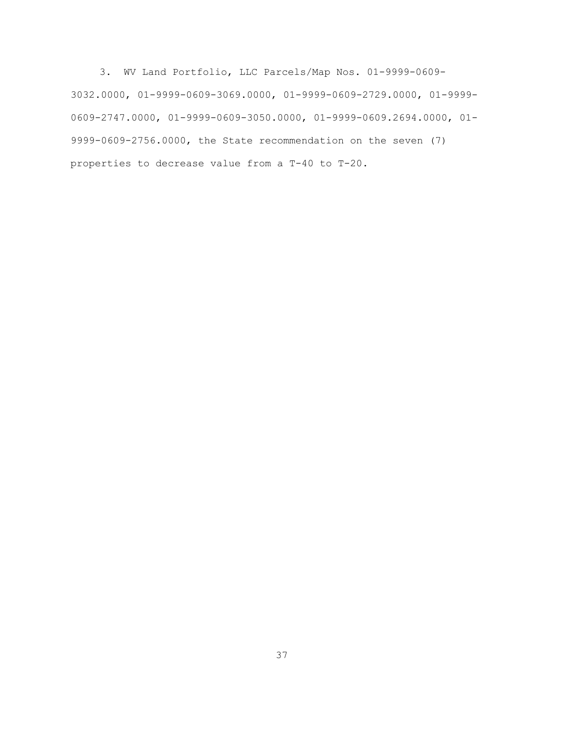3. WV Land Portfolio, LLC Parcels/Map Nos. 01-9999-0609- 3032.0000, 01-9999-0609-3069.0000, 01-9999-0609-2729.0000, 01-9999- 0609-2747.0000, 01-9999-0609-3050.0000, 01-9999-0609.2694.0000, 01- 9999-0609-2756.0000, the State recommendation on the seven (7) properties to decrease value from a T-40 to T-20.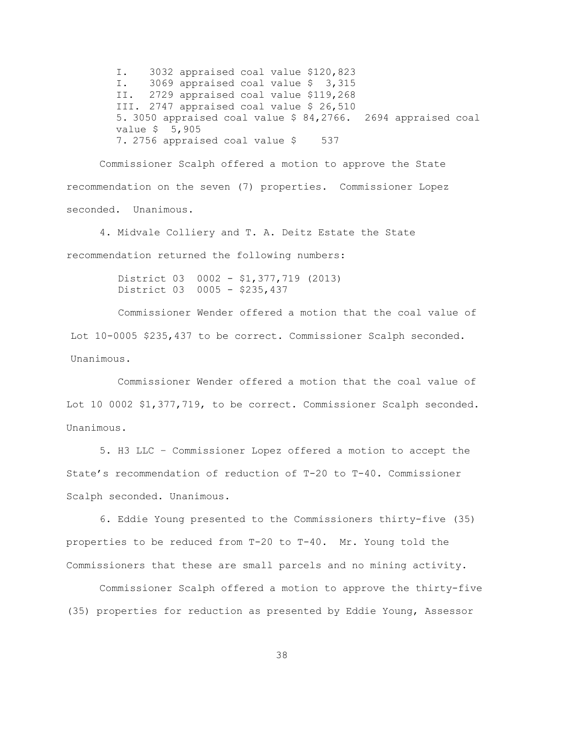I. 3032 appraised coal value \$120,823 I. 3069 appraised coal value \$ 3,315 II. 2729 appraised coal value \$119,268 III. 2747 appraised coal value \$ 26,510 5. 3050 appraised coal value \$ 84,2766. 2694 appraised coal value \$ 5,905 7. 2756 appraised coal value \$ 537

Commissioner Scalph offered a motion to approve the State recommendation on the seven (7) properties. Commissioner Lopez seconded. Unanimous.

4. Midvale Colliery and T. A. Deitz Estate the State recommendation returned the following numbers:

> District 03 0002 - \$1,377,719 (2013) District 03 0005 - \$235,437

Commissioner Wender offered a motion that the coal value of Lot 10-0005 \$235,437 to be correct. Commissioner Scalph seconded. Unanimous.

 Commissioner Wender offered a motion that the coal value of Lot 10 0002 \$1,377,719, to be correct. Commissioner Scalph seconded. Unanimous.

5. H3 LLC – Commissioner Lopez offered a motion to accept the State"s recommendation of reduction of T-20 to T-40. Commissioner Scalph seconded. Unanimous.

6. Eddie Young presented to the Commissioners thirty-five (35) properties to be reduced from T-20 to T-40. Mr. Young told the Commissioners that these are small parcels and no mining activity.

Commissioner Scalph offered a motion to approve the thirty-five (35) properties for reduction as presented by Eddie Young, Assessor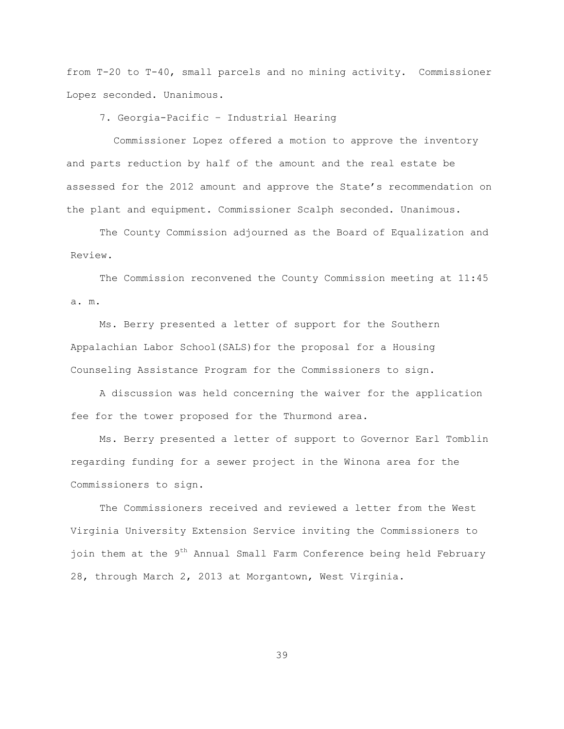from T-20 to T-40, small parcels and no mining activity. Commissioner Lopez seconded. Unanimous.

7. Georgia-Pacific – Industrial Hearing

 Commissioner Lopez offered a motion to approve the inventory and parts reduction by half of the amount and the real estate be assessed for the 2012 amount and approve the State"s recommendation on the plant and equipment. Commissioner Scalph seconded. Unanimous.

The County Commission adjourned as the Board of Equalization and Review.

The Commission reconvened the County Commission meeting at 11:45 a. m.

Ms. Berry presented a letter of support for the Southern Appalachian Labor School(SALS)for the proposal for a Housing Counseling Assistance Program for the Commissioners to sign.

A discussion was held concerning the waiver for the application fee for the tower proposed for the Thurmond area.

Ms. Berry presented a letter of support to Governor Earl Tomblin regarding funding for a sewer project in the Winona area for the Commissioners to sign.

The Commissioners received and reviewed a letter from the West Virginia University Extension Service inviting the Commissioners to join them at the 9<sup>th</sup> Annual Small Farm Conference being held February 28, through March 2, 2013 at Morgantown, West Virginia.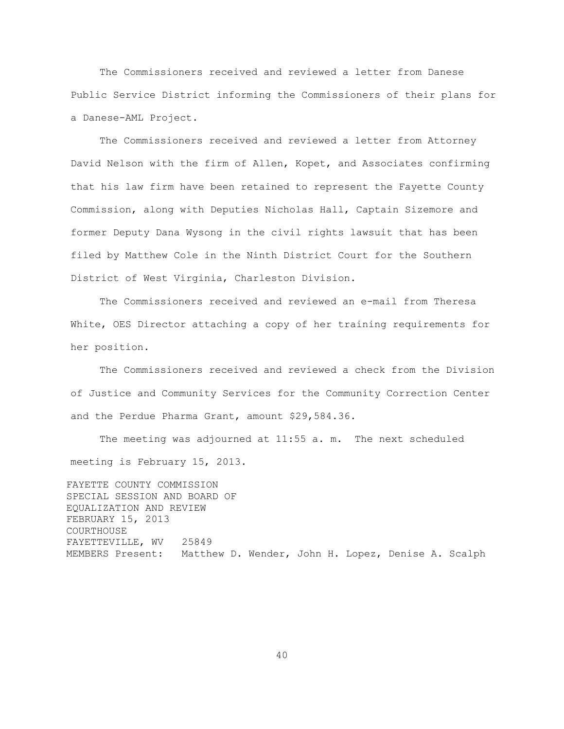The Commissioners received and reviewed a letter from Danese Public Service District informing the Commissioners of their plans for a Danese-AML Project.

The Commissioners received and reviewed a letter from Attorney David Nelson with the firm of Allen, Kopet, and Associates confirming that his law firm have been retained to represent the Fayette County Commission, along with Deputies Nicholas Hall, Captain Sizemore and former Deputy Dana Wysong in the civil rights lawsuit that has been filed by Matthew Cole in the Ninth District Court for the Southern District of West Virginia, Charleston Division.

The Commissioners received and reviewed an e-mail from Theresa White, OES Director attaching a copy of her training requirements for her position.

The Commissioners received and reviewed a check from the Division of Justice and Community Services for the Community Correction Center and the Perdue Pharma Grant, amount \$29,584.36.

The meeting was adjourned at 11:55 a. m. The next scheduled meeting is February 15, 2013.

FAYETTE COUNTY COMMISSION SPECIAL SESSION AND BOARD OF EQUALIZATION AND REVIEW FEBRUARY 15, 2013 COURTHOUSE FAYETTEVILLE, WV 25849 MEMBERS Present: Matthew D. Wender, John H. Lopez, Denise A. Scalph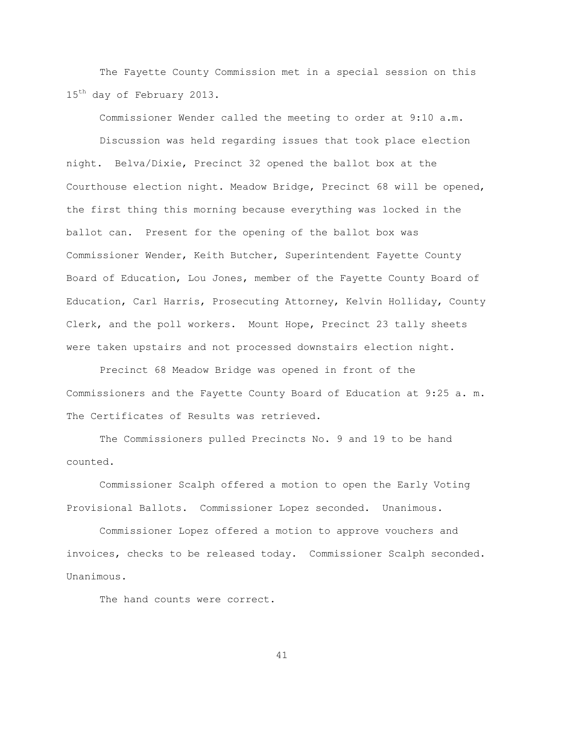The Fayette County Commission met in a special session on this 15<sup>th</sup> day of February 2013.

Commissioner Wender called the meeting to order at 9:10 a.m.

Discussion was held regarding issues that took place election night. Belva/Dixie, Precinct 32 opened the ballot box at the Courthouse election night. Meadow Bridge, Precinct 68 will be opened, the first thing this morning because everything was locked in the ballot can. Present for the opening of the ballot box was Commissioner Wender, Keith Butcher, Superintendent Fayette County Board of Education, Lou Jones, member of the Fayette County Board of Education, Carl Harris, Prosecuting Attorney, Kelvin Holliday, County Clerk, and the poll workers. Mount Hope, Precinct 23 tally sheets were taken upstairs and not processed downstairs election night.

Precinct 68 Meadow Bridge was opened in front of the Commissioners and the Fayette County Board of Education at 9:25 a. m. The Certificates of Results was retrieved.

The Commissioners pulled Precincts No. 9 and 19 to be hand counted.

Commissioner Scalph offered a motion to open the Early Voting Provisional Ballots. Commissioner Lopez seconded. Unanimous.

Commissioner Lopez offered a motion to approve vouchers and invoices, checks to be released today. Commissioner Scalph seconded. Unanimous.

The hand counts were correct.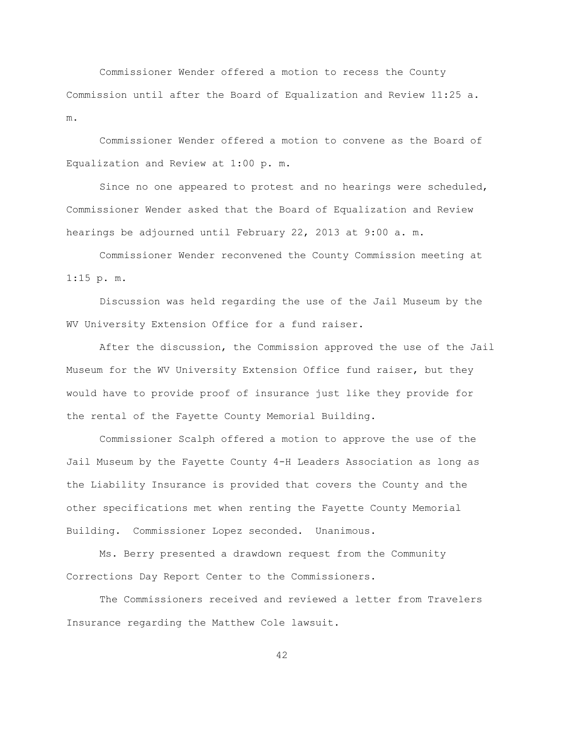Commissioner Wender offered a motion to recess the County Commission until after the Board of Equalization and Review 11:25 a. m.

Commissioner Wender offered a motion to convene as the Board of Equalization and Review at 1:00 p. m.

Since no one appeared to protest and no hearings were scheduled, Commissioner Wender asked that the Board of Equalization and Review hearings be adjourned until February 22, 2013 at 9:00 a. m.

Commissioner Wender reconvened the County Commission meeting at 1:15 p. m.

Discussion was held regarding the use of the Jail Museum by the WV University Extension Office for a fund raiser.

After the discussion, the Commission approved the use of the Jail Museum for the WV University Extension Office fund raiser, but they would have to provide proof of insurance just like they provide for the rental of the Fayette County Memorial Building.

Commissioner Scalph offered a motion to approve the use of the Jail Museum by the Fayette County 4-H Leaders Association as long as the Liability Insurance is provided that covers the County and the other specifications met when renting the Fayette County Memorial Building. Commissioner Lopez seconded. Unanimous.

Ms. Berry presented a drawdown request from the Community Corrections Day Report Center to the Commissioners.

The Commissioners received and reviewed a letter from Travelers Insurance regarding the Matthew Cole lawsuit.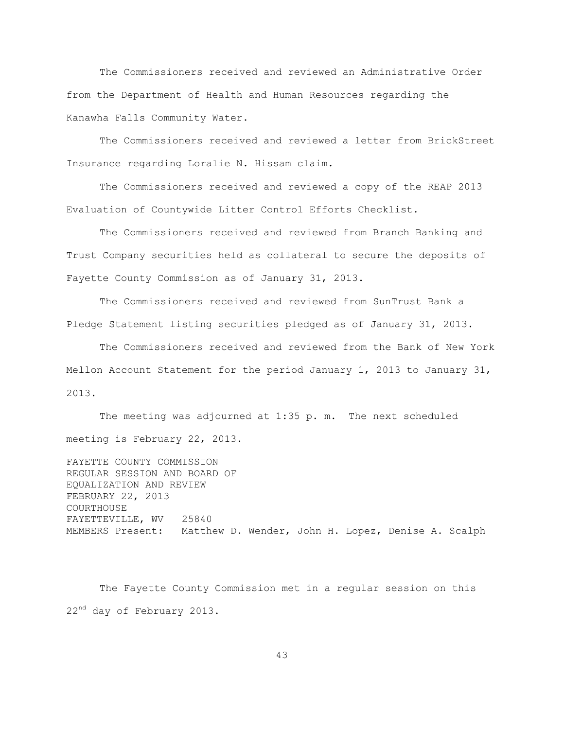The Commissioners received and reviewed an Administrative Order from the Department of Health and Human Resources regarding the Kanawha Falls Community Water.

The Commissioners received and reviewed a letter from BrickStreet Insurance regarding Loralie N. Hissam claim.

The Commissioners received and reviewed a copy of the REAP 2013 Evaluation of Countywide Litter Control Efforts Checklist.

The Commissioners received and reviewed from Branch Banking and Trust Company securities held as collateral to secure the deposits of Fayette County Commission as of January 31, 2013.

The Commissioners received and reviewed from SunTrust Bank a Pledge Statement listing securities pledged as of January 31, 2013.

The Commissioners received and reviewed from the Bank of New York Mellon Account Statement for the period January 1, 2013 to January 31, 2013.

The meeting was adjourned at 1:35 p. m. The next scheduled meeting is February 22, 2013.

FAYETTE COUNTY COMMISSION REGULAR SESSION AND BOARD OF EQUALIZATION AND REVIEW FEBRUARY 22, 2013 COURTHOUSE FAYETTEVILLE, WV 25840 MEMBERS Present: Matthew D. Wender, John H. Lopez, Denise A. Scalph

The Fayette County Commission met in a regular session on this 22<sup>nd</sup> day of February 2013.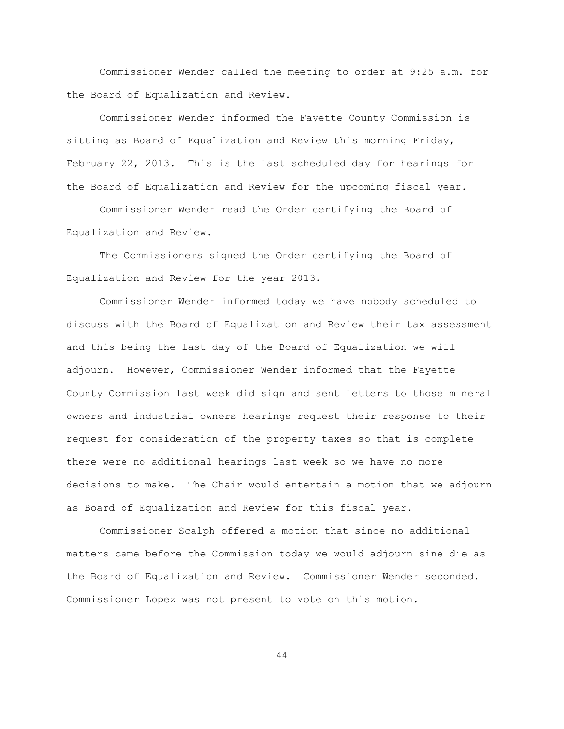Commissioner Wender called the meeting to order at 9:25 a.m. for the Board of Equalization and Review.

Commissioner Wender informed the Fayette County Commission is sitting as Board of Equalization and Review this morning Friday, February 22, 2013. This is the last scheduled day for hearings for the Board of Equalization and Review for the upcoming fiscal year.

Commissioner Wender read the Order certifying the Board of Equalization and Review.

The Commissioners signed the Order certifying the Board of Equalization and Review for the year 2013.

Commissioner Wender informed today we have nobody scheduled to discuss with the Board of Equalization and Review their tax assessment and this being the last day of the Board of Equalization we will adjourn. However, Commissioner Wender informed that the Fayette County Commission last week did sign and sent letters to those mineral owners and industrial owners hearings request their response to their request for consideration of the property taxes so that is complete there were no additional hearings last week so we have no more decisions to make. The Chair would entertain a motion that we adjourn as Board of Equalization and Review for this fiscal year.

Commissioner Scalph offered a motion that since no additional matters came before the Commission today we would adjourn sine die as the Board of Equalization and Review. Commissioner Wender seconded. Commissioner Lopez was not present to vote on this motion.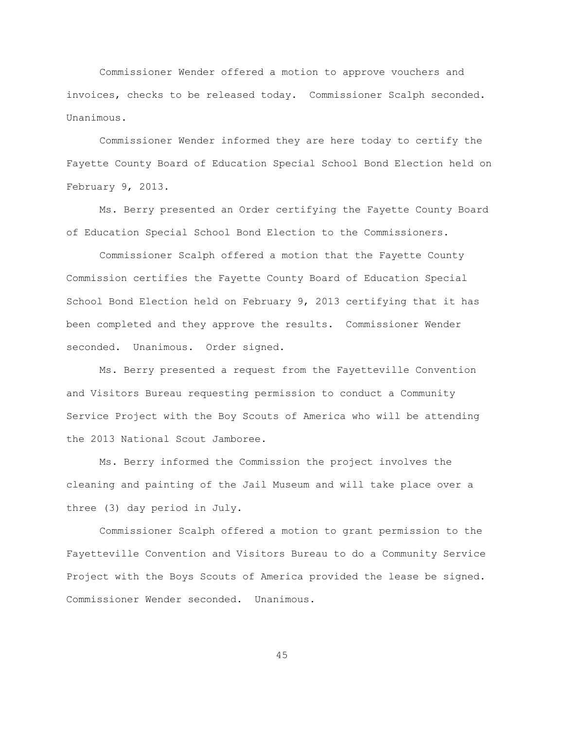Commissioner Wender offered a motion to approve vouchers and invoices, checks to be released today. Commissioner Scalph seconded. Unanimous.

Commissioner Wender informed they are here today to certify the Fayette County Board of Education Special School Bond Election held on February 9, 2013.

Ms. Berry presented an Order certifying the Fayette County Board of Education Special School Bond Election to the Commissioners.

Commissioner Scalph offered a motion that the Fayette County Commission certifies the Fayette County Board of Education Special School Bond Election held on February 9, 2013 certifying that it has been completed and they approve the results. Commissioner Wender seconded. Unanimous. Order signed.

Ms. Berry presented a request from the Fayetteville Convention and Visitors Bureau requesting permission to conduct a Community Service Project with the Boy Scouts of America who will be attending the 2013 National Scout Jamboree.

Ms. Berry informed the Commission the project involves the cleaning and painting of the Jail Museum and will take place over a three (3) day period in July.

Commissioner Scalph offered a motion to grant permission to the Fayetteville Convention and Visitors Bureau to do a Community Service Project with the Boys Scouts of America provided the lease be signed. Commissioner Wender seconded. Unanimous.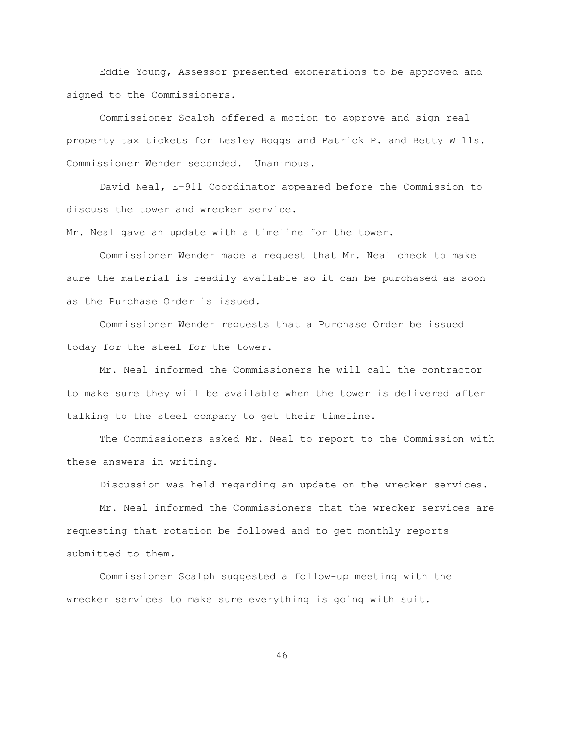Eddie Young, Assessor presented exonerations to be approved and signed to the Commissioners.

Commissioner Scalph offered a motion to approve and sign real property tax tickets for Lesley Boggs and Patrick P. and Betty Wills. Commissioner Wender seconded. Unanimous.

David Neal, E-911 Coordinator appeared before the Commission to discuss the tower and wrecker service.

Mr. Neal gave an update with a timeline for the tower.

Commissioner Wender made a request that Mr. Neal check to make sure the material is readily available so it can be purchased as soon as the Purchase Order is issued.

Commissioner Wender requests that a Purchase Order be issued today for the steel for the tower.

Mr. Neal informed the Commissioners he will call the contractor to make sure they will be available when the tower is delivered after talking to the steel company to get their timeline.

The Commissioners asked Mr. Neal to report to the Commission with these answers in writing.

Discussion was held regarding an update on the wrecker services.

Mr. Neal informed the Commissioners that the wrecker services are requesting that rotation be followed and to get monthly reports submitted to them.

Commissioner Scalph suggested a follow-up meeting with the wrecker services to make sure everything is going with suit.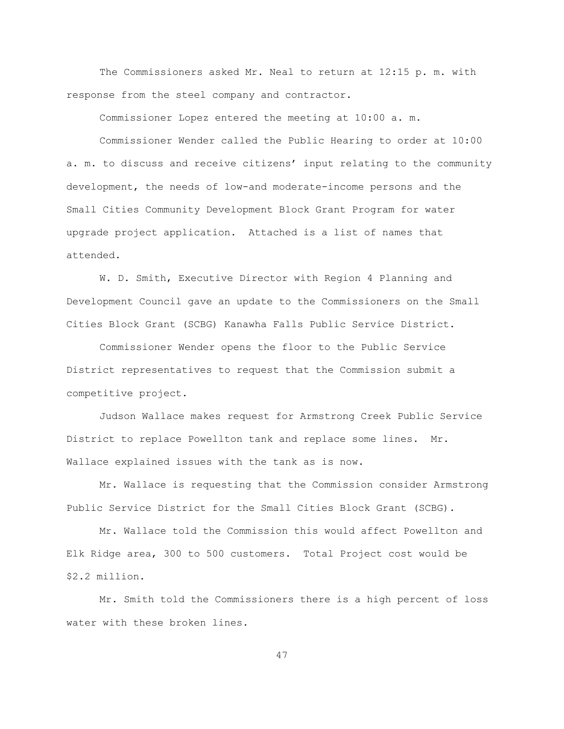The Commissioners asked Mr. Neal to return at 12:15 p. m. with response from the steel company and contractor.

Commissioner Lopez entered the meeting at 10:00 a. m.

Commissioner Wender called the Public Hearing to order at 10:00 a. m. to discuss and receive citizens' input relating to the community development, the needs of low-and moderate-income persons and the Small Cities Community Development Block Grant Program for water upgrade project application. Attached is a list of names that attended.

W. D. Smith, Executive Director with Region 4 Planning and Development Council gave an update to the Commissioners on the Small Cities Block Grant (SCBG) Kanawha Falls Public Service District.

Commissioner Wender opens the floor to the Public Service District representatives to request that the Commission submit a competitive project.

Judson Wallace makes request for Armstrong Creek Public Service District to replace Powellton tank and replace some lines. Mr. Wallace explained issues with the tank as is now.

Mr. Wallace is requesting that the Commission consider Armstrong Public Service District for the Small Cities Block Grant (SCBG).

Mr. Wallace told the Commission this would affect Powellton and Elk Ridge area, 300 to 500 customers. Total Project cost would be \$2.2 million.

Mr. Smith told the Commissioners there is a high percent of loss water with these broken lines.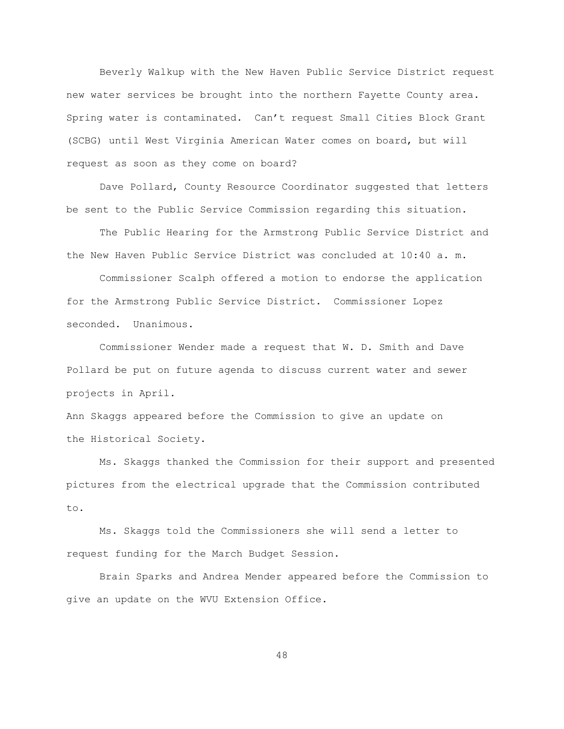Beverly Walkup with the New Haven Public Service District request new water services be brought into the northern Fayette County area. Spring water is contaminated. Can"t request Small Cities Block Grant (SCBG) until West Virginia American Water comes on board, but will request as soon as they come on board?

Dave Pollard, County Resource Coordinator suggested that letters be sent to the Public Service Commission regarding this situation.

The Public Hearing for the Armstrong Public Service District and the New Haven Public Service District was concluded at 10:40 a. m.

Commissioner Scalph offered a motion to endorse the application for the Armstrong Public Service District. Commissioner Lopez seconded. Unanimous.

Commissioner Wender made a request that W. D. Smith and Dave Pollard be put on future agenda to discuss current water and sewer projects in April.

Ann Skaggs appeared before the Commission to give an update on the Historical Society.

Ms. Skaggs thanked the Commission for their support and presented pictures from the electrical upgrade that the Commission contributed to.

Ms. Skaggs told the Commissioners she will send a letter to request funding for the March Budget Session.

Brain Sparks and Andrea Mender appeared before the Commission to give an update on the WVU Extension Office.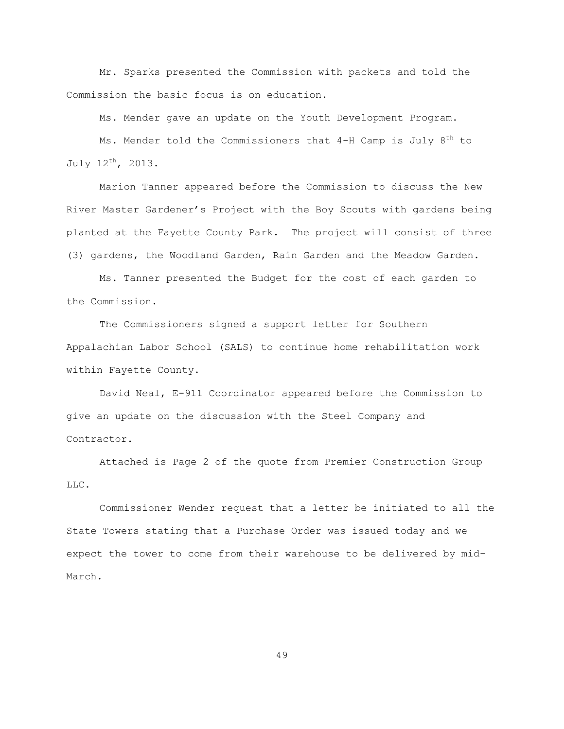Mr. Sparks presented the Commission with packets and told the Commission the basic focus is on education.

Ms. Mender gave an update on the Youth Development Program.

Ms. Mender told the Commissioners that  $4-H$  Camp is July  $8<sup>th</sup>$  to July 12th, 2013.

Marion Tanner appeared before the Commission to discuss the New River Master Gardener"s Project with the Boy Scouts with gardens being planted at the Fayette County Park. The project will consist of three (3) gardens, the Woodland Garden, Rain Garden and the Meadow Garden.

Ms. Tanner presented the Budget for the cost of each garden to the Commission.

The Commissioners signed a support letter for Southern Appalachian Labor School (SALS) to continue home rehabilitation work within Fayette County.

David Neal, E-911 Coordinator appeared before the Commission to give an update on the discussion with the Steel Company and Contractor.

Attached is Page 2 of the quote from Premier Construction Group LLC.

Commissioner Wender request that a letter be initiated to all the State Towers stating that a Purchase Order was issued today and we expect the tower to come from their warehouse to be delivered by mid-March.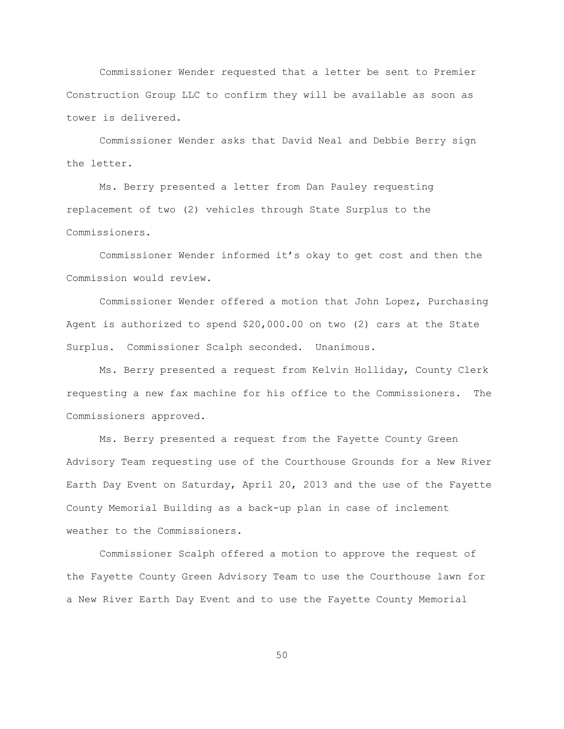Commissioner Wender requested that a letter be sent to Premier Construction Group LLC to confirm they will be available as soon as tower is delivered.

Commissioner Wender asks that David Neal and Debbie Berry sign the letter.

Ms. Berry presented a letter from Dan Pauley requesting replacement of two (2) vehicles through State Surplus to the Commissioners.

Commissioner Wender informed it"s okay to get cost and then the Commission would review.

Commissioner Wender offered a motion that John Lopez, Purchasing Agent is authorized to spend \$20,000.00 on two (2) cars at the State Surplus. Commissioner Scalph seconded. Unanimous.

Ms. Berry presented a request from Kelvin Holliday, County Clerk requesting a new fax machine for his office to the Commissioners. The Commissioners approved.

Ms. Berry presented a request from the Fayette County Green Advisory Team requesting use of the Courthouse Grounds for a New River Earth Day Event on Saturday, April 20, 2013 and the use of the Fayette County Memorial Building as a back-up plan in case of inclement weather to the Commissioners.

Commissioner Scalph offered a motion to approve the request of the Fayette County Green Advisory Team to use the Courthouse lawn for a New River Earth Day Event and to use the Fayette County Memorial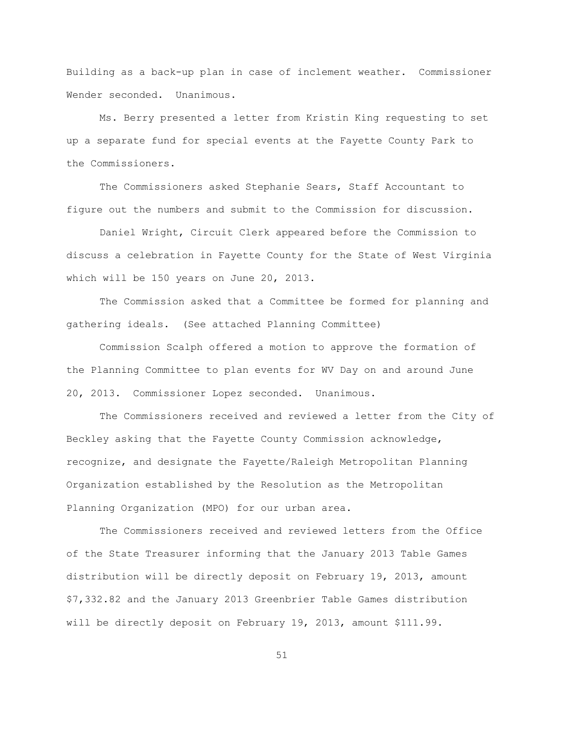Building as a back-up plan in case of inclement weather. Commissioner Wender seconded. Unanimous.

Ms. Berry presented a letter from Kristin King requesting to set up a separate fund for special events at the Fayette County Park to the Commissioners.

The Commissioners asked Stephanie Sears, Staff Accountant to figure out the numbers and submit to the Commission for discussion.

Daniel Wright, Circuit Clerk appeared before the Commission to discuss a celebration in Fayette County for the State of West Virginia which will be 150 years on June 20, 2013.

The Commission asked that a Committee be formed for planning and gathering ideals. (See attached Planning Committee)

Commission Scalph offered a motion to approve the formation of the Planning Committee to plan events for WV Day on and around June 20, 2013. Commissioner Lopez seconded. Unanimous.

The Commissioners received and reviewed a letter from the City of Beckley asking that the Fayette County Commission acknowledge, recognize, and designate the Fayette/Raleigh Metropolitan Planning Organization established by the Resolution as the Metropolitan Planning Organization (MPO) for our urban area.

The Commissioners received and reviewed letters from the Office of the State Treasurer informing that the January 2013 Table Games distribution will be directly deposit on February 19, 2013, amount \$7,332.82 and the January 2013 Greenbrier Table Games distribution will be directly deposit on February 19, 2013, amount \$111.99.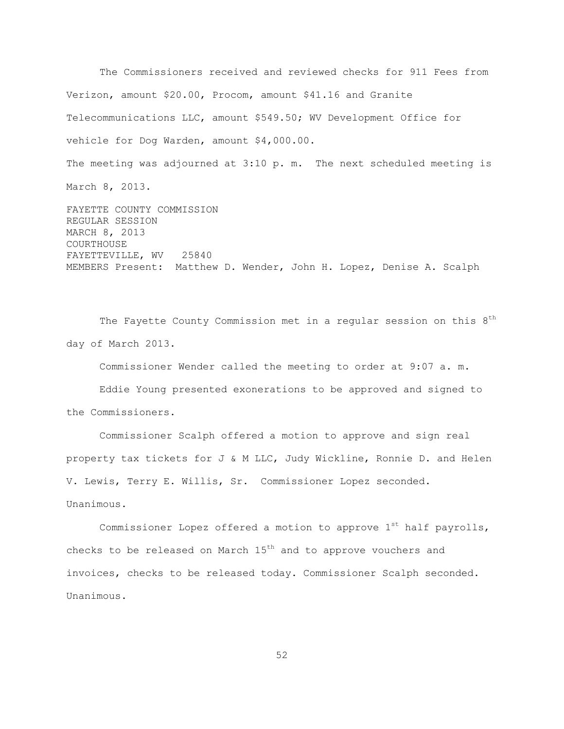The Commissioners received and reviewed checks for 911 Fees from Verizon, amount \$20.00, Procom, amount \$41.16 and Granite Telecommunications LLC, amount \$549.50; WV Development Office for vehicle for Dog Warden, amount \$4,000.00. The meeting was adjourned at 3:10 p. m. The next scheduled meeting is March 8, 2013. FAYETTE COUNTY COMMISSION REGULAR SESSION

MARCH 8, 2013 COURTHOUSE FAYETTEVILLE, WV 25840 MEMBERS Present: Matthew D. Wender, John H. Lopez, Denise A. Scalph

The Fayette County Commission met in a regular session on this  $8<sup>th</sup>$ day of March 2013.

Commissioner Wender called the meeting to order at 9:07 a. m.

Eddie Young presented exonerations to be approved and signed to the Commissioners.

Commissioner Scalph offered a motion to approve and sign real property tax tickets for J & M LLC, Judy Wickline, Ronnie D. and Helen V. Lewis, Terry E. Willis, Sr. Commissioner Lopez seconded. Unanimous.

Commissioner Lopez offered a motion to approve  $1^{st}$  half payrolls, checks to be released on March 15<sup>th</sup> and to approve vouchers and invoices, checks to be released today. Commissioner Scalph seconded. Unanimous.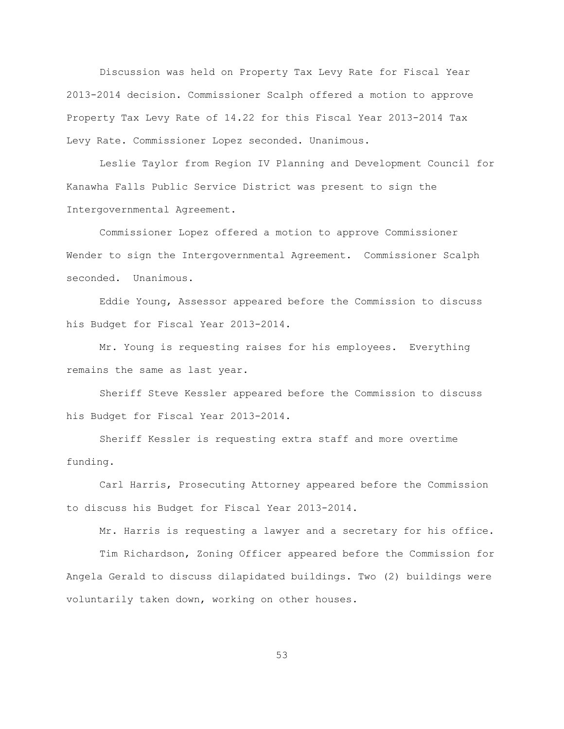Discussion was held on Property Tax Levy Rate for Fiscal Year 2013-2014 decision. Commissioner Scalph offered a motion to approve Property Tax Levy Rate of 14.22 for this Fiscal Year 2013-2014 Tax Levy Rate. Commissioner Lopez seconded. Unanimous.

Leslie Taylor from Region IV Planning and Development Council for Kanawha Falls Public Service District was present to sign the Intergovernmental Agreement.

Commissioner Lopez offered a motion to approve Commissioner Wender to sign the Intergovernmental Agreement. Commissioner Scalph seconded. Unanimous.

Eddie Young, Assessor appeared before the Commission to discuss his Budget for Fiscal Year 2013-2014.

Mr. Young is requesting raises for his employees. Everything remains the same as last year.

Sheriff Steve Kessler appeared before the Commission to discuss his Budget for Fiscal Year 2013-2014.

Sheriff Kessler is requesting extra staff and more overtime funding.

Carl Harris, Prosecuting Attorney appeared before the Commission to discuss his Budget for Fiscal Year 2013-2014.

Mr. Harris is requesting a lawyer and a secretary for his office.

Tim Richardson, Zoning Officer appeared before the Commission for Angela Gerald to discuss dilapidated buildings. Two (2) buildings were voluntarily taken down, working on other houses.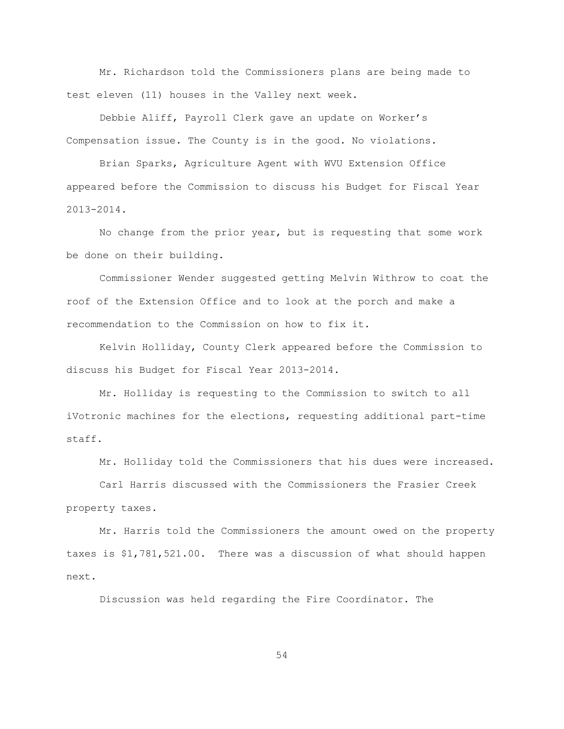Mr. Richardson told the Commissioners plans are being made to test eleven (11) houses in the Valley next week.

Debbie Aliff, Payroll Clerk gave an update on Worker"s Compensation issue. The County is in the good. No violations.

Brian Sparks, Agriculture Agent with WVU Extension Office appeared before the Commission to discuss his Budget for Fiscal Year 2013-2014.

No change from the prior year, but is requesting that some work be done on their building.

Commissioner Wender suggested getting Melvin Withrow to coat the roof of the Extension Office and to look at the porch and make a recommendation to the Commission on how to fix it.

Kelvin Holliday, County Clerk appeared before the Commission to discuss his Budget for Fiscal Year 2013-2014.

Mr. Holliday is requesting to the Commission to switch to all iVotronic machines for the elections, requesting additional part-time staff.

Mr. Holliday told the Commissioners that his dues were increased.

Carl Harris discussed with the Commissioners the Frasier Creek property taxes.

Mr. Harris told the Commissioners the amount owed on the property taxes is \$1,781,521.00. There was a discussion of what should happen next.

Discussion was held regarding the Fire Coordinator. The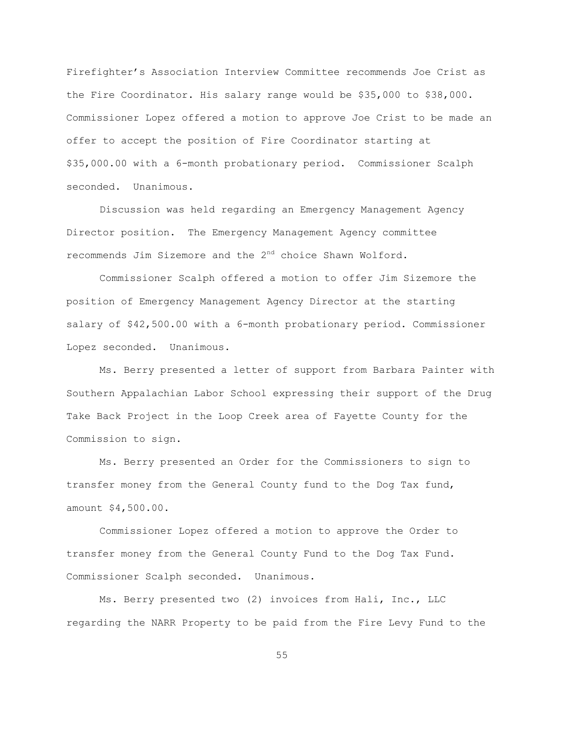Firefighter"s Association Interview Committee recommends Joe Crist as the Fire Coordinator. His salary range would be \$35,000 to \$38,000. Commissioner Lopez offered a motion to approve Joe Crist to be made an offer to accept the position of Fire Coordinator starting at \$35,000.00 with a 6-month probationary period. Commissioner Scalph seconded. Unanimous.

Discussion was held regarding an Emergency Management Agency Director position. The Emergency Management Agency committee recommends Jim Sizemore and the 2<sup>nd</sup> choice Shawn Wolford.

Commissioner Scalph offered a motion to offer Jim Sizemore the position of Emergency Management Agency Director at the starting salary of \$42,500.00 with a 6-month probationary period. Commissioner Lopez seconded. Unanimous.

Ms. Berry presented a letter of support from Barbara Painter with Southern Appalachian Labor School expressing their support of the Drug Take Back Project in the Loop Creek area of Fayette County for the Commission to sign.

Ms. Berry presented an Order for the Commissioners to sign to transfer money from the General County fund to the Dog Tax fund, amount \$4,500.00.

Commissioner Lopez offered a motion to approve the Order to transfer money from the General County Fund to the Dog Tax Fund. Commissioner Scalph seconded. Unanimous.

Ms. Berry presented two (2) invoices from Hali, Inc., LLC regarding the NARR Property to be paid from the Fire Levy Fund to the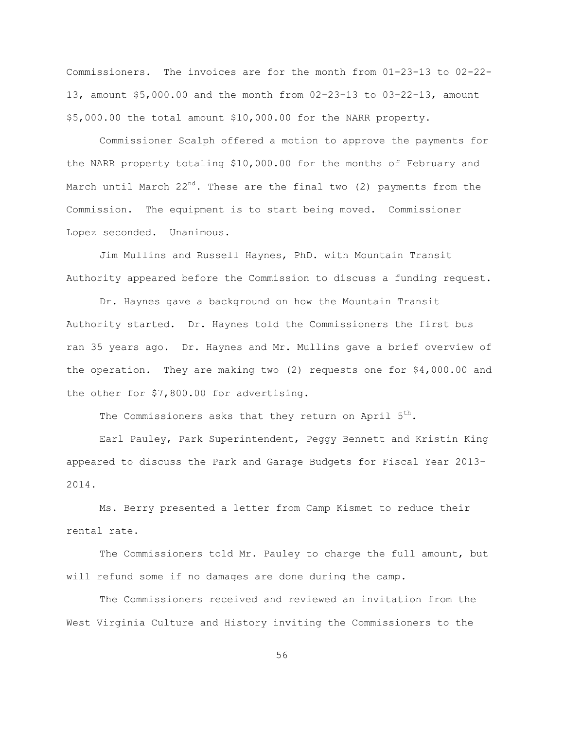Commissioners. The invoices are for the month from 01-23-13 to 02-22- 13, amount \$5,000.00 and the month from 02-23-13 to 03-22-13, amount \$5,000.00 the total amount \$10,000.00 for the NARR property.

Commissioner Scalph offered a motion to approve the payments for the NARR property totaling \$10,000.00 for the months of February and March until March 22<sup>nd</sup>. These are the final two (2) payments from the Commission. The equipment is to start being moved. Commissioner Lopez seconded. Unanimous.

Jim Mullins and Russell Haynes, PhD. with Mountain Transit Authority appeared before the Commission to discuss a funding request.

Dr. Haynes gave a background on how the Mountain Transit Authority started. Dr. Haynes told the Commissioners the first bus ran 35 years ago. Dr. Haynes and Mr. Mullins gave a brief overview of the operation. They are making two  $(2)$  requests one for \$4,000.00 and the other for \$7,800.00 for advertising.

The Commissioners asks that they return on April  $5^{th}$ .

Earl Pauley, Park Superintendent, Peggy Bennett and Kristin King appeared to discuss the Park and Garage Budgets for Fiscal Year 2013- 2014.

Ms. Berry presented a letter from Camp Kismet to reduce their rental rate.

The Commissioners told Mr. Pauley to charge the full amount, but will refund some if no damages are done during the camp.

The Commissioners received and reviewed an invitation from the West Virginia Culture and History inviting the Commissioners to the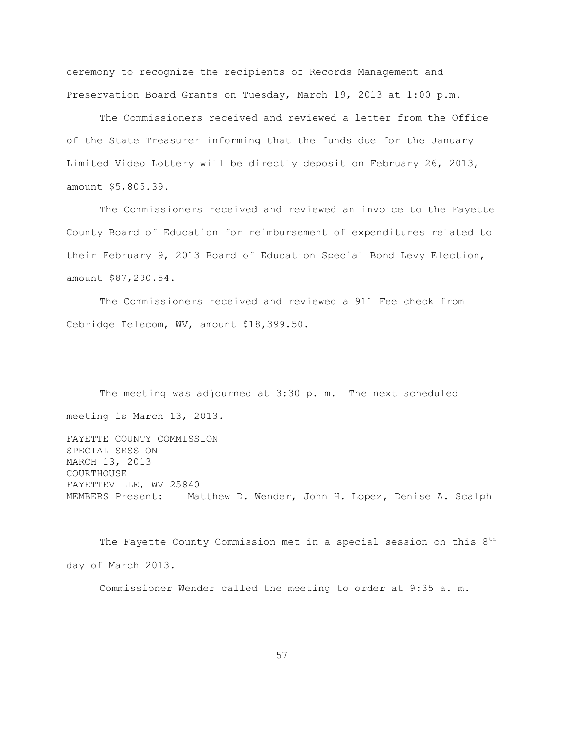ceremony to recognize the recipients of Records Management and Preservation Board Grants on Tuesday, March 19, 2013 at 1:00 p.m.

The Commissioners received and reviewed a letter from the Office of the State Treasurer informing that the funds due for the January Limited Video Lottery will be directly deposit on February 26, 2013, amount \$5,805.39.

The Commissioners received and reviewed an invoice to the Fayette County Board of Education for reimbursement of expenditures related to their February 9, 2013 Board of Education Special Bond Levy Election, amount \$87,290.54.

The Commissioners received and reviewed a 911 Fee check from Cebridge Telecom, WV, amount \$18,399.50.

The meeting was adjourned at 3:30 p. m. The next scheduled meeting is March 13, 2013.

FAYETTE COUNTY COMMISSION SPECIAL SESSION MARCH 13, 2013 COURTHOUSE FAYETTEVILLE, WV 25840 MEMBERS Present: Matthew D. Wender, John H. Lopez, Denise A. Scalph

The Fayette County Commission met in a special session on this  $8<sup>th</sup>$ day of March 2013.

Commissioner Wender called the meeting to order at 9:35 a. m.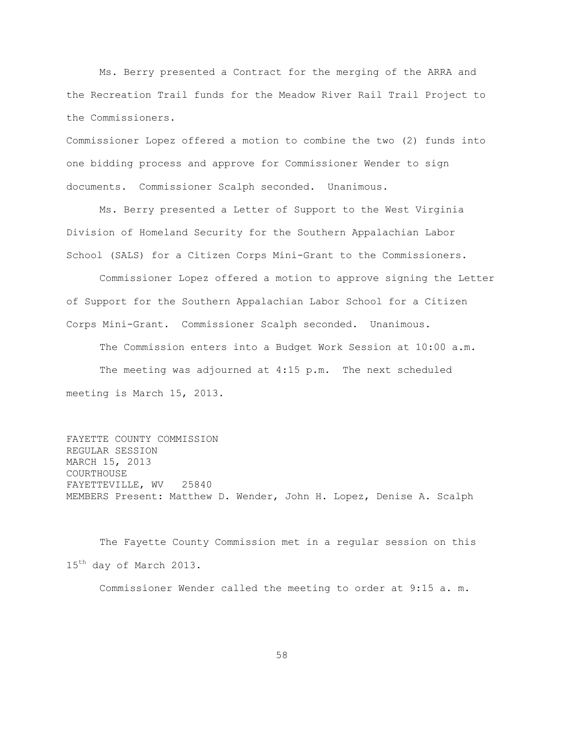Ms. Berry presented a Contract for the merging of the ARRA and the Recreation Trail funds for the Meadow River Rail Trail Project to the Commissioners.

Commissioner Lopez offered a motion to combine the two (2) funds into one bidding process and approve for Commissioner Wender to sign documents. Commissioner Scalph seconded. Unanimous.

Ms. Berry presented a Letter of Support to the West Virginia Division of Homeland Security for the Southern Appalachian Labor School (SALS) for a Citizen Corps Mini-Grant to the Commissioners.

Commissioner Lopez offered a motion to approve signing the Letter of Support for the Southern Appalachian Labor School for a Citizen Corps Mini-Grant. Commissioner Scalph seconded. Unanimous.

The Commission enters into a Budget Work Session at 10:00 a.m. The meeting was adjourned at 4:15 p.m. The next scheduled meeting is March 15, 2013.

FAYETTE COUNTY COMMISSION REGULAR SESSION MARCH 15, 2013 COURTHOUSE FAYETTEVILLE, WV 25840 MEMBERS Present: Matthew D. Wender, John H. Lopez, Denise A. Scalph

The Fayette County Commission met in a regular session on this 15<sup>th</sup> day of March 2013.

Commissioner Wender called the meeting to order at 9:15 a. m.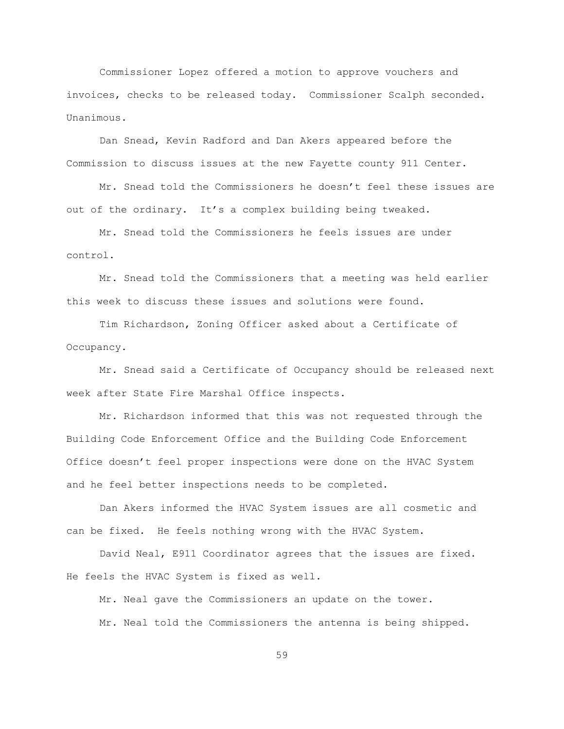Commissioner Lopez offered a motion to approve vouchers and invoices, checks to be released today. Commissioner Scalph seconded. Unanimous.

Dan Snead, Kevin Radford and Dan Akers appeared before the Commission to discuss issues at the new Fayette county 911 Center.

Mr. Snead told the Commissioners he doesn"t feel these issues are out of the ordinary. It's a complex building being tweaked.

Mr. Snead told the Commissioners he feels issues are under control.

Mr. Snead told the Commissioners that a meeting was held earlier this week to discuss these issues and solutions were found.

Tim Richardson, Zoning Officer asked about a Certificate of Occupancy.

Mr. Snead said a Certificate of Occupancy should be released next week after State Fire Marshal Office inspects.

Mr. Richardson informed that this was not requested through the Building Code Enforcement Office and the Building Code Enforcement Office doesn"t feel proper inspections were done on the HVAC System and he feel better inspections needs to be completed.

Dan Akers informed the HVAC System issues are all cosmetic and can be fixed. He feels nothing wrong with the HVAC System.

David Neal, E911 Coordinator agrees that the issues are fixed. He feels the HVAC System is fixed as well.

Mr. Neal gave the Commissioners an update on the tower. Mr. Neal told the Commissioners the antenna is being shipped.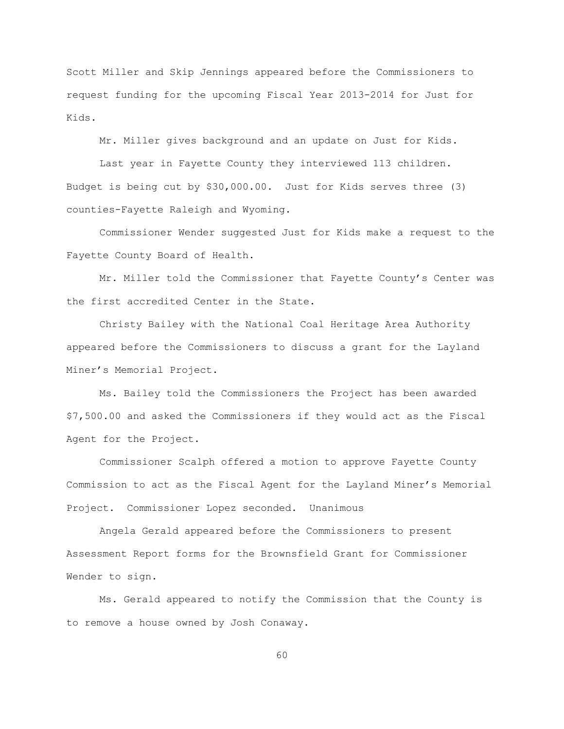Scott Miller and Skip Jennings appeared before the Commissioners to request funding for the upcoming Fiscal Year 2013-2014 for Just for Kids.

Mr. Miller gives background and an update on Just for Kids.

Last year in Fayette County they interviewed 113 children. Budget is being cut by \$30,000.00. Just for Kids serves three (3) counties-Fayette Raleigh and Wyoming.

Commissioner Wender suggested Just for Kids make a request to the Fayette County Board of Health.

Mr. Miller told the Commissioner that Fayette County"s Center was the first accredited Center in the State.

Christy Bailey with the National Coal Heritage Area Authority appeared before the Commissioners to discuss a grant for the Layland Miner"s Memorial Project.

Ms. Bailey told the Commissioners the Project has been awarded \$7,500.00 and asked the Commissioners if they would act as the Fiscal Agent for the Project.

Commissioner Scalph offered a motion to approve Fayette County Commission to act as the Fiscal Agent for the Layland Miner"s Memorial Project. Commissioner Lopez seconded. Unanimous

Angela Gerald appeared before the Commissioners to present Assessment Report forms for the Brownsfield Grant for Commissioner Wender to sign.

Ms. Gerald appeared to notify the Commission that the County is to remove a house owned by Josh Conaway.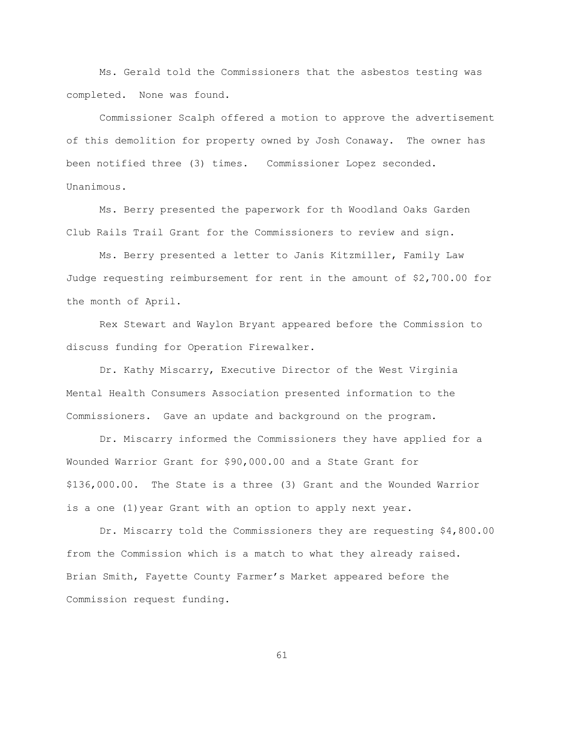Ms. Gerald told the Commissioners that the asbestos testing was completed. None was found.

Commissioner Scalph offered a motion to approve the advertisement of this demolition for property owned by Josh Conaway. The owner has been notified three (3) times. Commissioner Lopez seconded. Unanimous.

Ms. Berry presented the paperwork for th Woodland Oaks Garden Club Rails Trail Grant for the Commissioners to review and sign.

Ms. Berry presented a letter to Janis Kitzmiller, Family Law Judge requesting reimbursement for rent in the amount of \$2,700.00 for the month of April.

Rex Stewart and Waylon Bryant appeared before the Commission to discuss funding for Operation Firewalker.

Dr. Kathy Miscarry, Executive Director of the West Virginia Mental Health Consumers Association presented information to the Commissioners. Gave an update and background on the program.

Dr. Miscarry informed the Commissioners they have applied for a Wounded Warrior Grant for \$90,000.00 and a State Grant for \$136,000.00. The State is a three (3) Grant and the Wounded Warrior is a one (1)year Grant with an option to apply next year.

Dr. Miscarry told the Commissioners they are requesting \$4,800.00 from the Commission which is a match to what they already raised. Brian Smith, Fayette County Farmer"s Market appeared before the Commission request funding.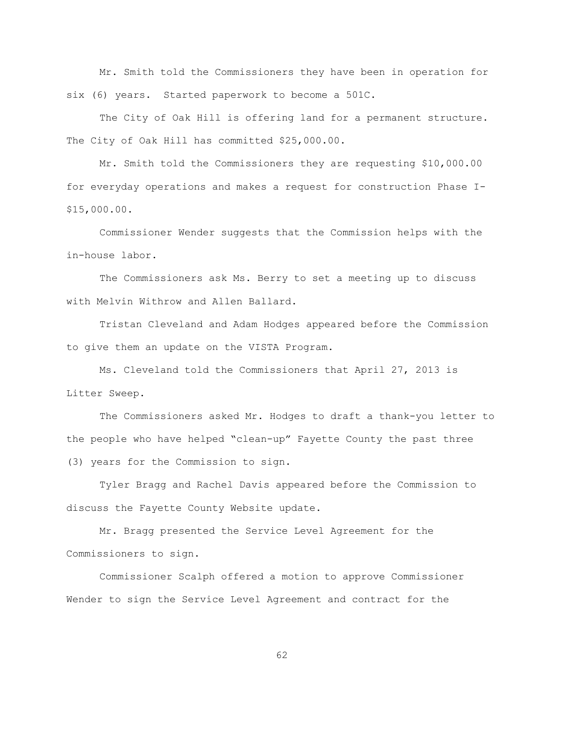Mr. Smith told the Commissioners they have been in operation for six (6) years. Started paperwork to become a 501C.

The City of Oak Hill is offering land for a permanent structure. The City of Oak Hill has committed \$25,000.00.

Mr. Smith told the Commissioners they are requesting \$10,000.00 for everyday operations and makes a request for construction Phase I- \$15,000.00.

Commissioner Wender suggests that the Commission helps with the in-house labor.

The Commissioners ask Ms. Berry to set a meeting up to discuss with Melvin Withrow and Allen Ballard.

Tristan Cleveland and Adam Hodges appeared before the Commission to give them an update on the VISTA Program.

Ms. Cleveland told the Commissioners that April 27, 2013 is Litter Sweep.

The Commissioners asked Mr. Hodges to draft a thank-you letter to the people who have helped "clean-up" Fayette County the past three (3) years for the Commission to sign.

Tyler Bragg and Rachel Davis appeared before the Commission to discuss the Fayette County Website update.

Mr. Bragg presented the Service Level Agreement for the Commissioners to sign.

Commissioner Scalph offered a motion to approve Commissioner Wender to sign the Service Level Agreement and contract for the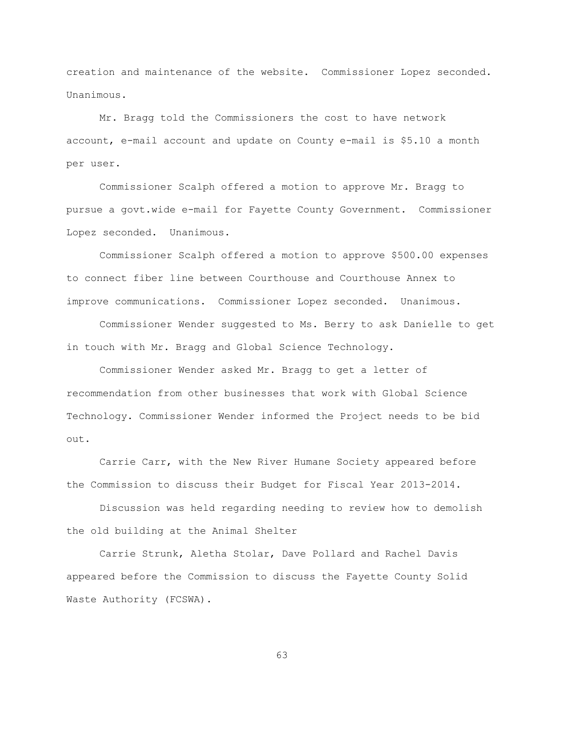creation and maintenance of the website. Commissioner Lopez seconded. Unanimous.

Mr. Bragg told the Commissioners the cost to have network account, e-mail account and update on County e-mail is \$5.10 a month per user.

Commissioner Scalph offered a motion to approve Mr. Bragg to pursue a govt.wide e-mail for Fayette County Government. Commissioner Lopez seconded. Unanimous.

Commissioner Scalph offered a motion to approve \$500.00 expenses to connect fiber line between Courthouse and Courthouse Annex to improve communications. Commissioner Lopez seconded. Unanimous.

Commissioner Wender suggested to Ms. Berry to ask Danielle to get in touch with Mr. Bragg and Global Science Technology.

Commissioner Wender asked Mr. Bragg to get a letter of recommendation from other businesses that work with Global Science Technology. Commissioner Wender informed the Project needs to be bid out.

Carrie Carr, with the New River Humane Society appeared before the Commission to discuss their Budget for Fiscal Year 2013-2014.

Discussion was held regarding needing to review how to demolish the old building at the Animal Shelter

Carrie Strunk, Aletha Stolar, Dave Pollard and Rachel Davis appeared before the Commission to discuss the Fayette County Solid Waste Authority (FCSWA).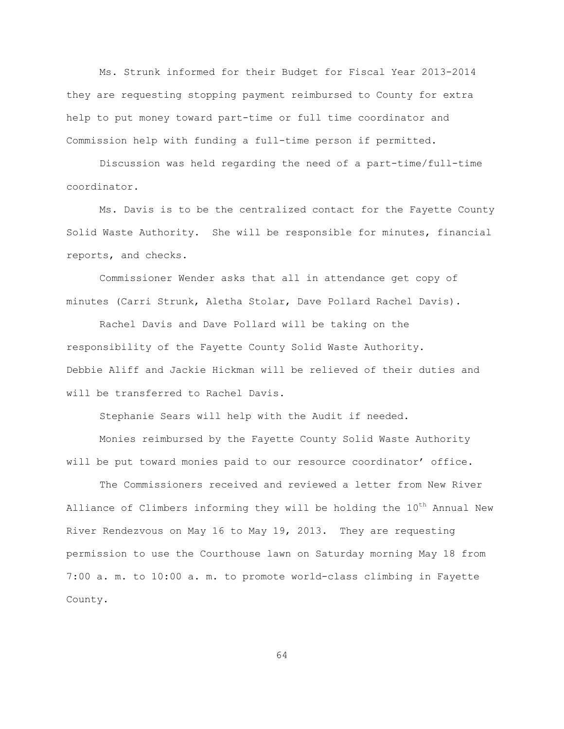Ms. Strunk informed for their Budget for Fiscal Year 2013-2014 they are requesting stopping payment reimbursed to County for extra help to put money toward part-time or full time coordinator and Commission help with funding a full-time person if permitted.

Discussion was held regarding the need of a part-time/full-time coordinator.

Ms. Davis is to be the centralized contact for the Fayette County Solid Waste Authority. She will be responsible for minutes, financial reports, and checks.

Commissioner Wender asks that all in attendance get copy of minutes (Carri Strunk, Aletha Stolar, Dave Pollard Rachel Davis).

Rachel Davis and Dave Pollard will be taking on the responsibility of the Fayette County Solid Waste Authority. Debbie Aliff and Jackie Hickman will be relieved of their duties and will be transferred to Rachel Davis.

Stephanie Sears will help with the Audit if needed.

Monies reimbursed by the Fayette County Solid Waste Authority will be put toward monies paid to our resource coordinator' office.

The Commissioners received and reviewed a letter from New River Alliance of Climbers informing they will be holding the  $10^{th}$  Annual New River Rendezvous on May 16 to May 19, 2013. They are requesting permission to use the Courthouse lawn on Saturday morning May 18 from 7:00 a. m. to 10:00 a. m. to promote world-class climbing in Fayette County.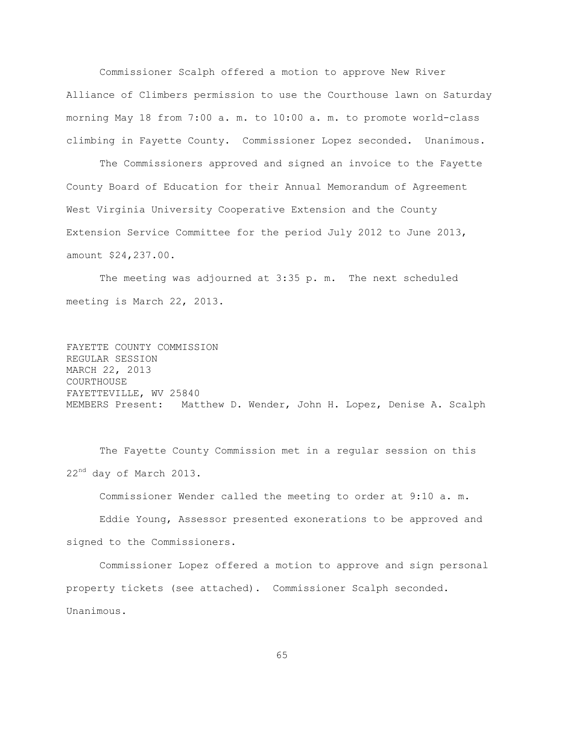Commissioner Scalph offered a motion to approve New River Alliance of Climbers permission to use the Courthouse lawn on Saturday morning May 18 from 7:00 a. m. to 10:00 a. m. to promote world-class climbing in Fayette County. Commissioner Lopez seconded. Unanimous.

The Commissioners approved and signed an invoice to the Fayette County Board of Education for their Annual Memorandum of Agreement West Virginia University Cooperative Extension and the County Extension Service Committee for the period July 2012 to June 2013, amount \$24,237.00.

The meeting was adjourned at 3:35 p. m. The next scheduled meeting is March 22, 2013.

FAYETTE COUNTY COMMISSION REGULAR SESSION MARCH 22, 2013 COURTHOUSE FAYETTEVILLE, WV 25840 MEMBERS Present: Matthew D. Wender, John H. Lopez, Denise A. Scalph

The Fayette County Commission met in a regular session on this 22<sup>nd</sup> day of March 2013.

Commissioner Wender called the meeting to order at 9:10 a. m.

Eddie Young, Assessor presented exonerations to be approved and signed to the Commissioners.

Commissioner Lopez offered a motion to approve and sign personal property tickets (see attached). Commissioner Scalph seconded. Unanimous.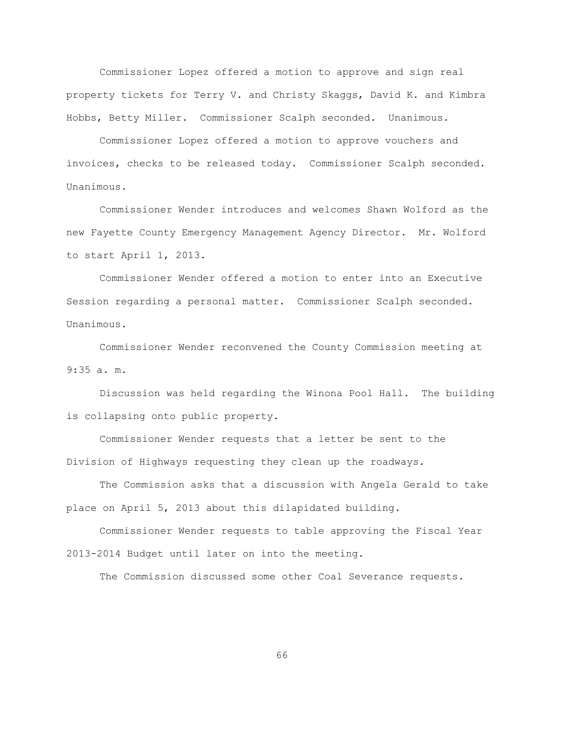Commissioner Lopez offered a motion to approve and sign real property tickets for Terry V. and Christy Skaggs, David K. and Kimbra Hobbs, Betty Miller. Commissioner Scalph seconded. Unanimous.

Commissioner Lopez offered a motion to approve vouchers and invoices, checks to be released today. Commissioner Scalph seconded. Unanimous.

Commissioner Wender introduces and welcomes Shawn Wolford as the new Fayette County Emergency Management Agency Director. Mr. Wolford to start April 1, 2013.

Commissioner Wender offered a motion to enter into an Executive Session regarding a personal matter. Commissioner Scalph seconded. Unanimous.

Commissioner Wender reconvened the County Commission meeting at 9:35 a. m.

Discussion was held regarding the Winona Pool Hall. The building is collapsing onto public property.

Commissioner Wender requests that a letter be sent to the Division of Highways requesting they clean up the roadways.

The Commission asks that a discussion with Angela Gerald to take place on April 5, 2013 about this dilapidated building.

Commissioner Wender requests to table approving the Fiscal Year 2013-2014 Budget until later on into the meeting.

The Commission discussed some other Coal Severance requests.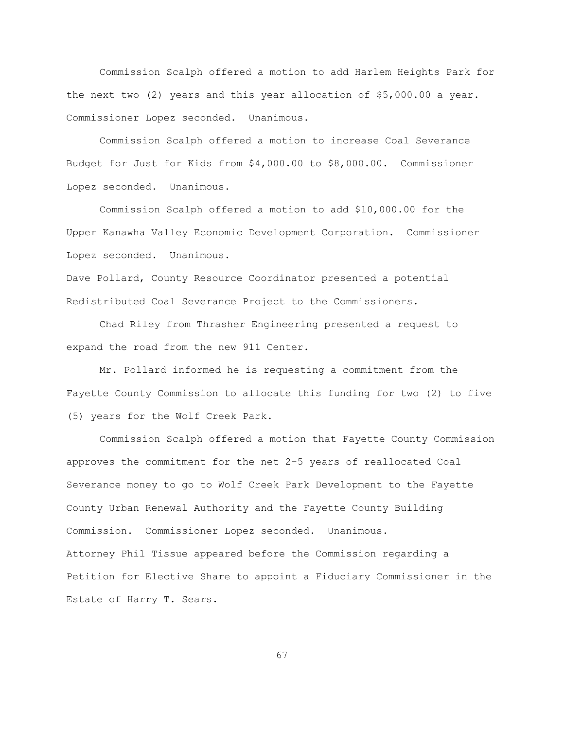Commission Scalph offered a motion to add Harlem Heights Park for the next two (2) years and this year allocation of \$5,000.00 a year. Commissioner Lopez seconded. Unanimous.

Commission Scalph offered a motion to increase Coal Severance Budget for Just for Kids from \$4,000.00 to \$8,000.00. Commissioner Lopez seconded. Unanimous.

Commission Scalph offered a motion to add \$10,000.00 for the Upper Kanawha Valley Economic Development Corporation. Commissioner Lopez seconded. Unanimous.

Dave Pollard, County Resource Coordinator presented a potential Redistributed Coal Severance Project to the Commissioners.

Chad Riley from Thrasher Engineering presented a request to expand the road from the new 911 Center.

Mr. Pollard informed he is requesting a commitment from the Fayette County Commission to allocate this funding for two (2) to five (5) years for the Wolf Creek Park.

Commission Scalph offered a motion that Fayette County Commission approves the commitment for the net 2-5 years of reallocated Coal Severance money to go to Wolf Creek Park Development to the Fayette County Urban Renewal Authority and the Fayette County Building Commission. Commissioner Lopez seconded. Unanimous. Attorney Phil Tissue appeared before the Commission regarding a Petition for Elective Share to appoint a Fiduciary Commissioner in the Estate of Harry T. Sears.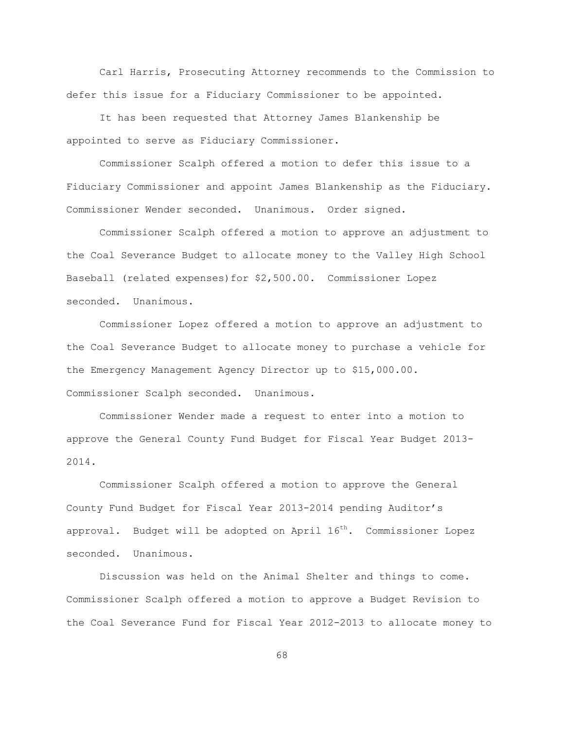Carl Harris, Prosecuting Attorney recommends to the Commission to defer this issue for a Fiduciary Commissioner to be appointed.

It has been requested that Attorney James Blankenship be appointed to serve as Fiduciary Commissioner.

Commissioner Scalph offered a motion to defer this issue to a Fiduciary Commissioner and appoint James Blankenship as the Fiduciary. Commissioner Wender seconded. Unanimous. Order signed.

Commissioner Scalph offered a motion to approve an adjustment to the Coal Severance Budget to allocate money to the Valley High School Baseball (related expenses)for \$2,500.00. Commissioner Lopez seconded. Unanimous.

Commissioner Lopez offered a motion to approve an adjustment to the Coal Severance Budget to allocate money to purchase a vehicle for the Emergency Management Agency Director up to \$15,000.00. Commissioner Scalph seconded. Unanimous.

Commissioner Wender made a request to enter into a motion to approve the General County Fund Budget for Fiscal Year Budget 2013- 2014.

Commissioner Scalph offered a motion to approve the General County Fund Budget for Fiscal Year 2013-2014 pending Auditor"s approval. Budget will be adopted on April  $16<sup>th</sup>$ . Commissioner Lopez seconded. Unanimous.

Discussion was held on the Animal Shelter and things to come. Commissioner Scalph offered a motion to approve a Budget Revision to the Coal Severance Fund for Fiscal Year 2012-2013 to allocate money to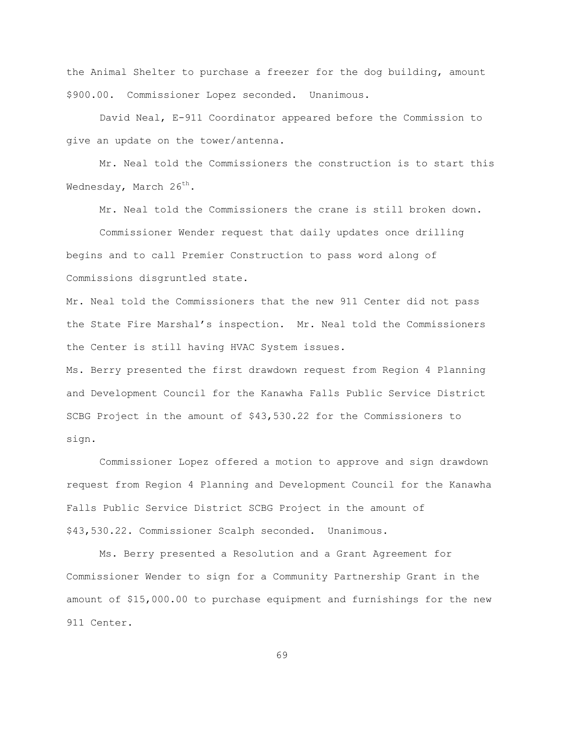the Animal Shelter to purchase a freezer for the dog building, amount \$900.00. Commissioner Lopez seconded. Unanimous.

David Neal, E-911 Coordinator appeared before the Commission to give an update on the tower/antenna.

Mr. Neal told the Commissioners the construction is to start this Wednesday, March  $26^{th}$ .

Mr. Neal told the Commissioners the crane is still broken down.

Commissioner Wender request that daily updates once drilling begins and to call Premier Construction to pass word along of Commissions disgruntled state.

Mr. Neal told the Commissioners that the new 911 Center did not pass the State Fire Marshal"s inspection. Mr. Neal told the Commissioners the Center is still having HVAC System issues.

Ms. Berry presented the first drawdown request from Region 4 Planning and Development Council for the Kanawha Falls Public Service District SCBG Project in the amount of \$43,530.22 for the Commissioners to sign.

Commissioner Lopez offered a motion to approve and sign drawdown request from Region 4 Planning and Development Council for the Kanawha Falls Public Service District SCBG Project in the amount of \$43,530.22. Commissioner Scalph seconded. Unanimous.

Ms. Berry presented a Resolution and a Grant Agreement for Commissioner Wender to sign for a Community Partnership Grant in the amount of \$15,000.00 to purchase equipment and furnishings for the new 911 Center.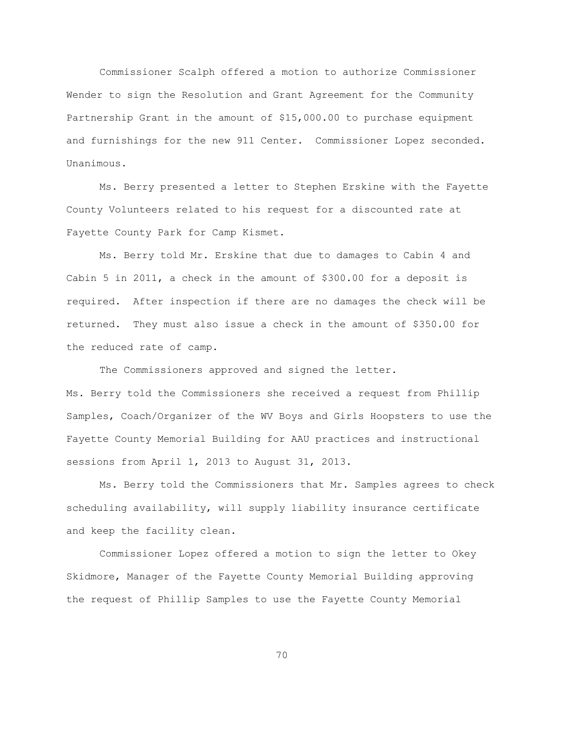Commissioner Scalph offered a motion to authorize Commissioner Wender to sign the Resolution and Grant Agreement for the Community Partnership Grant in the amount of \$15,000.00 to purchase equipment and furnishings for the new 911 Center. Commissioner Lopez seconded. Unanimous.

Ms. Berry presented a letter to Stephen Erskine with the Fayette County Volunteers related to his request for a discounted rate at Fayette County Park for Camp Kismet.

Ms. Berry told Mr. Erskine that due to damages to Cabin 4 and Cabin 5 in 2011, a check in the amount of \$300.00 for a deposit is required. After inspection if there are no damages the check will be returned. They must also issue a check in the amount of \$350.00 for the reduced rate of camp.

The Commissioners approved and signed the letter. Ms. Berry told the Commissioners she received a request from Phillip Samples, Coach/Organizer of the WV Boys and Girls Hoopsters to use the Fayette County Memorial Building for AAU practices and instructional sessions from April 1, 2013 to August 31, 2013.

Ms. Berry told the Commissioners that Mr. Samples agrees to check scheduling availability, will supply liability insurance certificate and keep the facility clean.

Commissioner Lopez offered a motion to sign the letter to Okey Skidmore, Manager of the Fayette County Memorial Building approving the request of Phillip Samples to use the Fayette County Memorial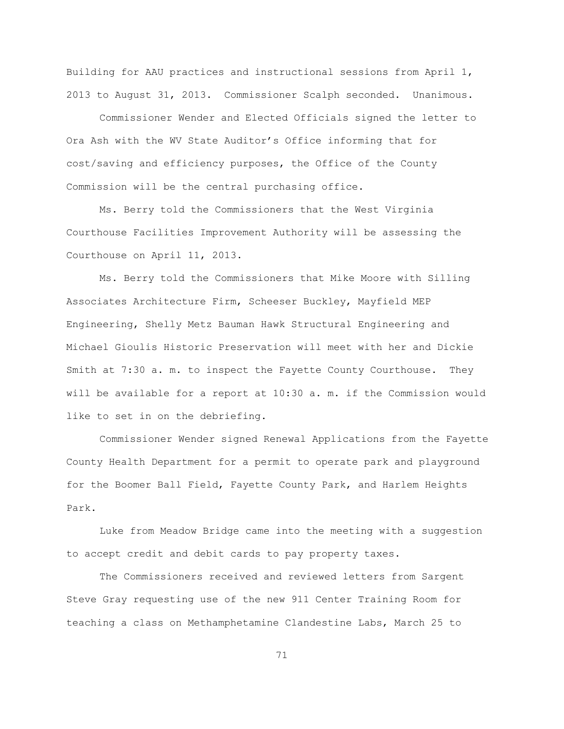Building for AAU practices and instructional sessions from April 1, 2013 to August 31, 2013. Commissioner Scalph seconded. Unanimous.

Commissioner Wender and Elected Officials signed the letter to Ora Ash with the WV State Auditor"s Office informing that for cost/saving and efficiency purposes, the Office of the County Commission will be the central purchasing office.

Ms. Berry told the Commissioners that the West Virginia Courthouse Facilities Improvement Authority will be assessing the Courthouse on April 11, 2013.

Ms. Berry told the Commissioners that Mike Moore with Silling Associates Architecture Firm, Scheeser Buckley, Mayfield MEP Engineering, Shelly Metz Bauman Hawk Structural Engineering and Michael Gioulis Historic Preservation will meet with her and Dickie Smith at 7:30 a. m. to inspect the Fayette County Courthouse. They will be available for a report at 10:30 a. m. if the Commission would like to set in on the debriefing.

Commissioner Wender signed Renewal Applications from the Fayette County Health Department for a permit to operate park and playground for the Boomer Ball Field, Fayette County Park, and Harlem Heights Park.

Luke from Meadow Bridge came into the meeting with a suggestion to accept credit and debit cards to pay property taxes.

The Commissioners received and reviewed letters from Sargent Steve Gray requesting use of the new 911 Center Training Room for teaching a class on Methamphetamine Clandestine Labs, March 25 to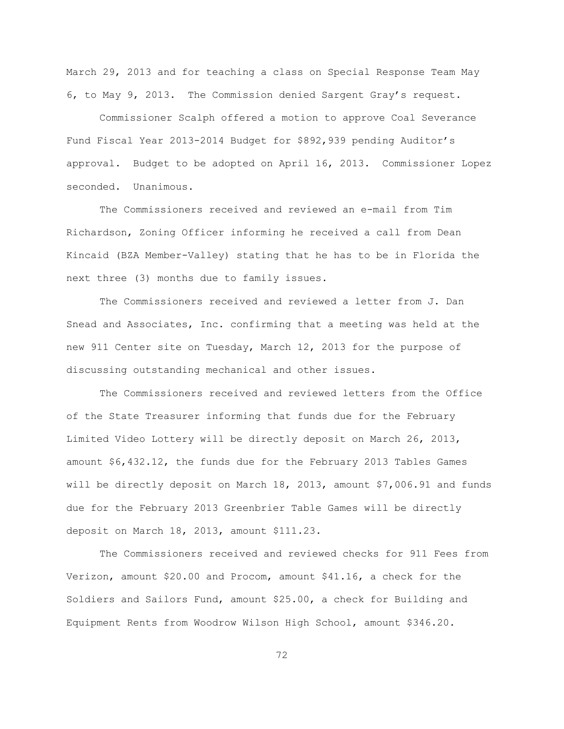March 29, 2013 and for teaching a class on Special Response Team May 6, to May 9, 2013. The Commission denied Sargent Gray"s request.

Commissioner Scalph offered a motion to approve Coal Severance Fund Fiscal Year 2013-2014 Budget for \$892,939 pending Auditor"s approval. Budget to be adopted on April 16, 2013. Commissioner Lopez seconded. Unanimous.

The Commissioners received and reviewed an e-mail from Tim Richardson, Zoning Officer informing he received a call from Dean Kincaid (BZA Member-Valley) stating that he has to be in Florida the next three (3) months due to family issues.

The Commissioners received and reviewed a letter from J. Dan Snead and Associates, Inc. confirming that a meeting was held at the new 911 Center site on Tuesday, March 12, 2013 for the purpose of discussing outstanding mechanical and other issues.

The Commissioners received and reviewed letters from the Office of the State Treasurer informing that funds due for the February Limited Video Lottery will be directly deposit on March 26, 2013, amount \$6,432.12, the funds due for the February 2013 Tables Games will be directly deposit on March 18, 2013, amount \$7,006.91 and funds due for the February 2013 Greenbrier Table Games will be directly deposit on March 18, 2013, amount \$111.23.

The Commissioners received and reviewed checks for 911 Fees from Verizon, amount \$20.00 and Procom, amount \$41.16, a check for the Soldiers and Sailors Fund, amount \$25.00, a check for Building and Equipment Rents from Woodrow Wilson High School, amount \$346.20.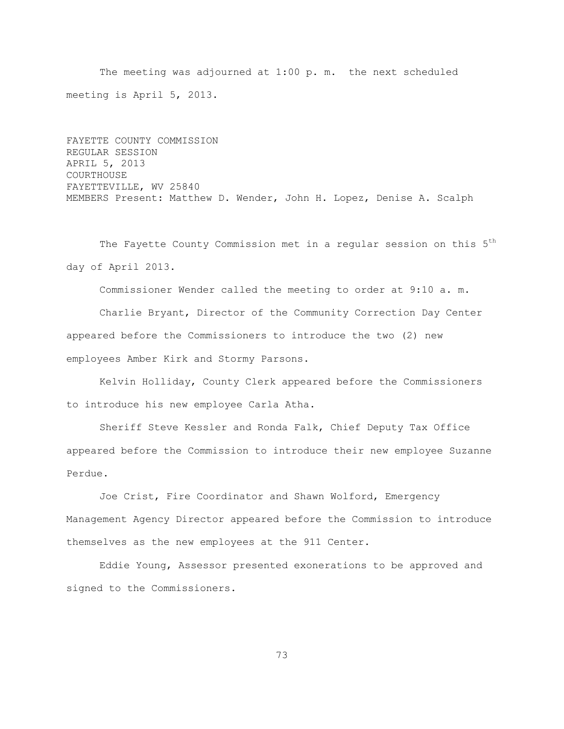The meeting was adjourned at 1:00 p. m. the next scheduled meeting is April 5, 2013.

FAYETTE COUNTY COMMISSION REGULAR SESSION APRIL 5, 2013 COURTHOUSE FAYETTEVILLE, WV 25840 MEMBERS Present: Matthew D. Wender, John H. Lopez, Denise A. Scalph

The Fayette County Commission met in a regular session on this 5<sup>th</sup> day of April 2013.

Commissioner Wender called the meeting to order at 9:10 a. m.

Charlie Bryant, Director of the Community Correction Day Center appeared before the Commissioners to introduce the two (2) new employees Amber Kirk and Stormy Parsons.

Kelvin Holliday, County Clerk appeared before the Commissioners to introduce his new employee Carla Atha.

Sheriff Steve Kessler and Ronda Falk, Chief Deputy Tax Office appeared before the Commission to introduce their new employee Suzanne Perdue.

Joe Crist, Fire Coordinator and Shawn Wolford, Emergency Management Agency Director appeared before the Commission to introduce themselves as the new employees at the 911 Center.

Eddie Young, Assessor presented exonerations to be approved and signed to the Commissioners.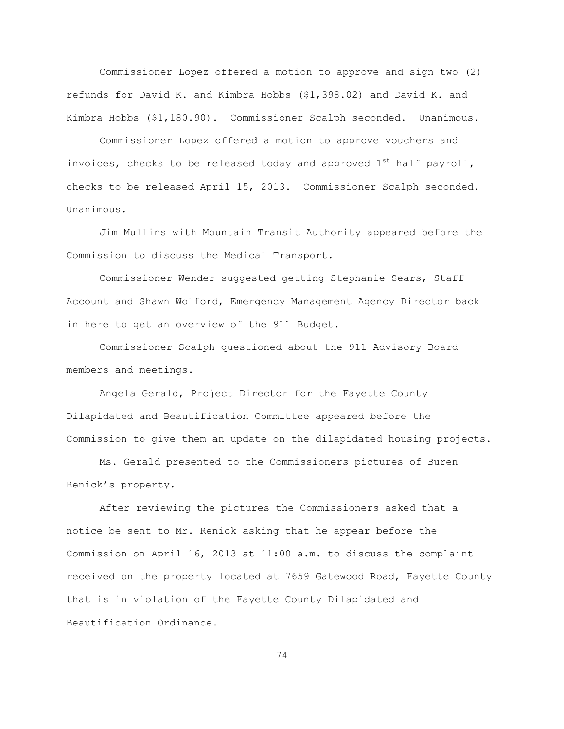Commissioner Lopez offered a motion to approve and sign two (2) refunds for David K. and Kimbra Hobbs (\$1,398.02) and David K. and Kimbra Hobbs (\$1,180.90). Commissioner Scalph seconded. Unanimous.

Commissioner Lopez offered a motion to approve vouchers and invoices, checks to be released today and approved  $1<sup>st</sup>$  half payroll, checks to be released April 15, 2013. Commissioner Scalph seconded. Unanimous.

Jim Mullins with Mountain Transit Authority appeared before the Commission to discuss the Medical Transport.

Commissioner Wender suggested getting Stephanie Sears, Staff Account and Shawn Wolford, Emergency Management Agency Director back in here to get an overview of the 911 Budget.

Commissioner Scalph questioned about the 911 Advisory Board members and meetings.

Angela Gerald, Project Director for the Fayette County Dilapidated and Beautification Committee appeared before the Commission to give them an update on the dilapidated housing projects.

Ms. Gerald presented to the Commissioners pictures of Buren Renick"s property.

After reviewing the pictures the Commissioners asked that a notice be sent to Mr. Renick asking that he appear before the Commission on April 16, 2013 at 11:00 a.m. to discuss the complaint received on the property located at 7659 Gatewood Road, Fayette County that is in violation of the Fayette County Dilapidated and Beautification Ordinance.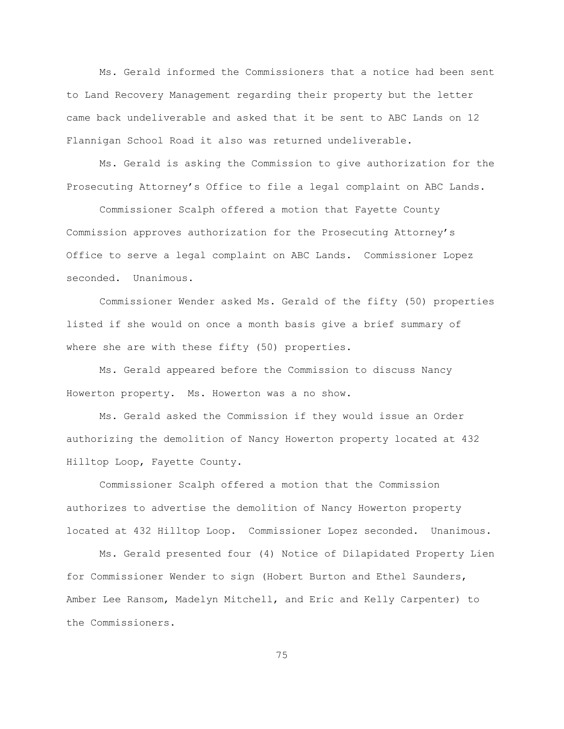Ms. Gerald informed the Commissioners that a notice had been sent to Land Recovery Management regarding their property but the letter came back undeliverable and asked that it be sent to ABC Lands on 12 Flannigan School Road it also was returned undeliverable.

Ms. Gerald is asking the Commission to give authorization for the Prosecuting Attorney"s Office to file a legal complaint on ABC Lands.

Commissioner Scalph offered a motion that Fayette County Commission approves authorization for the Prosecuting Attorney"s Office to serve a legal complaint on ABC Lands. Commissioner Lopez seconded. Unanimous.

Commissioner Wender asked Ms. Gerald of the fifty (50) properties listed if she would on once a month basis give a brief summary of where she are with these fifty (50) properties.

Ms. Gerald appeared before the Commission to discuss Nancy Howerton property. Ms. Howerton was a no show.

Ms. Gerald asked the Commission if they would issue an Order authorizing the demolition of Nancy Howerton property located at 432 Hilltop Loop, Fayette County.

Commissioner Scalph offered a motion that the Commission authorizes to advertise the demolition of Nancy Howerton property located at 432 Hilltop Loop. Commissioner Lopez seconded. Unanimous.

Ms. Gerald presented four (4) Notice of Dilapidated Property Lien for Commissioner Wender to sign (Hobert Burton and Ethel Saunders, Amber Lee Ransom, Madelyn Mitchell, and Eric and Kelly Carpenter) to the Commissioners.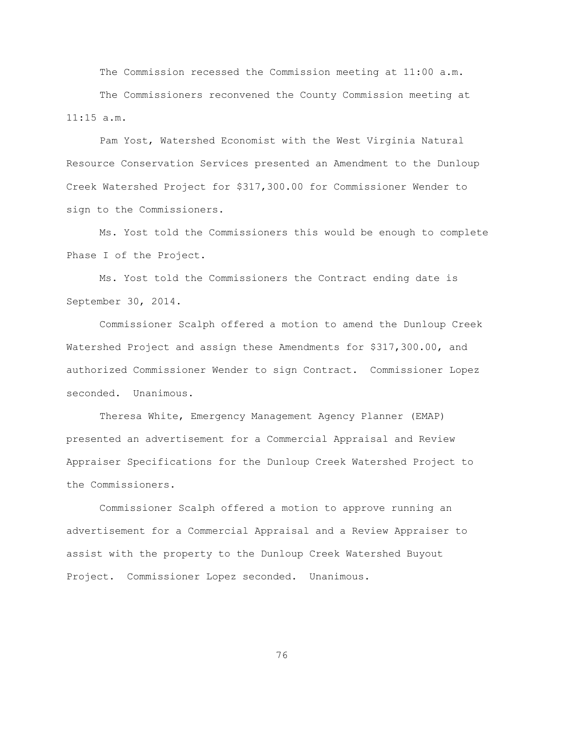The Commission recessed the Commission meeting at 11:00 a.m.

The Commissioners reconvened the County Commission meeting at 11:15 a.m.

Pam Yost, Watershed Economist with the West Virginia Natural Resource Conservation Services presented an Amendment to the Dunloup Creek Watershed Project for \$317,300.00 for Commissioner Wender to sign to the Commissioners.

Ms. Yost told the Commissioners this would be enough to complete Phase I of the Project.

Ms. Yost told the Commissioners the Contract ending date is September 30, 2014.

Commissioner Scalph offered a motion to amend the Dunloup Creek Watershed Project and assign these Amendments for \$317,300.00, and authorized Commissioner Wender to sign Contract. Commissioner Lopez seconded. Unanimous.

Theresa White, Emergency Management Agency Planner (EMAP) presented an advertisement for a Commercial Appraisal and Review Appraiser Specifications for the Dunloup Creek Watershed Project to the Commissioners.

Commissioner Scalph offered a motion to approve running an advertisement for a Commercial Appraisal and a Review Appraiser to assist with the property to the Dunloup Creek Watershed Buyout Project. Commissioner Lopez seconded. Unanimous.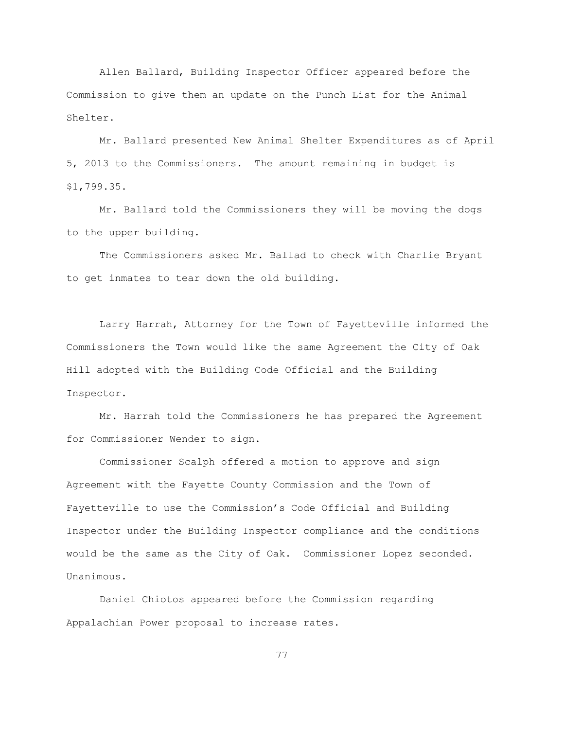Allen Ballard, Building Inspector Officer appeared before the Commission to give them an update on the Punch List for the Animal Shelter.

Mr. Ballard presented New Animal Shelter Expenditures as of April 5, 2013 to the Commissioners. The amount remaining in budget is \$1,799.35.

Mr. Ballard told the Commissioners they will be moving the dogs to the upper building.

The Commissioners asked Mr. Ballad to check with Charlie Bryant to get inmates to tear down the old building.

Larry Harrah, Attorney for the Town of Fayetteville informed the Commissioners the Town would like the same Agreement the City of Oak Hill adopted with the Building Code Official and the Building Inspector.

Mr. Harrah told the Commissioners he has prepared the Agreement for Commissioner Wender to sign.

Commissioner Scalph offered a motion to approve and sign Agreement with the Fayette County Commission and the Town of Fayetteville to use the Commission"s Code Official and Building Inspector under the Building Inspector compliance and the conditions would be the same as the City of Oak. Commissioner Lopez seconded. Unanimous.

Daniel Chiotos appeared before the Commission regarding Appalachian Power proposal to increase rates.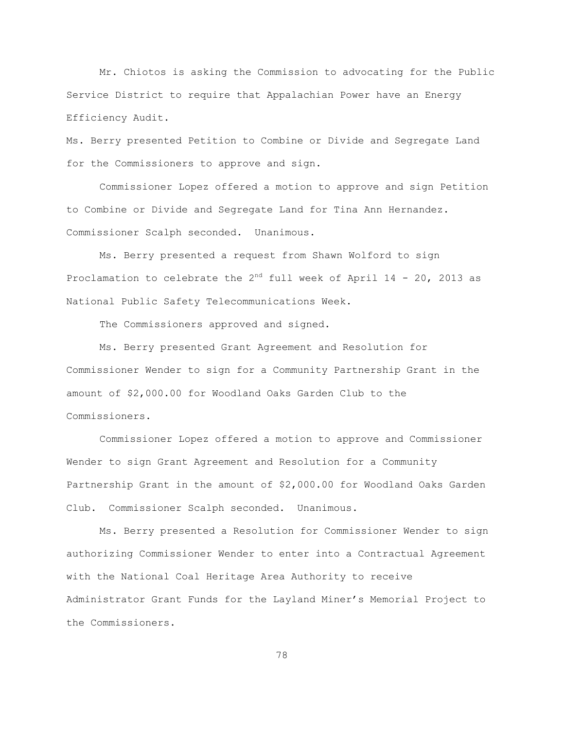Mr. Chiotos is asking the Commission to advocating for the Public Service District to require that Appalachian Power have an Energy Efficiency Audit.

Ms. Berry presented Petition to Combine or Divide and Segregate Land for the Commissioners to approve and sign.

Commissioner Lopez offered a motion to approve and sign Petition to Combine or Divide and Segregate Land for Tina Ann Hernandez. Commissioner Scalph seconded. Unanimous.

Ms. Berry presented a request from Shawn Wolford to sign Proclamation to celebrate the  $2^{nd}$  full week of April 14 - 20, 2013 as National Public Safety Telecommunications Week.

The Commissioners approved and signed.

Ms. Berry presented Grant Agreement and Resolution for Commissioner Wender to sign for a Community Partnership Grant in the amount of \$2,000.00 for Woodland Oaks Garden Club to the Commissioners.

Commissioner Lopez offered a motion to approve and Commissioner Wender to sign Grant Agreement and Resolution for a Community Partnership Grant in the amount of \$2,000.00 for Woodland Oaks Garden Club. Commissioner Scalph seconded. Unanimous.

Ms. Berry presented a Resolution for Commissioner Wender to sign authorizing Commissioner Wender to enter into a Contractual Agreement with the National Coal Heritage Area Authority to receive Administrator Grant Funds for the Layland Miner"s Memorial Project to the Commissioners.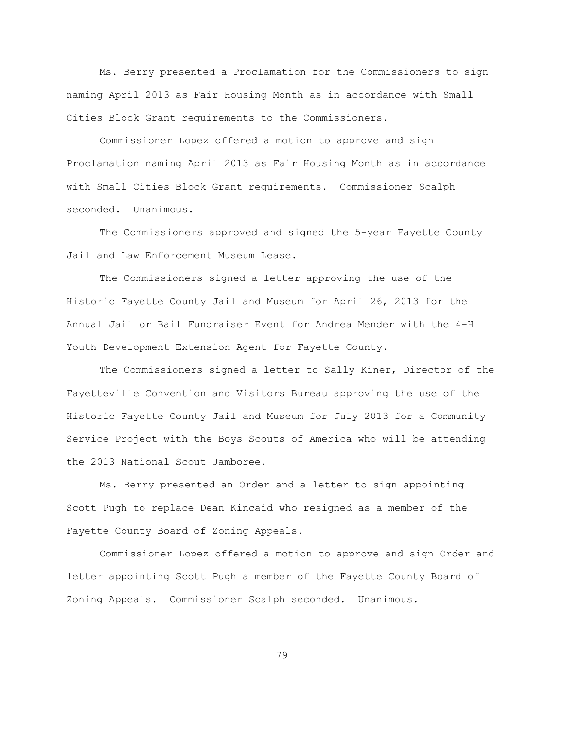Ms. Berry presented a Proclamation for the Commissioners to sign naming April 2013 as Fair Housing Month as in accordance with Small Cities Block Grant requirements to the Commissioners.

Commissioner Lopez offered a motion to approve and sign Proclamation naming April 2013 as Fair Housing Month as in accordance with Small Cities Block Grant requirements. Commissioner Scalph seconded. Unanimous.

The Commissioners approved and signed the 5-year Fayette County Jail and Law Enforcement Museum Lease.

The Commissioners signed a letter approving the use of the Historic Fayette County Jail and Museum for April 26, 2013 for the Annual Jail or Bail Fundraiser Event for Andrea Mender with the 4-H Youth Development Extension Agent for Fayette County.

The Commissioners signed a letter to Sally Kiner, Director of the Fayetteville Convention and Visitors Bureau approving the use of the Historic Fayette County Jail and Museum for July 2013 for a Community Service Project with the Boys Scouts of America who will be attending the 2013 National Scout Jamboree.

Ms. Berry presented an Order and a letter to sign appointing Scott Pugh to replace Dean Kincaid who resigned as a member of the Fayette County Board of Zoning Appeals.

Commissioner Lopez offered a motion to approve and sign Order and letter appointing Scott Pugh a member of the Fayette County Board of Zoning Appeals. Commissioner Scalph seconded. Unanimous.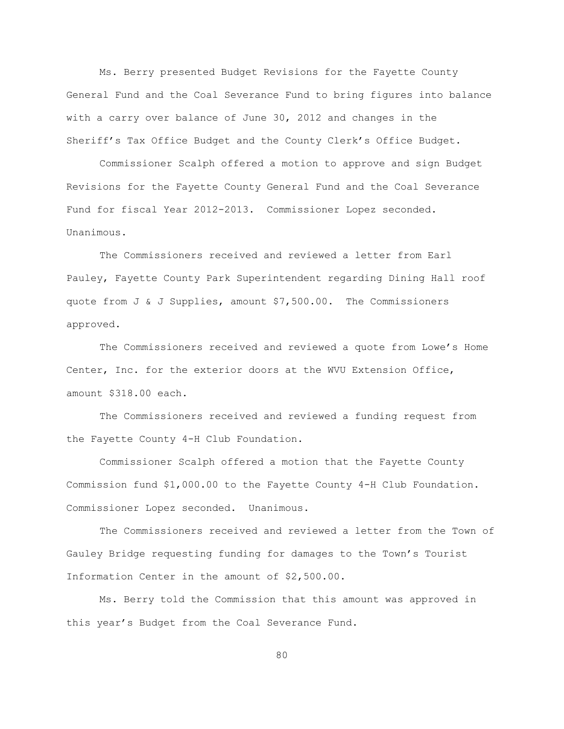Ms. Berry presented Budget Revisions for the Fayette County General Fund and the Coal Severance Fund to bring figures into balance with a carry over balance of June 30, 2012 and changes in the Sheriff's Tax Office Budget and the County Clerk's Office Budget.

Commissioner Scalph offered a motion to approve and sign Budget Revisions for the Fayette County General Fund and the Coal Severance Fund for fiscal Year 2012-2013. Commissioner Lopez seconded. Unanimous.

The Commissioners received and reviewed a letter from Earl Pauley, Fayette County Park Superintendent regarding Dining Hall roof quote from J & J Supplies, amount \$7,500.00. The Commissioners approved.

The Commissioners received and reviewed a quote from Lowe"s Home Center, Inc. for the exterior doors at the WVU Extension Office, amount \$318.00 each.

The Commissioners received and reviewed a funding request from the Fayette County 4-H Club Foundation.

Commissioner Scalph offered a motion that the Fayette County Commission fund \$1,000.00 to the Fayette County 4-H Club Foundation. Commissioner Lopez seconded. Unanimous.

The Commissioners received and reviewed a letter from the Town of Gauley Bridge requesting funding for damages to the Town"s Tourist Information Center in the amount of \$2,500.00.

Ms. Berry told the Commission that this amount was approved in this year"s Budget from the Coal Severance Fund.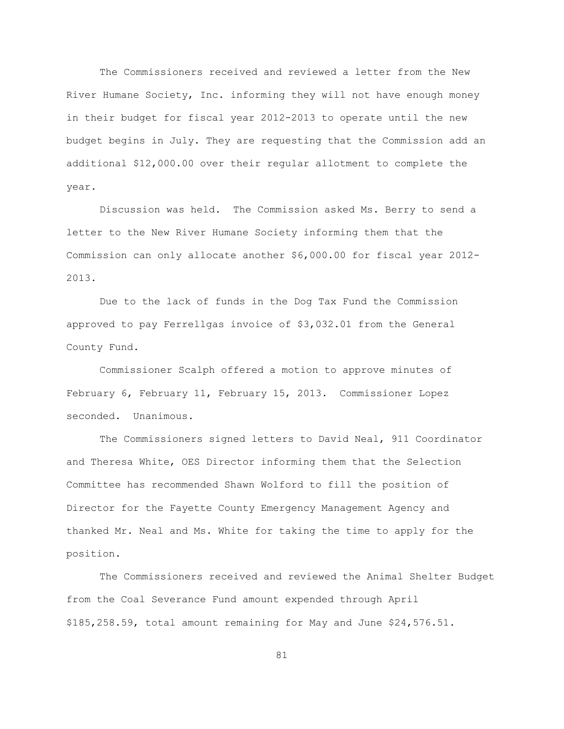The Commissioners received and reviewed a letter from the New River Humane Society, Inc. informing they will not have enough money in their budget for fiscal year 2012-2013 to operate until the new budget begins in July. They are requesting that the Commission add an additional \$12,000.00 over their regular allotment to complete the year.

Discussion was held. The Commission asked Ms. Berry to send a letter to the New River Humane Society informing them that the Commission can only allocate another \$6,000.00 for fiscal year 2012- 2013.

Due to the lack of funds in the Dog Tax Fund the Commission approved to pay Ferrellgas invoice of \$3,032.01 from the General County Fund.

Commissioner Scalph offered a motion to approve minutes of February 6, February 11, February 15, 2013. Commissioner Lopez seconded. Unanimous.

The Commissioners signed letters to David Neal, 911 Coordinator and Theresa White, OES Director informing them that the Selection Committee has recommended Shawn Wolford to fill the position of Director for the Fayette County Emergency Management Agency and thanked Mr. Neal and Ms. White for taking the time to apply for the position.

The Commissioners received and reviewed the Animal Shelter Budget from the Coal Severance Fund amount expended through April \$185,258.59, total amount remaining for May and June \$24,576.51.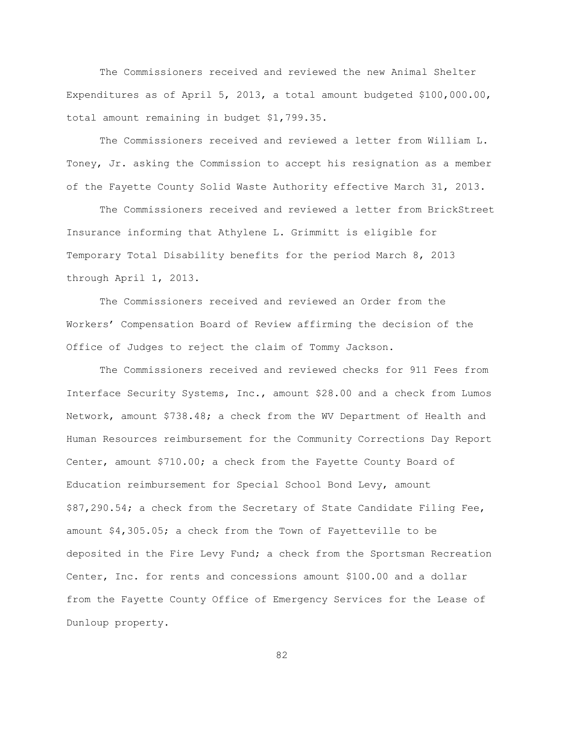The Commissioners received and reviewed the new Animal Shelter Expenditures as of April 5, 2013, a total amount budgeted \$100,000.00, total amount remaining in budget \$1,799.35.

The Commissioners received and reviewed a letter from William L. Toney, Jr. asking the Commission to accept his resignation as a member of the Fayette County Solid Waste Authority effective March 31, 2013.

The Commissioners received and reviewed a letter from BrickStreet Insurance informing that Athylene L. Grimmitt is eligible for Temporary Total Disability benefits for the period March 8, 2013 through April 1, 2013.

The Commissioners received and reviewed an Order from the Workers" Compensation Board of Review affirming the decision of the Office of Judges to reject the claim of Tommy Jackson.

The Commissioners received and reviewed checks for 911 Fees from Interface Security Systems, Inc., amount \$28.00 and a check from Lumos Network, amount \$738.48; a check from the WV Department of Health and Human Resources reimbursement for the Community Corrections Day Report Center, amount \$710.00; a check from the Fayette County Board of Education reimbursement for Special School Bond Levy, amount \$87,290.54; a check from the Secretary of State Candidate Filing Fee, amount \$4,305.05; a check from the Town of Fayetteville to be deposited in the Fire Levy Fund; a check from the Sportsman Recreation Center, Inc. for rents and concessions amount \$100.00 and a dollar from the Fayette County Office of Emergency Services for the Lease of Dunloup property.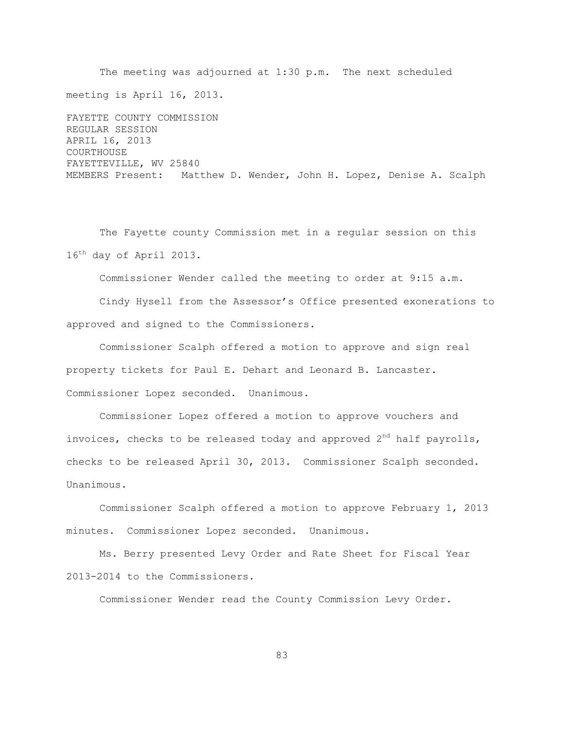The meeting was adjourned at 1:30 p.m. The next scheduled meeting is April 16, 2013. FAYETTE COUNTY COMMISSION REGULAR SESSION APRIL 16, 2013 COURTHOUSE FAYETTEVILLE, WV 25840 MEMBERS Present: Matthew D. Wender, John H. Lopez, Denise A. Scalph

The Fayette county Commission met in a regular session on this 16<sup>th</sup> day of April 2013.

Commissioner Wender called the meeting to order at 9:15 a.m.

Cindy Hysell from the Assessor"s Office presented exonerations to approved and signed to the Commissioners.

Commissioner Scalph offered a motion to approve and sign real property tickets for Paul E. Dehart and Leonard B. Lancaster. Commissioner Lopez seconded. Unanimous.

Commissioner Lopez offered a motion to approve vouchers and invoices, checks to be released today and approved  $2^{nd}$  half payrolls, checks to be released April 30, 2013. Commissioner Scalph seconded. Unanimous.

Commissioner Scalph offered a motion to approve February 1, 2013 minutes. Commissioner Lopez seconded. Unanimous.

Ms. Berry presented Levy Order and Rate Sheet for Fiscal Year 2013-2014 to the Commissioners.

Commissioner Wender read the County Commission Levy Order.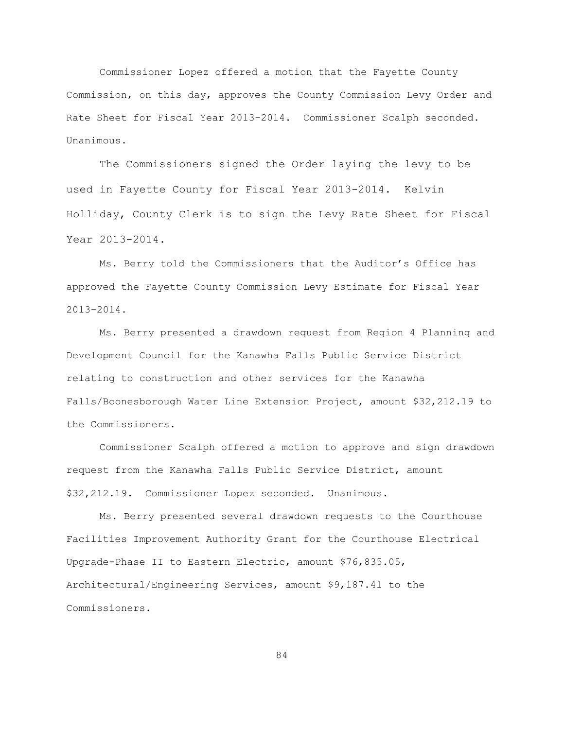Commissioner Lopez offered a motion that the Fayette County Commission, on this day, approves the County Commission Levy Order and Rate Sheet for Fiscal Year 2013-2014. Commissioner Scalph seconded. Unanimous.

The Commissioners signed the Order laying the levy to be used in Fayette County for Fiscal Year 2013-2014. Kelvin Holliday, County Clerk is to sign the Levy Rate Sheet for Fiscal Year 2013-2014.

Ms. Berry told the Commissioners that the Auditor"s Office has approved the Fayette County Commission Levy Estimate for Fiscal Year 2013-2014.

Ms. Berry presented a drawdown request from Region 4 Planning and Development Council for the Kanawha Falls Public Service District relating to construction and other services for the Kanawha Falls/Boonesborough Water Line Extension Project, amount \$32,212.19 to the Commissioners.

Commissioner Scalph offered a motion to approve and sign drawdown request from the Kanawha Falls Public Service District, amount \$32,212.19. Commissioner Lopez seconded. Unanimous.

Ms. Berry presented several drawdown requests to the Courthouse Facilities Improvement Authority Grant for the Courthouse Electrical Upgrade-Phase II to Eastern Electric, amount \$76,835.05, Architectural/Engineering Services, amount \$9,187.41 to the Commissioners.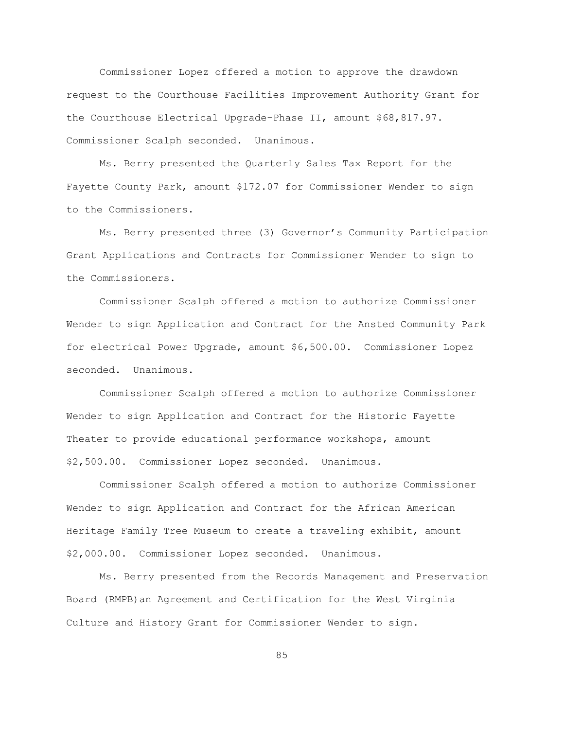Commissioner Lopez offered a motion to approve the drawdown request to the Courthouse Facilities Improvement Authority Grant for the Courthouse Electrical Upgrade-Phase II, amount \$68,817.97. Commissioner Scalph seconded. Unanimous.

Ms. Berry presented the Quarterly Sales Tax Report for the Fayette County Park, amount \$172.07 for Commissioner Wender to sign to the Commissioners.

Ms. Berry presented three (3) Governor"s Community Participation Grant Applications and Contracts for Commissioner Wender to sign to the Commissioners.

Commissioner Scalph offered a motion to authorize Commissioner Wender to sign Application and Contract for the Ansted Community Park for electrical Power Upgrade, amount \$6,500.00. Commissioner Lopez seconded. Unanimous.

Commissioner Scalph offered a motion to authorize Commissioner Wender to sign Application and Contract for the Historic Fayette Theater to provide educational performance workshops, amount \$2,500.00. Commissioner Lopez seconded. Unanimous.

Commissioner Scalph offered a motion to authorize Commissioner Wender to sign Application and Contract for the African American Heritage Family Tree Museum to create a traveling exhibit, amount \$2,000.00. Commissioner Lopez seconded. Unanimous.

Ms. Berry presented from the Records Management and Preservation Board (RMPB)an Agreement and Certification for the West Virginia Culture and History Grant for Commissioner Wender to sign.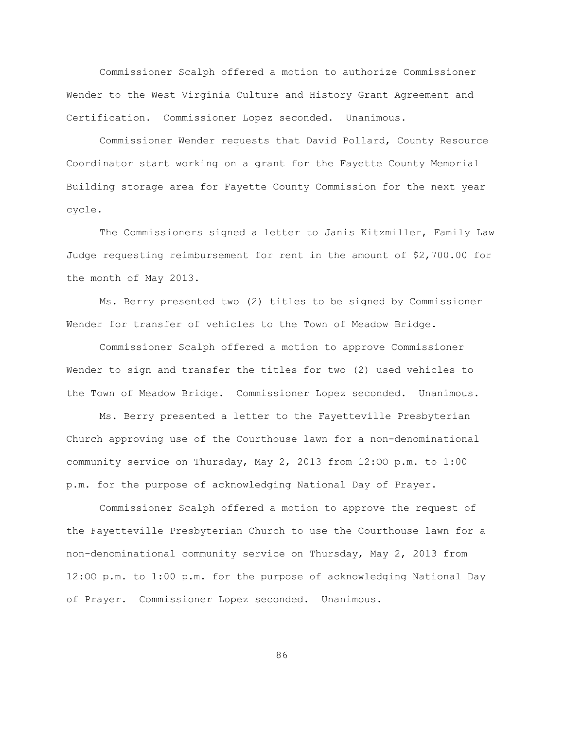Commissioner Scalph offered a motion to authorize Commissioner Wender to the West Virginia Culture and History Grant Agreement and Certification. Commissioner Lopez seconded. Unanimous.

Commissioner Wender requests that David Pollard, County Resource Coordinator start working on a grant for the Fayette County Memorial Building storage area for Fayette County Commission for the next year cycle.

The Commissioners signed a letter to Janis Kitzmiller, Family Law Judge requesting reimbursement for rent in the amount of \$2,700.00 for the month of May 2013.

Ms. Berry presented two (2) titles to be signed by Commissioner Wender for transfer of vehicles to the Town of Meadow Bridge.

Commissioner Scalph offered a motion to approve Commissioner Wender to sign and transfer the titles for two (2) used vehicles to the Town of Meadow Bridge. Commissioner Lopez seconded. Unanimous.

Ms. Berry presented a letter to the Fayetteville Presbyterian Church approving use of the Courthouse lawn for a non-denominational community service on Thursday, May 2, 2013 from 12:OO p.m. to 1:00 p.m. for the purpose of acknowledging National Day of Prayer.

Commissioner Scalph offered a motion to approve the request of the Fayetteville Presbyterian Church to use the Courthouse lawn for a non-denominational community service on Thursday, May 2, 2013 from 12:OO p.m. to 1:00 p.m. for the purpose of acknowledging National Day of Prayer. Commissioner Lopez seconded. Unanimous.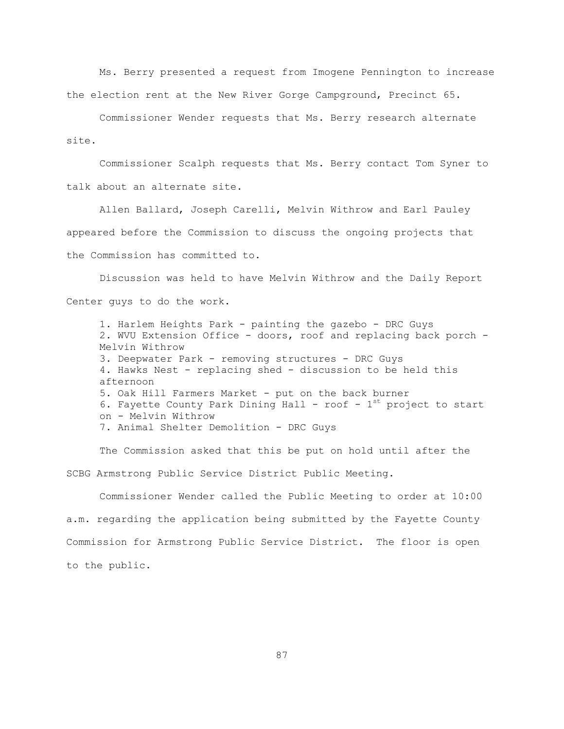Ms. Berry presented a request from Imogene Pennington to increase the election rent at the New River Gorge Campground, Precinct 65.

Commissioner Wender requests that Ms. Berry research alternate site.

Commissioner Scalph requests that Ms. Berry contact Tom Syner to talk about an alternate site.

Allen Ballard, Joseph Carelli, Melvin Withrow and Earl Pauley appeared before the Commission to discuss the ongoing projects that the Commission has committed to.

Discussion was held to have Melvin Withrow and the Daily Report Center guys to do the work.

1. Harlem Heights Park - painting the gazebo - DRC Guys 2. WVU Extension Office - doors, roof and replacing back porch - Melvin Withrow 3. Deepwater Park - removing structures - DRC Guys 4. Hawks Nest - replacing shed - discussion to be held this afternoon 5. Oak Hill Farmers Market - put on the back burner 6. Fayette County Park Dining Hall - roof -  $1^{st}$  project to start on - Melvin Withrow 7. Animal Shelter Demolition - DRC Guys

The Commission asked that this be put on hold until after the SCBG Armstrong Public Service District Public Meeting.

Commissioner Wender called the Public Meeting to order at 10:00 a.m. regarding the application being submitted by the Fayette County Commission for Armstrong Public Service District. The floor is open to the public.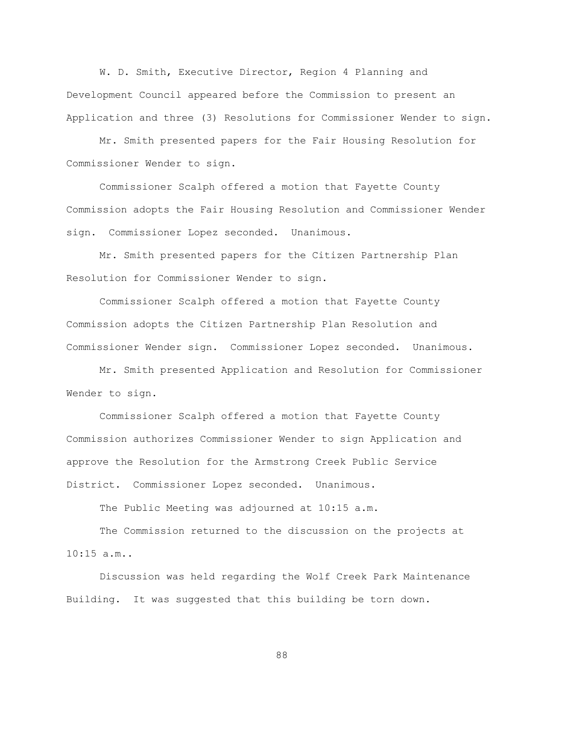W. D. Smith, Executive Director, Region 4 Planning and Development Council appeared before the Commission to present an Application and three (3) Resolutions for Commissioner Wender to sign.

Mr. Smith presented papers for the Fair Housing Resolution for Commissioner Wender to sign.

Commissioner Scalph offered a motion that Fayette County Commission adopts the Fair Housing Resolution and Commissioner Wender sign. Commissioner Lopez seconded. Unanimous.

Mr. Smith presented papers for the Citizen Partnership Plan Resolution for Commissioner Wender to sign.

Commissioner Scalph offered a motion that Fayette County Commission adopts the Citizen Partnership Plan Resolution and Commissioner Wender sign. Commissioner Lopez seconded. Unanimous.

Mr. Smith presented Application and Resolution for Commissioner Wender to sign.

Commissioner Scalph offered a motion that Fayette County Commission authorizes Commissioner Wender to sign Application and approve the Resolution for the Armstrong Creek Public Service District. Commissioner Lopez seconded. Unanimous.

The Public Meeting was adjourned at 10:15 a.m.

The Commission returned to the discussion on the projects at  $10:15 a.m.$ .

Discussion was held regarding the Wolf Creek Park Maintenance Building. It was suggested that this building be torn down.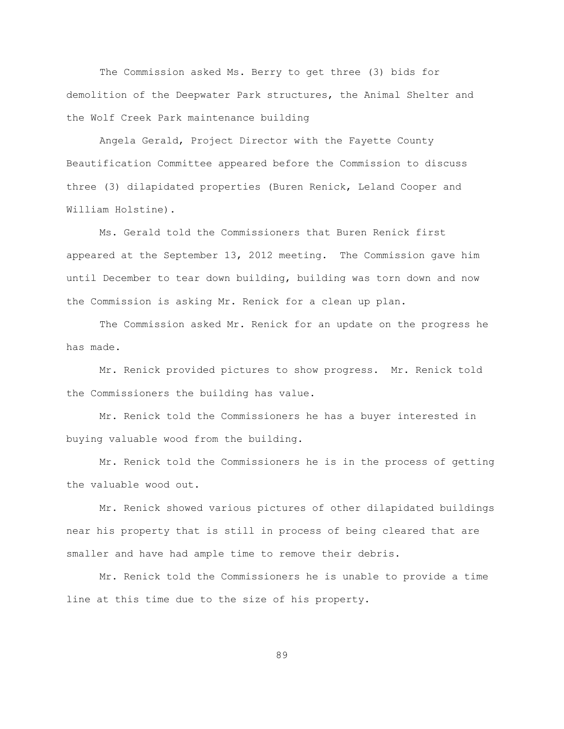The Commission asked Ms. Berry to get three (3) bids for demolition of the Deepwater Park structures, the Animal Shelter and the Wolf Creek Park maintenance building

Angela Gerald, Project Director with the Fayette County Beautification Committee appeared before the Commission to discuss three (3) dilapidated properties (Buren Renick, Leland Cooper and William Holstine).

Ms. Gerald told the Commissioners that Buren Renick first appeared at the September 13, 2012 meeting. The Commission gave him until December to tear down building, building was torn down and now the Commission is asking Mr. Renick for a clean up plan.

The Commission asked Mr. Renick for an update on the progress he has made.

Mr. Renick provided pictures to show progress. Mr. Renick told the Commissioners the building has value.

Mr. Renick told the Commissioners he has a buyer interested in buying valuable wood from the building.

Mr. Renick told the Commissioners he is in the process of getting the valuable wood out.

Mr. Renick showed various pictures of other dilapidated buildings near his property that is still in process of being cleared that are smaller and have had ample time to remove their debris.

Mr. Renick told the Commissioners he is unable to provide a time line at this time due to the size of his property.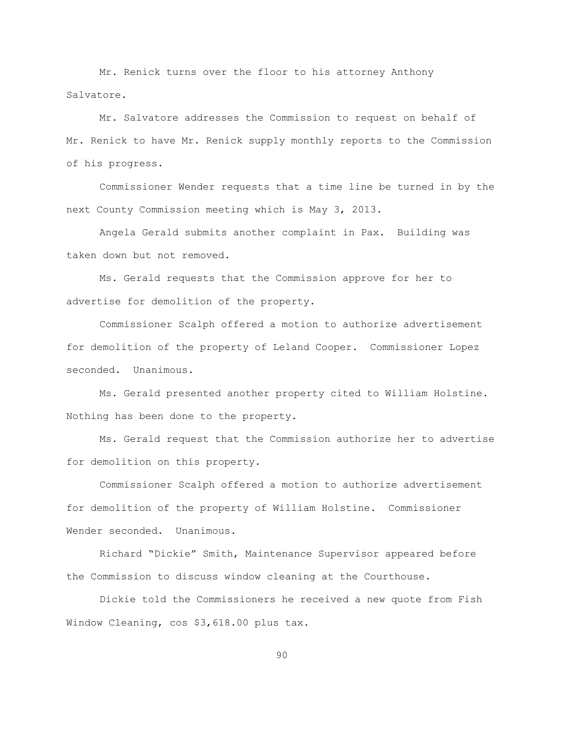Mr. Renick turns over the floor to his attorney Anthony Salvatore.

Mr. Salvatore addresses the Commission to request on behalf of Mr. Renick to have Mr. Renick supply monthly reports to the Commission of his progress.

Commissioner Wender requests that a time line be turned in by the next County Commission meeting which is May 3, 2013.

Angela Gerald submits another complaint in Pax. Building was taken down but not removed.

Ms. Gerald requests that the Commission approve for her to advertise for demolition of the property.

Commissioner Scalph offered a motion to authorize advertisement for demolition of the property of Leland Cooper. Commissioner Lopez seconded. Unanimous.

Ms. Gerald presented another property cited to William Holstine. Nothing has been done to the property.

Ms. Gerald request that the Commission authorize her to advertise for demolition on this property.

Commissioner Scalph offered a motion to authorize advertisement for demolition of the property of William Holstine. Commissioner Wender seconded. Unanimous.

Richard "Dickie" Smith, Maintenance Supervisor appeared before the Commission to discuss window cleaning at the Courthouse.

Dickie told the Commissioners he received a new quote from Fish Window Cleaning, cos \$3,618.00 plus tax.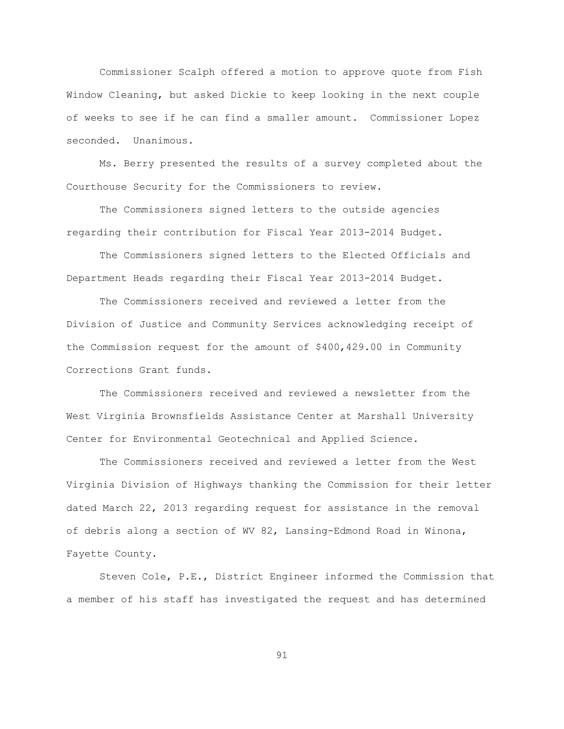Commissioner Scalph offered a motion to approve quote from Fish Window Cleaning, but asked Dickie to keep looking in the next couple of weeks to see if he can find a smaller amount. Commissioner Lopez seconded. Unanimous.

Ms. Berry presented the results of a survey completed about the Courthouse Security for the Commissioners to review.

The Commissioners signed letters to the outside agencies regarding their contribution for Fiscal Year 2013-2014 Budget.

The Commissioners signed letters to the Elected Officials and Department Heads regarding their Fiscal Year 2013-2014 Budget.

The Commissioners received and reviewed a letter from the Division of Justice and Community Services acknowledging receipt of the Commission request for the amount of \$400,429.00 in Community Corrections Grant funds.

The Commissioners received and reviewed a newsletter from the West Virginia Brownsfields Assistance Center at Marshall University Center for Environmental Geotechnical and Applied Science.

The Commissioners received and reviewed a letter from the West Virginia Division of Highways thanking the Commission for their letter dated March 22, 2013 regarding request for assistance in the removal of debris along a section of WV 82, Lansing-Edmond Road in Winona, Fayette County.

Steven Cole, P.E., District Engineer informed the Commission that a member of his staff has investigated the request and has determined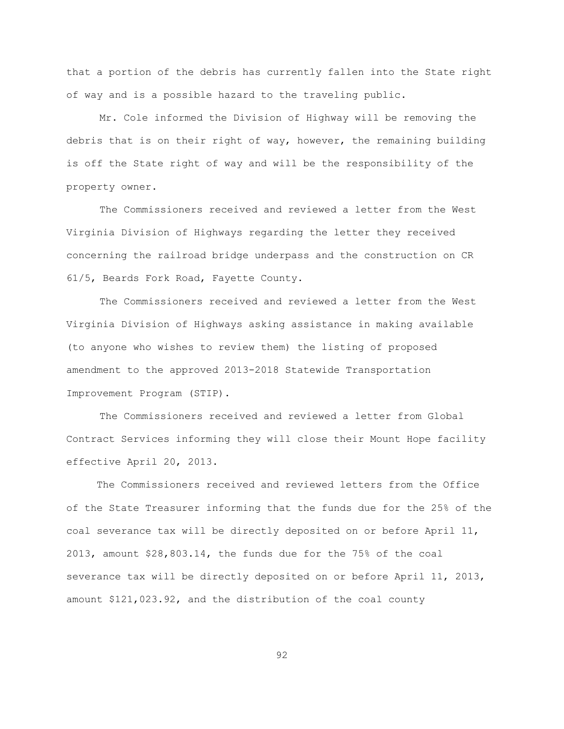that a portion of the debris has currently fallen into the State right of way and is a possible hazard to the traveling public.

Mr. Cole informed the Division of Highway will be removing the debris that is on their right of way, however, the remaining building is off the State right of way and will be the responsibility of the property owner.

The Commissioners received and reviewed a letter from the West Virginia Division of Highways regarding the letter they received concerning the railroad bridge underpass and the construction on CR 61/5, Beards Fork Road, Fayette County.

The Commissioners received and reviewed a letter from the West Virginia Division of Highways asking assistance in making available (to anyone who wishes to review them) the listing of proposed amendment to the approved 2013-2018 Statewide Transportation Improvement Program (STIP).

The Commissioners received and reviewed a letter from Global Contract Services informing they will close their Mount Hope facility effective April 20, 2013.

 The Commissioners received and reviewed letters from the Office of the State Treasurer informing that the funds due for the 25% of the coal severance tax will be directly deposited on or before April 11, 2013, amount \$28,803.14, the funds due for the 75% of the coal severance tax will be directly deposited on or before April 11, 2013, amount \$121,023.92, and the distribution of the coal county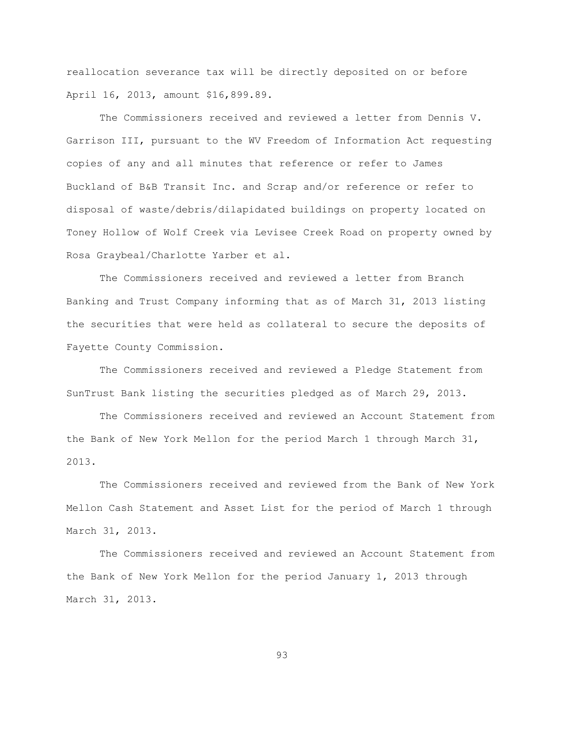reallocation severance tax will be directly deposited on or before April 16, 2013, amount \$16,899.89.

The Commissioners received and reviewed a letter from Dennis V. Garrison III, pursuant to the WV Freedom of Information Act requesting copies of any and all minutes that reference or refer to James Buckland of B&B Transit Inc. and Scrap and/or reference or refer to disposal of waste/debris/dilapidated buildings on property located on Toney Hollow of Wolf Creek via Levisee Creek Road on property owned by Rosa Graybeal/Charlotte Yarber et al.

The Commissioners received and reviewed a letter from Branch Banking and Trust Company informing that as of March 31, 2013 listing the securities that were held as collateral to secure the deposits of Fayette County Commission.

The Commissioners received and reviewed a Pledge Statement from SunTrust Bank listing the securities pledged as of March 29, 2013.

The Commissioners received and reviewed an Account Statement from the Bank of New York Mellon for the period March 1 through March 31, 2013.

The Commissioners received and reviewed from the Bank of New York Mellon Cash Statement and Asset List for the period of March 1 through March 31, 2013.

The Commissioners received and reviewed an Account Statement from the Bank of New York Mellon for the period January 1, 2013 through March 31, 2013.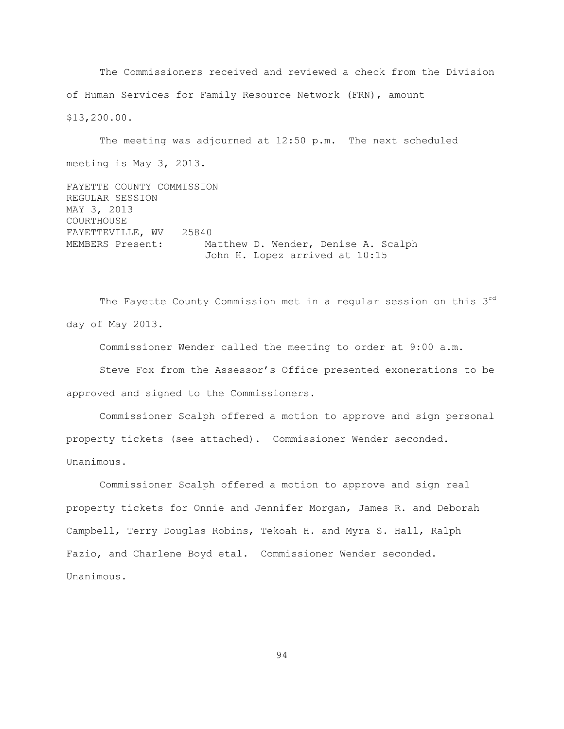The Commissioners received and reviewed a check from the Division of Human Services for Family Resource Network (FRN), amount \$13,200.00.

The meeting was adjourned at 12:50 p.m. The next scheduled meeting is May 3, 2013.

FAYETTE COUNTY COMMISSION REGULAR SESSION MAY 3, 2013 COURTHOUSE FAYETTEVILLE, WV 25840 MEMBERS Present: Matthew D. Wender, Denise A. Scalph John H. Lopez arrived at 10:15

The Fayette County Commission met in a regular session on this 3rd day of May 2013.

Commissioner Wender called the meeting to order at 9:00 a.m.

Steve Fox from the Assessor"s Office presented exonerations to be approved and signed to the Commissioners.

Commissioner Scalph offered a motion to approve and sign personal property tickets (see attached). Commissioner Wender seconded. Unanimous.

Commissioner Scalph offered a motion to approve and sign real property tickets for Onnie and Jennifer Morgan, James R. and Deborah Campbell, Terry Douglas Robins, Tekoah H. and Myra S. Hall, Ralph Fazio, and Charlene Boyd etal. Commissioner Wender seconded. Unanimous.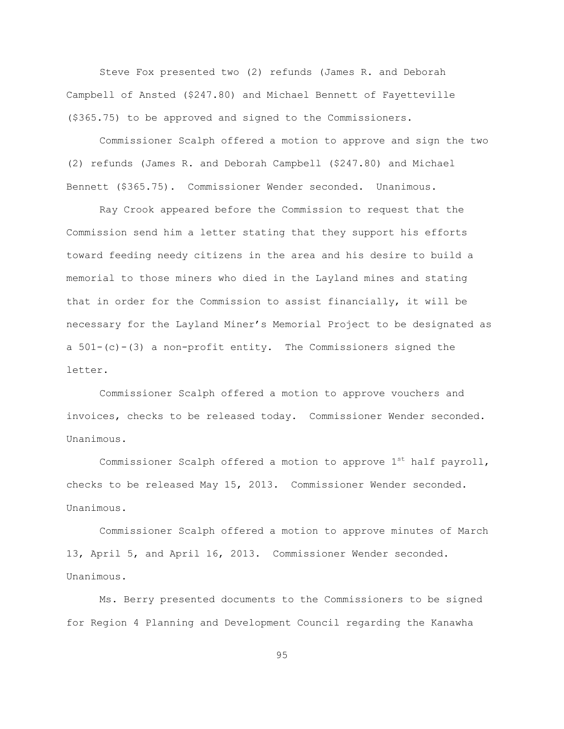Steve Fox presented two (2) refunds (James R. and Deborah Campbell of Ansted (\$247.80) and Michael Bennett of Fayetteville (\$365.75) to be approved and signed to the Commissioners.

Commissioner Scalph offered a motion to approve and sign the two (2) refunds (James R. and Deborah Campbell (\$247.80) and Michael Bennett (\$365.75). Commissioner Wender seconded. Unanimous.

Ray Crook appeared before the Commission to request that the Commission send him a letter stating that they support his efforts toward feeding needy citizens in the area and his desire to build a memorial to those miners who died in the Layland mines and stating that in order for the Commission to assist financially, it will be necessary for the Layland Miner"s Memorial Project to be designated as a  $501-(c)-(3)$  a non-profit entity. The Commissioners signed the letter.

Commissioner Scalph offered a motion to approve vouchers and invoices, checks to be released today. Commissioner Wender seconded. Unanimous.

Commissioner Scalph offered a motion to approve  $1^{st}$  half payroll, checks to be released May 15, 2013. Commissioner Wender seconded. Unanimous.

Commissioner Scalph offered a motion to approve minutes of March 13, April 5, and April 16, 2013. Commissioner Wender seconded. Unanimous.

Ms. Berry presented documents to the Commissioners to be signed for Region 4 Planning and Development Council regarding the Kanawha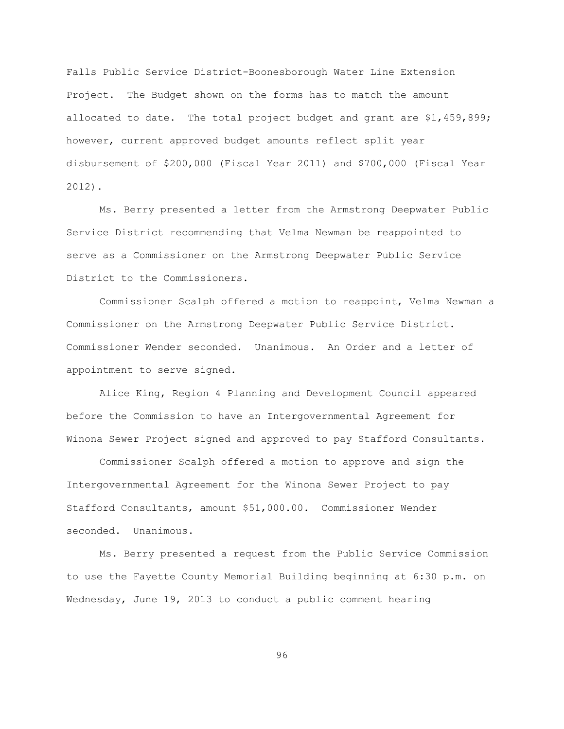Falls Public Service District-Boonesborough Water Line Extension Project. The Budget shown on the forms has to match the amount allocated to date. The total project budget and grant are \$1,459,899; however, current approved budget amounts reflect split year disbursement of \$200,000 (Fiscal Year 2011) and \$700,000 (Fiscal Year 2012).

Ms. Berry presented a letter from the Armstrong Deepwater Public Service District recommending that Velma Newman be reappointed to serve as a Commissioner on the Armstrong Deepwater Public Service District to the Commissioners.

Commissioner Scalph offered a motion to reappoint, Velma Newman a Commissioner on the Armstrong Deepwater Public Service District. Commissioner Wender seconded. Unanimous. An Order and a letter of appointment to serve signed.

Alice King, Region 4 Planning and Development Council appeared before the Commission to have an Intergovernmental Agreement for Winona Sewer Project signed and approved to pay Stafford Consultants.

Commissioner Scalph offered a motion to approve and sign the Intergovernmental Agreement for the Winona Sewer Project to pay Stafford Consultants, amount \$51,000.00. Commissioner Wender seconded. Unanimous.

Ms. Berry presented a request from the Public Service Commission to use the Fayette County Memorial Building beginning at 6:30 p.m. on Wednesday, June 19, 2013 to conduct a public comment hearing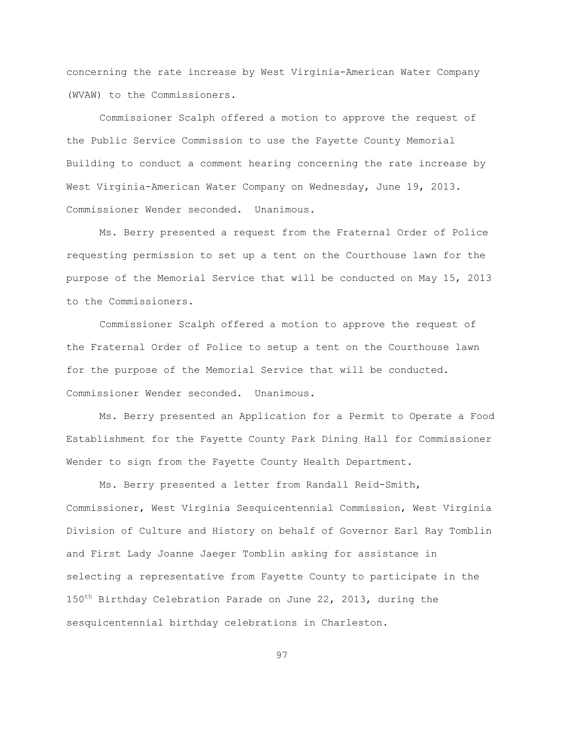concerning the rate increase by West Virginia-American Water Company (WVAW) to the Commissioners.

Commissioner Scalph offered a motion to approve the request of the Public Service Commission to use the Fayette County Memorial Building to conduct a comment hearing concerning the rate increase by West Virginia-American Water Company on Wednesday, June 19, 2013. Commissioner Wender seconded. Unanimous.

Ms. Berry presented a request from the Fraternal Order of Police requesting permission to set up a tent on the Courthouse lawn for the purpose of the Memorial Service that will be conducted on May 15, 2013 to the Commissioners.

Commissioner Scalph offered a motion to approve the request of the Fraternal Order of Police to setup a tent on the Courthouse lawn for the purpose of the Memorial Service that will be conducted. Commissioner Wender seconded. Unanimous.

Ms. Berry presented an Application for a Permit to Operate a Food Establishment for the Fayette County Park Dining Hall for Commissioner Wender to sign from the Fayette County Health Department.

Ms. Berry presented a letter from Randall Reid-Smith, Commissioner, West Virginia Sesquicentennial Commission, West Virginia Division of Culture and History on behalf of Governor Earl Ray Tomblin and First Lady Joanne Jaeger Tomblin asking for assistance in selecting a representative from Fayette County to participate in the 150<sup>th</sup> Birthday Celebration Parade on June 22, 2013, during the sesquicentennial birthday celebrations in Charleston.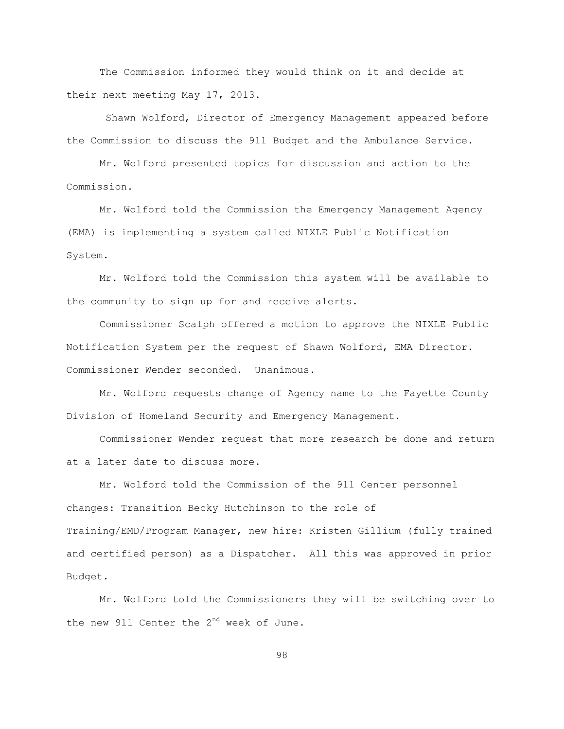The Commission informed they would think on it and decide at their next meeting May 17, 2013.

Shawn Wolford, Director of Emergency Management appeared before the Commission to discuss the 911 Budget and the Ambulance Service.

Mr. Wolford presented topics for discussion and action to the Commission.

Mr. Wolford told the Commission the Emergency Management Agency (EMA) is implementing a system called NIXLE Public Notification System.

Mr. Wolford told the Commission this system will be available to the community to sign up for and receive alerts.

Commissioner Scalph offered a motion to approve the NIXLE Public Notification System per the request of Shawn Wolford, EMA Director. Commissioner Wender seconded. Unanimous.

Mr. Wolford requests change of Agency name to the Fayette County Division of Homeland Security and Emergency Management.

Commissioner Wender request that more research be done and return at a later date to discuss more.

Mr. Wolford told the Commission of the 911 Center personnel changes: Transition Becky Hutchinson to the role of Training/EMD/Program Manager, new hire: Kristen Gillium (fully trained and certified person) as a Dispatcher. All this was approved in prior Budget.

Mr. Wolford told the Commissioners they will be switching over to the new 911 Center the  $2^{nd}$  week of June.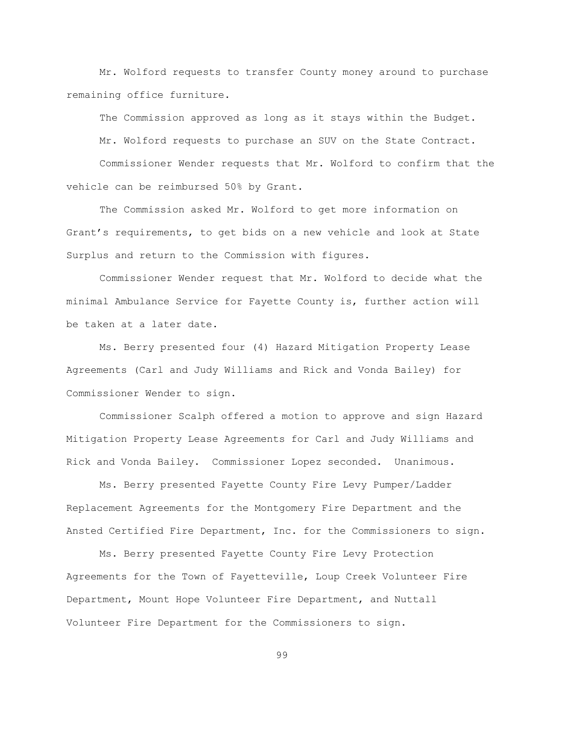Mr. Wolford requests to transfer County money around to purchase remaining office furniture.

The Commission approved as long as it stays within the Budget. Mr. Wolford requests to purchase an SUV on the State Contract. Commissioner Wender requests that Mr. Wolford to confirm that the vehicle can be reimbursed 50% by Grant.

The Commission asked Mr. Wolford to get more information on Grant"s requirements, to get bids on a new vehicle and look at State Surplus and return to the Commission with figures.

Commissioner Wender request that Mr. Wolford to decide what the minimal Ambulance Service for Fayette County is, further action will be taken at a later date.

Ms. Berry presented four (4) Hazard Mitigation Property Lease Agreements (Carl and Judy Williams and Rick and Vonda Bailey) for Commissioner Wender to sign.

Commissioner Scalph offered a motion to approve and sign Hazard Mitigation Property Lease Agreements for Carl and Judy Williams and Rick and Vonda Bailey. Commissioner Lopez seconded. Unanimous.

Ms. Berry presented Fayette County Fire Levy Pumper/Ladder Replacement Agreements for the Montgomery Fire Department and the Ansted Certified Fire Department, Inc. for the Commissioners to sign.

Ms. Berry presented Fayette County Fire Levy Protection Agreements for the Town of Fayetteville, Loup Creek Volunteer Fire Department, Mount Hope Volunteer Fire Department, and Nuttall Volunteer Fire Department for the Commissioners to sign.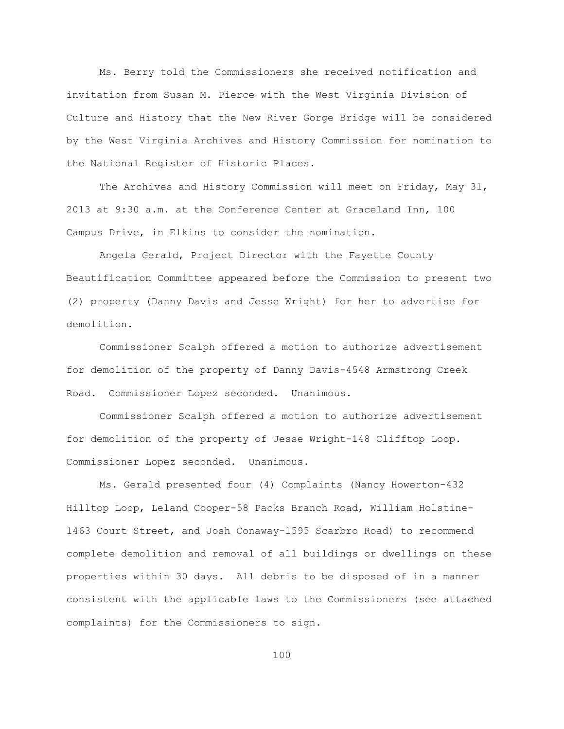Ms. Berry told the Commissioners she received notification and invitation from Susan M. Pierce with the West Virginia Division of Culture and History that the New River Gorge Bridge will be considered by the West Virginia Archives and History Commission for nomination to the National Register of Historic Places.

The Archives and History Commission will meet on Friday, May 31, 2013 at 9:30 a.m. at the Conference Center at Graceland Inn, 100 Campus Drive, in Elkins to consider the nomination.

Angela Gerald, Project Director with the Fayette County Beautification Committee appeared before the Commission to present two (2) property (Danny Davis and Jesse Wright) for her to advertise for demolition.

Commissioner Scalph offered a motion to authorize advertisement for demolition of the property of Danny Davis-4548 Armstrong Creek Road. Commissioner Lopez seconded. Unanimous.

Commissioner Scalph offered a motion to authorize advertisement for demolition of the property of Jesse Wright-148 Clifftop Loop. Commissioner Lopez seconded. Unanimous.

Ms. Gerald presented four (4) Complaints (Nancy Howerton-432 Hilltop Loop, Leland Cooper-58 Packs Branch Road, William Holstine-1463 Court Street, and Josh Conaway-1595 Scarbro Road) to recommend complete demolition and removal of all buildings or dwellings on these properties within 30 days. All debris to be disposed of in a manner consistent with the applicable laws to the Commissioners (see attached complaints) for the Commissioners to sign.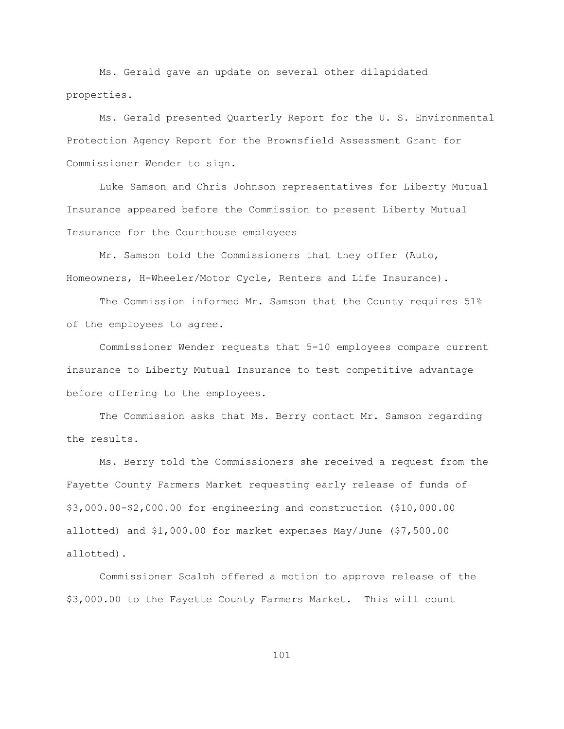Ms. Gerald gave an update on several other dilapidated properties.

Ms. Gerald presented Quarterly Report for the U. S. Environmental Protection Agency Report for the Brownsfield Assessment Grant for Commissioner Wender to sign.

Luke Samson and Chris Johnson representatives for Liberty Mutual Insurance appeared before the Commission to present Liberty Mutual Insurance for the Courthouse employees

Mr. Samson told the Commissioners that they offer (Auto, Homeowners, H-Wheeler/Motor Cycle, Renters and Life Insurance).

The Commission informed Mr. Samson that the County requires 51% of the employees to agree.

Commissioner Wender requests that 5-10 employees compare current insurance to Liberty Mutual Insurance to test competitive advantage before offering to the employees.

The Commission asks that Ms. Berry contact Mr. Samson regarding the results.

Ms. Berry told the Commissioners she received a request from the Fayette County Farmers Market requesting early release of funds of \$3,000.00-\$2,000.00 for engineering and construction (\$10,000.00 allotted) and \$1,000.00 for market expenses May/June (\$7,500.00 allotted).

Commissioner Scalph offered a motion to approve release of the \$3,000.00 to the Fayette County Farmers Market. This will count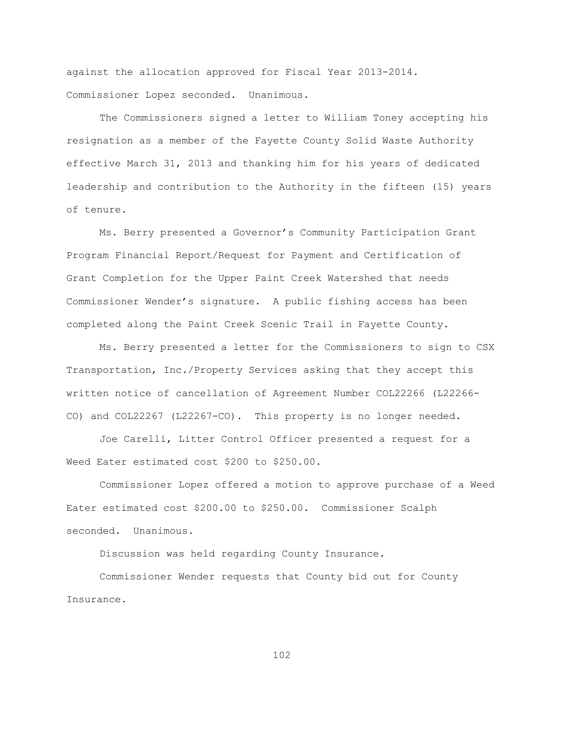against the allocation approved for Fiscal Year 2013-2014. Commissioner Lopez seconded. Unanimous.

The Commissioners signed a letter to William Toney accepting his resignation as a member of the Fayette County Solid Waste Authority effective March 31, 2013 and thanking him for his years of dedicated leadership and contribution to the Authority in the fifteen (15) years of tenure.

Ms. Berry presented a Governor"s Community Participation Grant Program Financial Report/Request for Payment and Certification of Grant Completion for the Upper Paint Creek Watershed that needs Commissioner Wender"s signature. A public fishing access has been completed along the Paint Creek Scenic Trail in Fayette County.

Ms. Berry presented a letter for the Commissioners to sign to CSX Transportation, Inc./Property Services asking that they accept this written notice of cancellation of Agreement Number COL22266 (L22266- CO) and COL22267 (L22267-CO). This property is no longer needed.

Joe Carelli, Litter Control Officer presented a request for a Weed Eater estimated cost \$200 to \$250.00.

Commissioner Lopez offered a motion to approve purchase of a Weed Eater estimated cost \$200.00 to \$250.00. Commissioner Scalph seconded. Unanimous.

Discussion was held regarding County Insurance.

Commissioner Wender requests that County bid out for County Insurance.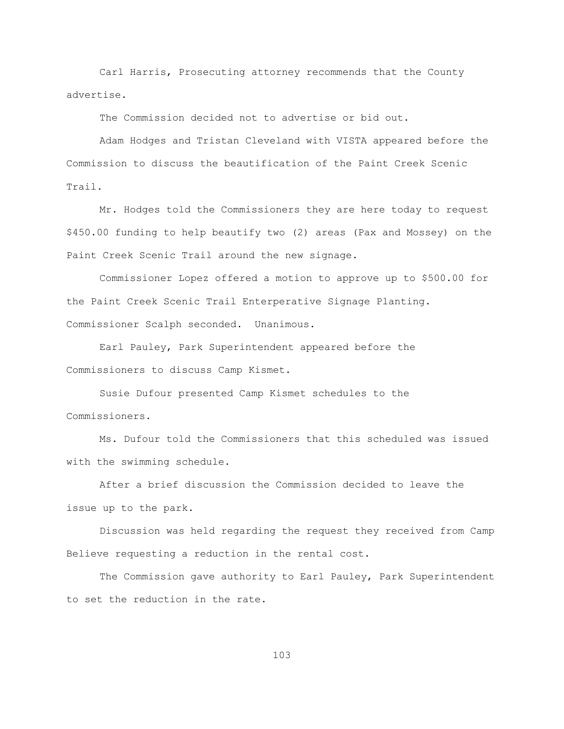Carl Harris, Prosecuting attorney recommends that the County advertise.

The Commission decided not to advertise or bid out.

Adam Hodges and Tristan Cleveland with VISTA appeared before the Commission to discuss the beautification of the Paint Creek Scenic Trail.

Mr. Hodges told the Commissioners they are here today to request \$450.00 funding to help beautify two (2) areas (Pax and Mossey) on the Paint Creek Scenic Trail around the new signage.

Commissioner Lopez offered a motion to approve up to \$500.00 for the Paint Creek Scenic Trail Enterperative Signage Planting. Commissioner Scalph seconded. Unanimous.

Earl Pauley, Park Superintendent appeared before the Commissioners to discuss Camp Kismet.

Susie Dufour presented Camp Kismet schedules to the Commissioners.

 Ms. Dufour told the Commissioners that this scheduled was issued with the swimming schedule.

After a brief discussion the Commission decided to leave the issue up to the park.

Discussion was held regarding the request they received from Camp Believe requesting a reduction in the rental cost.

The Commission gave authority to Earl Pauley, Park Superintendent to set the reduction in the rate.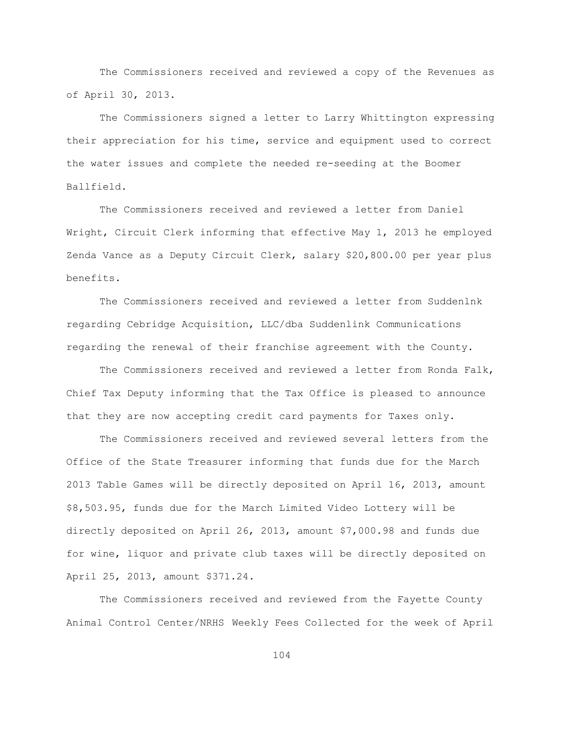The Commissioners received and reviewed a copy of the Revenues as of April 30, 2013.

The Commissioners signed a letter to Larry Whittington expressing their appreciation for his time, service and equipment used to correct the water issues and complete the needed re-seeding at the Boomer Ballfield.

The Commissioners received and reviewed a letter from Daniel Wright, Circuit Clerk informing that effective May 1, 2013 he employed Zenda Vance as a Deputy Circuit Clerk, salary \$20,800.00 per year plus benefits.

The Commissioners received and reviewed a letter from Suddenlnk regarding Cebridge Acquisition, LLC/dba Suddenlink Communications regarding the renewal of their franchise agreement with the County.

The Commissioners received and reviewed a letter from Ronda Falk, Chief Tax Deputy informing that the Tax Office is pleased to announce that they are now accepting credit card payments for Taxes only.

The Commissioners received and reviewed several letters from the Office of the State Treasurer informing that funds due for the March 2013 Table Games will be directly deposited on April 16, 2013, amount \$8,503.95, funds due for the March Limited Video Lottery will be directly deposited on April 26, 2013, amount \$7,000.98 and funds due for wine, liquor and private club taxes will be directly deposited on April 25, 2013, amount \$371.24.

The Commissioners received and reviewed from the Fayette County Animal Control Center/NRHS Weekly Fees Collected for the week of April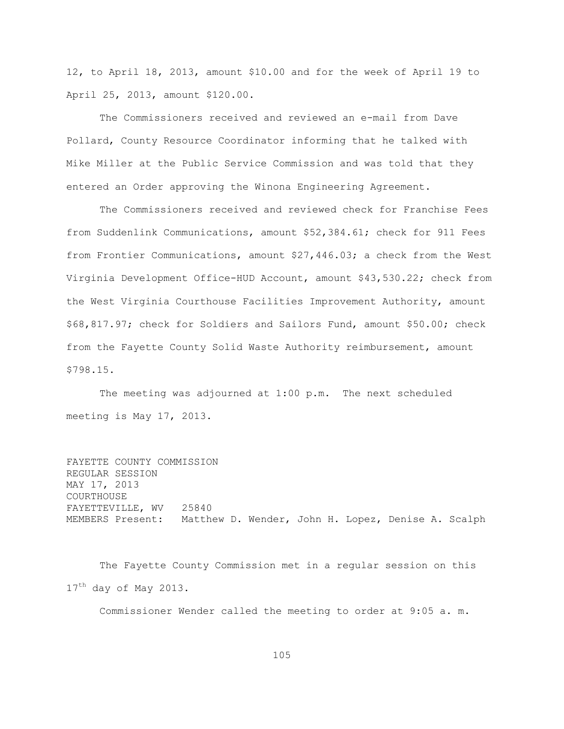12, to April 18, 2013, amount \$10.00 and for the week of April 19 to April 25, 2013, amount \$120.00.

The Commissioners received and reviewed an e-mail from Dave Pollard, County Resource Coordinator informing that he talked with Mike Miller at the Public Service Commission and was told that they entered an Order approving the Winona Engineering Agreement.

The Commissioners received and reviewed check for Franchise Fees from Suddenlink Communications, amount \$52,384.61; check for 911 Fees from Frontier Communications, amount \$27,446.03; a check from the West Virginia Development Office-HUD Account, amount \$43,530.22; check from the West Virginia Courthouse Facilities Improvement Authority, amount \$68,817.97; check for Soldiers and Sailors Fund, amount \$50.00; check from the Fayette County Solid Waste Authority reimbursement, amount \$798.15.

The meeting was adjourned at 1:00 p.m. The next scheduled meeting is May 17, 2013.

FAYETTE COUNTY COMMISSION REGULAR SESSION MAY 17, 2013 COURTHOUSE FAYETTEVILLE, WV 25840 MEMBERS Present: Matthew D. Wender, John H. Lopez, Denise A. Scalph

The Fayette County Commission met in a regular session on this 17<sup>th</sup> day of May 2013.

Commissioner Wender called the meeting to order at 9:05 a. m.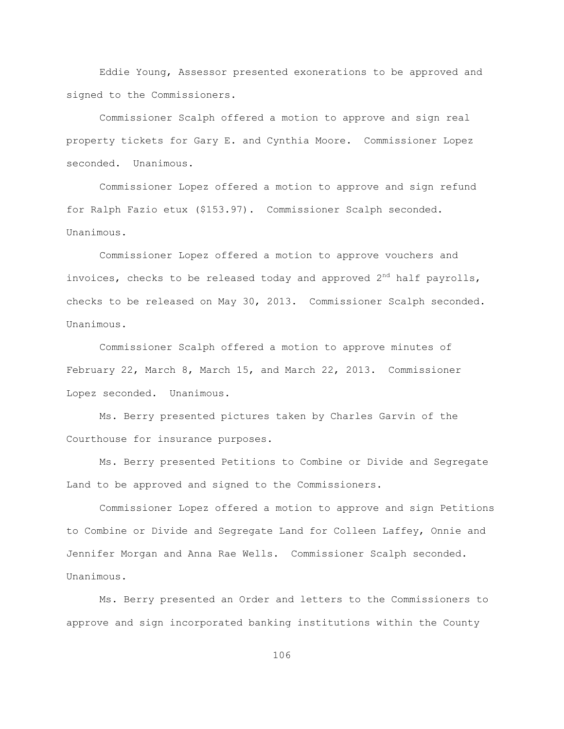Eddie Young, Assessor presented exonerations to be approved and signed to the Commissioners.

Commissioner Scalph offered a motion to approve and sign real property tickets for Gary E. and Cynthia Moore. Commissioner Lopez seconded. Unanimous.

Commissioner Lopez offered a motion to approve and sign refund for Ralph Fazio etux (\$153.97). Commissioner Scalph seconded. Unanimous.

Commissioner Lopez offered a motion to approve vouchers and invoices, checks to be released today and approved  $2<sup>nd</sup>$  half payrolls, checks to be released on May 30, 2013. Commissioner Scalph seconded. Unanimous.

Commissioner Scalph offered a motion to approve minutes of February 22, March 8, March 15, and March 22, 2013. Commissioner Lopez seconded. Unanimous.

Ms. Berry presented pictures taken by Charles Garvin of the Courthouse for insurance purposes.

Ms. Berry presented Petitions to Combine or Divide and Segregate Land to be approved and signed to the Commissioners.

Commissioner Lopez offered a motion to approve and sign Petitions to Combine or Divide and Segregate Land for Colleen Laffey, Onnie and Jennifer Morgan and Anna Rae Wells. Commissioner Scalph seconded. Unanimous.

Ms. Berry presented an Order and letters to the Commissioners to approve and sign incorporated banking institutions within the County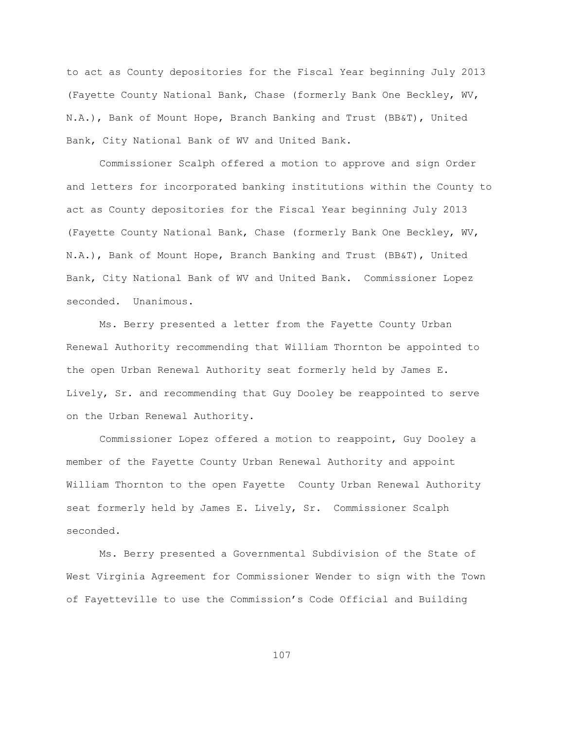to act as County depositories for the Fiscal Year beginning July 2013 (Fayette County National Bank, Chase (formerly Bank One Beckley, WV, N.A.), Bank of Mount Hope, Branch Banking and Trust (BB&T), United Bank, City National Bank of WV and United Bank.

Commissioner Scalph offered a motion to approve and sign Order and letters for incorporated banking institutions within the County to act as County depositories for the Fiscal Year beginning July 2013 (Fayette County National Bank, Chase (formerly Bank One Beckley, WV, N.A.), Bank of Mount Hope, Branch Banking and Trust (BB&T), United Bank, City National Bank of WV and United Bank. Commissioner Lopez seconded. Unanimous.

Ms. Berry presented a letter from the Fayette County Urban Renewal Authority recommending that William Thornton be appointed to the open Urban Renewal Authority seat formerly held by James E. Lively, Sr. and recommending that Guy Dooley be reappointed to serve on the Urban Renewal Authority.

Commissioner Lopez offered a motion to reappoint, Guy Dooley a member of the Fayette County Urban Renewal Authority and appoint William Thornton to the open Fayette County Urban Renewal Authority seat formerly held by James E. Lively, Sr. Commissioner Scalph seconded.

Ms. Berry presented a Governmental Subdivision of the State of West Virginia Agreement for Commissioner Wender to sign with the Town of Fayetteville to use the Commission"s Code Official and Building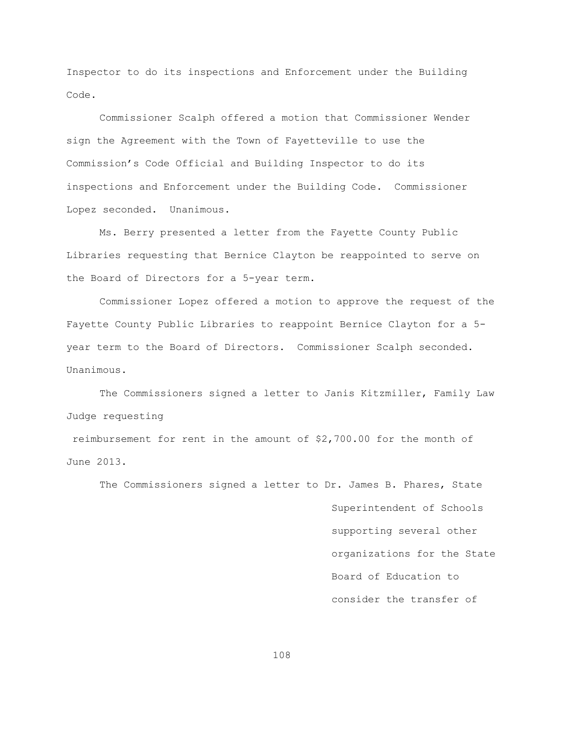Inspector to do its inspections and Enforcement under the Building Code.

Commissioner Scalph offered a motion that Commissioner Wender sign the Agreement with the Town of Fayetteville to use the Commission"s Code Official and Building Inspector to do its inspections and Enforcement under the Building Code. Commissioner Lopez seconded. Unanimous.

Ms. Berry presented a letter from the Fayette County Public Libraries requesting that Bernice Clayton be reappointed to serve on the Board of Directors for a 5-year term.

Commissioner Lopez offered a motion to approve the request of the Fayette County Public Libraries to reappoint Bernice Clayton for a 5 year term to the Board of Directors. Commissioner Scalph seconded. Unanimous.

The Commissioners signed a letter to Janis Kitzmiller, Family Law Judge requesting

reimbursement for rent in the amount of \$2,700.00 for the month of June 2013.

The Commissioners signed a letter to Dr. James B. Phares, State Superintendent of Schools supporting several other organizations for the State Board of Education to consider the transfer of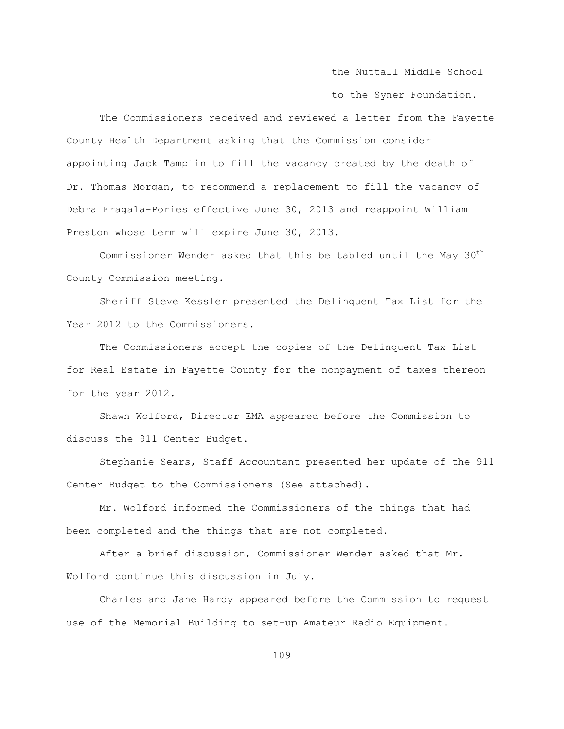the Nuttall Middle School

to the Syner Foundation.

The Commissioners received and reviewed a letter from the Fayette County Health Department asking that the Commission consider appointing Jack Tamplin to fill the vacancy created by the death of Dr. Thomas Morgan, to recommend a replacement to fill the vacancy of Debra Fragala-Pories effective June 30, 2013 and reappoint William Preston whose term will expire June 30, 2013.

Commissioner Wender asked that this be tabled until the May 30<sup>th</sup> County Commission meeting.

Sheriff Steve Kessler presented the Delinquent Tax List for the Year 2012 to the Commissioners.

The Commissioners accept the copies of the Delinquent Tax List for Real Estate in Fayette County for the nonpayment of taxes thereon for the year 2012.

Shawn Wolford, Director EMA appeared before the Commission to discuss the 911 Center Budget.

Stephanie Sears, Staff Accountant presented her update of the 911 Center Budget to the Commissioners (See attached).

Mr. Wolford informed the Commissioners of the things that had been completed and the things that are not completed.

After a brief discussion, Commissioner Wender asked that Mr. Wolford continue this discussion in July.

Charles and Jane Hardy appeared before the Commission to request use of the Memorial Building to set-up Amateur Radio Equipment.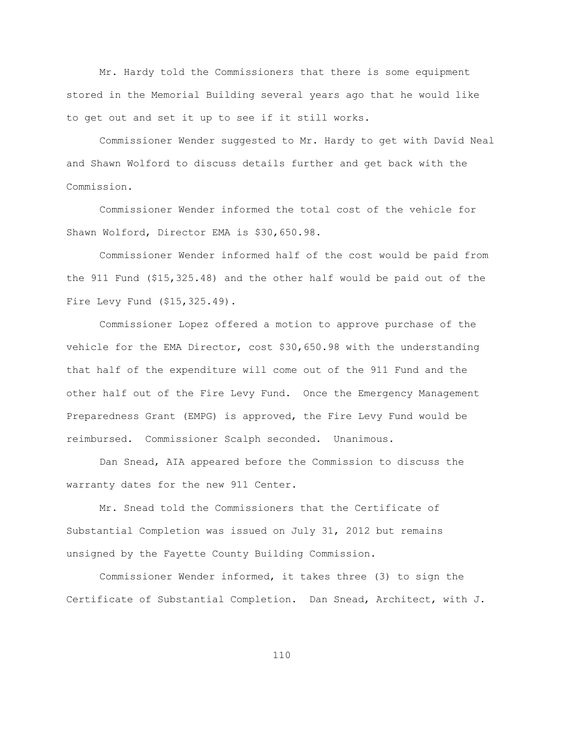Mr. Hardy told the Commissioners that there is some equipment stored in the Memorial Building several years ago that he would like to get out and set it up to see if it still works.

Commissioner Wender suggested to Mr. Hardy to get with David Neal and Shawn Wolford to discuss details further and get back with the Commission.

Commissioner Wender informed the total cost of the vehicle for Shawn Wolford, Director EMA is \$30,650.98.

Commissioner Wender informed half of the cost would be paid from the 911 Fund (\$15,325.48) and the other half would be paid out of the Fire Levy Fund (\$15,325.49).

Commissioner Lopez offered a motion to approve purchase of the vehicle for the EMA Director, cost \$30,650.98 with the understanding that half of the expenditure will come out of the 911 Fund and the other half out of the Fire Levy Fund. Once the Emergency Management Preparedness Grant (EMPG) is approved, the Fire Levy Fund would be reimbursed. Commissioner Scalph seconded. Unanimous.

Dan Snead, AIA appeared before the Commission to discuss the warranty dates for the new 911 Center.

Mr. Snead told the Commissioners that the Certificate of Substantial Completion was issued on July 31, 2012 but remains unsigned by the Fayette County Building Commission.

Commissioner Wender informed, it takes three (3) to sign the Certificate of Substantial Completion. Dan Snead, Architect, with J.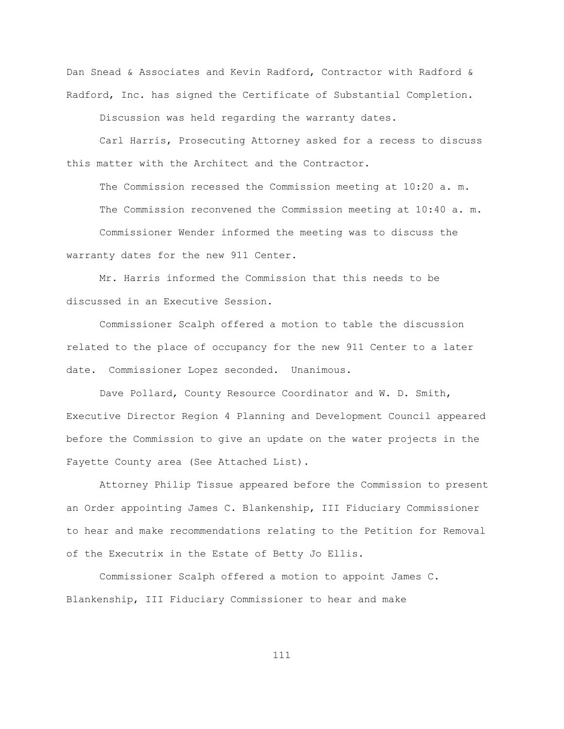Dan Snead & Associates and Kevin Radford, Contractor with Radford & Radford, Inc. has signed the Certificate of Substantial Completion.

Discussion was held regarding the warranty dates.

Carl Harris, Prosecuting Attorney asked for a recess to discuss this matter with the Architect and the Contractor.

The Commission recessed the Commission meeting at 10:20 a. m. The Commission reconvened the Commission meeting at 10:40 a. m. Commissioner Wender informed the meeting was to discuss the warranty dates for the new 911 Center.

Mr. Harris informed the Commission that this needs to be discussed in an Executive Session.

Commissioner Scalph offered a motion to table the discussion related to the place of occupancy for the new 911 Center to a later date. Commissioner Lopez seconded. Unanimous.

Dave Pollard, County Resource Coordinator and W. D. Smith, Executive Director Region 4 Planning and Development Council appeared before the Commission to give an update on the water projects in the Fayette County area (See Attached List).

Attorney Philip Tissue appeared before the Commission to present an Order appointing James C. Blankenship, III Fiduciary Commissioner to hear and make recommendations relating to the Petition for Removal of the Executrix in the Estate of Betty Jo Ellis.

Commissioner Scalph offered a motion to appoint James C. Blankenship, III Fiduciary Commissioner to hear and make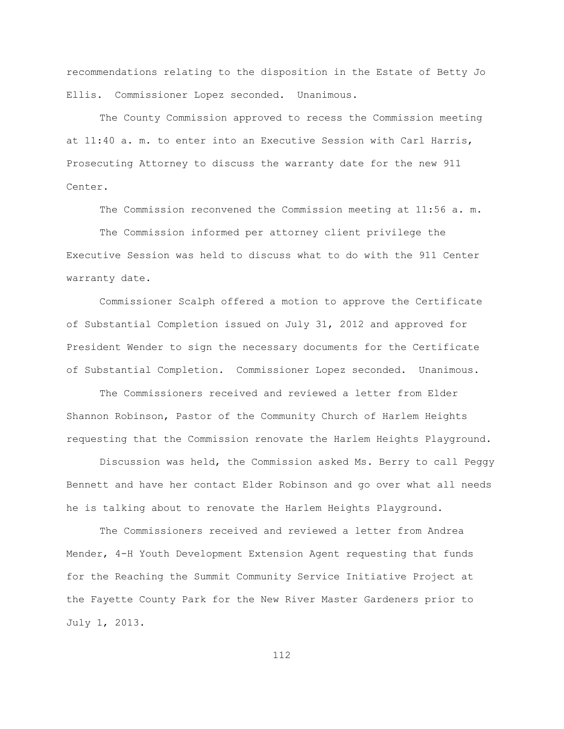recommendations relating to the disposition in the Estate of Betty Jo Ellis. Commissioner Lopez seconded. Unanimous.

The County Commission approved to recess the Commission meeting at 11:40 a. m. to enter into an Executive Session with Carl Harris, Prosecuting Attorney to discuss the warranty date for the new 911 Center.

The Commission reconvened the Commission meeting at 11:56 a. m.

The Commission informed per attorney client privilege the Executive Session was held to discuss what to do with the 911 Center warranty date.

Commissioner Scalph offered a motion to approve the Certificate of Substantial Completion issued on July 31, 2012 and approved for President Wender to sign the necessary documents for the Certificate of Substantial Completion. Commissioner Lopez seconded. Unanimous.

The Commissioners received and reviewed a letter from Elder Shannon Robinson, Pastor of the Community Church of Harlem Heights requesting that the Commission renovate the Harlem Heights Playground.

Discussion was held, the Commission asked Ms. Berry to call Peggy Bennett and have her contact Elder Robinson and go over what all needs he is talking about to renovate the Harlem Heights Playground.

The Commissioners received and reviewed a letter from Andrea Mender, 4-H Youth Development Extension Agent requesting that funds for the Reaching the Summit Community Service Initiative Project at the Fayette County Park for the New River Master Gardeners prior to July 1, 2013.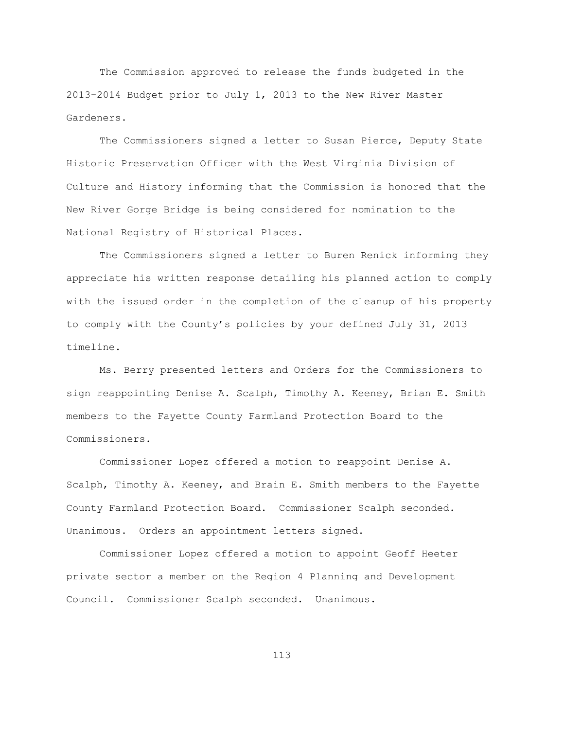The Commission approved to release the funds budgeted in the 2013-2014 Budget prior to July 1, 2013 to the New River Master Gardeners.

The Commissioners signed a letter to Susan Pierce, Deputy State Historic Preservation Officer with the West Virginia Division of Culture and History informing that the Commission is honored that the New River Gorge Bridge is being considered for nomination to the National Registry of Historical Places.

The Commissioners signed a letter to Buren Renick informing they appreciate his written response detailing his planned action to comply with the issued order in the completion of the cleanup of his property to comply with the County"s policies by your defined July 31, 2013 timeline.

Ms. Berry presented letters and Orders for the Commissioners to sign reappointing Denise A. Scalph, Timothy A. Keeney, Brian E. Smith members to the Fayette County Farmland Protection Board to the Commissioners.

Commissioner Lopez offered a motion to reappoint Denise A. Scalph, Timothy A. Keeney, and Brain E. Smith members to the Fayette County Farmland Protection Board. Commissioner Scalph seconded. Unanimous. Orders an appointment letters signed.

Commissioner Lopez offered a motion to appoint Geoff Heeter private sector a member on the Region 4 Planning and Development Council. Commissioner Scalph seconded. Unanimous.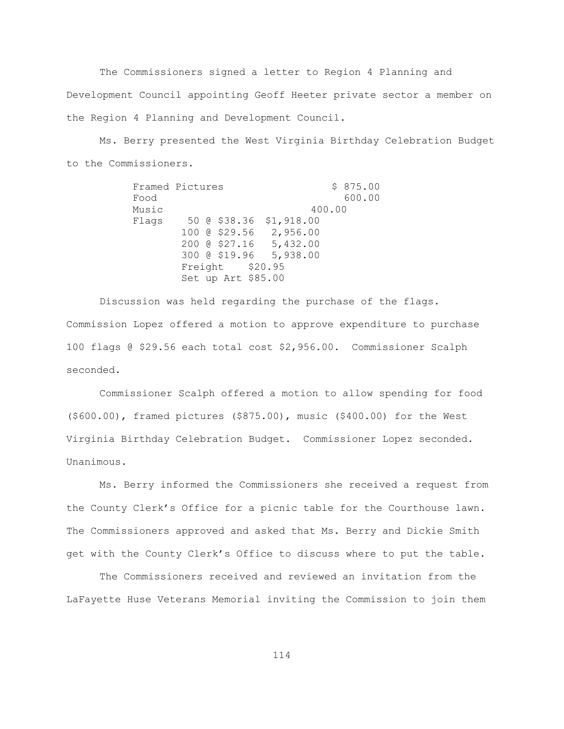The Commissioners signed a letter to Region 4 Planning and Development Council appointing Geoff Heeter private sector a member on the Region 4 Planning and Development Council.

Ms. Berry presented the West Virginia Birthday Celebration Budget to the Commissioners.

> Framed Pictures \$ 875.00 Food 600.00 Music 400.00 Flags 50 @ \$38.36 \$1,918.00 100 @ \$29.56 2,956.00 200 @ \$27.16 5,432.00 300 @ \$19.96 5,938.00 Freight \$20.95 Set up Art \$85.00

Discussion was held regarding the purchase of the flags. Commission Lopez offered a motion to approve expenditure to purchase 100 flags @ \$29.56 each total cost \$2,956.00. Commissioner Scalph seconded.

Commissioner Scalph offered a motion to allow spending for food (\$600.00), framed pictures (\$875.00), music (\$400.00) for the West Virginia Birthday Celebration Budget. Commissioner Lopez seconded. Unanimous.

Ms. Berry informed the Commissioners she received a request from the County Clerk"s Office for a picnic table for the Courthouse lawn. The Commissioners approved and asked that Ms. Berry and Dickie Smith get with the County Clerk"s Office to discuss where to put the table.

The Commissioners received and reviewed an invitation from the LaFayette Huse Veterans Memorial inviting the Commission to join them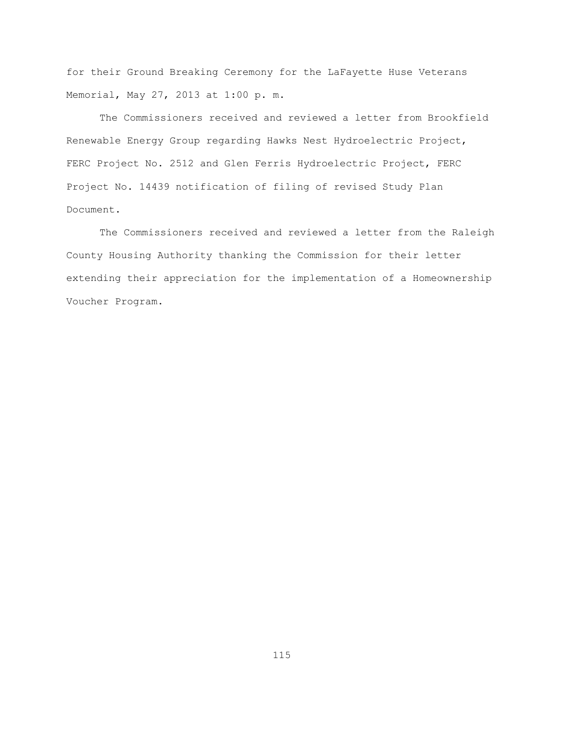for their Ground Breaking Ceremony for the LaFayette Huse Veterans Memorial, May 27, 2013 at 1:00 p. m.

The Commissioners received and reviewed a letter from Brookfield Renewable Energy Group regarding Hawks Nest Hydroelectric Project, FERC Project No. 2512 and Glen Ferris Hydroelectric Project, FERC Project No. 14439 notification of filing of revised Study Plan Document.

The Commissioners received and reviewed a letter from the Raleigh County Housing Authority thanking the Commission for their letter extending their appreciation for the implementation of a Homeownership Voucher Program.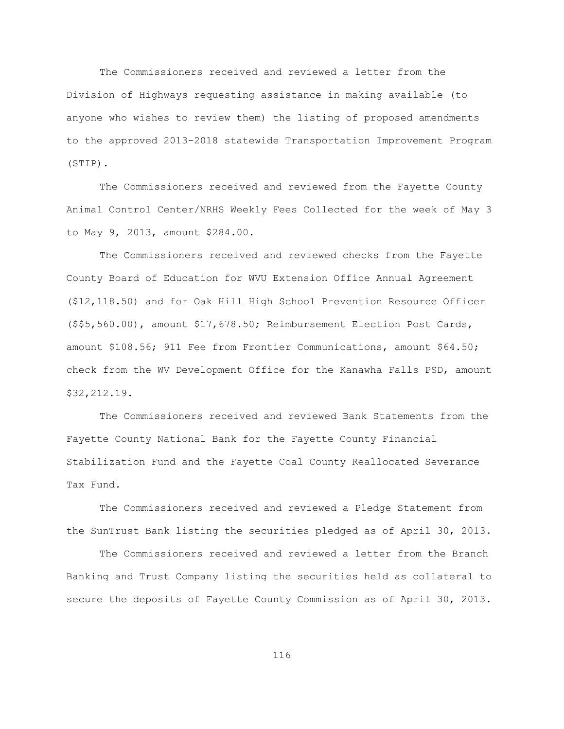The Commissioners received and reviewed a letter from the Division of Highways requesting assistance in making available (to anyone who wishes to review them) the listing of proposed amendments to the approved 2013-2018 statewide Transportation Improvement Program (STIP).

The Commissioners received and reviewed from the Fayette County Animal Control Center/NRHS Weekly Fees Collected for the week of May 3 to May 9, 2013, amount \$284.00.

The Commissioners received and reviewed checks from the Fayette County Board of Education for WVU Extension Office Annual Agreement (\$12,118.50) and for Oak Hill High School Prevention Resource Officer (\$\$5,560.00), amount \$17,678.50; Reimbursement Election Post Cards, amount \$108.56; 911 Fee from Frontier Communications, amount \$64.50; check from the WV Development Office for the Kanawha Falls PSD, amount \$32,212.19.

The Commissioners received and reviewed Bank Statements from the Fayette County National Bank for the Fayette County Financial Stabilization Fund and the Fayette Coal County Reallocated Severance Tax Fund.

The Commissioners received and reviewed a Pledge Statement from the SunTrust Bank listing the securities pledged as of April 30, 2013.

The Commissioners received and reviewed a letter from the Branch Banking and Trust Company listing the securities held as collateral to secure the deposits of Fayette County Commission as of April 30, 2013.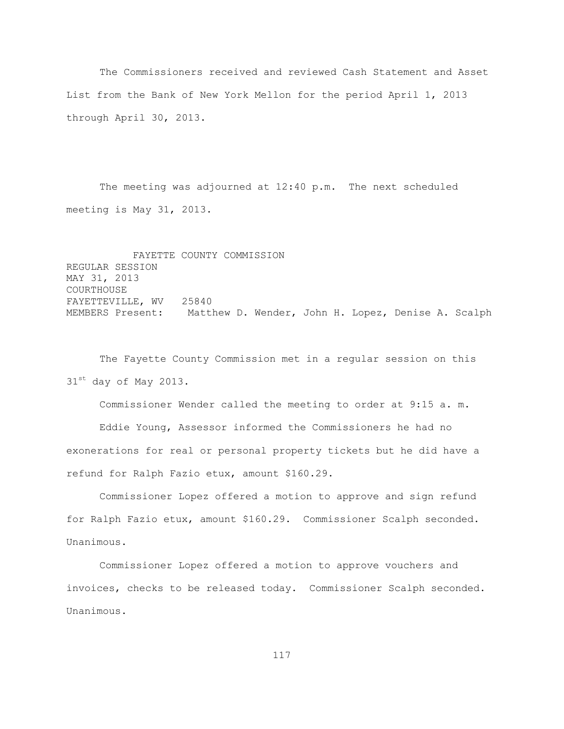The Commissioners received and reviewed Cash Statement and Asset List from the Bank of New York Mellon for the period April 1, 2013 through April 30, 2013.

The meeting was adjourned at 12:40 p.m. The next scheduled meeting is May 31, 2013.

FAYETTE COUNTY COMMISSION REGULAR SESSION MAY 31, 2013 COURTHOUSE FAYETTEVILLE, WV 25840 MEMBERS Present: Matthew D. Wender, John H. Lopez, Denise A. Scalph

The Fayette County Commission met in a regular session on this 31<sup>st</sup> day of May 2013.

Commissioner Wender called the meeting to order at 9:15 a. m.

Eddie Young, Assessor informed the Commissioners he had no exonerations for real or personal property tickets but he did have a refund for Ralph Fazio etux, amount \$160.29.

Commissioner Lopez offered a motion to approve and sign refund for Ralph Fazio etux, amount \$160.29. Commissioner Scalph seconded. Unanimous.

Commissioner Lopez offered a motion to approve vouchers and invoices, checks to be released today. Commissioner Scalph seconded. Unanimous.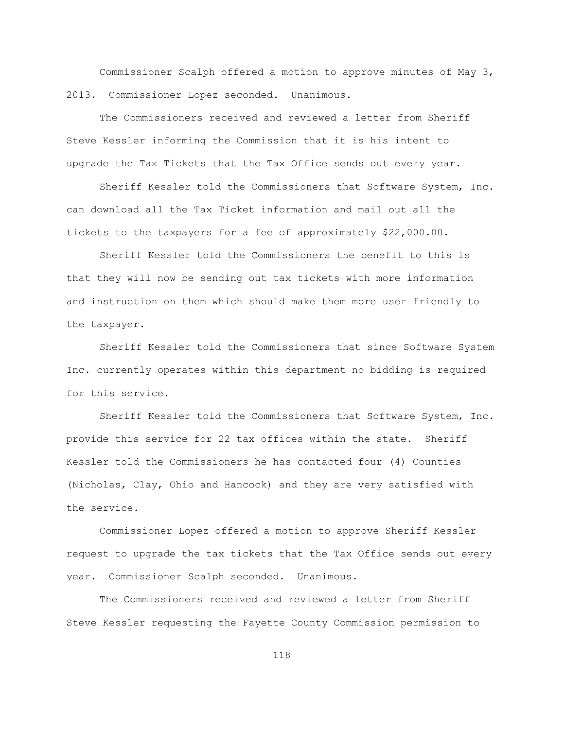Commissioner Scalph offered a motion to approve minutes of May 3, 2013. Commissioner Lopez seconded. Unanimous.

The Commissioners received and reviewed a letter from Sheriff Steve Kessler informing the Commission that it is his intent to upgrade the Tax Tickets that the Tax Office sends out every year.

Sheriff Kessler told the Commissioners that Software System, Inc. can download all the Tax Ticket information and mail out all the tickets to the taxpayers for a fee of approximately \$22,000.00.

Sheriff Kessler told the Commissioners the benefit to this is that they will now be sending out tax tickets with more information and instruction on them which should make them more user friendly to the taxpayer.

Sheriff Kessler told the Commissioners that since Software System Inc. currently operates within this department no bidding is required for this service.

Sheriff Kessler told the Commissioners that Software System, Inc. provide this service for 22 tax offices within the state. Sheriff Kessler told the Commissioners he has contacted four (4) Counties (Nicholas, Clay, Ohio and Hancock) and they are very satisfied with the service.

Commissioner Lopez offered a motion to approve Sheriff Kessler request to upgrade the tax tickets that the Tax Office sends out every year. Commissioner Scalph seconded. Unanimous.

The Commissioners received and reviewed a letter from Sheriff Steve Kessler requesting the Fayette County Commission permission to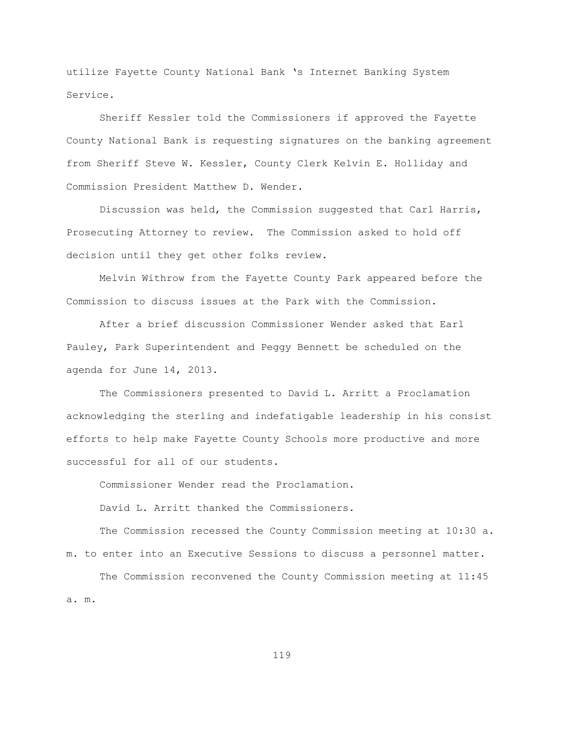utilize Fayette County National Bank "s Internet Banking System Service.

Sheriff Kessler told the Commissioners if approved the Fayette County National Bank is requesting signatures on the banking agreement from Sheriff Steve W. Kessler, County Clerk Kelvin E. Holliday and Commission President Matthew D. Wender.

Discussion was held, the Commission suggested that Carl Harris, Prosecuting Attorney to review. The Commission asked to hold off decision until they get other folks review.

Melvin Withrow from the Fayette County Park appeared before the Commission to discuss issues at the Park with the Commission.

After a brief discussion Commissioner Wender asked that Earl Pauley, Park Superintendent and Peggy Bennett be scheduled on the agenda for June 14, 2013.

The Commissioners presented to David L. Arritt a Proclamation acknowledging the sterling and indefatigable leadership in his consist efforts to help make Fayette County Schools more productive and more successful for all of our students.

Commissioner Wender read the Proclamation.

David L. Arritt thanked the Commissioners.

The Commission recessed the County Commission meeting at 10:30 a. m. to enter into an Executive Sessions to discuss a personnel matter.

The Commission reconvened the County Commission meeting at 11:45 a. m.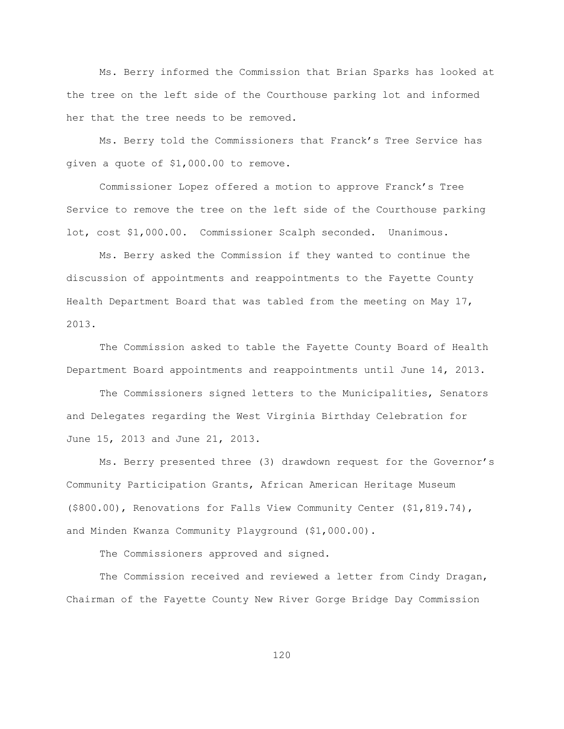Ms. Berry informed the Commission that Brian Sparks has looked at the tree on the left side of the Courthouse parking lot and informed her that the tree needs to be removed.

Ms. Berry told the Commissioners that Franck"s Tree Service has given a quote of \$1,000.00 to remove.

Commissioner Lopez offered a motion to approve Franck"s Tree Service to remove the tree on the left side of the Courthouse parking lot, cost \$1,000.00. Commissioner Scalph seconded. Unanimous.

Ms. Berry asked the Commission if they wanted to continue the discussion of appointments and reappointments to the Fayette County Health Department Board that was tabled from the meeting on May 17, 2013.

The Commission asked to table the Fayette County Board of Health Department Board appointments and reappointments until June 14, 2013.

The Commissioners signed letters to the Municipalities, Senators and Delegates regarding the West Virginia Birthday Celebration for June 15, 2013 and June 21, 2013.

Ms. Berry presented three (3) drawdown request for the Governor"s Community Participation Grants, African American Heritage Museum (\$800.00), Renovations for Falls View Community Center (\$1,819.74), and Minden Kwanza Community Playground (\$1,000.00).

The Commissioners approved and signed.

The Commission received and reviewed a letter from Cindy Dragan, Chairman of the Fayette County New River Gorge Bridge Day Commission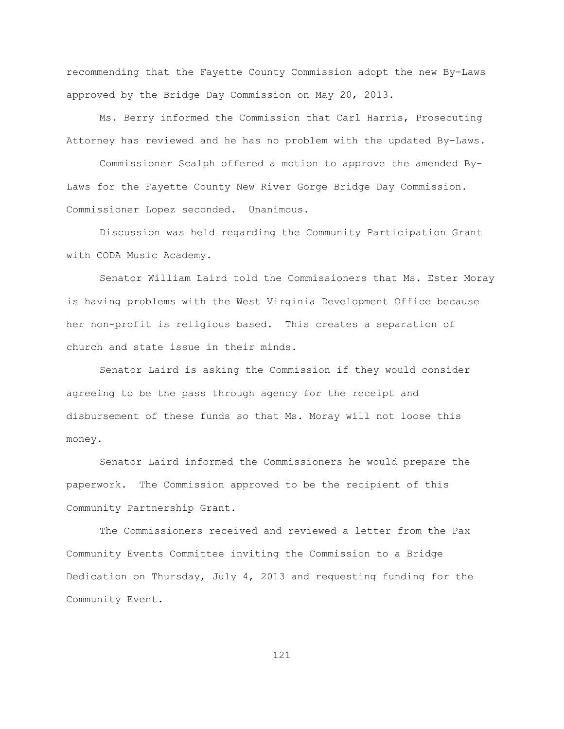recommending that the Fayette County Commission adopt the new By-Laws approved by the Bridge Day Commission on May 20, 2013.

Ms. Berry informed the Commission that Carl Harris, Prosecuting Attorney has reviewed and he has no problem with the updated By-Laws.

Commissioner Scalph offered a motion to approve the amended By-Laws for the Fayette County New River Gorge Bridge Day Commission. Commissioner Lopez seconded. Unanimous.

Discussion was held regarding the Community Participation Grant with CODA Music Academy.

Senator William Laird told the Commissioners that Ms. Ester Moray is having problems with the West Virginia Development Office because her non-profit is religious based. This creates a separation of church and state issue in their minds.

Senator Laird is asking the Commission if they would consider agreeing to be the pass through agency for the receipt and disbursement of these funds so that Ms. Moray will not loose this money.

Senator Laird informed the Commissioners he would prepare the paperwork. The Commission approved to be the recipient of this Community Partnership Grant.

The Commissioners received and reviewed a letter from the Pax Community Events Committee inviting the Commission to a Bridge Dedication on Thursday, July 4, 2013 and requesting funding for the Community Event.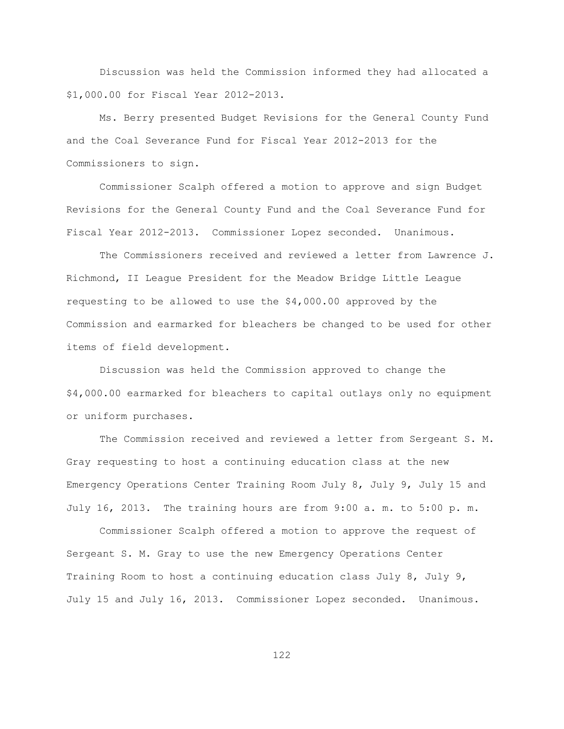Discussion was held the Commission informed they had allocated a \$1,000.00 for Fiscal Year 2012-2013.

Ms. Berry presented Budget Revisions for the General County Fund and the Coal Severance Fund for Fiscal Year 2012-2013 for the Commissioners to sign.

Commissioner Scalph offered a motion to approve and sign Budget Revisions for the General County Fund and the Coal Severance Fund for Fiscal Year 2012-2013. Commissioner Lopez seconded. Unanimous.

The Commissioners received and reviewed a letter from Lawrence J. Richmond, II League President for the Meadow Bridge Little League requesting to be allowed to use the \$4,000.00 approved by the Commission and earmarked for bleachers be changed to be used for other items of field development.

Discussion was held the Commission approved to change the \$4,000.00 earmarked for bleachers to capital outlays only no equipment or uniform purchases.

The Commission received and reviewed a letter from Sergeant S. M. Gray requesting to host a continuing education class at the new Emergency Operations Center Training Room July 8, July 9, July 15 and July 16, 2013. The training hours are from 9:00 a. m. to 5:00 p. m.

Commissioner Scalph offered a motion to approve the request of Sergeant S. M. Gray to use the new Emergency Operations Center Training Room to host a continuing education class July 8, July 9, July 15 and July 16, 2013. Commissioner Lopez seconded. Unanimous.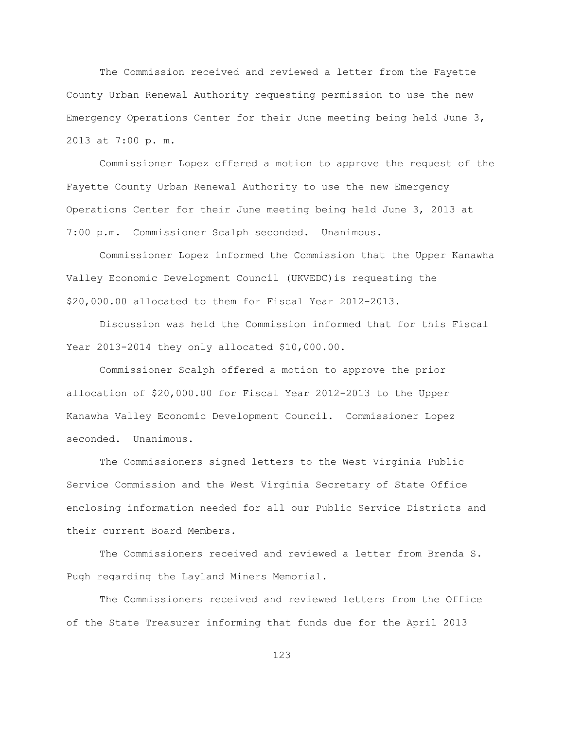The Commission received and reviewed a letter from the Fayette County Urban Renewal Authority requesting permission to use the new Emergency Operations Center for their June meeting being held June 3, 2013 at 7:00 p. m.

Commissioner Lopez offered a motion to approve the request of the Fayette County Urban Renewal Authority to use the new Emergency Operations Center for their June meeting being held June 3, 2013 at 7:00 p.m. Commissioner Scalph seconded. Unanimous.

Commissioner Lopez informed the Commission that the Upper Kanawha Valley Economic Development Council (UKVEDC)is requesting the \$20,000.00 allocated to them for Fiscal Year 2012-2013.

Discussion was held the Commission informed that for this Fiscal Year 2013-2014 they only allocated \$10,000.00.

Commissioner Scalph offered a motion to approve the prior allocation of \$20,000.00 for Fiscal Year 2012-2013 to the Upper Kanawha Valley Economic Development Council. Commissioner Lopez seconded. Unanimous.

The Commissioners signed letters to the West Virginia Public Service Commission and the West Virginia Secretary of State Office enclosing information needed for all our Public Service Districts and their current Board Members.

The Commissioners received and reviewed a letter from Brenda S. Pugh regarding the Layland Miners Memorial.

The Commissioners received and reviewed letters from the Office of the State Treasurer informing that funds due for the April 2013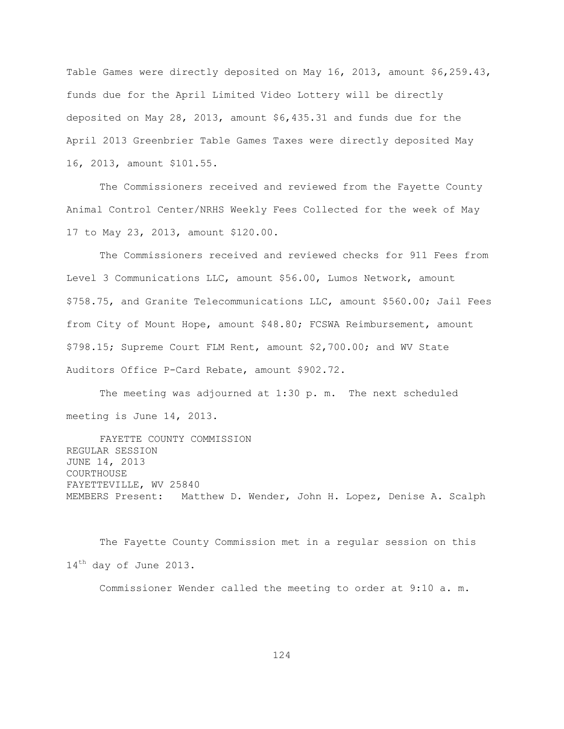Table Games were directly deposited on May 16, 2013, amount \$6,259.43, funds due for the April Limited Video Lottery will be directly deposited on May 28, 2013, amount \$6,435.31 and funds due for the April 2013 Greenbrier Table Games Taxes were directly deposited May 16, 2013, amount \$101.55.

The Commissioners received and reviewed from the Fayette County Animal Control Center/NRHS Weekly Fees Collected for the week of May 17 to May 23, 2013, amount \$120.00.

The Commissioners received and reviewed checks for 911 Fees from Level 3 Communications LLC, amount \$56.00, Lumos Network, amount \$758.75, and Granite Telecommunications LLC, amount \$560.00; Jail Fees from City of Mount Hope, amount \$48.80; FCSWA Reimbursement, amount \$798.15; Supreme Court FLM Rent, amount \$2,700.00; and WV State Auditors Office P-Card Rebate, amount \$902.72.

The meeting was adjourned at 1:30 p. m. The next scheduled meeting is June 14, 2013.

FAYETTE COUNTY COMMISSION REGULAR SESSION JUNE 14, 2013 COURTHOUSE FAYETTEVILLE, WV 25840 MEMBERS Present: Matthew D. Wender, John H. Lopez, Denise A. Scalph

The Fayette County Commission met in a regular session on this 14<sup>th</sup> day of June 2013.

Commissioner Wender called the meeting to order at 9:10 a. m.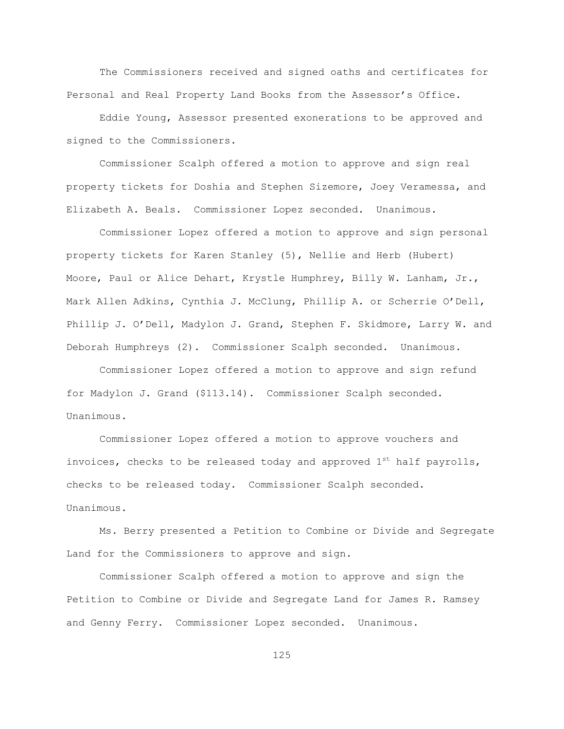The Commissioners received and signed oaths and certificates for Personal and Real Property Land Books from the Assessor"s Office.

Eddie Young, Assessor presented exonerations to be approved and signed to the Commissioners.

Commissioner Scalph offered a motion to approve and sign real property tickets for Doshia and Stephen Sizemore, Joey Veramessa, and Elizabeth A. Beals. Commissioner Lopez seconded. Unanimous.

Commissioner Lopez offered a motion to approve and sign personal property tickets for Karen Stanley (5), Nellie and Herb (Hubert) Moore, Paul or Alice Dehart, Krystle Humphrey, Billy W. Lanham, Jr., Mark Allen Adkins, Cynthia J. McClung, Phillip A. or Scherrie O'Dell, Phillip J. O"Dell, Madylon J. Grand, Stephen F. Skidmore, Larry W. and Deborah Humphreys (2). Commissioner Scalph seconded. Unanimous.

Commissioner Lopez offered a motion to approve and sign refund for Madylon J. Grand (\$113.14). Commissioner Scalph seconded. Unanimous.

Commissioner Lopez offered a motion to approve vouchers and invoices, checks to be released today and approved  $1^{st}$  half payrolls, checks to be released today. Commissioner Scalph seconded. Unanimous.

Ms. Berry presented a Petition to Combine or Divide and Segregate Land for the Commissioners to approve and sign.

Commissioner Scalph offered a motion to approve and sign the Petition to Combine or Divide and Segregate Land for James R. Ramsey and Genny Ferry. Commissioner Lopez seconded. Unanimous.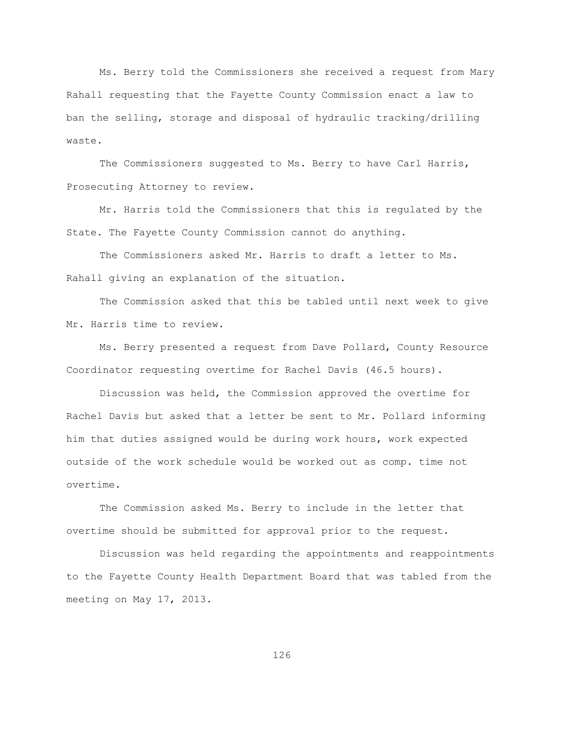Ms. Berry told the Commissioners she received a request from Mary Rahall requesting that the Fayette County Commission enact a law to ban the selling, storage and disposal of hydraulic tracking/drilling waste.

The Commissioners suggested to Ms. Berry to have Carl Harris, Prosecuting Attorney to review.

Mr. Harris told the Commissioners that this is regulated by the State. The Fayette County Commission cannot do anything.

The Commissioners asked Mr. Harris to draft a letter to Ms. Rahall giving an explanation of the situation.

The Commission asked that this be tabled until next week to give Mr. Harris time to review.

Ms. Berry presented a request from Dave Pollard, County Resource Coordinator requesting overtime for Rachel Davis (46.5 hours).

Discussion was held, the Commission approved the overtime for Rachel Davis but asked that a letter be sent to Mr. Pollard informing him that duties assigned would be during work hours, work expected outside of the work schedule would be worked out as comp. time not overtime.

The Commission asked Ms. Berry to include in the letter that overtime should be submitted for approval prior to the request.

Discussion was held regarding the appointments and reappointments to the Fayette County Health Department Board that was tabled from the meeting on May 17, 2013.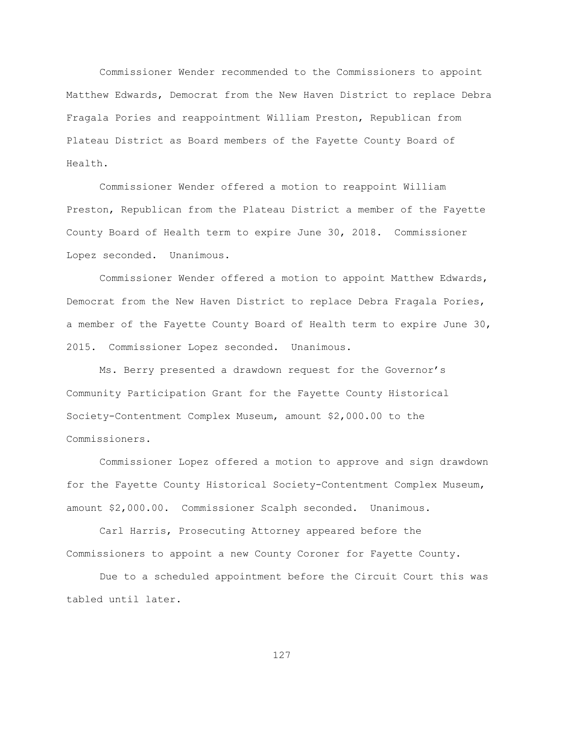Commissioner Wender recommended to the Commissioners to appoint Matthew Edwards, Democrat from the New Haven District to replace Debra Fragala Pories and reappointment William Preston, Republican from Plateau District as Board members of the Fayette County Board of Health.

Commissioner Wender offered a motion to reappoint William Preston, Republican from the Plateau District a member of the Fayette County Board of Health term to expire June 30, 2018. Commissioner Lopez seconded. Unanimous.

Commissioner Wender offered a motion to appoint Matthew Edwards, Democrat from the New Haven District to replace Debra Fragala Pories, a member of the Fayette County Board of Health term to expire June 30, 2015. Commissioner Lopez seconded. Unanimous.

Ms. Berry presented a drawdown request for the Governor"s Community Participation Grant for the Fayette County Historical Society-Contentment Complex Museum, amount \$2,000.00 to the Commissioners.

Commissioner Lopez offered a motion to approve and sign drawdown for the Fayette County Historical Society-Contentment Complex Museum, amount \$2,000.00. Commissioner Scalph seconded. Unanimous.

Carl Harris, Prosecuting Attorney appeared before the Commissioners to appoint a new County Coroner for Fayette County.

Due to a scheduled appointment before the Circuit Court this was tabled until later.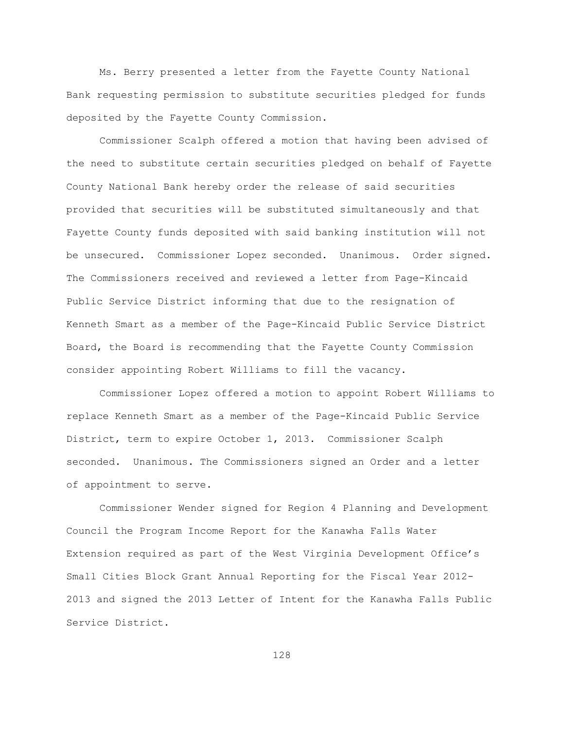Ms. Berry presented a letter from the Fayette County National Bank requesting permission to substitute securities pledged for funds deposited by the Fayette County Commission.

Commissioner Scalph offered a motion that having been advised of the need to substitute certain securities pledged on behalf of Fayette County National Bank hereby order the release of said securities provided that securities will be substituted simultaneously and that Fayette County funds deposited with said banking institution will not be unsecured. Commissioner Lopez seconded. Unanimous. Order signed. The Commissioners received and reviewed a letter from Page-Kincaid Public Service District informing that due to the resignation of Kenneth Smart as a member of the Page-Kincaid Public Service District Board, the Board is recommending that the Fayette County Commission consider appointing Robert Williams to fill the vacancy.

Commissioner Lopez offered a motion to appoint Robert Williams to replace Kenneth Smart as a member of the Page-Kincaid Public Service District, term to expire October 1, 2013. Commissioner Scalph seconded. Unanimous. The Commissioners signed an Order and a letter of appointment to serve.

Commissioner Wender signed for Region 4 Planning and Development Council the Program Income Report for the Kanawha Falls Water Extension required as part of the West Virginia Development Office"s Small Cities Block Grant Annual Reporting for the Fiscal Year 2012- 2013 and signed the 2013 Letter of Intent for the Kanawha Falls Public Service District.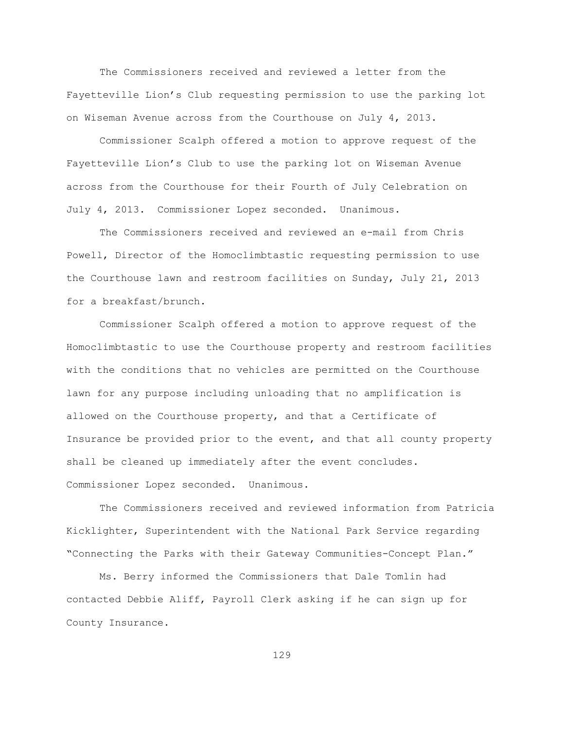The Commissioners received and reviewed a letter from the Fayetteville Lion"s Club requesting permission to use the parking lot on Wiseman Avenue across from the Courthouse on July 4, 2013.

Commissioner Scalph offered a motion to approve request of the Fayetteville Lion"s Club to use the parking lot on Wiseman Avenue across from the Courthouse for their Fourth of July Celebration on July 4, 2013. Commissioner Lopez seconded. Unanimous.

The Commissioners received and reviewed an e-mail from Chris Powell, Director of the Homoclimbtastic requesting permission to use the Courthouse lawn and restroom facilities on Sunday, July 21, 2013 for a breakfast/brunch.

Commissioner Scalph offered a motion to approve request of the Homoclimbtastic to use the Courthouse property and restroom facilities with the conditions that no vehicles are permitted on the Courthouse lawn for any purpose including unloading that no amplification is allowed on the Courthouse property, and that a Certificate of Insurance be provided prior to the event, and that all county property shall be cleaned up immediately after the event concludes. Commissioner Lopez seconded. Unanimous.

The Commissioners received and reviewed information from Patricia Kicklighter, Superintendent with the National Park Service regarding "Connecting the Parks with their Gateway Communities-Concept Plan."

Ms. Berry informed the Commissioners that Dale Tomlin had contacted Debbie Aliff, Payroll Clerk asking if he can sign up for County Insurance.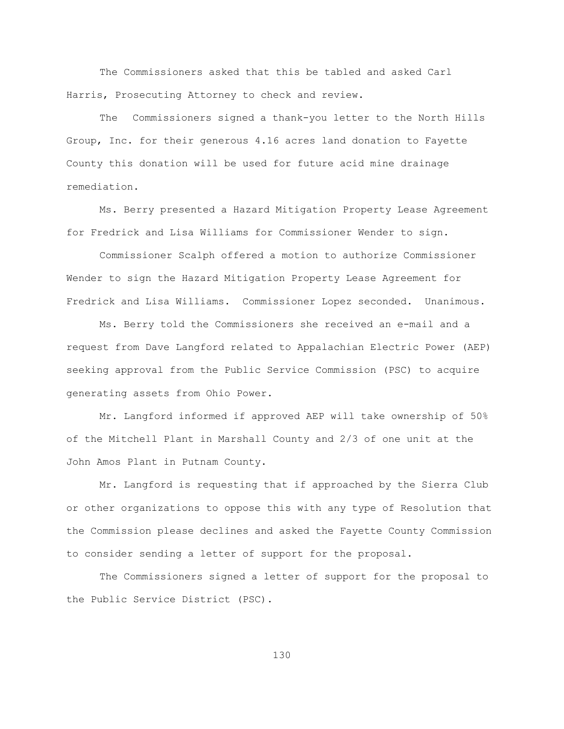The Commissioners asked that this be tabled and asked Carl Harris, Prosecuting Attorney to check and review.

The Commissioners signed a thank-you letter to the North Hills Group, Inc. for their generous 4.16 acres land donation to Fayette County this donation will be used for future acid mine drainage remediation.

Ms. Berry presented a Hazard Mitigation Property Lease Agreement for Fredrick and Lisa Williams for Commissioner Wender to sign.

Commissioner Scalph offered a motion to authorize Commissioner Wender to sign the Hazard Mitigation Property Lease Agreement for Fredrick and Lisa Williams. Commissioner Lopez seconded. Unanimous.

Ms. Berry told the Commissioners she received an e-mail and a request from Dave Langford related to Appalachian Electric Power (AEP) seeking approval from the Public Service Commission (PSC) to acquire generating assets from Ohio Power.

Mr. Langford informed if approved AEP will take ownership of 50% of the Mitchell Plant in Marshall County and 2/3 of one unit at the John Amos Plant in Putnam County.

Mr. Langford is requesting that if approached by the Sierra Club or other organizations to oppose this with any type of Resolution that the Commission please declines and asked the Fayette County Commission to consider sending a letter of support for the proposal.

The Commissioners signed a letter of support for the proposal to the Public Service District (PSC).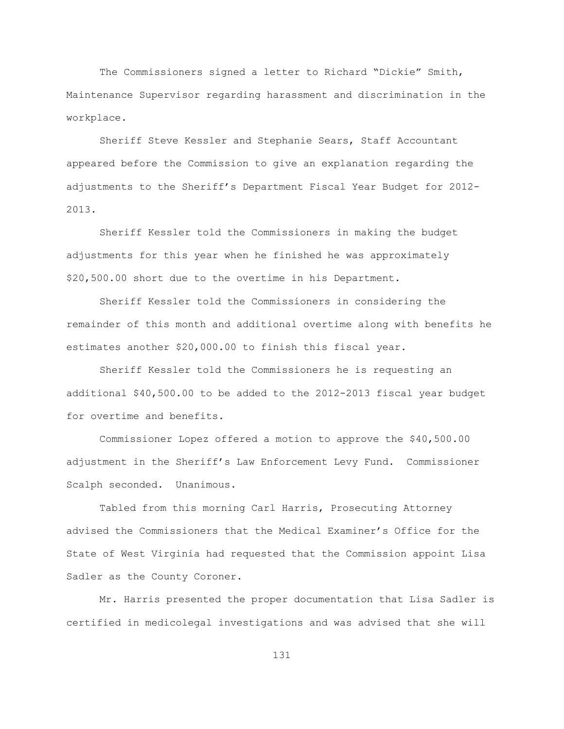The Commissioners signed a letter to Richard "Dickie" Smith, Maintenance Supervisor regarding harassment and discrimination in the workplace.

Sheriff Steve Kessler and Stephanie Sears, Staff Accountant appeared before the Commission to give an explanation regarding the adjustments to the Sheriff"s Department Fiscal Year Budget for 2012- 2013.

Sheriff Kessler told the Commissioners in making the budget adjustments for this year when he finished he was approximately \$20,500.00 short due to the overtime in his Department.

Sheriff Kessler told the Commissioners in considering the remainder of this month and additional overtime along with benefits he estimates another \$20,000.00 to finish this fiscal year.

Sheriff Kessler told the Commissioners he is requesting an additional \$40,500.00 to be added to the 2012-2013 fiscal year budget for overtime and benefits.

Commissioner Lopez offered a motion to approve the \$40,500.00 adjustment in the Sheriff"s Law Enforcement Levy Fund. Commissioner Scalph seconded. Unanimous.

Tabled from this morning Carl Harris, Prosecuting Attorney advised the Commissioners that the Medical Examiner"s Office for the State of West Virginia had requested that the Commission appoint Lisa Sadler as the County Coroner.

Mr. Harris presented the proper documentation that Lisa Sadler is certified in medicolegal investigations and was advised that she will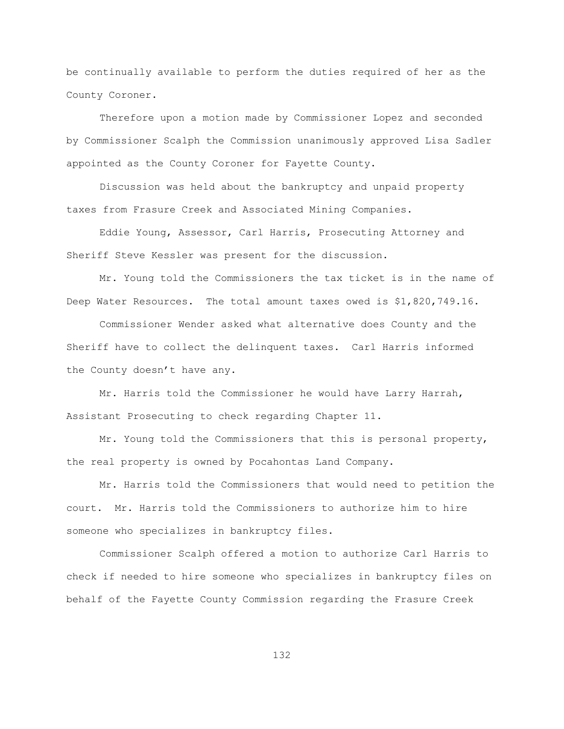be continually available to perform the duties required of her as the County Coroner.

Therefore upon a motion made by Commissioner Lopez and seconded by Commissioner Scalph the Commission unanimously approved Lisa Sadler appointed as the County Coroner for Fayette County.

Discussion was held about the bankruptcy and unpaid property taxes from Frasure Creek and Associated Mining Companies.

Eddie Young, Assessor, Carl Harris, Prosecuting Attorney and Sheriff Steve Kessler was present for the discussion.

Mr. Young told the Commissioners the tax ticket is in the name of Deep Water Resources. The total amount taxes owed is \$1,820,749.16.

Commissioner Wender asked what alternative does County and the Sheriff have to collect the delinquent taxes. Carl Harris informed the County doesn't have any.

Mr. Harris told the Commissioner he would have Larry Harrah, Assistant Prosecuting to check regarding Chapter 11.

Mr. Young told the Commissioners that this is personal property, the real property is owned by Pocahontas Land Company.

Mr. Harris told the Commissioners that would need to petition the court. Mr. Harris told the Commissioners to authorize him to hire someone who specializes in bankruptcy files.

Commissioner Scalph offered a motion to authorize Carl Harris to check if needed to hire someone who specializes in bankruptcy files on behalf of the Fayette County Commission regarding the Frasure Creek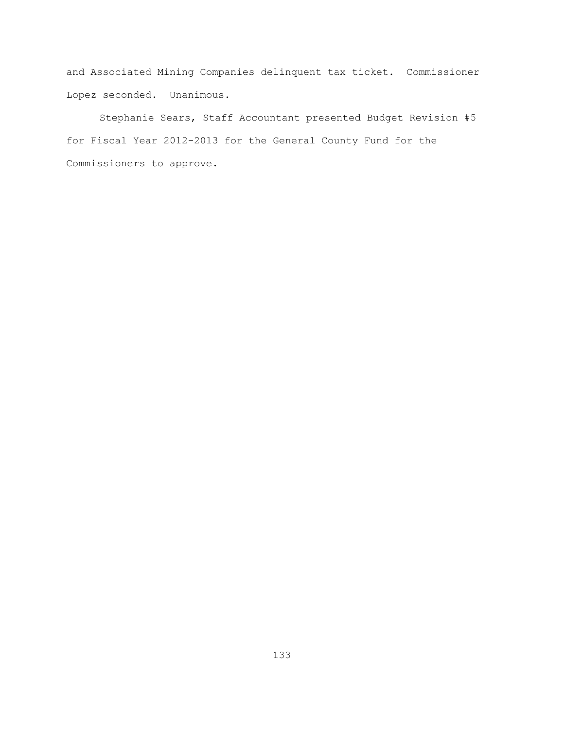and Associated Mining Companies delinquent tax ticket. Commissioner Lopez seconded. Unanimous.

Stephanie Sears, Staff Accountant presented Budget Revision #5 for Fiscal Year 2012-2013 for the General County Fund for the Commissioners to approve.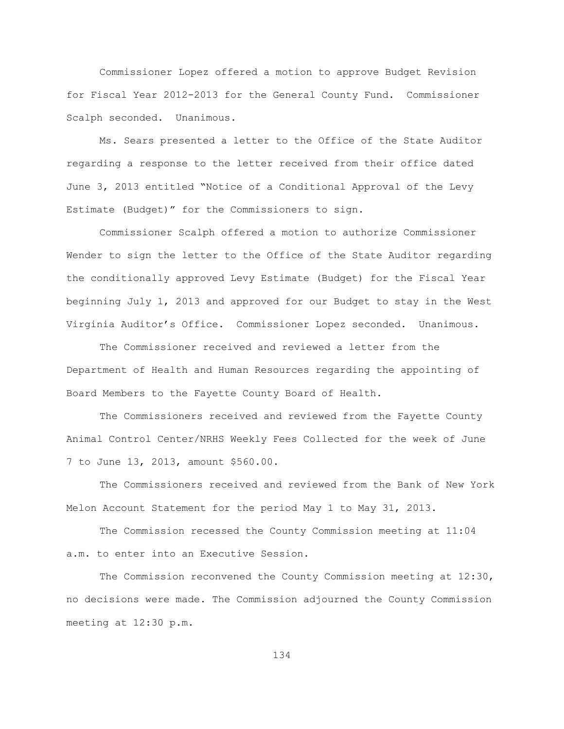Commissioner Lopez offered a motion to approve Budget Revision for Fiscal Year 2012-2013 for the General County Fund. Commissioner Scalph seconded. Unanimous.

Ms. Sears presented a letter to the Office of the State Auditor regarding a response to the letter received from their office dated June 3, 2013 entitled "Notice of a Conditional Approval of the Levy Estimate (Budget)" for the Commissioners to sign.

Commissioner Scalph offered a motion to authorize Commissioner Wender to sign the letter to the Office of the State Auditor regarding the conditionally approved Levy Estimate (Budget) for the Fiscal Year beginning July 1, 2013 and approved for our Budget to stay in the West Virginia Auditor"s Office. Commissioner Lopez seconded. Unanimous.

The Commissioner received and reviewed a letter from the Department of Health and Human Resources regarding the appointing of Board Members to the Fayette County Board of Health.

The Commissioners received and reviewed from the Fayette County Animal Control Center/NRHS Weekly Fees Collected for the week of June 7 to June 13, 2013, amount \$560.00.

The Commissioners received and reviewed from the Bank of New York Melon Account Statement for the period May 1 to May 31, 2013.

The Commission recessed the County Commission meeting at 11:04 a.m. to enter into an Executive Session.

The Commission reconvened the County Commission meeting at 12:30, no decisions were made. The Commission adjourned the County Commission meeting at 12:30 p.m.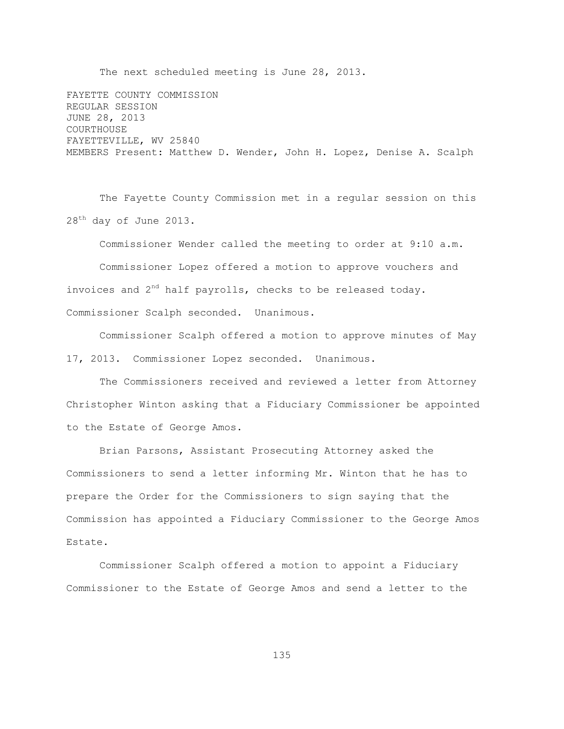The next scheduled meeting is June 28, 2013.

FAYETTE COUNTY COMMISSION REGULAR SESSION JUNE 28, 2013 COURTHOUSE FAYETTEVILLE, WV 25840 MEMBERS Present: Matthew D. Wender, John H. Lopez, Denise A. Scalph

The Fayette County Commission met in a regular session on this 28<sup>th</sup> day of June 2013.

Commissioner Wender called the meeting to order at 9:10 a.m. Commissioner Lopez offered a motion to approve vouchers and invoices and  $2<sup>nd</sup>$  half payrolls, checks to be released today. Commissioner Scalph seconded. Unanimous.

Commissioner Scalph offered a motion to approve minutes of May 17, 2013. Commissioner Lopez seconded. Unanimous.

The Commissioners received and reviewed a letter from Attorney Christopher Winton asking that a Fiduciary Commissioner be appointed to the Estate of George Amos.

Brian Parsons, Assistant Prosecuting Attorney asked the Commissioners to send a letter informing Mr. Winton that he has to prepare the Order for the Commissioners to sign saying that the Commission has appointed a Fiduciary Commissioner to the George Amos Estate.

Commissioner Scalph offered a motion to appoint a Fiduciary Commissioner to the Estate of George Amos and send a letter to the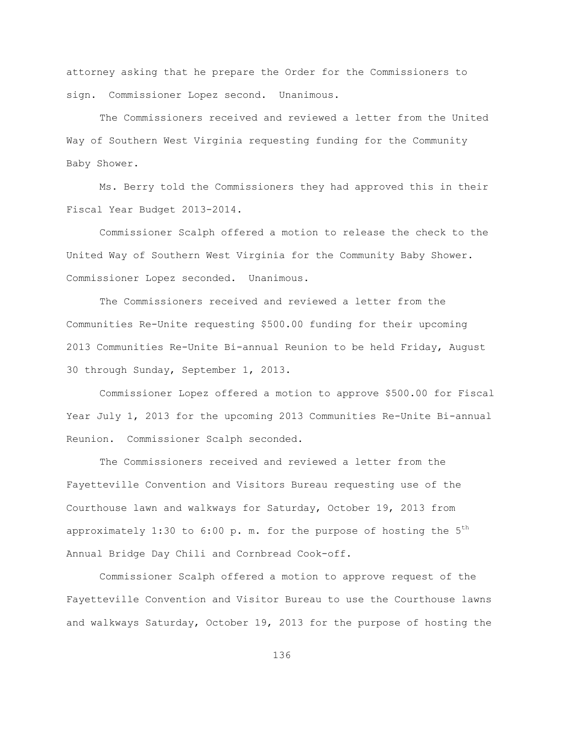attorney asking that he prepare the Order for the Commissioners to sign. Commissioner Lopez second. Unanimous.

The Commissioners received and reviewed a letter from the United Way of Southern West Virginia requesting funding for the Community Baby Shower.

Ms. Berry told the Commissioners they had approved this in their Fiscal Year Budget 2013-2014.

Commissioner Scalph offered a motion to release the check to the United Way of Southern West Virginia for the Community Baby Shower. Commissioner Lopez seconded. Unanimous.

The Commissioners received and reviewed a letter from the Communities Re-Unite requesting \$500.00 funding for their upcoming 2013 Communities Re-Unite Bi-annual Reunion to be held Friday, August 30 through Sunday, September 1, 2013.

Commissioner Lopez offered a motion to approve \$500.00 for Fiscal Year July 1, 2013 for the upcoming 2013 Communities Re-Unite Bi-annual Reunion. Commissioner Scalph seconded.

The Commissioners received and reviewed a letter from the Fayetteville Convention and Visitors Bureau requesting use of the Courthouse lawn and walkways for Saturday, October 19, 2013 from approximately 1:30 to 6:00 p. m. for the purpose of hosting the  $5<sup>th</sup>$ Annual Bridge Day Chili and Cornbread Cook-off.

Commissioner Scalph offered a motion to approve request of the Fayetteville Convention and Visitor Bureau to use the Courthouse lawns and walkways Saturday, October 19, 2013 for the purpose of hosting the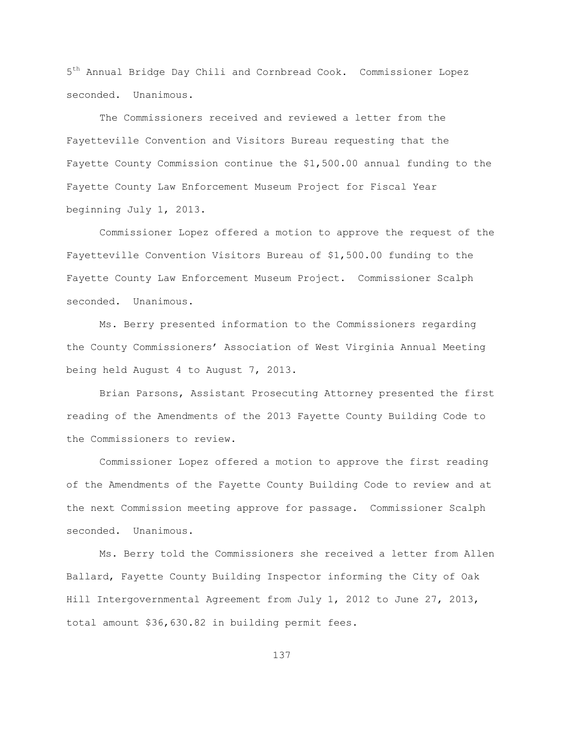$5<sup>th</sup>$  Annual Bridge Day Chili and Cornbread Cook. Commissioner Lopez seconded. Unanimous.

The Commissioners received and reviewed a letter from the Fayetteville Convention and Visitors Bureau requesting that the Fayette County Commission continue the \$1,500.00 annual funding to the Fayette County Law Enforcement Museum Project for Fiscal Year beginning July 1, 2013.

Commissioner Lopez offered a motion to approve the request of the Fayetteville Convention Visitors Bureau of \$1,500.00 funding to the Fayette County Law Enforcement Museum Project. Commissioner Scalph seconded. Unanimous.

Ms. Berry presented information to the Commissioners regarding the County Commissioners" Association of West Virginia Annual Meeting being held August 4 to August 7, 2013.

Brian Parsons, Assistant Prosecuting Attorney presented the first reading of the Amendments of the 2013 Fayette County Building Code to the Commissioners to review.

Commissioner Lopez offered a motion to approve the first reading of the Amendments of the Fayette County Building Code to review and at the next Commission meeting approve for passage. Commissioner Scalph seconded. Unanimous.

Ms. Berry told the Commissioners she received a letter from Allen Ballard, Fayette County Building Inspector informing the City of Oak Hill Intergovernmental Agreement from July 1, 2012 to June 27, 2013, total amount \$36,630.82 in building permit fees.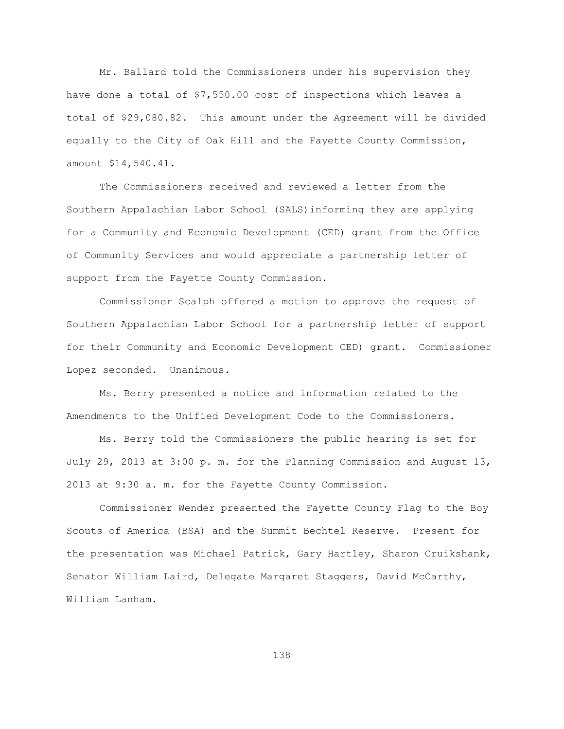Mr. Ballard told the Commissioners under his supervision they have done a total of \$7,550.00 cost of inspections which leaves a total of \$29,080.82. This amount under the Agreement will be divided equally to the City of Oak Hill and the Fayette County Commission, amount \$14,540.41.

The Commissioners received and reviewed a letter from the Southern Appalachian Labor School (SALS)informing they are applying for a Community and Economic Development (CED) grant from the Office of Community Services and would appreciate a partnership letter of support from the Fayette County Commission.

Commissioner Scalph offered a motion to approve the request of Southern Appalachian Labor School for a partnership letter of support for their Community and Economic Development CED) grant. Commissioner Lopez seconded. Unanimous.

Ms. Berry presented a notice and information related to the Amendments to the Unified Development Code to the Commissioners.

Ms. Berry told the Commissioners the public hearing is set for July 29, 2013 at 3:00 p. m. for the Planning Commission and August 13, 2013 at 9:30 a. m. for the Fayette County Commission.

Commissioner Wender presented the Fayette County Flag to the Boy Scouts of America (BSA) and the Summit Bechtel Reserve. Present for the presentation was Michael Patrick, Gary Hartley, Sharon Cruikshank, Senator William Laird, Delegate Margaret Staggers, David McCarthy, William Lanham.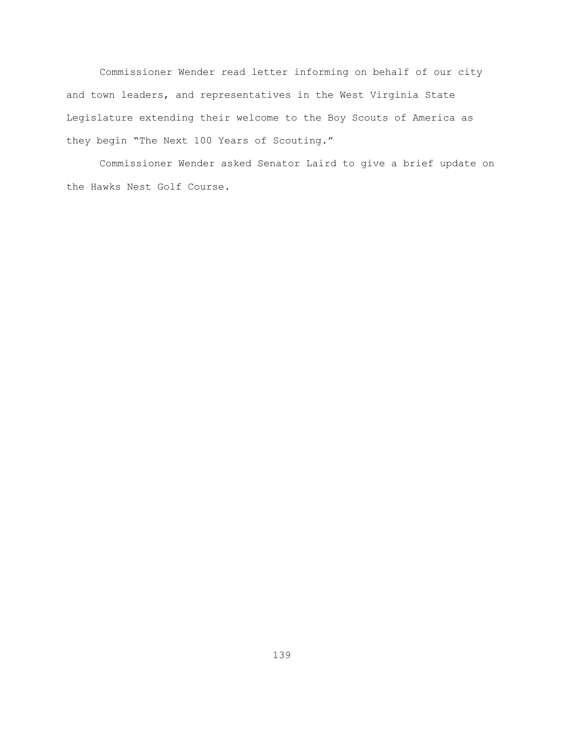Commissioner Wender read letter informing on behalf of our city and town leaders, and representatives in the West Virginia State Legislature extending their welcome to the Boy Scouts of America as they begin "The Next 100 Years of Scouting."

Commissioner Wender asked Senator Laird to give a brief update on the Hawks Nest Golf Course.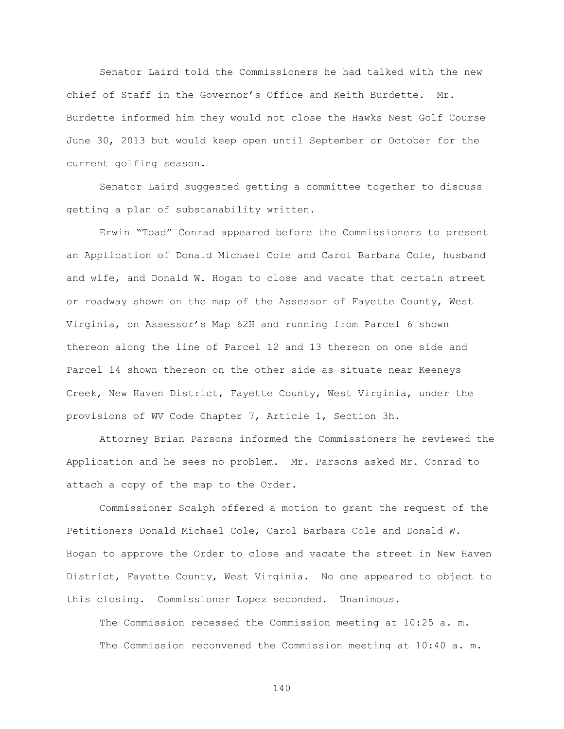Senator Laird told the Commissioners he had talked with the new chief of Staff in the Governor"s Office and Keith Burdette. Mr. Burdette informed him they would not close the Hawks Nest Golf Course June 30, 2013 but would keep open until September or October for the current golfing season.

Senator Laird suggested getting a committee together to discuss getting a plan of substanability written.

Erwin "Toad" Conrad appeared before the Commissioners to present an Application of Donald Michael Cole and Carol Barbara Cole, husband and wife, and Donald W. Hogan to close and vacate that certain street or roadway shown on the map of the Assessor of Fayette County, West Virginia, on Assessor"s Map 62H and running from Parcel 6 shown thereon along the line of Parcel 12 and 13 thereon on one side and Parcel 14 shown thereon on the other side as situate near Keeneys Creek, New Haven District, Fayette County, West Virginia, under the provisions of WV Code Chapter 7, Article 1, Section 3h.

Attorney Brian Parsons informed the Commissioners he reviewed the Application and he sees no problem. Mr. Parsons asked Mr. Conrad to attach a copy of the map to the Order.

Commissioner Scalph offered a motion to grant the request of the Petitioners Donald Michael Cole, Carol Barbara Cole and Donald W. Hogan to approve the Order to close and vacate the street in New Haven District, Fayette County, West Virginia. No one appeared to object to this closing. Commissioner Lopez seconded. Unanimous.

The Commission recessed the Commission meeting at 10:25 a. m. The Commission reconvened the Commission meeting at 10:40 a. m.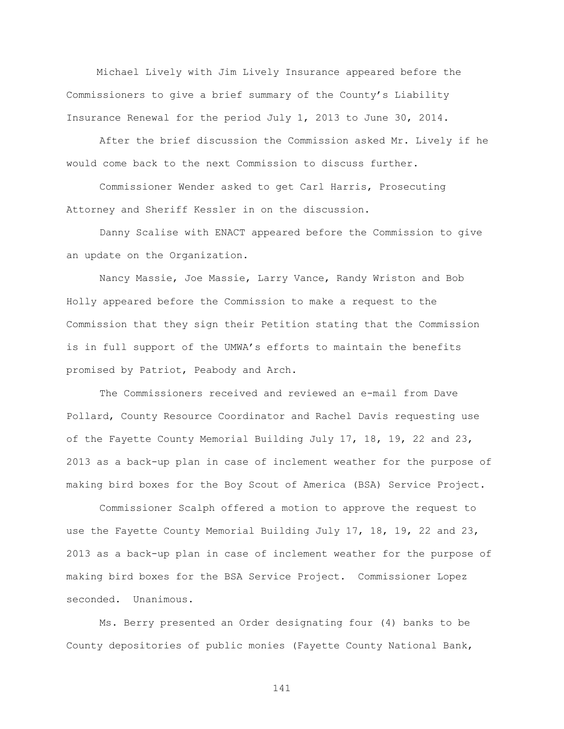Michael Lively with Jim Lively Insurance appeared before the Commissioners to give a brief summary of the County"s Liability Insurance Renewal for the period July 1, 2013 to June 30, 2014.

After the brief discussion the Commission asked Mr. Lively if he would come back to the next Commission to discuss further.

Commissioner Wender asked to get Carl Harris, Prosecuting Attorney and Sheriff Kessler in on the discussion.

Danny Scalise with ENACT appeared before the Commission to give an update on the Organization.

Nancy Massie, Joe Massie, Larry Vance, Randy Wriston and Bob Holly appeared before the Commission to make a request to the Commission that they sign their Petition stating that the Commission is in full support of the UMWA's efforts to maintain the benefits promised by Patriot, Peabody and Arch.

The Commissioners received and reviewed an e-mail from Dave Pollard, County Resource Coordinator and Rachel Davis requesting use of the Fayette County Memorial Building July 17, 18, 19, 22 and 23, 2013 as a back-up plan in case of inclement weather for the purpose of making bird boxes for the Boy Scout of America (BSA) Service Project.

Commissioner Scalph offered a motion to approve the request to use the Fayette County Memorial Building July 17, 18, 19, 22 and 23, 2013 as a back-up plan in case of inclement weather for the purpose of making bird boxes for the BSA Service Project. Commissioner Lopez seconded. Unanimous.

Ms. Berry presented an Order designating four (4) banks to be County depositories of public monies (Fayette County National Bank,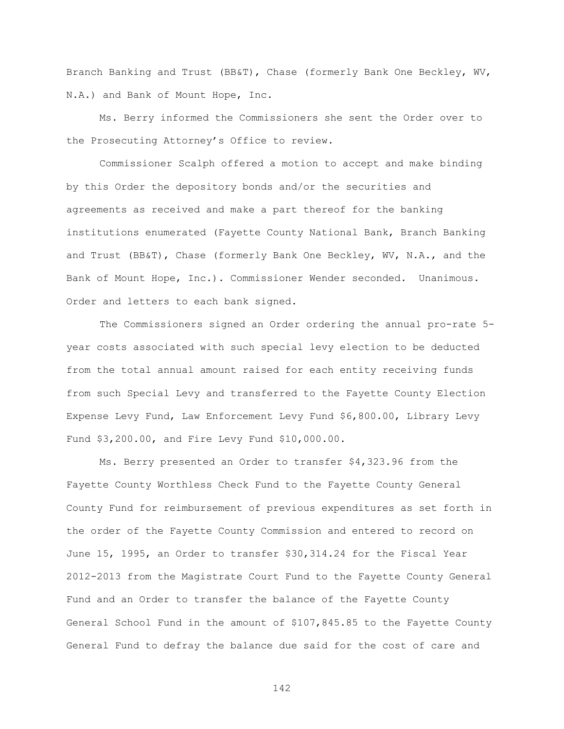Branch Banking and Trust (BB&T), Chase (formerly Bank One Beckley, WV, N.A.) and Bank of Mount Hope, Inc.

Ms. Berry informed the Commissioners she sent the Order over to the Prosecuting Attorney"s Office to review.

Commissioner Scalph offered a motion to accept and make binding by this Order the depository bonds and/or the securities and agreements as received and make a part thereof for the banking institutions enumerated (Fayette County National Bank, Branch Banking and Trust (BB&T), Chase (formerly Bank One Beckley, WV, N.A., and the Bank of Mount Hope, Inc.). Commissioner Wender seconded. Unanimous. Order and letters to each bank signed.

The Commissioners signed an Order ordering the annual pro-rate 5 year costs associated with such special levy election to be deducted from the total annual amount raised for each entity receiving funds from such Special Levy and transferred to the Fayette County Election Expense Levy Fund, Law Enforcement Levy Fund \$6,800.00, Library Levy Fund \$3,200.00, and Fire Levy Fund \$10,000.00.

Ms. Berry presented an Order to transfer \$4,323.96 from the Fayette County Worthless Check Fund to the Fayette County General County Fund for reimbursement of previous expenditures as set forth in the order of the Fayette County Commission and entered to record on June 15, 1995, an Order to transfer \$30,314.24 for the Fiscal Year 2012-2013 from the Magistrate Court Fund to the Fayette County General Fund and an Order to transfer the balance of the Fayette County General School Fund in the amount of \$107,845.85 to the Fayette County General Fund to defray the balance due said for the cost of care and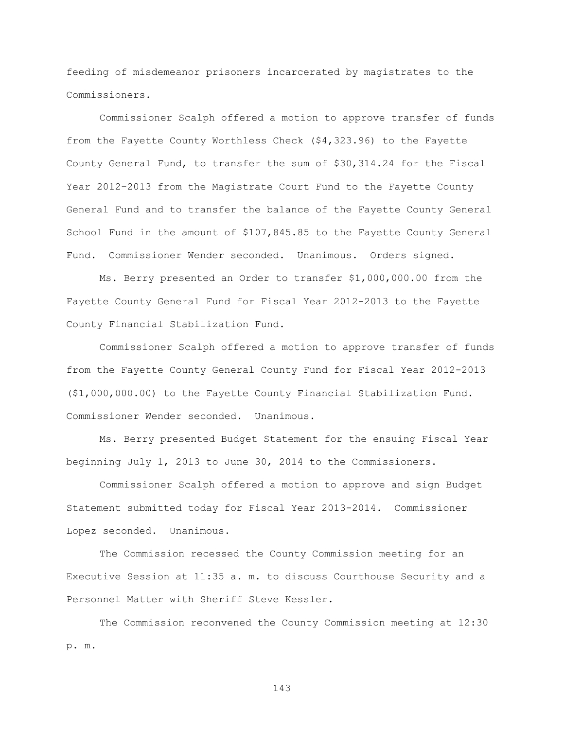feeding of misdemeanor prisoners incarcerated by magistrates to the Commissioners.

Commissioner Scalph offered a motion to approve transfer of funds from the Fayette County Worthless Check (\$4,323.96) to the Fayette County General Fund, to transfer the sum of \$30,314.24 for the Fiscal Year 2012-2013 from the Magistrate Court Fund to the Fayette County General Fund and to transfer the balance of the Fayette County General School Fund in the amount of \$107,845.85 to the Fayette County General Fund. Commissioner Wender seconded. Unanimous. Orders signed.

Ms. Berry presented an Order to transfer \$1,000,000.00 from the Fayette County General Fund for Fiscal Year 2012-2013 to the Fayette County Financial Stabilization Fund.

Commissioner Scalph offered a motion to approve transfer of funds from the Fayette County General County Fund for Fiscal Year 2012-2013 (\$1,000,000.00) to the Fayette County Financial Stabilization Fund. Commissioner Wender seconded. Unanimous.

Ms. Berry presented Budget Statement for the ensuing Fiscal Year beginning July 1, 2013 to June 30, 2014 to the Commissioners.

Commissioner Scalph offered a motion to approve and sign Budget Statement submitted today for Fiscal Year 2013-2014. Commissioner Lopez seconded. Unanimous.

The Commission recessed the County Commission meeting for an Executive Session at 11:35 a. m. to discuss Courthouse Security and a Personnel Matter with Sheriff Steve Kessler.

The Commission reconvened the County Commission meeting at 12:30 p. m.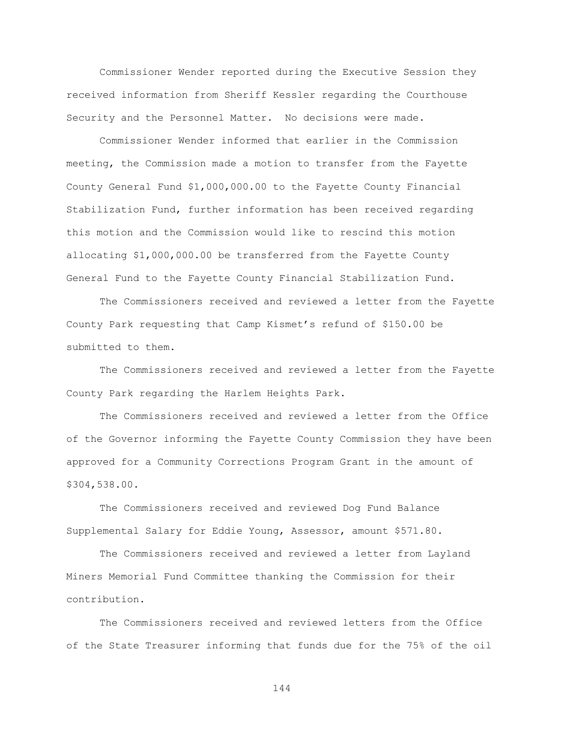Commissioner Wender reported during the Executive Session they received information from Sheriff Kessler regarding the Courthouse Security and the Personnel Matter. No decisions were made.

Commissioner Wender informed that earlier in the Commission meeting, the Commission made a motion to transfer from the Fayette County General Fund \$1,000,000.00 to the Fayette County Financial Stabilization Fund, further information has been received regarding this motion and the Commission would like to rescind this motion allocating \$1,000,000.00 be transferred from the Fayette County General Fund to the Fayette County Financial Stabilization Fund.

The Commissioners received and reviewed a letter from the Fayette County Park requesting that Camp Kismet"s refund of \$150.00 be submitted to them.

The Commissioners received and reviewed a letter from the Fayette County Park regarding the Harlem Heights Park.

The Commissioners received and reviewed a letter from the Office of the Governor informing the Fayette County Commission they have been approved for a Community Corrections Program Grant in the amount of \$304,538.00.

The Commissioners received and reviewed Dog Fund Balance Supplemental Salary for Eddie Young, Assessor, amount \$571.80.

The Commissioners received and reviewed a letter from Layland Miners Memorial Fund Committee thanking the Commission for their contribution.

The Commissioners received and reviewed letters from the Office of the State Treasurer informing that funds due for the 75% of the oil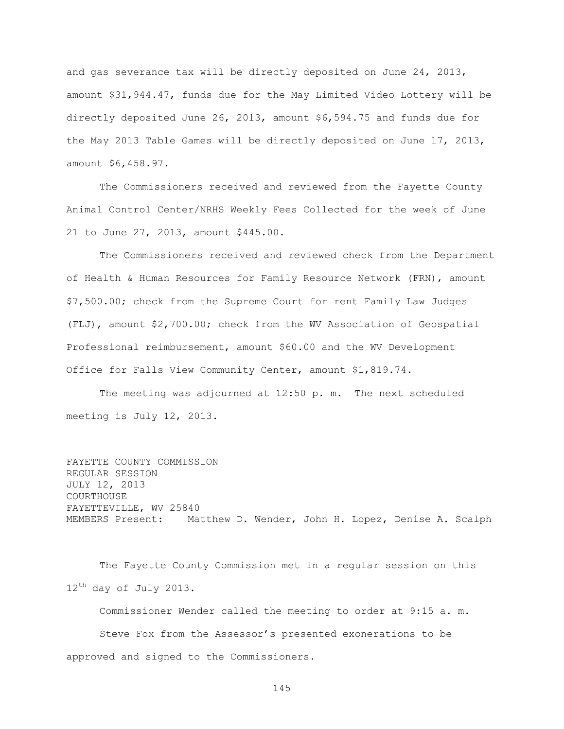and gas severance tax will be directly deposited on June 24, 2013, amount \$31,944.47, funds due for the May Limited Video Lottery will be directly deposited June 26, 2013, amount \$6,594.75 and funds due for the May 2013 Table Games will be directly deposited on June 17, 2013, amount \$6,458.97.

The Commissioners received and reviewed from the Fayette County Animal Control Center/NRHS Weekly Fees Collected for the week of June 21 to June 27, 2013, amount \$445.00.

The Commissioners received and reviewed check from the Department of Health & Human Resources for Family Resource Network (FRN), amount \$7,500.00; check from the Supreme Court for rent Family Law Judges (FLJ), amount \$2,700.00; check from the WV Association of Geospatial Professional reimbursement, amount \$60.00 and the WV Development Office for Falls View Community Center, amount \$1,819.74.

The meeting was adjourned at 12:50 p. m. The next scheduled meeting is July 12, 2013.

FAYETTE COUNTY COMMISSION REGULAR SESSION JULY 12, 2013 COURTHOUSE FAYETTEVILLE, WV 25840 MEMBERS Present: Matthew D. Wender, John H. Lopez, Denise A. Scalph

The Fayette County Commission met in a regular session on this 12<sup>th</sup> day of July 2013.

Commissioner Wender called the meeting to order at 9:15 a. m. Steve Fox from the Assessor"s presented exonerations to be approved and signed to the Commissioners.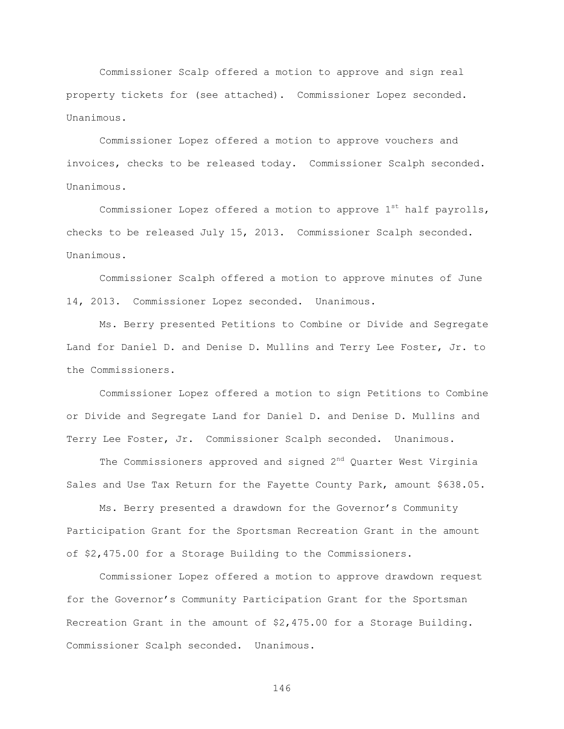Commissioner Scalp offered a motion to approve and sign real property tickets for (see attached). Commissioner Lopez seconded. Unanimous.

Commissioner Lopez offered a motion to approve vouchers and invoices, checks to be released today. Commissioner Scalph seconded. Unanimous.

Commissioner Lopez offered a motion to approve  $1^{st}$  half payrolls, checks to be released July 15, 2013. Commissioner Scalph seconded. Unanimous.

Commissioner Scalph offered a motion to approve minutes of June 14, 2013. Commissioner Lopez seconded. Unanimous.

Ms. Berry presented Petitions to Combine or Divide and Segregate Land for Daniel D. and Denise D. Mullins and Terry Lee Foster, Jr. to the Commissioners.

Commissioner Lopez offered a motion to sign Petitions to Combine or Divide and Segregate Land for Daniel D. and Denise D. Mullins and Terry Lee Foster, Jr. Commissioner Scalph seconded. Unanimous.

The Commissioners approved and signed 2<sup>nd</sup> Quarter West Virginia Sales and Use Tax Return for the Fayette County Park, amount \$638.05.

Ms. Berry presented a drawdown for the Governor"s Community Participation Grant for the Sportsman Recreation Grant in the amount of \$2,475.00 for a Storage Building to the Commissioners.

Commissioner Lopez offered a motion to approve drawdown request for the Governor"s Community Participation Grant for the Sportsman Recreation Grant in the amount of \$2,475.00 for a Storage Building. Commissioner Scalph seconded. Unanimous.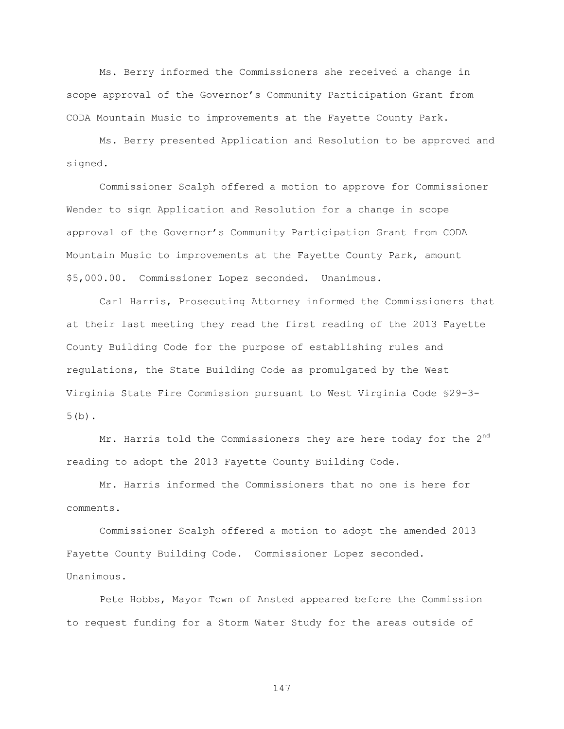Ms. Berry informed the Commissioners she received a change in scope approval of the Governor"s Community Participation Grant from CODA Mountain Music to improvements at the Fayette County Park.

Ms. Berry presented Application and Resolution to be approved and signed.

Commissioner Scalph offered a motion to approve for Commissioner Wender to sign Application and Resolution for a change in scope approval of the Governor"s Community Participation Grant from CODA Mountain Music to improvements at the Fayette County Park, amount \$5,000.00. Commissioner Lopez seconded. Unanimous.

Carl Harris, Prosecuting Attorney informed the Commissioners that at their last meeting they read the first reading of the 2013 Fayette County Building Code for the purpose of establishing rules and regulations, the State Building Code as promulgated by the West Virginia State Fire Commission pursuant to West Virginia Code §29-3- 5(b).

Mr. Harris told the Commissioners they are here today for the 2<sup>nd</sup> reading to adopt the 2013 Fayette County Building Code.

Mr. Harris informed the Commissioners that no one is here for comments.

Commissioner Scalph offered a motion to adopt the amended 2013 Fayette County Building Code. Commissioner Lopez seconded. Unanimous.

Pete Hobbs, Mayor Town of Ansted appeared before the Commission to request funding for a Storm Water Study for the areas outside of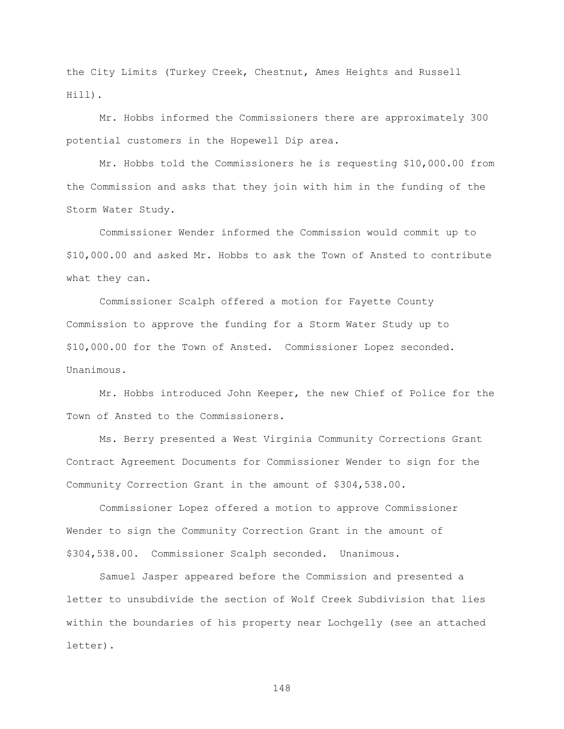the City Limits (Turkey Creek, Chestnut, Ames Heights and Russell Hill).

Mr. Hobbs informed the Commissioners there are approximately 300 potential customers in the Hopewell Dip area.

Mr. Hobbs told the Commissioners he is requesting \$10,000.00 from the Commission and asks that they join with him in the funding of the Storm Water Study.

Commissioner Wender informed the Commission would commit up to \$10,000.00 and asked Mr. Hobbs to ask the Town of Ansted to contribute what they can.

Commissioner Scalph offered a motion for Fayette County Commission to approve the funding for a Storm Water Study up to \$10,000.00 for the Town of Ansted. Commissioner Lopez seconded. Unanimous.

Mr. Hobbs introduced John Keeper, the new Chief of Police for the Town of Ansted to the Commissioners.

Ms. Berry presented a West Virginia Community Corrections Grant Contract Agreement Documents for Commissioner Wender to sign for the Community Correction Grant in the amount of \$304,538.00.

Commissioner Lopez offered a motion to approve Commissioner Wender to sign the Community Correction Grant in the amount of \$304,538.00. Commissioner Scalph seconded. Unanimous.

Samuel Jasper appeared before the Commission and presented a letter to unsubdivide the section of Wolf Creek Subdivision that lies within the boundaries of his property near Lochgelly (see an attached letter).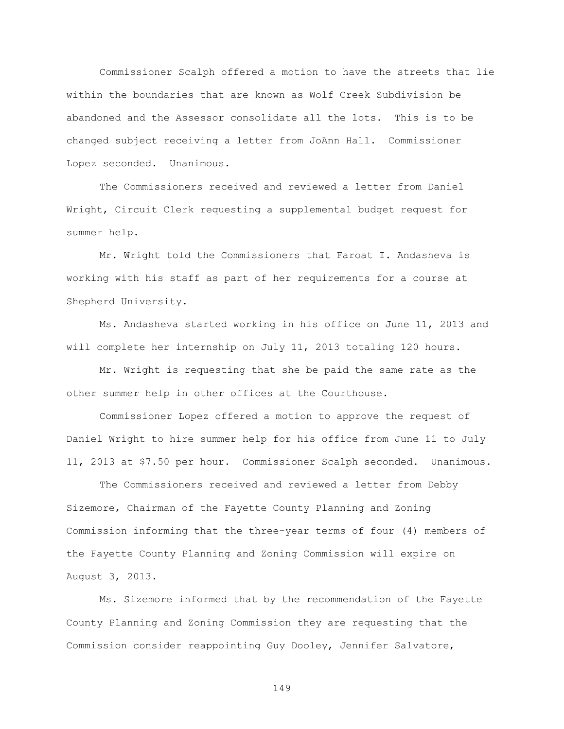Commissioner Scalph offered a motion to have the streets that lie within the boundaries that are known as Wolf Creek Subdivision be abandoned and the Assessor consolidate all the lots. This is to be changed subject receiving a letter from JoAnn Hall. Commissioner Lopez seconded. Unanimous.

The Commissioners received and reviewed a letter from Daniel Wright, Circuit Clerk requesting a supplemental budget request for summer help.

Mr. Wright told the Commissioners that Faroat I. Andasheva is working with his staff as part of her requirements for a course at Shepherd University.

Ms. Andasheva started working in his office on June 11, 2013 and will complete her internship on July 11, 2013 totaling 120 hours.

Mr. Wright is requesting that she be paid the same rate as the other summer help in other offices at the Courthouse.

Commissioner Lopez offered a motion to approve the request of Daniel Wright to hire summer help for his office from June 11 to July 11, 2013 at \$7.50 per hour. Commissioner Scalph seconded. Unanimous.

The Commissioners received and reviewed a letter from Debby Sizemore, Chairman of the Fayette County Planning and Zoning Commission informing that the three-year terms of four (4) members of the Fayette County Planning and Zoning Commission will expire on August 3, 2013.

Ms. Sizemore informed that by the recommendation of the Fayette County Planning and Zoning Commission they are requesting that the Commission consider reappointing Guy Dooley, Jennifer Salvatore,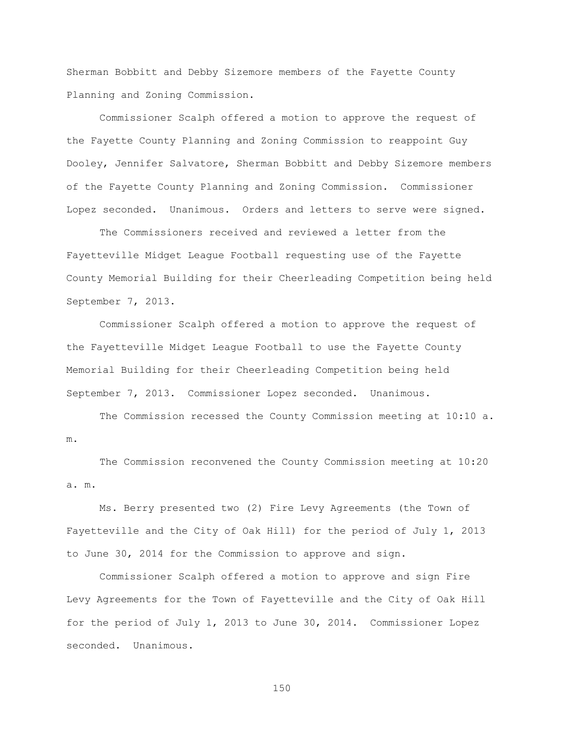Sherman Bobbitt and Debby Sizemore members of the Fayette County Planning and Zoning Commission.

Commissioner Scalph offered a motion to approve the request of the Fayette County Planning and Zoning Commission to reappoint Guy Dooley, Jennifer Salvatore, Sherman Bobbitt and Debby Sizemore members of the Fayette County Planning and Zoning Commission. Commissioner Lopez seconded. Unanimous. Orders and letters to serve were signed.

The Commissioners received and reviewed a letter from the Fayetteville Midget League Football requesting use of the Fayette County Memorial Building for their Cheerleading Competition being held September 7, 2013.

Commissioner Scalph offered a motion to approve the request of the Fayetteville Midget League Football to use the Fayette County Memorial Building for their Cheerleading Competition being held September 7, 2013. Commissioner Lopez seconded. Unanimous.

The Commission recessed the County Commission meeting at 10:10 a. m.

The Commission reconvened the County Commission meeting at 10:20 a. m.

Ms. Berry presented two (2) Fire Levy Agreements (the Town of Fayetteville and the City of Oak Hill) for the period of July 1, 2013 to June 30, 2014 for the Commission to approve and sign.

Commissioner Scalph offered a motion to approve and sign Fire Levy Agreements for the Town of Fayetteville and the City of Oak Hill for the period of July 1, 2013 to June 30, 2014. Commissioner Lopez seconded. Unanimous.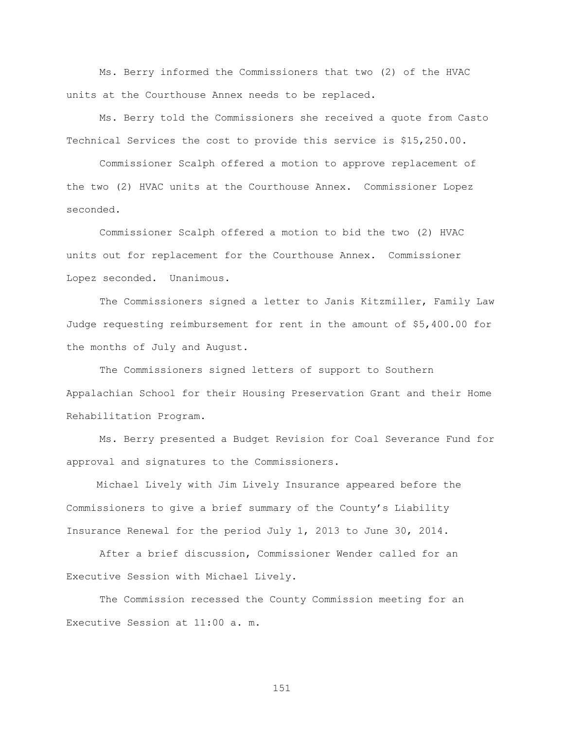Ms. Berry informed the Commissioners that two (2) of the HVAC units at the Courthouse Annex needs to be replaced.

Ms. Berry told the Commissioners she received a quote from Casto Technical Services the cost to provide this service is \$15,250.00.

Commissioner Scalph offered a motion to approve replacement of the two (2) HVAC units at the Courthouse Annex. Commissioner Lopez seconded.

Commissioner Scalph offered a motion to bid the two (2) HVAC units out for replacement for the Courthouse Annex. Commissioner Lopez seconded. Unanimous.

The Commissioners signed a letter to Janis Kitzmiller, Family Law Judge requesting reimbursement for rent in the amount of \$5,400.00 for the months of July and August.

The Commissioners signed letters of support to Southern Appalachian School for their Housing Preservation Grant and their Home Rehabilitation Program.

Ms. Berry presented a Budget Revision for Coal Severance Fund for approval and signatures to the Commissioners.

 Michael Lively with Jim Lively Insurance appeared before the Commissioners to give a brief summary of the County"s Liability Insurance Renewal for the period July 1, 2013 to June 30, 2014.

After a brief discussion, Commissioner Wender called for an Executive Session with Michael Lively.

The Commission recessed the County Commission meeting for an Executive Session at 11:00 a. m.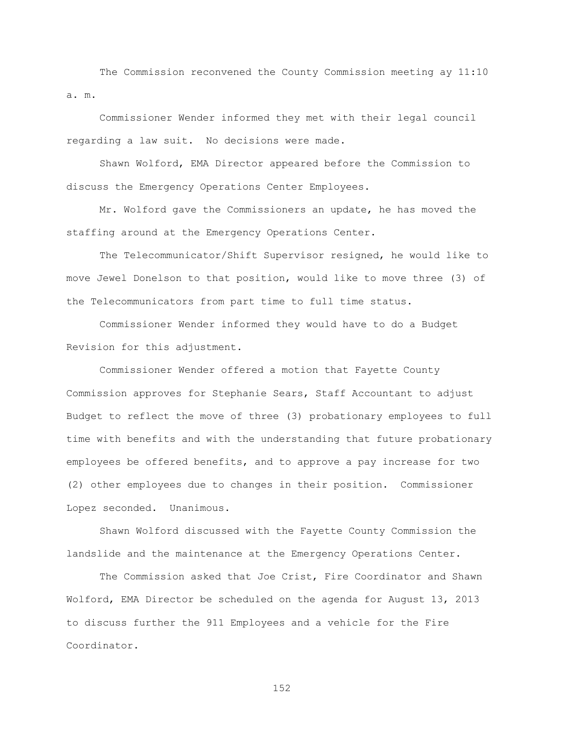The Commission reconvened the County Commission meeting ay 11:10 a. m.

Commissioner Wender informed they met with their legal council regarding a law suit. No decisions were made.

Shawn Wolford, EMA Director appeared before the Commission to discuss the Emergency Operations Center Employees.

Mr. Wolford gave the Commissioners an update, he has moved the staffing around at the Emergency Operations Center.

The Telecommunicator/Shift Supervisor resigned, he would like to move Jewel Donelson to that position, would like to move three (3) of the Telecommunicators from part time to full time status.

Commissioner Wender informed they would have to do a Budget Revision for this adjustment.

Commissioner Wender offered a motion that Fayette County Commission approves for Stephanie Sears, Staff Accountant to adjust Budget to reflect the move of three (3) probationary employees to full time with benefits and with the understanding that future probationary employees be offered benefits, and to approve a pay increase for two (2) other employees due to changes in their position. Commissioner Lopez seconded. Unanimous.

Shawn Wolford discussed with the Fayette County Commission the landslide and the maintenance at the Emergency Operations Center.

The Commission asked that Joe Crist, Fire Coordinator and Shawn Wolford, EMA Director be scheduled on the agenda for August 13, 2013 to discuss further the 911 Employees and a vehicle for the Fire Coordinator.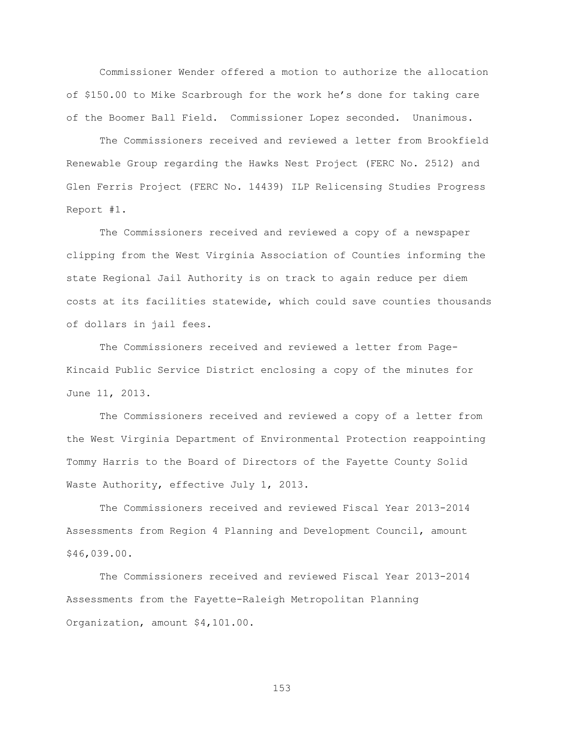Commissioner Wender offered a motion to authorize the allocation of \$150.00 to Mike Scarbrough for the work he"s done for taking care of the Boomer Ball Field. Commissioner Lopez seconded. Unanimous.

The Commissioners received and reviewed a letter from Brookfield Renewable Group regarding the Hawks Nest Project (FERC No. 2512) and Glen Ferris Project (FERC No. 14439) ILP Relicensing Studies Progress Report #1.

The Commissioners received and reviewed a copy of a newspaper clipping from the West Virginia Association of Counties informing the state Regional Jail Authority is on track to again reduce per diem costs at its facilities statewide, which could save counties thousands of dollars in jail fees.

The Commissioners received and reviewed a letter from Page-Kincaid Public Service District enclosing a copy of the minutes for June 11, 2013.

The Commissioners received and reviewed a copy of a letter from the West Virginia Department of Environmental Protection reappointing Tommy Harris to the Board of Directors of the Fayette County Solid Waste Authority, effective July 1, 2013.

The Commissioners received and reviewed Fiscal Year 2013-2014 Assessments from Region 4 Planning and Development Council, amount \$46,039.00.

The Commissioners received and reviewed Fiscal Year 2013-2014 Assessments from the Fayette-Raleigh Metropolitan Planning Organization, amount \$4,101.00.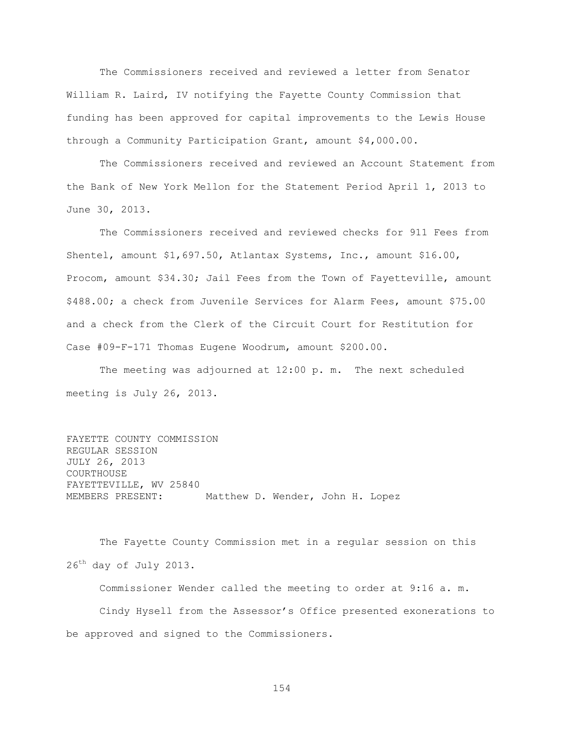The Commissioners received and reviewed a letter from Senator William R. Laird, IV notifying the Fayette County Commission that funding has been approved for capital improvements to the Lewis House through a Community Participation Grant, amount \$4,000.00.

The Commissioners received and reviewed an Account Statement from the Bank of New York Mellon for the Statement Period April 1, 2013 to June 30, 2013.

The Commissioners received and reviewed checks for 911 Fees from Shentel, amount \$1,697.50, Atlantax Systems, Inc., amount \$16.00, Procom, amount \$34.30; Jail Fees from the Town of Fayetteville, amount \$488.00; a check from Juvenile Services for Alarm Fees, amount \$75.00 and a check from the Clerk of the Circuit Court for Restitution for Case #09-F-171 Thomas Eugene Woodrum, amount \$200.00.

The meeting was adjourned at 12:00 p. m. The next scheduled meeting is July 26, 2013.

FAYETTE COUNTY COMMISSION REGULAR SESSION JULY 26, 2013 COURTHOUSE FAYETTEVILLE, WV 25840 MEMBERS PRESENT: Matthew D. Wender, John H. Lopez

The Fayette County Commission met in a regular session on this 26th day of July 2013.

Commissioner Wender called the meeting to order at 9:16 a. m. Cindy Hysell from the Assessor"s Office presented exonerations to be approved and signed to the Commissioners.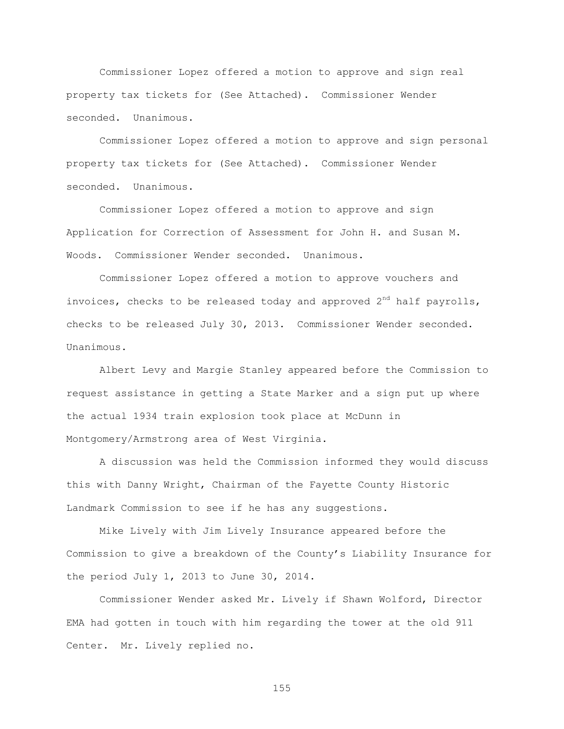Commissioner Lopez offered a motion to approve and sign real property tax tickets for (See Attached). Commissioner Wender seconded. Unanimous.

Commissioner Lopez offered a motion to approve and sign personal property tax tickets for (See Attached). Commissioner Wender seconded. Unanimous.

Commissioner Lopez offered a motion to approve and sign Application for Correction of Assessment for John H. and Susan M. Woods. Commissioner Wender seconded. Unanimous.

Commissioner Lopez offered a motion to approve vouchers and invoices, checks to be released today and approved  $2^{nd}$  half payrolls, checks to be released July 30, 2013. Commissioner Wender seconded. Unanimous.

Albert Levy and Margie Stanley appeared before the Commission to request assistance in getting a State Marker and a sign put up where the actual 1934 train explosion took place at McDunn in Montgomery/Armstrong area of West Virginia.

A discussion was held the Commission informed they would discuss this with Danny Wright, Chairman of the Fayette County Historic Landmark Commission to see if he has any suggestions.

Mike Lively with Jim Lively Insurance appeared before the Commission to give a breakdown of the County"s Liability Insurance for the period July 1, 2013 to June 30, 2014.

Commissioner Wender asked Mr. Lively if Shawn Wolford, Director EMA had gotten in touch with him regarding the tower at the old 911 Center. Mr. Lively replied no.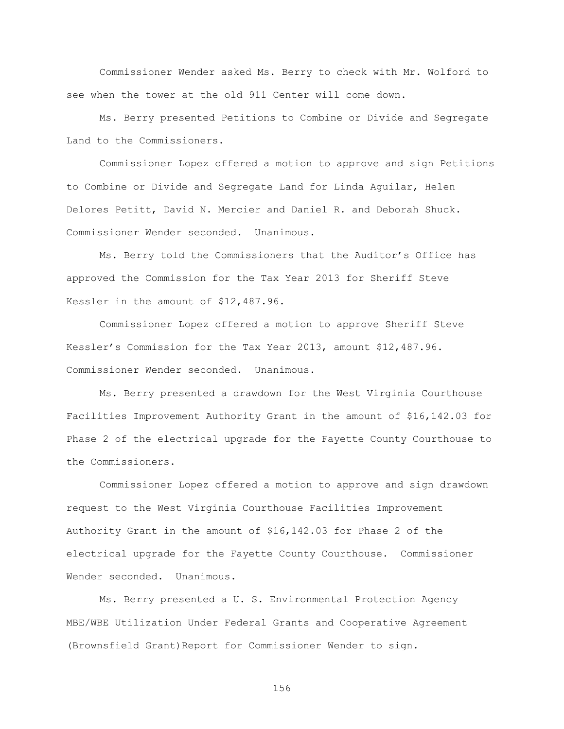Commissioner Wender asked Ms. Berry to check with Mr. Wolford to see when the tower at the old 911 Center will come down.

Ms. Berry presented Petitions to Combine or Divide and Segregate Land to the Commissioners.

Commissioner Lopez offered a motion to approve and sign Petitions to Combine or Divide and Segregate Land for Linda Aguilar, Helen Delores Petitt, David N. Mercier and Daniel R. and Deborah Shuck. Commissioner Wender seconded. Unanimous.

Ms. Berry told the Commissioners that the Auditor"s Office has approved the Commission for the Tax Year 2013 for Sheriff Steve Kessler in the amount of \$12,487.96.

Commissioner Lopez offered a motion to approve Sheriff Steve Kessler"s Commission for the Tax Year 2013, amount \$12,487.96. Commissioner Wender seconded. Unanimous.

Ms. Berry presented a drawdown for the West Virginia Courthouse Facilities Improvement Authority Grant in the amount of \$16,142.03 for Phase 2 of the electrical upgrade for the Fayette County Courthouse to the Commissioners.

Commissioner Lopez offered a motion to approve and sign drawdown request to the West Virginia Courthouse Facilities Improvement Authority Grant in the amount of \$16,142.03 for Phase 2 of the electrical upgrade for the Fayette County Courthouse. Commissioner Wender seconded. Unanimous.

Ms. Berry presented a U. S. Environmental Protection Agency MBE/WBE Utilization Under Federal Grants and Cooperative Agreement (Brownsfield Grant)Report for Commissioner Wender to sign.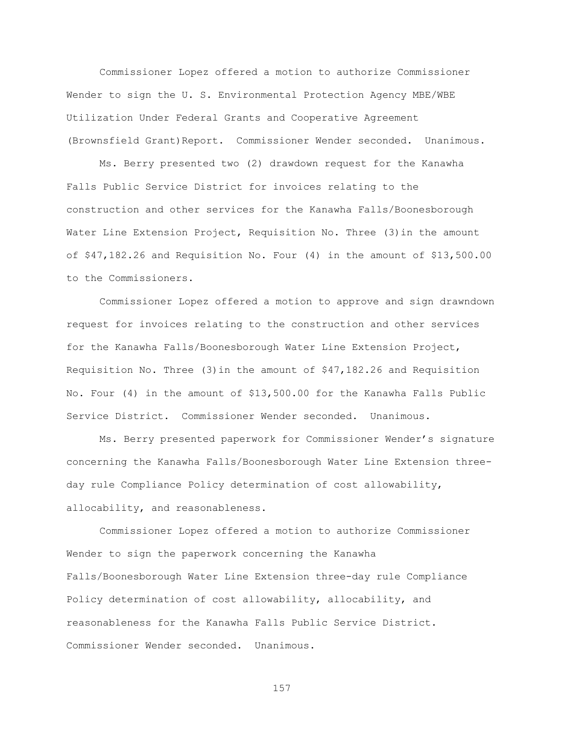Commissioner Lopez offered a motion to authorize Commissioner Wender to sign the U. S. Environmental Protection Agency MBE/WBE Utilization Under Federal Grants and Cooperative Agreement (Brownsfield Grant)Report. Commissioner Wender seconded. Unanimous.

Ms. Berry presented two (2) drawdown request for the Kanawha Falls Public Service District for invoices relating to the construction and other services for the Kanawha Falls/Boonesborough Water Line Extension Project, Requisition No. Three (3)in the amount of \$47,182.26 and Requisition No. Four (4) in the amount of \$13,500.00 to the Commissioners.

Commissioner Lopez offered a motion to approve and sign drawndown request for invoices relating to the construction and other services for the Kanawha Falls/Boonesborough Water Line Extension Project, Requisition No. Three  $(3)$  in the amount of  $$47,182.26$  and Requisition No. Four (4) in the amount of \$13,500.00 for the Kanawha Falls Public Service District. Commissioner Wender seconded. Unanimous.

Ms. Berry presented paperwork for Commissioner Wender"s signature concerning the Kanawha Falls/Boonesborough Water Line Extension threeday rule Compliance Policy determination of cost allowability, allocability, and reasonableness.

Commissioner Lopez offered a motion to authorize Commissioner Wender to sign the paperwork concerning the Kanawha Falls/Boonesborough Water Line Extension three-day rule Compliance Policy determination of cost allowability, allocability, and reasonableness for the Kanawha Falls Public Service District. Commissioner Wender seconded. Unanimous.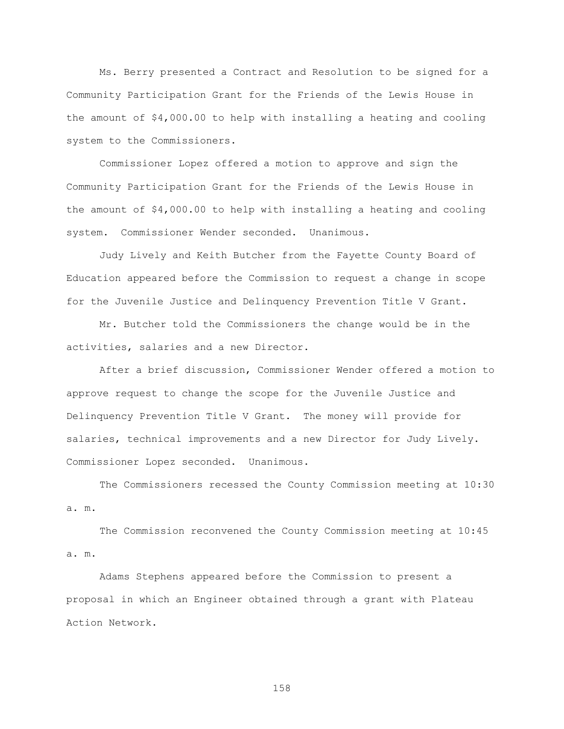Ms. Berry presented a Contract and Resolution to be signed for a Community Participation Grant for the Friends of the Lewis House in the amount of \$4,000.00 to help with installing a heating and cooling system to the Commissioners.

Commissioner Lopez offered a motion to approve and sign the Community Participation Grant for the Friends of the Lewis House in the amount of \$4,000.00 to help with installing a heating and cooling system. Commissioner Wender seconded. Unanimous.

Judy Lively and Keith Butcher from the Fayette County Board of Education appeared before the Commission to request a change in scope for the Juvenile Justice and Delinquency Prevention Title V Grant.

Mr. Butcher told the Commissioners the change would be in the activities, salaries and a new Director.

After a brief discussion, Commissioner Wender offered a motion to approve request to change the scope for the Juvenile Justice and Delinquency Prevention Title V Grant. The money will provide for salaries, technical improvements and a new Director for Judy Lively. Commissioner Lopez seconded. Unanimous.

The Commissioners recessed the County Commission meeting at 10:30 a. m.

The Commission reconvened the County Commission meeting at 10:45 a. m.

Adams Stephens appeared before the Commission to present a proposal in which an Engineer obtained through a grant with Plateau Action Network.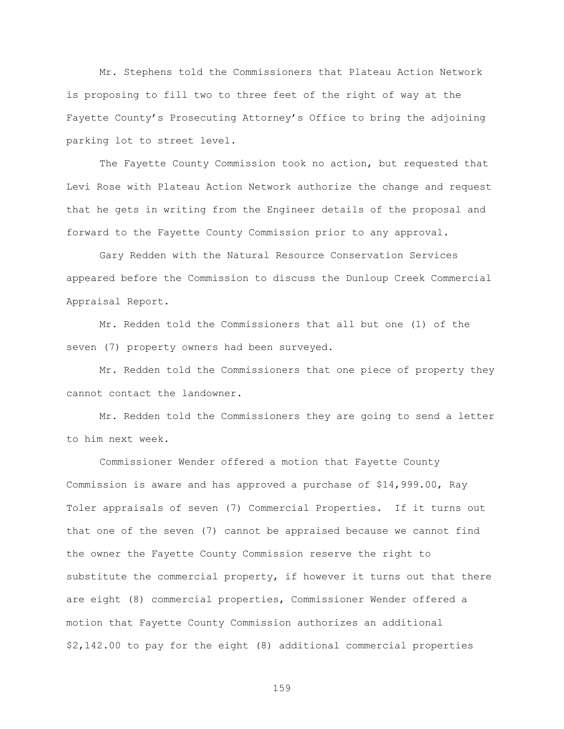Mr. Stephens told the Commissioners that Plateau Action Network is proposing to fill two to three feet of the right of way at the Fayette County"s Prosecuting Attorney"s Office to bring the adjoining parking lot to street level.

The Fayette County Commission took no action, but requested that Levi Rose with Plateau Action Network authorize the change and request that he gets in writing from the Engineer details of the proposal and forward to the Fayette County Commission prior to any approval.

Gary Redden with the Natural Resource Conservation Services appeared before the Commission to discuss the Dunloup Creek Commercial Appraisal Report.

Mr. Redden told the Commissioners that all but one (1) of the seven (7) property owners had been surveyed.

Mr. Redden told the Commissioners that one piece of property they cannot contact the landowner.

Mr. Redden told the Commissioners they are going to send a letter to him next week.

Commissioner Wender offered a motion that Fayette County Commission is aware and has approved a purchase of \$14,999.00, Ray Toler appraisals of seven (7) Commercial Properties. If it turns out that one of the seven (7) cannot be appraised because we cannot find the owner the Fayette County Commission reserve the right to substitute the commercial property, if however it turns out that there are eight (8) commercial properties, Commissioner Wender offered a motion that Fayette County Commission authorizes an additional \$2,142.00 to pay for the eight (8) additional commercial properties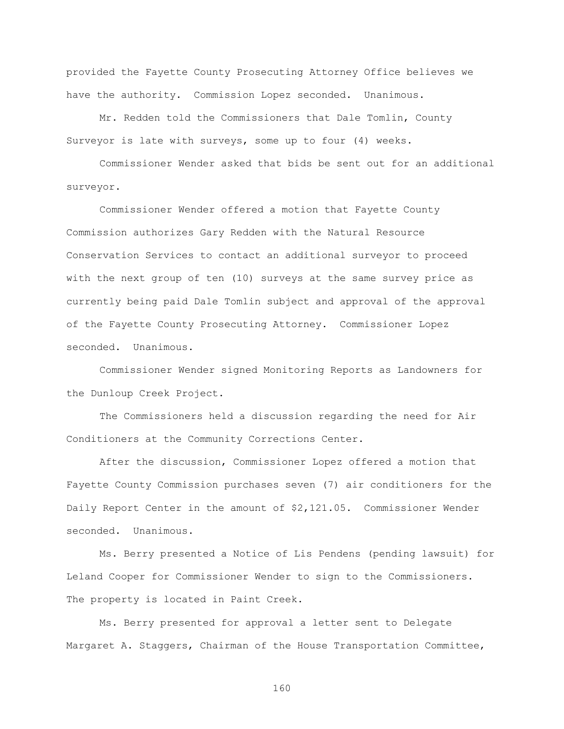provided the Fayette County Prosecuting Attorney Office believes we have the authority. Commission Lopez seconded. Unanimous.

Mr. Redden told the Commissioners that Dale Tomlin, County Surveyor is late with surveys, some up to four (4) weeks.

Commissioner Wender asked that bids be sent out for an additional surveyor.

Commissioner Wender offered a motion that Fayette County Commission authorizes Gary Redden with the Natural Resource Conservation Services to contact an additional surveyor to proceed with the next group of ten (10) surveys at the same survey price as currently being paid Dale Tomlin subject and approval of the approval of the Fayette County Prosecuting Attorney. Commissioner Lopez seconded. Unanimous.

Commissioner Wender signed Monitoring Reports as Landowners for the Dunloup Creek Project.

The Commissioners held a discussion regarding the need for Air Conditioners at the Community Corrections Center.

After the discussion, Commissioner Lopez offered a motion that Fayette County Commission purchases seven (7) air conditioners for the Daily Report Center in the amount of \$2,121.05. Commissioner Wender seconded. Unanimous.

Ms. Berry presented a Notice of Lis Pendens (pending lawsuit) for Leland Cooper for Commissioner Wender to sign to the Commissioners. The property is located in Paint Creek.

Ms. Berry presented for approval a letter sent to Delegate Margaret A. Staggers, Chairman of the House Transportation Committee,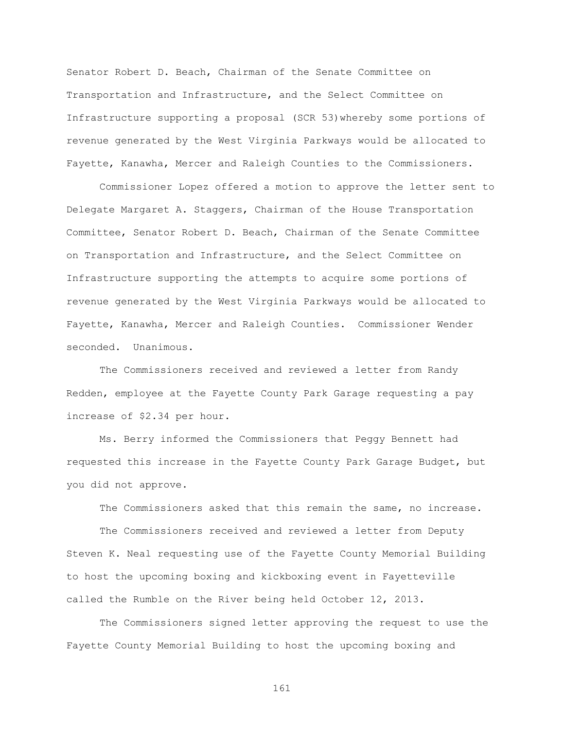Senator Robert D. Beach, Chairman of the Senate Committee on Transportation and Infrastructure, and the Select Committee on Infrastructure supporting a proposal (SCR 53)whereby some portions of revenue generated by the West Virginia Parkways would be allocated to Fayette, Kanawha, Mercer and Raleigh Counties to the Commissioners.

Commissioner Lopez offered a motion to approve the letter sent to Delegate Margaret A. Staggers, Chairman of the House Transportation Committee, Senator Robert D. Beach, Chairman of the Senate Committee on Transportation and Infrastructure, and the Select Committee on Infrastructure supporting the attempts to acquire some portions of revenue generated by the West Virginia Parkways would be allocated to Fayette, Kanawha, Mercer and Raleigh Counties. Commissioner Wender seconded. Unanimous.

The Commissioners received and reviewed a letter from Randy Redden, employee at the Fayette County Park Garage requesting a pay increase of \$2.34 per hour.

Ms. Berry informed the Commissioners that Peggy Bennett had requested this increase in the Fayette County Park Garage Budget, but you did not approve.

The Commissioners asked that this remain the same, no increase.

The Commissioners received and reviewed a letter from Deputy Steven K. Neal requesting use of the Fayette County Memorial Building to host the upcoming boxing and kickboxing event in Fayetteville called the Rumble on the River being held October 12, 2013.

The Commissioners signed letter approving the request to use the Fayette County Memorial Building to host the upcoming boxing and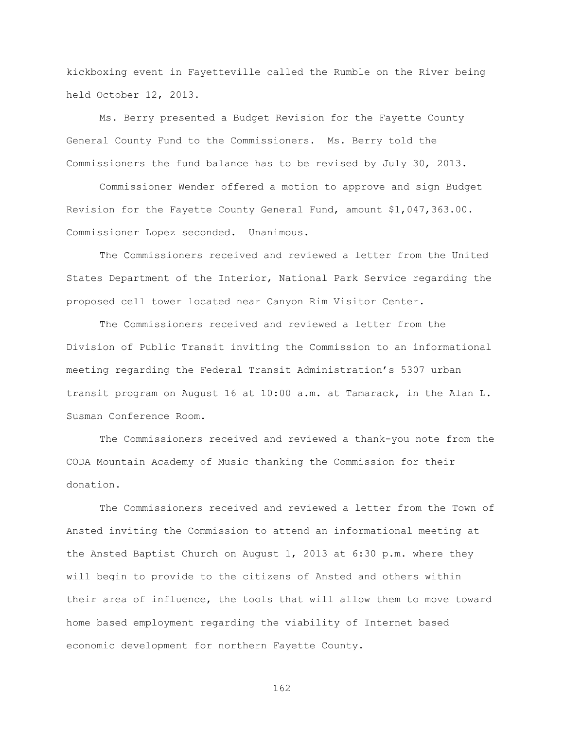kickboxing event in Fayetteville called the Rumble on the River being held October 12, 2013.

Ms. Berry presented a Budget Revision for the Fayette County General County Fund to the Commissioners. Ms. Berry told the Commissioners the fund balance has to be revised by July 30, 2013.

Commissioner Wender offered a motion to approve and sign Budget Revision for the Fayette County General Fund, amount \$1,047,363.00. Commissioner Lopez seconded. Unanimous.

The Commissioners received and reviewed a letter from the United States Department of the Interior, National Park Service regarding the proposed cell tower located near Canyon Rim Visitor Center.

The Commissioners received and reviewed a letter from the Division of Public Transit inviting the Commission to an informational meeting regarding the Federal Transit Administration"s 5307 urban transit program on August 16 at 10:00 a.m. at Tamarack, in the Alan L. Susman Conference Room.

The Commissioners received and reviewed a thank-you note from the CODA Mountain Academy of Music thanking the Commission for their donation.

The Commissioners received and reviewed a letter from the Town of Ansted inviting the Commission to attend an informational meeting at the Ansted Baptist Church on August 1, 2013 at 6:30 p.m. where they will begin to provide to the citizens of Ansted and others within their area of influence, the tools that will allow them to move toward home based employment regarding the viability of Internet based economic development for northern Fayette County.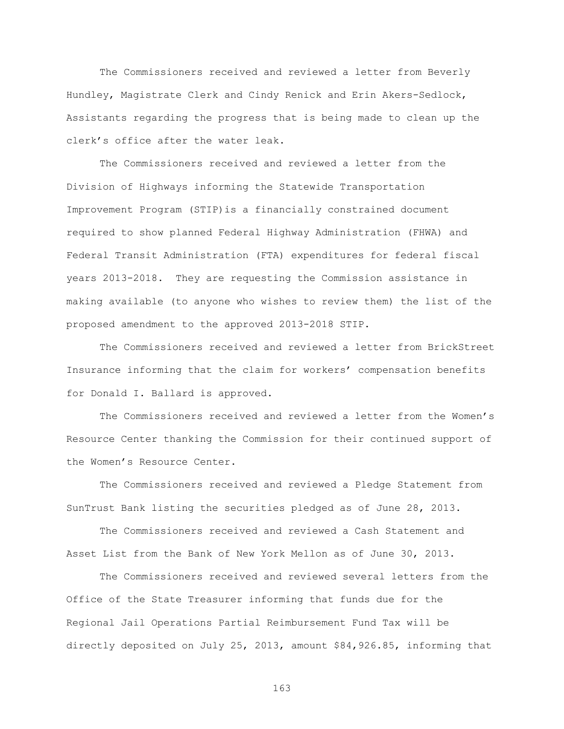The Commissioners received and reviewed a letter from Beverly Hundley, Magistrate Clerk and Cindy Renick and Erin Akers-Sedlock, Assistants regarding the progress that is being made to clean up the clerk"s office after the water leak.

The Commissioners received and reviewed a letter from the Division of Highways informing the Statewide Transportation Improvement Program (STIP)is a financially constrained document required to show planned Federal Highway Administration (FHWA) and Federal Transit Administration (FTA) expenditures for federal fiscal years 2013-2018. They are requesting the Commission assistance in making available (to anyone who wishes to review them) the list of the proposed amendment to the approved 2013-2018 STIP.

The Commissioners received and reviewed a letter from BrickStreet Insurance informing that the claim for workers' compensation benefits for Donald I. Ballard is approved.

The Commissioners received and reviewed a letter from the Women"s Resource Center thanking the Commission for their continued support of the Women"s Resource Center.

The Commissioners received and reviewed a Pledge Statement from SunTrust Bank listing the securities pledged as of June 28, 2013.

The Commissioners received and reviewed a Cash Statement and Asset List from the Bank of New York Mellon as of June 30, 2013.

The Commissioners received and reviewed several letters from the Office of the State Treasurer informing that funds due for the Regional Jail Operations Partial Reimbursement Fund Tax will be directly deposited on July 25, 2013, amount \$84,926.85, informing that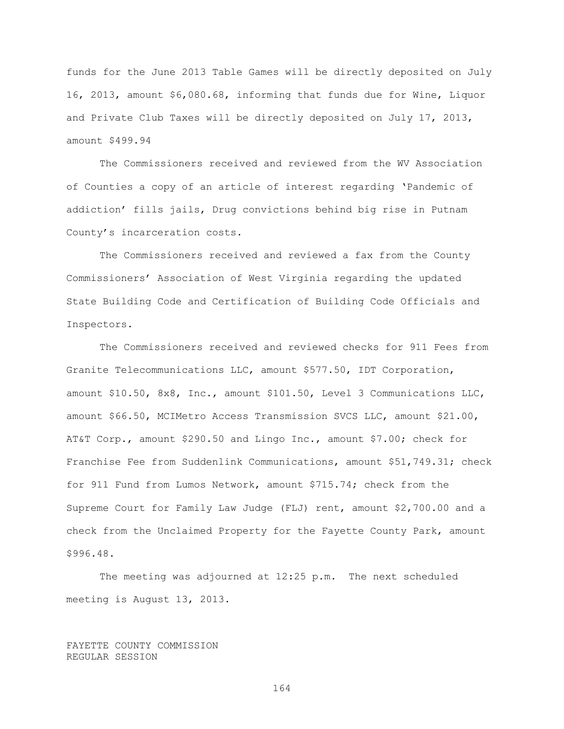funds for the June 2013 Table Games will be directly deposited on July 16, 2013, amount \$6,080.68, informing that funds due for Wine, Liquor and Private Club Taxes will be directly deposited on July 17, 2013, amount \$499.94

The Commissioners received and reviewed from the WV Association of Counties a copy of an article of interest regarding "Pandemic of addiction" fills jails, Drug convictions behind big rise in Putnam County"s incarceration costs.

The Commissioners received and reviewed a fax from the County Commissioners" Association of West Virginia regarding the updated State Building Code and Certification of Building Code Officials and Inspectors.

The Commissioners received and reviewed checks for 911 Fees from Granite Telecommunications LLC, amount \$577.50, IDT Corporation, amount \$10.50, 8x8, Inc., amount \$101.50, Level 3 Communications LLC, amount \$66.50, MCIMetro Access Transmission SVCS LLC, amount \$21.00, AT&T Corp., amount \$290.50 and Lingo Inc., amount \$7.00; check for Franchise Fee from Suddenlink Communications, amount \$51,749.31; check for 911 Fund from Lumos Network, amount \$715.74; check from the Supreme Court for Family Law Judge (FLJ) rent, amount \$2,700.00 and a check from the Unclaimed Property for the Fayette County Park, amount \$996.48.

The meeting was adjourned at 12:25 p.m. The next scheduled meeting is August 13, 2013.

FAYETTE COUNTY COMMISSION REGULAR SESSION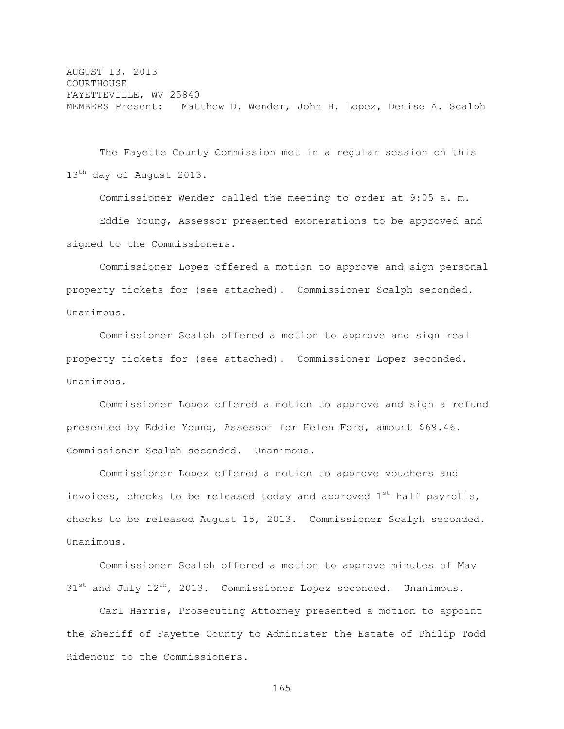AUGUST 13, 2013 **COURTHOUSE** FAYETTEVILLE, WV 25840 MEMBERS Present: Matthew D. Wender, John H. Lopez, Denise A. Scalph

The Fayette County Commission met in a regular session on this 13<sup>th</sup> day of August 2013.

Commissioner Wender called the meeting to order at 9:05 a. m. Eddie Young, Assessor presented exonerations to be approved and signed to the Commissioners.

Commissioner Lopez offered a motion to approve and sign personal property tickets for (see attached). Commissioner Scalph seconded. Unanimous.

Commissioner Scalph offered a motion to approve and sign real property tickets for (see attached). Commissioner Lopez seconded. Unanimous.

Commissioner Lopez offered a motion to approve and sign a refund presented by Eddie Young, Assessor for Helen Ford, amount \$69.46. Commissioner Scalph seconded. Unanimous.

Commissioner Lopez offered a motion to approve vouchers and invoices, checks to be released today and approved  $1^{st}$  half payrolls, checks to be released August 15, 2013. Commissioner Scalph seconded. Unanimous.

Commissioner Scalph offered a motion to approve minutes of May  $31^{st}$  and July  $12^{th}$ , 2013. Commissioner Lopez seconded. Unanimous.

Carl Harris, Prosecuting Attorney presented a motion to appoint the Sheriff of Fayette County to Administer the Estate of Philip Todd Ridenour to the Commissioners.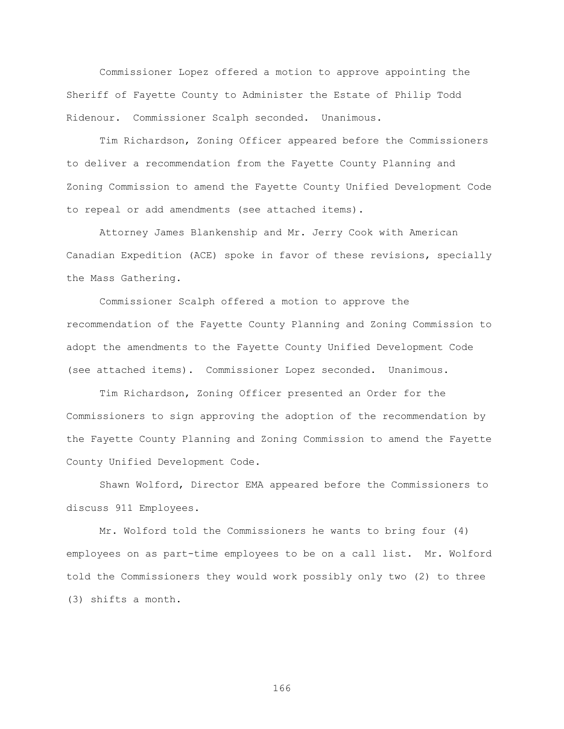Commissioner Lopez offered a motion to approve appointing the Sheriff of Fayette County to Administer the Estate of Philip Todd Ridenour. Commissioner Scalph seconded. Unanimous.

Tim Richardson, Zoning Officer appeared before the Commissioners to deliver a recommendation from the Fayette County Planning and Zoning Commission to amend the Fayette County Unified Development Code to repeal or add amendments (see attached items).

Attorney James Blankenship and Mr. Jerry Cook with American Canadian Expedition (ACE) spoke in favor of these revisions, specially the Mass Gathering.

Commissioner Scalph offered a motion to approve the recommendation of the Fayette County Planning and Zoning Commission to adopt the amendments to the Fayette County Unified Development Code (see attached items). Commissioner Lopez seconded. Unanimous.

Tim Richardson, Zoning Officer presented an Order for the Commissioners to sign approving the adoption of the recommendation by the Fayette County Planning and Zoning Commission to amend the Fayette County Unified Development Code.

Shawn Wolford, Director EMA appeared before the Commissioners to discuss 911 Employees.

Mr. Wolford told the Commissioners he wants to bring four (4) employees on as part-time employees to be on a call list. Mr. Wolford told the Commissioners they would work possibly only two (2) to three (3) shifts a month.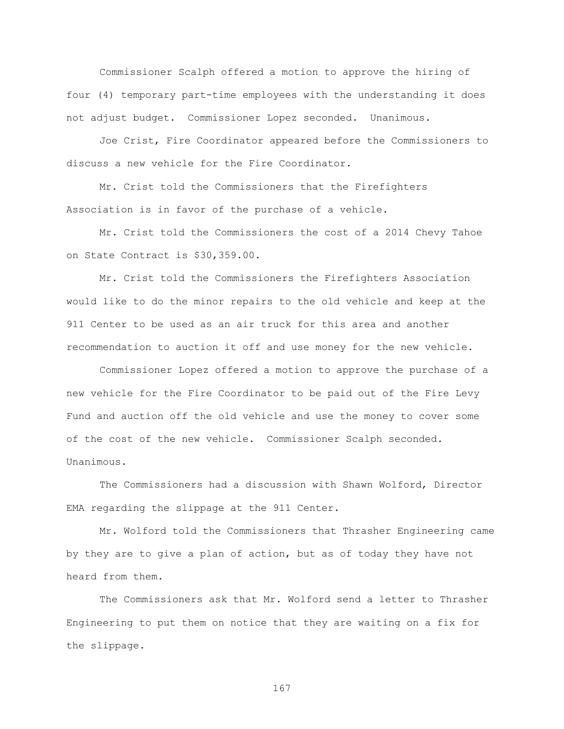Commissioner Scalph offered a motion to approve the hiring of four (4) temporary part-time employees with the understanding it does not adjust budget. Commissioner Lopez seconded. Unanimous.

Joe Crist, Fire Coordinator appeared before the Commissioners to discuss a new vehicle for the Fire Coordinator.

Mr. Crist told the Commissioners that the Firefighters Association is in favor of the purchase of a vehicle.

Mr. Crist told the Commissioners the cost of a 2014 Chevy Tahoe on State Contract is \$30,359.00.

Mr. Crist told the Commissioners the Firefighters Association would like to do the minor repairs to the old vehicle and keep at the 911 Center to be used as an air truck for this area and another recommendation to auction it off and use money for the new vehicle.

Commissioner Lopez offered a motion to approve the purchase of a new vehicle for the Fire Coordinator to be paid out of the Fire Levy Fund and auction off the old vehicle and use the money to cover some of the cost of the new vehicle. Commissioner Scalph seconded. Unanimous.

The Commissioners had a discussion with Shawn Wolford, Director EMA regarding the slippage at the 911 Center.

Mr. Wolford told the Commissioners that Thrasher Engineering came by they are to give a plan of action, but as of today they have not heard from them.

The Commissioners ask that Mr. Wolford send a letter to Thrasher Engineering to put them on notice that they are waiting on a fix for the slippage.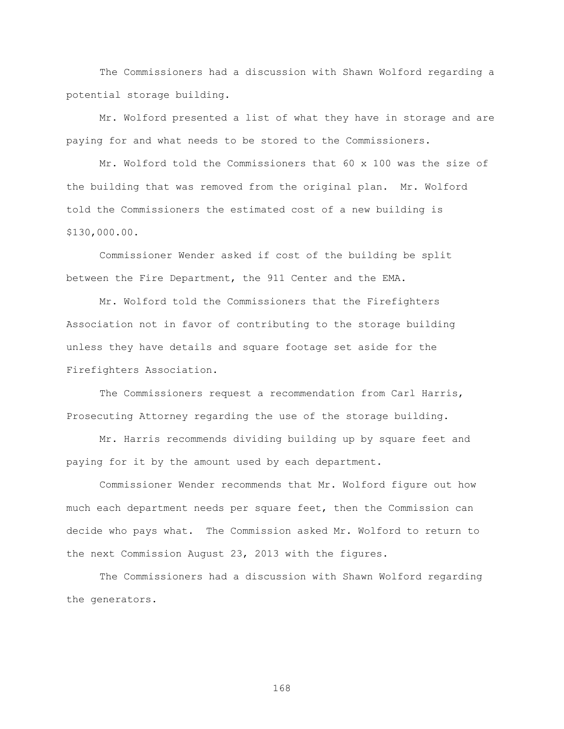The Commissioners had a discussion with Shawn Wolford regarding a potential storage building.

Mr. Wolford presented a list of what they have in storage and are paying for and what needs to be stored to the Commissioners.

Mr. Wolford told the Commissioners that 60 x 100 was the size of the building that was removed from the original plan. Mr. Wolford told the Commissioners the estimated cost of a new building is \$130,000.00.

Commissioner Wender asked if cost of the building be split between the Fire Department, the 911 Center and the EMA.

Mr. Wolford told the Commissioners that the Firefighters Association not in favor of contributing to the storage building unless they have details and square footage set aside for the Firefighters Association.

The Commissioners request a recommendation from Carl Harris, Prosecuting Attorney regarding the use of the storage building.

Mr. Harris recommends dividing building up by square feet and paying for it by the amount used by each department.

Commissioner Wender recommends that Mr. Wolford figure out how much each department needs per square feet, then the Commission can decide who pays what. The Commission asked Mr. Wolford to return to the next Commission August 23, 2013 with the figures.

The Commissioners had a discussion with Shawn Wolford regarding the generators.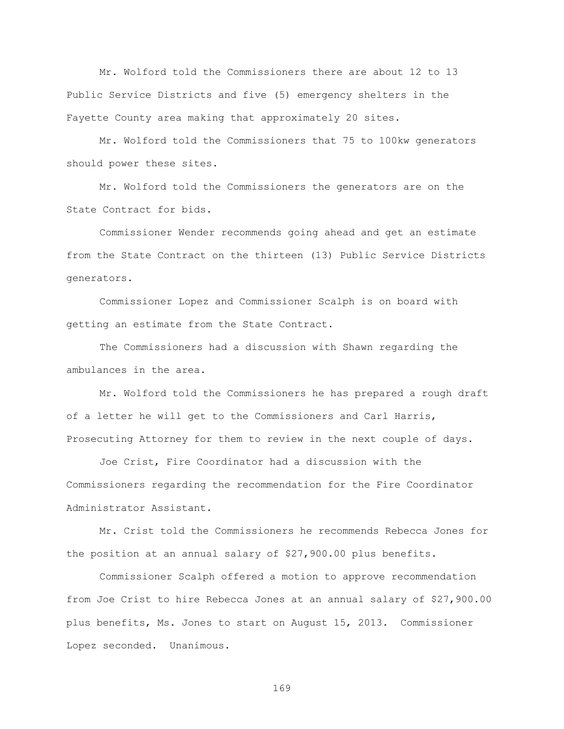Mr. Wolford told the Commissioners there are about 12 to 13 Public Service Districts and five (5) emergency shelters in the Fayette County area making that approximately 20 sites.

Mr. Wolford told the Commissioners that 75 to 100kw generators should power these sites.

Mr. Wolford told the Commissioners the generators are on the State Contract for bids.

Commissioner Wender recommends going ahead and get an estimate from the State Contract on the thirteen (13) Public Service Districts generators.

Commissioner Lopez and Commissioner Scalph is on board with getting an estimate from the State Contract.

The Commissioners had a discussion with Shawn regarding the ambulances in the area.

Mr. Wolford told the Commissioners he has prepared a rough draft of a letter he will get to the Commissioners and Carl Harris, Prosecuting Attorney for them to review in the next couple of days.

Joe Crist, Fire Coordinator had a discussion with the Commissioners regarding the recommendation for the Fire Coordinator Administrator Assistant.

Mr. Crist told the Commissioners he recommends Rebecca Jones for the position at an annual salary of \$27,900.00 plus benefits.

Commissioner Scalph offered a motion to approve recommendation from Joe Crist to hire Rebecca Jones at an annual salary of \$27,900.00 plus benefits, Ms. Jones to start on August 15, 2013. Commissioner Lopez seconded. Unanimous.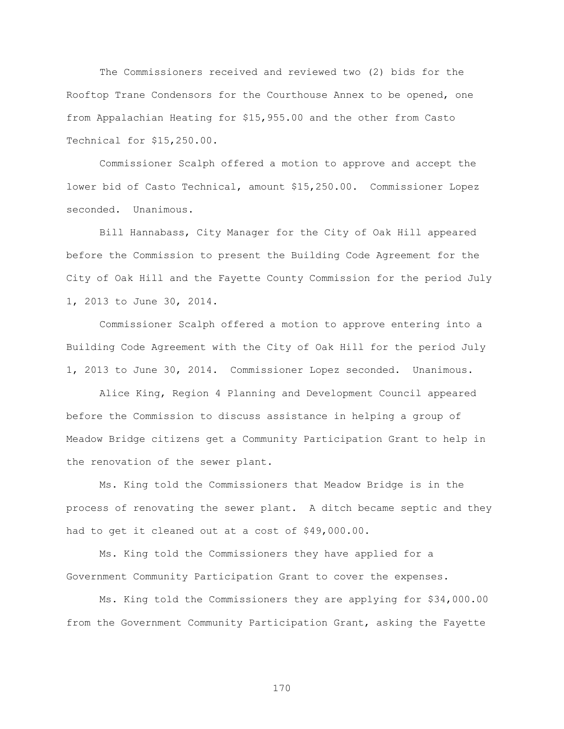The Commissioners received and reviewed two (2) bids for the Rooftop Trane Condensors for the Courthouse Annex to be opened, one from Appalachian Heating for \$15,955.00 and the other from Casto Technical for \$15,250.00.

Commissioner Scalph offered a motion to approve and accept the lower bid of Casto Technical, amount \$15,250.00. Commissioner Lopez seconded. Unanimous.

Bill Hannabass, City Manager for the City of Oak Hill appeared before the Commission to present the Building Code Agreement for the City of Oak Hill and the Fayette County Commission for the period July 1, 2013 to June 30, 2014.

Commissioner Scalph offered a motion to approve entering into a Building Code Agreement with the City of Oak Hill for the period July 1, 2013 to June 30, 2014. Commissioner Lopez seconded. Unanimous.

Alice King, Region 4 Planning and Development Council appeared before the Commission to discuss assistance in helping a group of Meadow Bridge citizens get a Community Participation Grant to help in the renovation of the sewer plant.

Ms. King told the Commissioners that Meadow Bridge is in the process of renovating the sewer plant. A ditch became septic and they had to get it cleaned out at a cost of \$49,000.00.

Ms. King told the Commissioners they have applied for a Government Community Participation Grant to cover the expenses.

Ms. King told the Commissioners they are applying for \$34,000.00 from the Government Community Participation Grant, asking the Fayette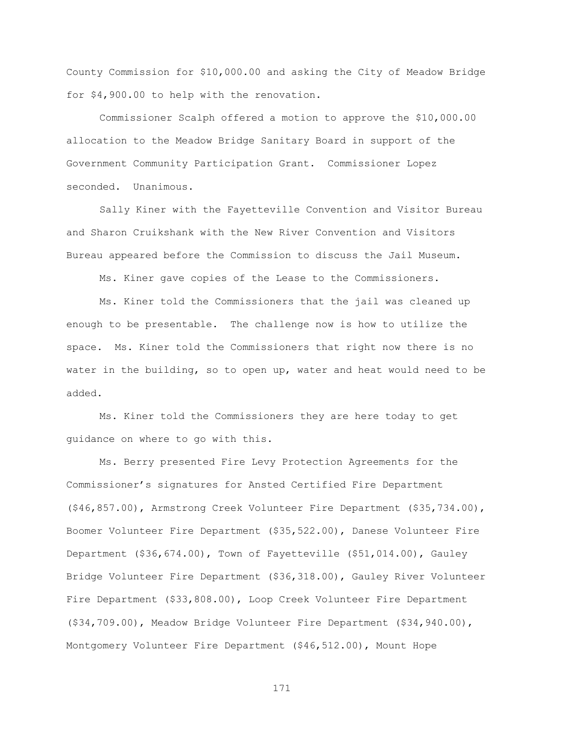County Commission for \$10,000.00 and asking the City of Meadow Bridge for \$4,900.00 to help with the renovation.

Commissioner Scalph offered a motion to approve the \$10,000.00 allocation to the Meadow Bridge Sanitary Board in support of the Government Community Participation Grant. Commissioner Lopez seconded. Unanimous.

Sally Kiner with the Fayetteville Convention and Visitor Bureau and Sharon Cruikshank with the New River Convention and Visitors Bureau appeared before the Commission to discuss the Jail Museum.

Ms. Kiner gave copies of the Lease to the Commissioners.

Ms. Kiner told the Commissioners that the jail was cleaned up enough to be presentable. The challenge now is how to utilize the space. Ms. Kiner told the Commissioners that right now there is no water in the building, so to open up, water and heat would need to be added.

Ms. Kiner told the Commissioners they are here today to get guidance on where to go with this.

Ms. Berry presented Fire Levy Protection Agreements for the Commissioner"s signatures for Ansted Certified Fire Department (\$46,857.00), Armstrong Creek Volunteer Fire Department (\$35,734.00), Boomer Volunteer Fire Department (\$35,522.00), Danese Volunteer Fire Department (\$36,674.00), Town of Fayetteville (\$51,014.00), Gauley Bridge Volunteer Fire Department (\$36,318.00), Gauley River Volunteer Fire Department (\$33,808.00), Loop Creek Volunteer Fire Department (\$34,709.00), Meadow Bridge Volunteer Fire Department (\$34,940.00), Montgomery Volunteer Fire Department (\$46,512.00), Mount Hope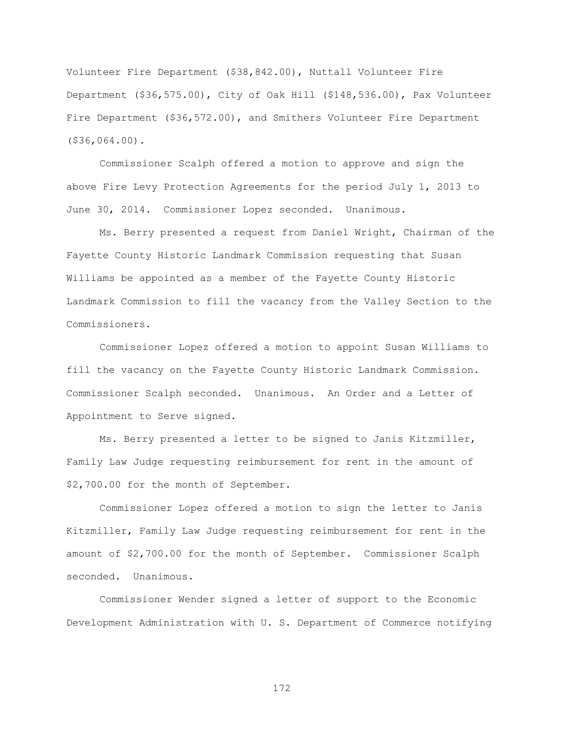Volunteer Fire Department (\$38,842.00), Nuttall Volunteer Fire Department (\$36,575.00), City of Oak Hill (\$148,536.00), Pax Volunteer Fire Department (\$36,572.00), and Smithers Volunteer Fire Department (\$36,064.00).

Commissioner Scalph offered a motion to approve and sign the above Fire Levy Protection Agreements for the period July 1, 2013 to June 30, 2014. Commissioner Lopez seconded. Unanimous.

Ms. Berry presented a request from Daniel Wright, Chairman of the Fayette County Historic Landmark Commission requesting that Susan Williams be appointed as a member of the Fayette County Historic Landmark Commission to fill the vacancy from the Valley Section to the Commissioners.

Commissioner Lopez offered a motion to appoint Susan Williams to fill the vacancy on the Fayette County Historic Landmark Commission. Commissioner Scalph seconded. Unanimous. An Order and a Letter of Appointment to Serve signed.

Ms. Berry presented a letter to be signed to Janis Kitzmiller, Family Law Judge requesting reimbursement for rent in the amount of \$2,700.00 for the month of September.

Commissioner Lopez offered a motion to sign the letter to Janis Kitzmiller, Family Law Judge requesting reimbursement for rent in the amount of \$2,700.00 for the month of September. Commissioner Scalph seconded. Unanimous.

Commissioner Wender signed a letter of support to the Economic Development Administration with U. S. Department of Commerce notifying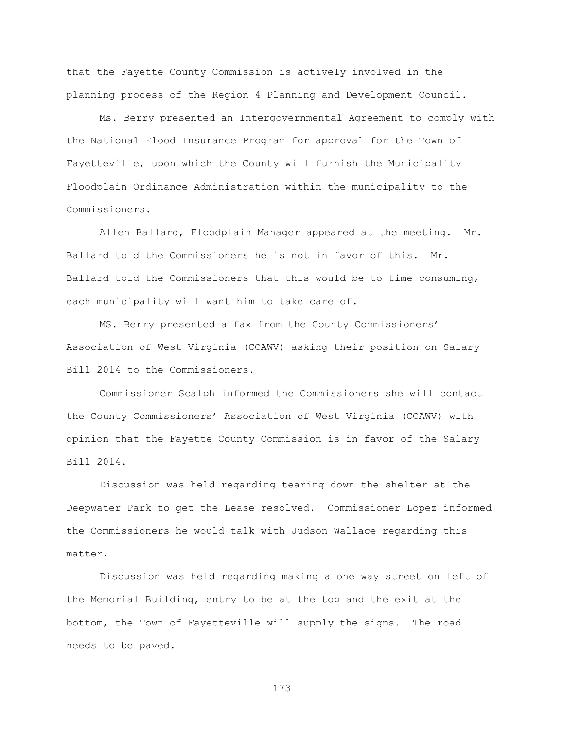that the Fayette County Commission is actively involved in the planning process of the Region 4 Planning and Development Council.

Ms. Berry presented an Intergovernmental Agreement to comply with the National Flood Insurance Program for approval for the Town of Fayetteville, upon which the County will furnish the Municipality Floodplain Ordinance Administration within the municipality to the Commissioners.

Allen Ballard, Floodplain Manager appeared at the meeting. Mr. Ballard told the Commissioners he is not in favor of this. Mr. Ballard told the Commissioners that this would be to time consuming, each municipality will want him to take care of.

MS. Berry presented a fax from the County Commissioners' Association of West Virginia (CCAWV) asking their position on Salary Bill 2014 to the Commissioners.

Commissioner Scalph informed the Commissioners she will contact the County Commissioners" Association of West Virginia (CCAWV) with opinion that the Fayette County Commission is in favor of the Salary Bill 2014.

Discussion was held regarding tearing down the shelter at the Deepwater Park to get the Lease resolved. Commissioner Lopez informed the Commissioners he would talk with Judson Wallace regarding this matter.

Discussion was held regarding making a one way street on left of the Memorial Building, entry to be at the top and the exit at the bottom, the Town of Fayetteville will supply the signs. The road needs to be paved.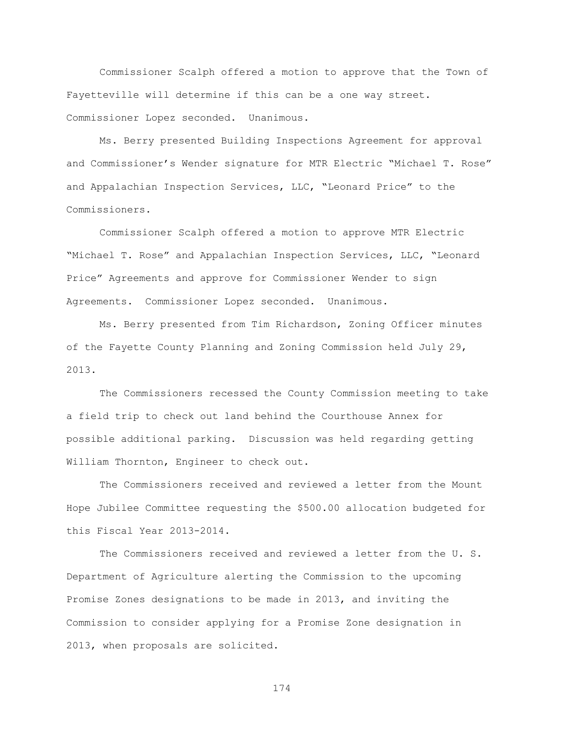Commissioner Scalph offered a motion to approve that the Town of Fayetteville will determine if this can be a one way street. Commissioner Lopez seconded. Unanimous.

Ms. Berry presented Building Inspections Agreement for approval and Commissioner"s Wender signature for MTR Electric "Michael T. Rose" and Appalachian Inspection Services, LLC, "Leonard Price" to the Commissioners.

Commissioner Scalph offered a motion to approve MTR Electric "Michael T. Rose" and Appalachian Inspection Services, LLC, "Leonard Price" Agreements and approve for Commissioner Wender to sign Agreements. Commissioner Lopez seconded. Unanimous.

Ms. Berry presented from Tim Richardson, Zoning Officer minutes of the Fayette County Planning and Zoning Commission held July 29, 2013.

The Commissioners recessed the County Commission meeting to take a field trip to check out land behind the Courthouse Annex for possible additional parking. Discussion was held regarding getting William Thornton, Engineer to check out.

The Commissioners received and reviewed a letter from the Mount Hope Jubilee Committee requesting the \$500.00 allocation budgeted for this Fiscal Year 2013-2014.

The Commissioners received and reviewed a letter from the U. S. Department of Agriculture alerting the Commission to the upcoming Promise Zones designations to be made in 2013, and inviting the Commission to consider applying for a Promise Zone designation in 2013, when proposals are solicited.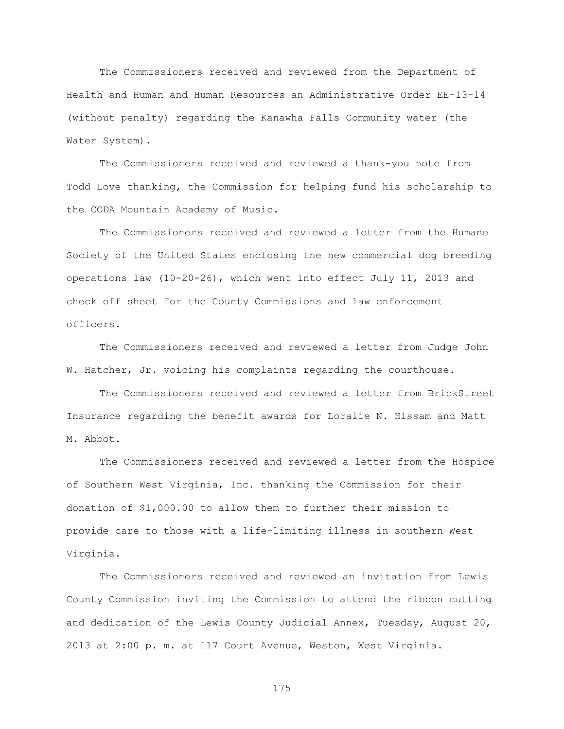The Commissioners received and reviewed from the Department of Health and Human and Human Resources an Administrative Order EE-13-14 (without penalty) regarding the Kanawha Falls Community water (the Water System).

The Commissioners received and reviewed a thank-you note from Todd Love thanking, the Commission for helping fund his scholarship to the CODA Mountain Academy of Music.

The Commissioners received and reviewed a letter from the Humane Society of the United States enclosing the new commercial dog breeding operations law (10-20-26), which went into effect July 11, 2013 and check off sheet for the County Commissions and law enforcement officers.

The Commissioners received and reviewed a letter from Judge John W. Hatcher, Jr. voicing his complaints regarding the courthouse.

The Commissioners received and reviewed a letter from BrickStreet Insurance regarding the benefit awards for Loralie N. Hissam and Matt M. Abbot.

The Commissioners received and reviewed a letter from the Hospice of Southern West Virginia, Inc. thanking the Commission for their donation of \$1,000.00 to allow them to further their mission to provide care to those with a life-limiting illness in southern West Virginia.

The Commissioners received and reviewed an invitation from Lewis County Commission inviting the Commission to attend the ribbon cutting and dedication of the Lewis County Judicial Annex, Tuesday, August 20, 2013 at 2:00 p. m. at 117 Court Avenue, Weston, West Virginia.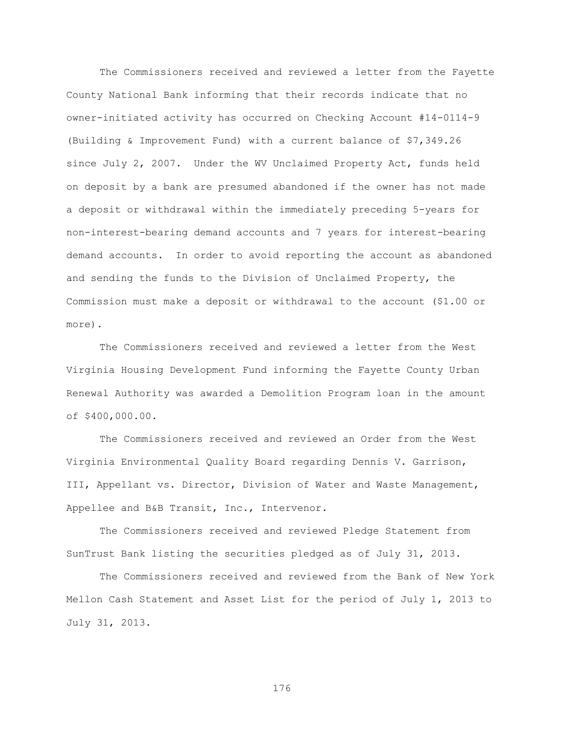The Commissioners received and reviewed a letter from the Fayette County National Bank informing that their records indicate that no owner-initiated activity has occurred on Checking Account #14-0114-9 (Building & Improvement Fund) with a current balance of \$7,349.26 since July 2, 2007. Under the WV Unclaimed Property Act, funds held on deposit by a bank are presumed abandoned if the owner has not made a deposit or withdrawal within the immediately preceding 5-years for non-interest-bearing demand accounts and 7 years for interest-bearing demand accounts. In order to avoid reporting the account as abandoned and sending the funds to the Division of Unclaimed Property, the Commission must make a deposit or withdrawal to the account (\$1.00 or more).

The Commissioners received and reviewed a letter from the West Virginia Housing Development Fund informing the Fayette County Urban Renewal Authority was awarded a Demolition Program loan in the amount of \$400,000.00.

The Commissioners received and reviewed an Order from the West Virginia Environmental Quality Board regarding Dennis V. Garrison, III, Appellant vs. Director, Division of Water and Waste Management, Appellee and B&B Transit, Inc., Intervenor.

The Commissioners received and reviewed Pledge Statement from SunTrust Bank listing the securities pledged as of July 31, 2013.

The Commissioners received and reviewed from the Bank of New York Mellon Cash Statement and Asset List for the period of July 1, 2013 to July 31, 2013.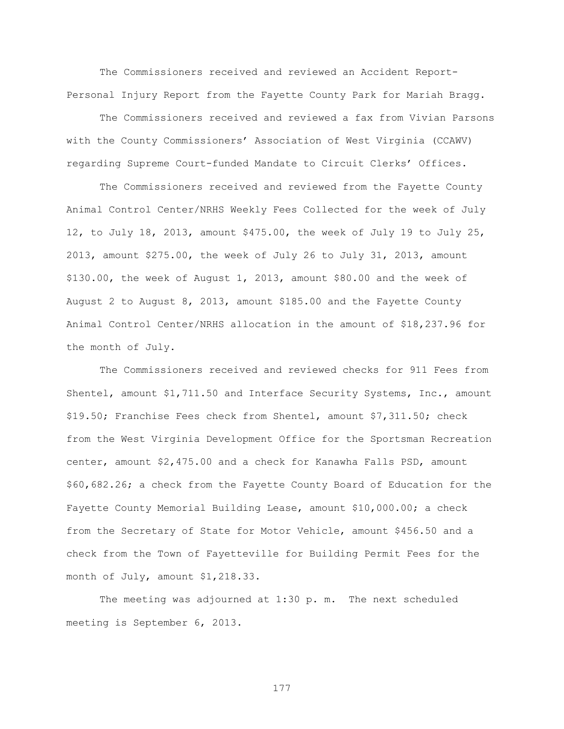The Commissioners received and reviewed an Accident Report-Personal Injury Report from the Fayette County Park for Mariah Bragg.

The Commissioners received and reviewed a fax from Vivian Parsons with the County Commissioners" Association of West Virginia (CCAWV) regarding Supreme Court-funded Mandate to Circuit Clerks" Offices.

The Commissioners received and reviewed from the Fayette County Animal Control Center/NRHS Weekly Fees Collected for the week of July 12, to July 18, 2013, amount \$475.00, the week of July 19 to July 25, 2013, amount \$275.00, the week of July 26 to July 31, 2013, amount \$130.00, the week of August 1, 2013, amount \$80.00 and the week of August 2 to August 8, 2013, amount \$185.00 and the Fayette County Animal Control Center/NRHS allocation in the amount of \$18,237.96 for the month of July.

The Commissioners received and reviewed checks for 911 Fees from Shentel, amount \$1,711.50 and Interface Security Systems, Inc., amount \$19.50; Franchise Fees check from Shentel, amount \$7,311.50; check from the West Virginia Development Office for the Sportsman Recreation center, amount \$2,475.00 and a check for Kanawha Falls PSD, amount \$60,682.26; a check from the Fayette County Board of Education for the Fayette County Memorial Building Lease, amount \$10,000.00; a check from the Secretary of State for Motor Vehicle, amount \$456.50 and a check from the Town of Fayetteville for Building Permit Fees for the month of July, amount \$1,218.33.

The meeting was adjourned at 1:30 p. m. The next scheduled meeting is September 6, 2013.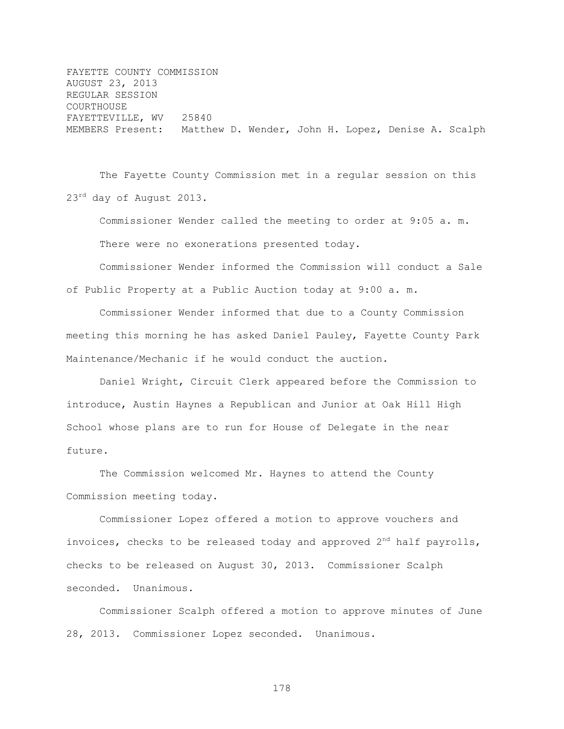FAYETTE COUNTY COMMISSION AUGUST 23, 2013 REGULAR SESSION COURTHOUSE FAYETTEVILLE, WV 25840 MEMBERS Present: Matthew D. Wender, John H. Lopez, Denise A. Scalph

The Fayette County Commission met in a regular session on this 23<sup>rd</sup> day of August 2013.

Commissioner Wender called the meeting to order at 9:05 a. m. There were no exonerations presented today.

Commissioner Wender informed the Commission will conduct a Sale of Public Property at a Public Auction today at 9:00 a. m.

Commissioner Wender informed that due to a County Commission meeting this morning he has asked Daniel Pauley, Fayette County Park Maintenance/Mechanic if he would conduct the auction.

Daniel Wright, Circuit Clerk appeared before the Commission to introduce, Austin Haynes a Republican and Junior at Oak Hill High School whose plans are to run for House of Delegate in the near future.

The Commission welcomed Mr. Haynes to attend the County Commission meeting today.

Commissioner Lopez offered a motion to approve vouchers and invoices, checks to be released today and approved  $2<sup>nd</sup>$  half payrolls, checks to be released on August 30, 2013. Commissioner Scalph seconded. Unanimous.

Commissioner Scalph offered a motion to approve minutes of June 28, 2013. Commissioner Lopez seconded. Unanimous.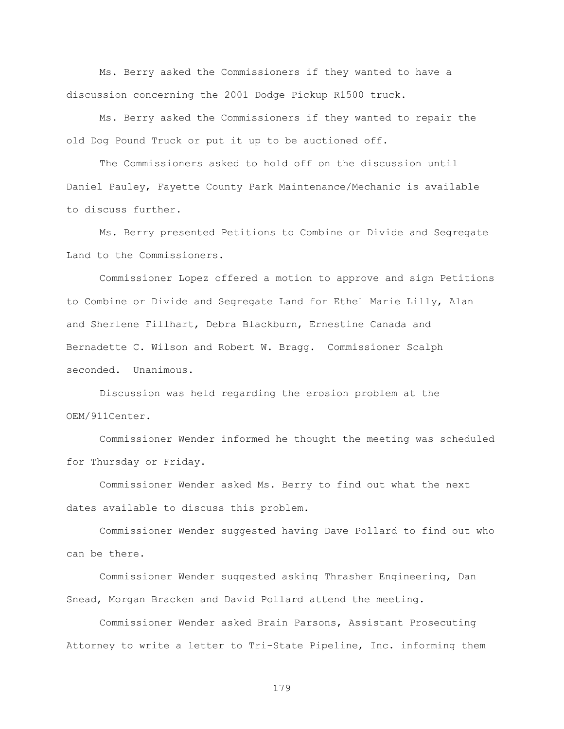Ms. Berry asked the Commissioners if they wanted to have a discussion concerning the 2001 Dodge Pickup R1500 truck.

Ms. Berry asked the Commissioners if they wanted to repair the old Dog Pound Truck or put it up to be auctioned off.

The Commissioners asked to hold off on the discussion until Daniel Pauley, Fayette County Park Maintenance/Mechanic is available to discuss further.

Ms. Berry presented Petitions to Combine or Divide and Segregate Land to the Commissioners.

Commissioner Lopez offered a motion to approve and sign Petitions to Combine or Divide and Segregate Land for Ethel Marie Lilly, Alan and Sherlene Fillhart, Debra Blackburn, Ernestine Canada and Bernadette C. Wilson and Robert W. Bragg. Commissioner Scalph seconded. Unanimous.

Discussion was held regarding the erosion problem at the OEM/911Center.

Commissioner Wender informed he thought the meeting was scheduled for Thursday or Friday.

Commissioner Wender asked Ms. Berry to find out what the next dates available to discuss this problem.

Commissioner Wender suggested having Dave Pollard to find out who can be there.

Commissioner Wender suggested asking Thrasher Engineering, Dan Snead, Morgan Bracken and David Pollard attend the meeting.

Commissioner Wender asked Brain Parsons, Assistant Prosecuting Attorney to write a letter to Tri-State Pipeline, Inc. informing them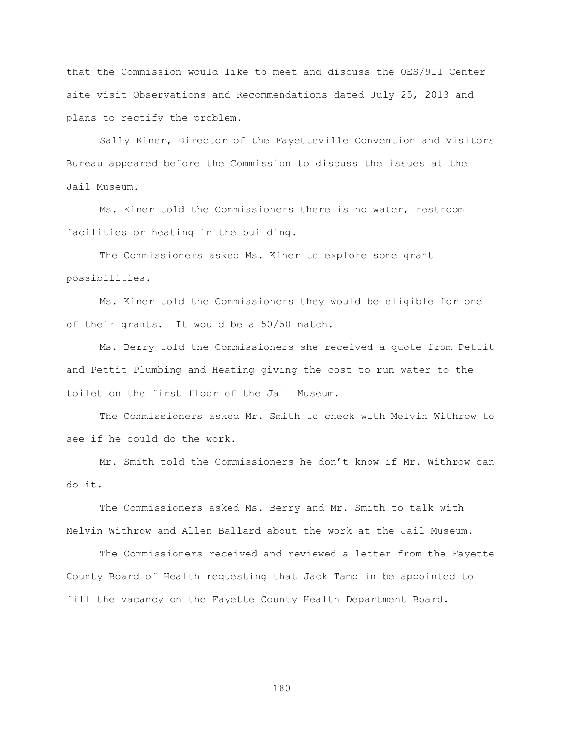that the Commission would like to meet and discuss the OES/911 Center site visit Observations and Recommendations dated July 25, 2013 and plans to rectify the problem.

Sally Kiner, Director of the Fayetteville Convention and Visitors Bureau appeared before the Commission to discuss the issues at the Jail Museum.

Ms. Kiner told the Commissioners there is no water, restroom facilities or heating in the building.

The Commissioners asked Ms. Kiner to explore some grant possibilities.

Ms. Kiner told the Commissioners they would be eligible for one of their grants. It would be a 50/50 match.

Ms. Berry told the Commissioners she received a quote from Pettit and Pettit Plumbing and Heating giving the cost to run water to the toilet on the first floor of the Jail Museum.

The Commissioners asked Mr. Smith to check with Melvin Withrow to see if he could do the work.

Mr. Smith told the Commissioners he don"t know if Mr. Withrow can do it.

The Commissioners asked Ms. Berry and Mr. Smith to talk with Melvin Withrow and Allen Ballard about the work at the Jail Museum.

The Commissioners received and reviewed a letter from the Fayette County Board of Health requesting that Jack Tamplin be appointed to fill the vacancy on the Fayette County Health Department Board.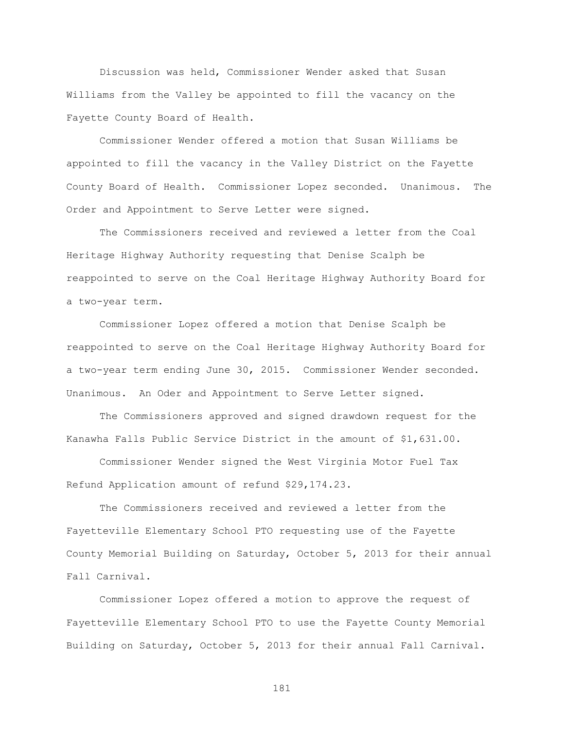Discussion was held, Commissioner Wender asked that Susan Williams from the Valley be appointed to fill the vacancy on the Fayette County Board of Health.

Commissioner Wender offered a motion that Susan Williams be appointed to fill the vacancy in the Valley District on the Fayette County Board of Health. Commissioner Lopez seconded. Unanimous. The Order and Appointment to Serve Letter were signed.

The Commissioners received and reviewed a letter from the Coal Heritage Highway Authority requesting that Denise Scalph be reappointed to serve on the Coal Heritage Highway Authority Board for a two-year term.

Commissioner Lopez offered a motion that Denise Scalph be reappointed to serve on the Coal Heritage Highway Authority Board for a two-year term ending June 30, 2015. Commissioner Wender seconded. Unanimous. An Oder and Appointment to Serve Letter signed.

The Commissioners approved and signed drawdown request for the Kanawha Falls Public Service District in the amount of \$1,631.00.

Commissioner Wender signed the West Virginia Motor Fuel Tax Refund Application amount of refund \$29,174.23.

The Commissioners received and reviewed a letter from the Fayetteville Elementary School PTO requesting use of the Fayette County Memorial Building on Saturday, October 5, 2013 for their annual Fall Carnival.

Commissioner Lopez offered a motion to approve the request of Fayetteville Elementary School PTO to use the Fayette County Memorial Building on Saturday, October 5, 2013 for their annual Fall Carnival.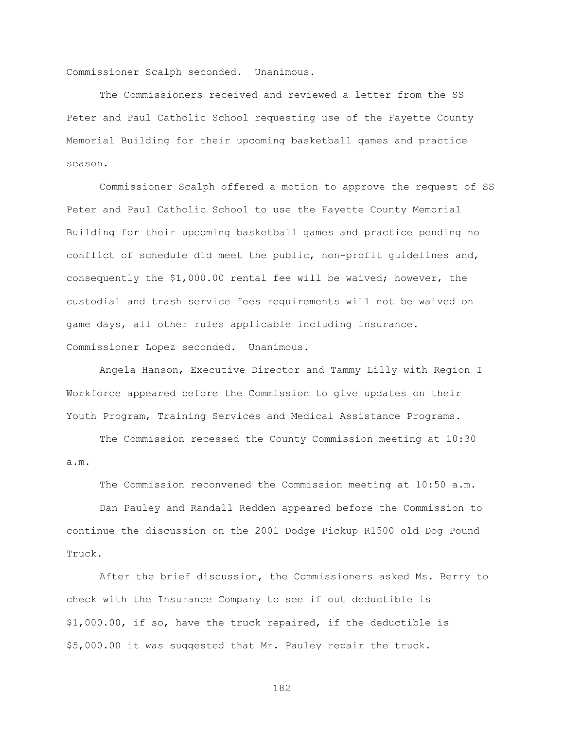Commissioner Scalph seconded. Unanimous.

The Commissioners received and reviewed a letter from the SS Peter and Paul Catholic School requesting use of the Fayette County Memorial Building for their upcoming basketball games and practice season.

Commissioner Scalph offered a motion to approve the request of SS Peter and Paul Catholic School to use the Fayette County Memorial Building for their upcoming basketball games and practice pending no conflict of schedule did meet the public, non-profit guidelines and, consequently the \$1,000.00 rental fee will be waived; however, the custodial and trash service fees requirements will not be waived on game days, all other rules applicable including insurance. Commissioner Lopez seconded. Unanimous.

Angela Hanson, Executive Director and Tammy Lilly with Region I Workforce appeared before the Commission to give updates on their Youth Program, Training Services and Medical Assistance Programs.

The Commission recessed the County Commission meeting at 10:30 a.m.

The Commission reconvened the Commission meeting at 10:50 a.m.

Dan Pauley and Randall Redden appeared before the Commission to continue the discussion on the 2001 Dodge Pickup R1500 old Dog Pound Truck.

After the brief discussion, the Commissioners asked Ms. Berry to check with the Insurance Company to see if out deductible is \$1,000.00, if so, have the truck repaired, if the deductible is \$5,000.00 it was suggested that Mr. Pauley repair the truck.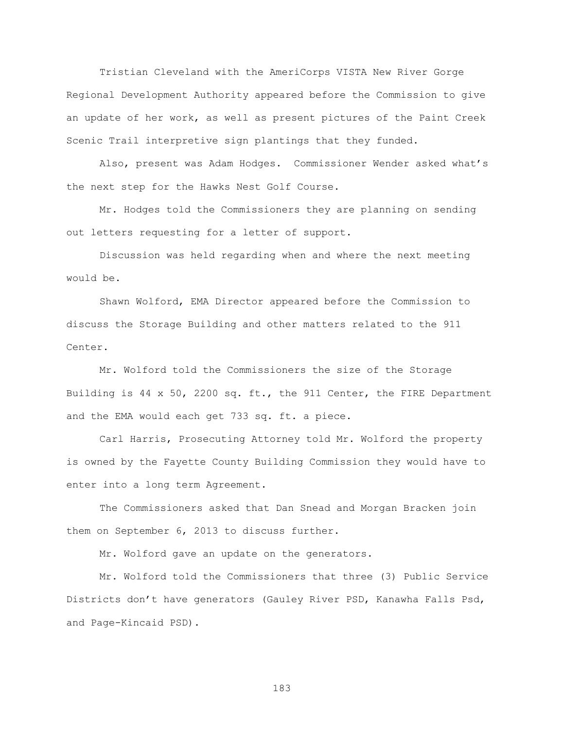Tristian Cleveland with the AmeriCorps VISTA New River Gorge Regional Development Authority appeared before the Commission to give an update of her work, as well as present pictures of the Paint Creek Scenic Trail interpretive sign plantings that they funded.

Also, present was Adam Hodges. Commissioner Wender asked what"s the next step for the Hawks Nest Golf Course.

Mr. Hodges told the Commissioners they are planning on sending out letters requesting for a letter of support.

Discussion was held regarding when and where the next meeting would be.

Shawn Wolford, EMA Director appeared before the Commission to discuss the Storage Building and other matters related to the 911 Center.

Mr. Wolford told the Commissioners the size of the Storage Building is 44 x 50, 2200 sq. ft., the 911 Center, the FIRE Department and the EMA would each get 733 sq. ft. a piece.

Carl Harris, Prosecuting Attorney told Mr. Wolford the property is owned by the Fayette County Building Commission they would have to enter into a long term Agreement.

The Commissioners asked that Dan Snead and Morgan Bracken join them on September 6, 2013 to discuss further.

Mr. Wolford gave an update on the generators.

Mr. Wolford told the Commissioners that three (3) Public Service Districts don"t have generators (Gauley River PSD, Kanawha Falls Psd, and Page-Kincaid PSD).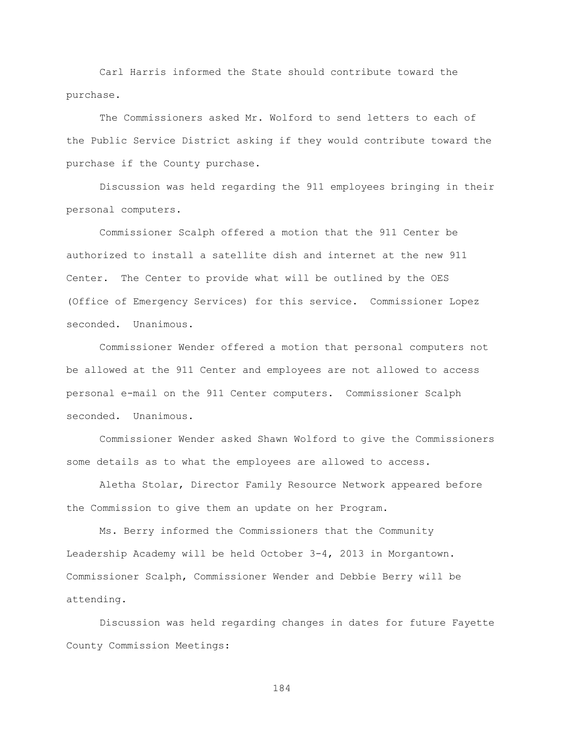Carl Harris informed the State should contribute toward the purchase.

The Commissioners asked Mr. Wolford to send letters to each of the Public Service District asking if they would contribute toward the purchase if the County purchase.

Discussion was held regarding the 911 employees bringing in their personal computers.

Commissioner Scalph offered a motion that the 911 Center be authorized to install a satellite dish and internet at the new 911 Center. The Center to provide what will be outlined by the OES (Office of Emergency Services) for this service. Commissioner Lopez seconded. Unanimous.

Commissioner Wender offered a motion that personal computers not be allowed at the 911 Center and employees are not allowed to access personal e-mail on the 911 Center computers. Commissioner Scalph seconded. Unanimous.

Commissioner Wender asked Shawn Wolford to give the Commissioners some details as to what the employees are allowed to access.

Aletha Stolar, Director Family Resource Network appeared before the Commission to give them an update on her Program.

Ms. Berry informed the Commissioners that the Community Leadership Academy will be held October 3-4, 2013 in Morgantown. Commissioner Scalph, Commissioner Wender and Debbie Berry will be attending.

Discussion was held regarding changes in dates for future Fayette County Commission Meetings: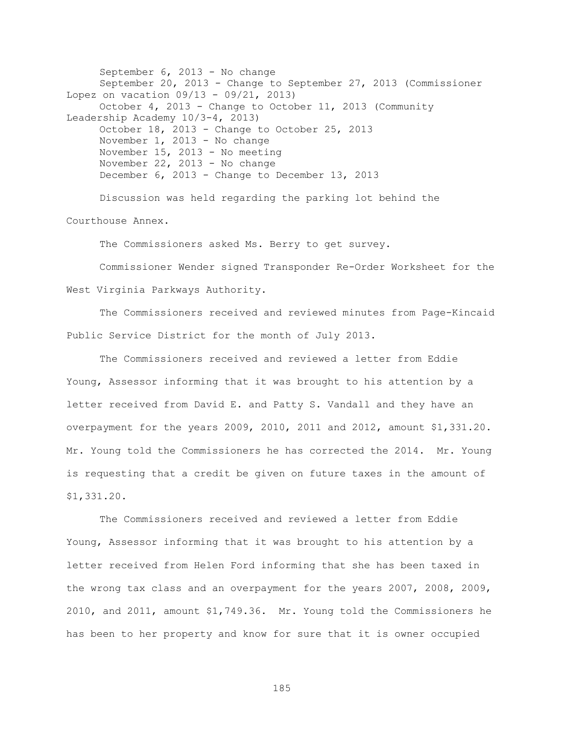September 6, 2013 - No change September 20, 2013 - Change to September 27, 2013 (Commissioner Lopez on vacation 09/13 - 09/21, 2013) October 4, 2013 - Change to October 11, 2013 (Community Leadership Academy 10/3-4, 2013) October 18, 2013 - Change to October 25, 2013 November 1, 2013 - No change November 15, 2013 - No meeting November 22, 2013 - No change December 6, 2013 - Change to December 13, 2013 Discussion was held regarding the parking lot behind the

Courthouse Annex.

The Commissioners asked Ms. Berry to get survey.

Commissioner Wender signed Transponder Re-Order Worksheet for the West Virginia Parkways Authority.

The Commissioners received and reviewed minutes from Page-Kincaid Public Service District for the month of July 2013.

The Commissioners received and reviewed a letter from Eddie Young, Assessor informing that it was brought to his attention by a letter received from David E. and Patty S. Vandall and they have an overpayment for the years 2009, 2010, 2011 and 2012, amount \$1,331.20. Mr. Young told the Commissioners he has corrected the 2014. Mr. Young is requesting that a credit be given on future taxes in the amount of \$1,331.20.

The Commissioners received and reviewed a letter from Eddie Young, Assessor informing that it was brought to his attention by a letter received from Helen Ford informing that she has been taxed in the wrong tax class and an overpayment for the years 2007, 2008, 2009, 2010, and 2011, amount \$1,749.36. Mr. Young told the Commissioners he has been to her property and know for sure that it is owner occupied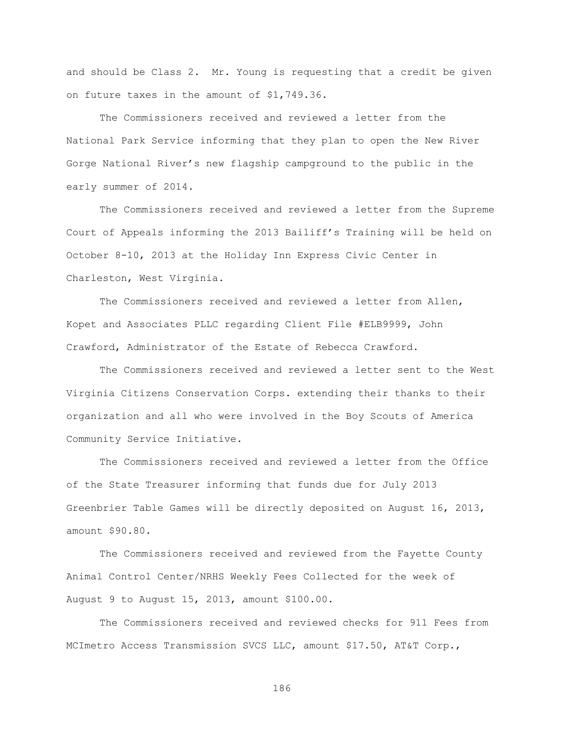and should be Class 2. Mr. Young is requesting that a credit be given on future taxes in the amount of \$1,749.36.

The Commissioners received and reviewed a letter from the National Park Service informing that they plan to open the New River Gorge National River"s new flagship campground to the public in the early summer of 2014.

The Commissioners received and reviewed a letter from the Supreme Court of Appeals informing the 2013 Bailiff"s Training will be held on October 8-10, 2013 at the Holiday Inn Express Civic Center in Charleston, West Virginia.

The Commissioners received and reviewed a letter from Allen, Kopet and Associates PLLC regarding Client File #ELB9999, John Crawford, Administrator of the Estate of Rebecca Crawford.

The Commissioners received and reviewed a letter sent to the West Virginia Citizens Conservation Corps. extending their thanks to their organization and all who were involved in the Boy Scouts of America Community Service Initiative.

The Commissioners received and reviewed a letter from the Office of the State Treasurer informing that funds due for July 2013 Greenbrier Table Games will be directly deposited on August 16, 2013, amount \$90.80.

The Commissioners received and reviewed from the Fayette County Animal Control Center/NRHS Weekly Fees Collected for the week of August 9 to August 15, 2013, amount \$100.00.

The Commissioners received and reviewed checks for 911 Fees from MCImetro Access Transmission SVCS LLC, amount \$17.50, AT&T Corp.,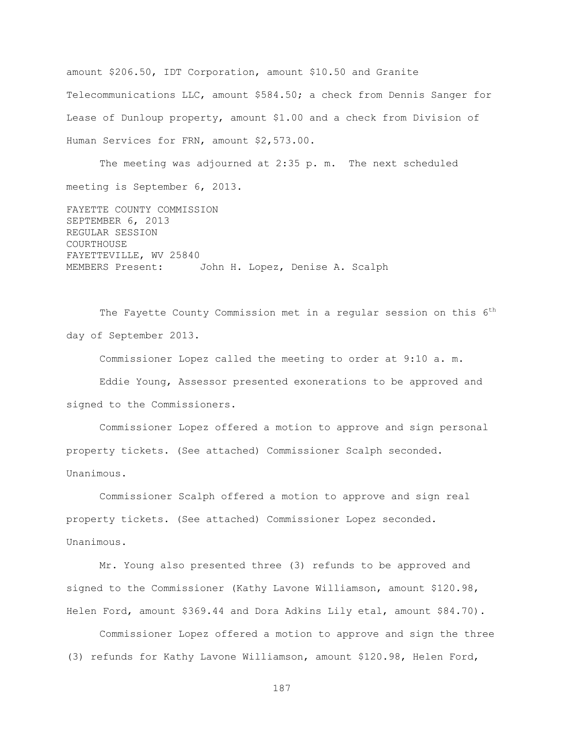amount \$206.50, IDT Corporation, amount \$10.50 and Granite Telecommunications LLC, amount \$584.50; a check from Dennis Sanger for Lease of Dunloup property, amount \$1.00 and a check from Division of Human Services for FRN, amount \$2,573.00.

The meeting was adjourned at 2:35 p. m. The next scheduled meeting is September 6, 2013.

FAYETTE COUNTY COMMISSION SEPTEMBER 6, 2013 REGULAR SESSION COURTHOUSE FAYETTEVILLE, WV 25840 MEMBERS Present: John H. Lopez, Denise A. Scalph

The Fayette County Commission met in a regular session on this 6<sup>th</sup> day of September 2013.

Commissioner Lopez called the meeting to order at 9:10 a. m.

Eddie Young, Assessor presented exonerations to be approved and signed to the Commissioners.

Commissioner Lopez offered a motion to approve and sign personal property tickets. (See attached) Commissioner Scalph seconded. Unanimous.

Commissioner Scalph offered a motion to approve and sign real property tickets. (See attached) Commissioner Lopez seconded. Unanimous.

Mr. Young also presented three (3) refunds to be approved and signed to the Commissioner (Kathy Lavone Williamson, amount \$120.98, Helen Ford, amount \$369.44 and Dora Adkins Lily etal, amount \$84.70).

Commissioner Lopez offered a motion to approve and sign the three (3) refunds for Kathy Lavone Williamson, amount \$120.98, Helen Ford,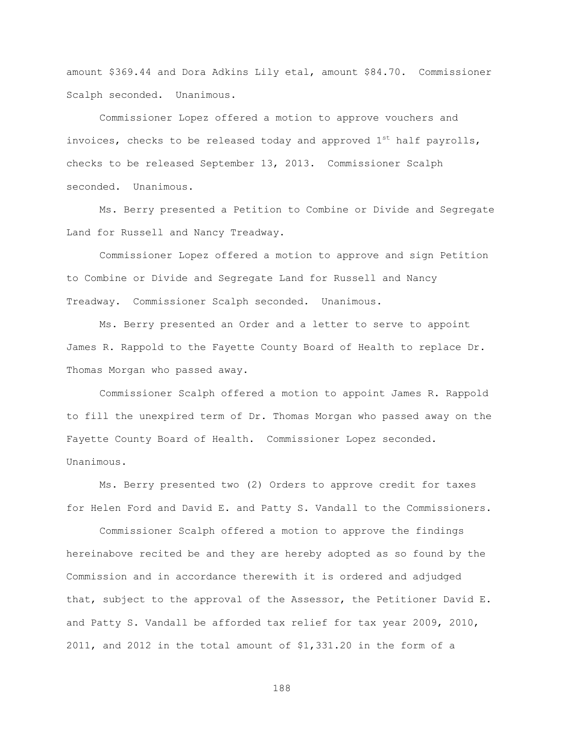amount \$369.44 and Dora Adkins Lily etal, amount \$84.70. Commissioner Scalph seconded. Unanimous.

Commissioner Lopez offered a motion to approve vouchers and invoices, checks to be released today and approved  $1^{st}$  half payrolls, checks to be released September 13, 2013. Commissioner Scalph seconded. Unanimous.

Ms. Berry presented a Petition to Combine or Divide and Segregate Land for Russell and Nancy Treadway.

Commissioner Lopez offered a motion to approve and sign Petition to Combine or Divide and Segregate Land for Russell and Nancy Treadway. Commissioner Scalph seconded. Unanimous.

Ms. Berry presented an Order and a letter to serve to appoint James R. Rappold to the Fayette County Board of Health to replace Dr. Thomas Morgan who passed away.

Commissioner Scalph offered a motion to appoint James R. Rappold to fill the unexpired term of Dr. Thomas Morgan who passed away on the Fayette County Board of Health. Commissioner Lopez seconded. Unanimous.

Ms. Berry presented two (2) Orders to approve credit for taxes for Helen Ford and David E. and Patty S. Vandall to the Commissioners.

Commissioner Scalph offered a motion to approve the findings hereinabove recited be and they are hereby adopted as so found by the Commission and in accordance therewith it is ordered and adjudged that, subject to the approval of the Assessor, the Petitioner David E. and Patty S. Vandall be afforded tax relief for tax year 2009, 2010, 2011, and 2012 in the total amount of \$1,331.20 in the form of a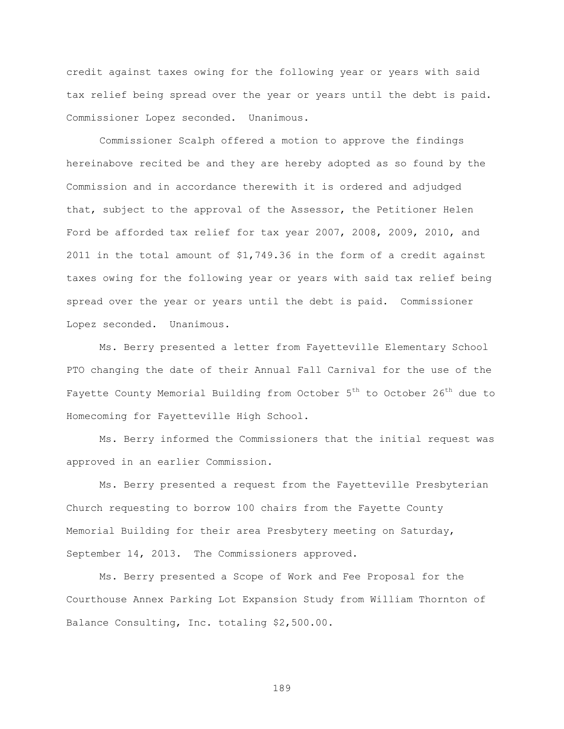credit against taxes owing for the following year or years with said tax relief being spread over the year or years until the debt is paid. Commissioner Lopez seconded. Unanimous.

Commissioner Scalph offered a motion to approve the findings hereinabove recited be and they are hereby adopted as so found by the Commission and in accordance therewith it is ordered and adjudged that, subject to the approval of the Assessor, the Petitioner Helen Ford be afforded tax relief for tax year 2007, 2008, 2009, 2010, and 2011 in the total amount of \$1,749.36 in the form of a credit against taxes owing for the following year or years with said tax relief being spread over the year or years until the debt is paid. Commissioner Lopez seconded. Unanimous.

Ms. Berry presented a letter from Fayetteville Elementary School PTO changing the date of their Annual Fall Carnival for the use of the Fayette County Memorial Building from October  $5<sup>th</sup>$  to October 26<sup>th</sup> due to Homecoming for Fayetteville High School.

Ms. Berry informed the Commissioners that the initial request was approved in an earlier Commission.

Ms. Berry presented a request from the Fayetteville Presbyterian Church requesting to borrow 100 chairs from the Fayette County Memorial Building for their area Presbytery meeting on Saturday, September 14, 2013. The Commissioners approved.

Ms. Berry presented a Scope of Work and Fee Proposal for the Courthouse Annex Parking Lot Expansion Study from William Thornton of Balance Consulting, Inc. totaling \$2,500.00.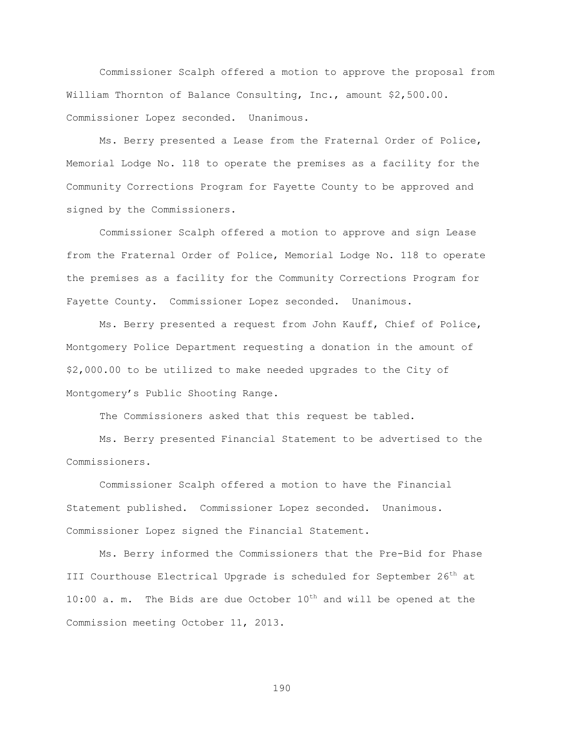Commissioner Scalph offered a motion to approve the proposal from William Thornton of Balance Consulting, Inc., amount \$2,500.00. Commissioner Lopez seconded. Unanimous.

Ms. Berry presented a Lease from the Fraternal Order of Police, Memorial Lodge No. 118 to operate the premises as a facility for the Community Corrections Program for Fayette County to be approved and signed by the Commissioners.

Commissioner Scalph offered a motion to approve and sign Lease from the Fraternal Order of Police, Memorial Lodge No. 118 to operate the premises as a facility for the Community Corrections Program for Fayette County. Commissioner Lopez seconded. Unanimous.

Ms. Berry presented a request from John Kauff, Chief of Police, Montgomery Police Department requesting a donation in the amount of \$2,000.00 to be utilized to make needed upgrades to the City of Montgomery"s Public Shooting Range.

The Commissioners asked that this request be tabled.

Ms. Berry presented Financial Statement to be advertised to the Commissioners.

Commissioner Scalph offered a motion to have the Financial Statement published. Commissioner Lopez seconded. Unanimous. Commissioner Lopez signed the Financial Statement.

Ms. Berry informed the Commissioners that the Pre-Bid for Phase III Courthouse Electrical Upgrade is scheduled for September 26<sup>th</sup> at 10:00 a. m. The Bids are due October  $10^{th}$  and will be opened at the Commission meeting October 11, 2013.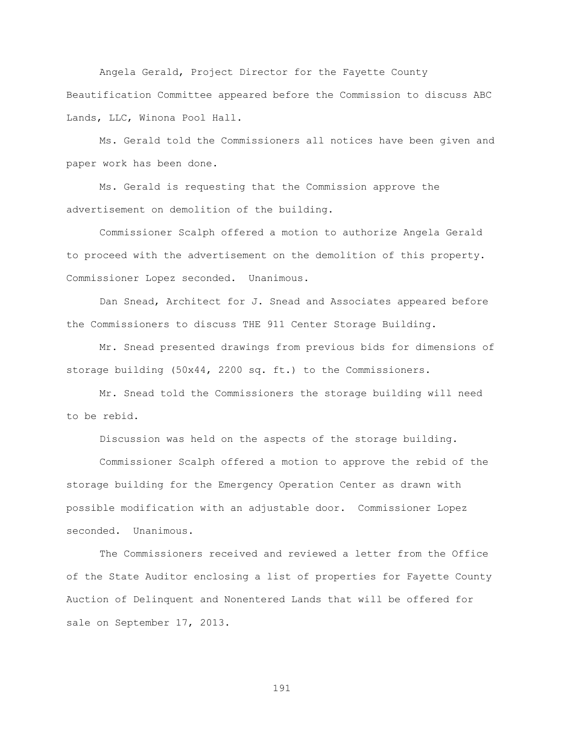Angela Gerald, Project Director for the Fayette County Beautification Committee appeared before the Commission to discuss ABC Lands, LLC, Winona Pool Hall.

Ms. Gerald told the Commissioners all notices have been given and paper work has been done.

Ms. Gerald is requesting that the Commission approve the advertisement on demolition of the building.

Commissioner Scalph offered a motion to authorize Angela Gerald to proceed with the advertisement on the demolition of this property. Commissioner Lopez seconded. Unanimous.

Dan Snead, Architect for J. Snead and Associates appeared before the Commissioners to discuss THE 911 Center Storage Building.

Mr. Snead presented drawings from previous bids for dimensions of storage building (50x44, 2200 sq. ft.) to the Commissioners.

Mr. Snead told the Commissioners the storage building will need to be rebid.

Discussion was held on the aspects of the storage building.

Commissioner Scalph offered a motion to approve the rebid of the storage building for the Emergency Operation Center as drawn with possible modification with an adjustable door. Commissioner Lopez seconded. Unanimous.

The Commissioners received and reviewed a letter from the Office of the State Auditor enclosing a list of properties for Fayette County Auction of Delinquent and Nonentered Lands that will be offered for sale on September 17, 2013.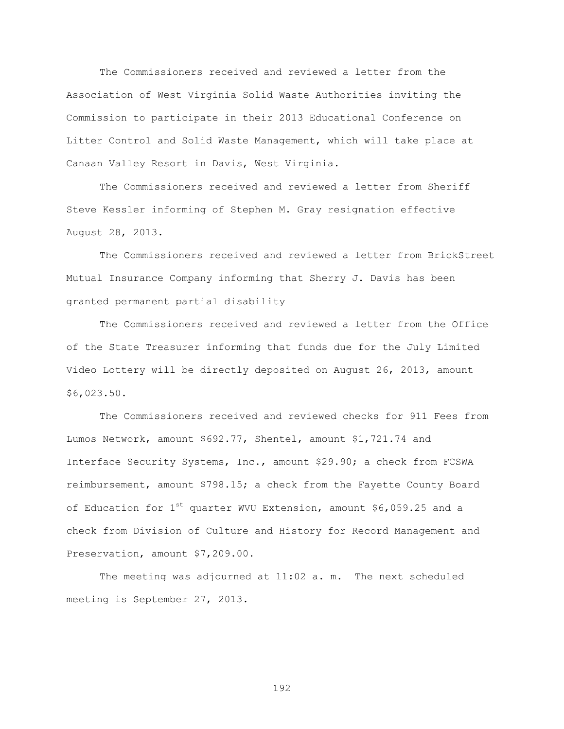The Commissioners received and reviewed a letter from the Association of West Virginia Solid Waste Authorities inviting the Commission to participate in their 2013 Educational Conference on Litter Control and Solid Waste Management, which will take place at Canaan Valley Resort in Davis, West Virginia.

The Commissioners received and reviewed a letter from Sheriff Steve Kessler informing of Stephen M. Gray resignation effective August 28, 2013.

The Commissioners received and reviewed a letter from BrickStreet Mutual Insurance Company informing that Sherry J. Davis has been granted permanent partial disability

The Commissioners received and reviewed a letter from the Office of the State Treasurer informing that funds due for the July Limited Video Lottery will be directly deposited on August 26, 2013, amount \$6,023.50.

The Commissioners received and reviewed checks for 911 Fees from Lumos Network, amount \$692.77, Shentel, amount \$1,721.74 and Interface Security Systems, Inc., amount \$29.90; a check from FCSWA reimbursement, amount \$798.15; a check from the Fayette County Board of Education for  $1^{st}$  quarter WVU Extension, amount \$6,059.25 and a check from Division of Culture and History for Record Management and Preservation, amount \$7,209.00.

The meeting was adjourned at 11:02 a. m. The next scheduled meeting is September 27, 2013.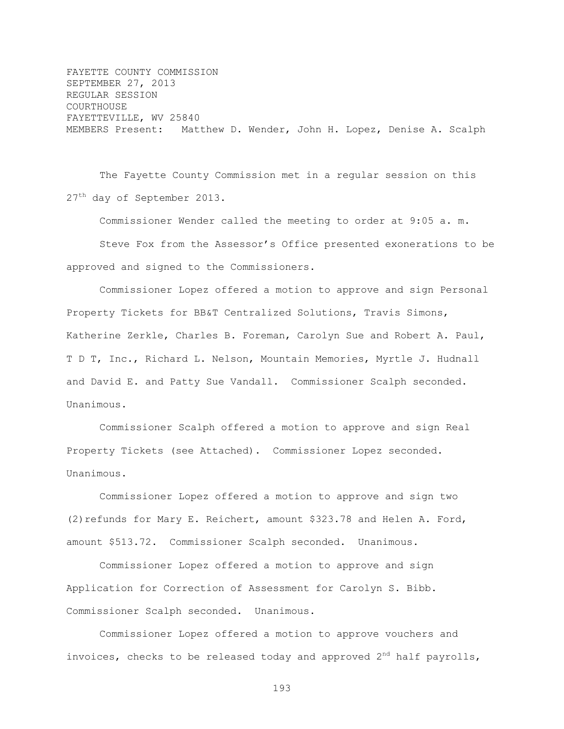FAYETTE COUNTY COMMISSION SEPTEMBER 27, 2013 REGULAR SESSION COURTHOUSE FAYETTEVILLE, WV 25840 MEMBERS Present: Matthew D. Wender, John H. Lopez, Denise A. Scalph

The Fayette County Commission met in a regular session on this 27<sup>th</sup> day of September 2013.

Commissioner Wender called the meeting to order at 9:05 a. m.

Steve Fox from the Assessor"s Office presented exonerations to be approved and signed to the Commissioners.

Commissioner Lopez offered a motion to approve and sign Personal Property Tickets for BB&T Centralized Solutions, Travis Simons, Katherine Zerkle, Charles B. Foreman, Carolyn Sue and Robert A. Paul, T D T, Inc., Richard L. Nelson, Mountain Memories, Myrtle J. Hudnall and David E. and Patty Sue Vandall. Commissioner Scalph seconded. Unanimous.

Commissioner Scalph offered a motion to approve and sign Real Property Tickets (see Attached). Commissioner Lopez seconded. Unanimous.

Commissioner Lopez offered a motion to approve and sign two (2) refunds for Mary E. Reichert, amount \$323.78 and Helen A. Ford, amount \$513.72. Commissioner Scalph seconded. Unanimous.

Commissioner Lopez offered a motion to approve and sign Application for Correction of Assessment for Carolyn S. Bibb. Commissioner Scalph seconded. Unanimous.

Commissioner Lopez offered a motion to approve vouchers and invoices, checks to be released today and approved  $2<sup>nd</sup>$  half payrolls,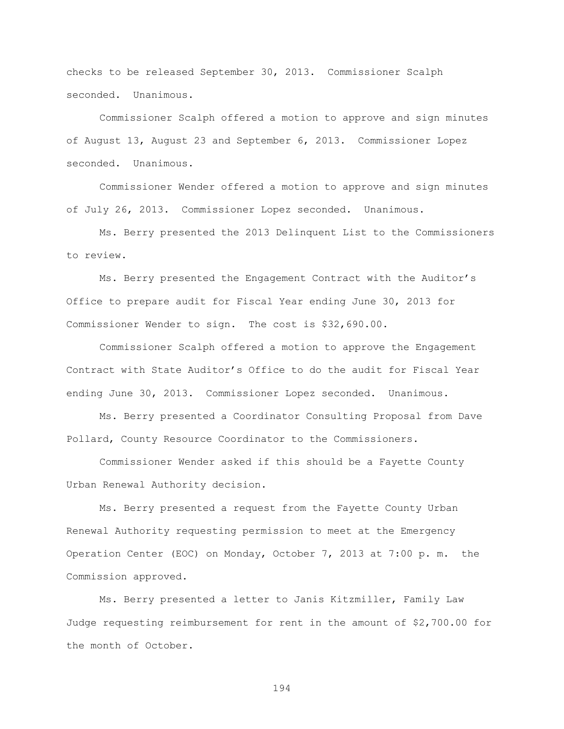checks to be released September 30, 2013. Commissioner Scalph seconded. Unanimous.

Commissioner Scalph offered a motion to approve and sign minutes of August 13, August 23 and September 6, 2013. Commissioner Lopez seconded. Unanimous.

Commissioner Wender offered a motion to approve and sign minutes of July 26, 2013. Commissioner Lopez seconded. Unanimous.

Ms. Berry presented the 2013 Delinquent List to the Commissioners to review.

Ms. Berry presented the Engagement Contract with the Auditor"s Office to prepare audit for Fiscal Year ending June 30, 2013 for Commissioner Wender to sign. The cost is \$32,690.00.

 Commissioner Scalph offered a motion to approve the Engagement Contract with State Auditor"s Office to do the audit for Fiscal Year ending June 30, 2013. Commissioner Lopez seconded. Unanimous.

Ms. Berry presented a Coordinator Consulting Proposal from Dave Pollard, County Resource Coordinator to the Commissioners.

Commissioner Wender asked if this should be a Fayette County Urban Renewal Authority decision.

Ms. Berry presented a request from the Fayette County Urban Renewal Authority requesting permission to meet at the Emergency Operation Center (EOC) on Monday, October 7, 2013 at 7:00 p. m. the Commission approved.

Ms. Berry presented a letter to Janis Kitzmiller, Family Law Judge requesting reimbursement for rent in the amount of \$2,700.00 for the month of October.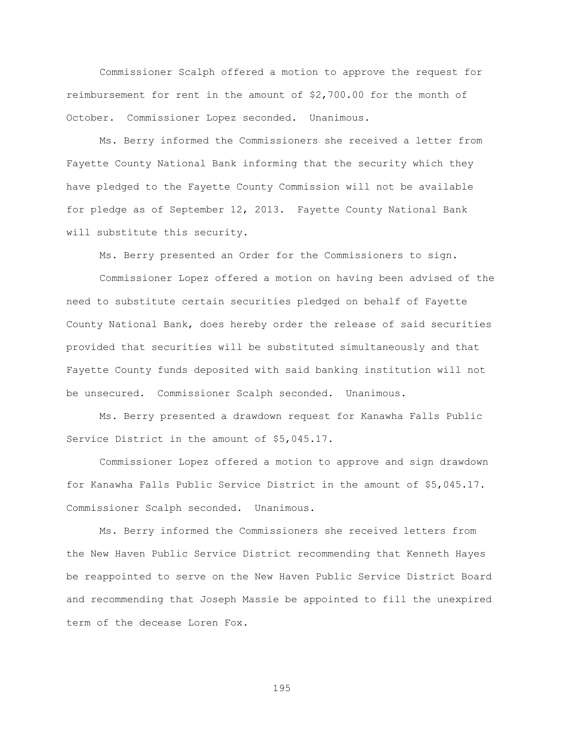Commissioner Scalph offered a motion to approve the request for reimbursement for rent in the amount of \$2,700.00 for the month of October. Commissioner Lopez seconded. Unanimous.

Ms. Berry informed the Commissioners she received a letter from Fayette County National Bank informing that the security which they have pledged to the Fayette County Commission will not be available for pledge as of September 12, 2013. Fayette County National Bank will substitute this security.

Ms. Berry presented an Order for the Commissioners to sign.

Commissioner Lopez offered a motion on having been advised of the need to substitute certain securities pledged on behalf of Fayette County National Bank, does hereby order the release of said securities provided that securities will be substituted simultaneously and that Fayette County funds deposited with said banking institution will not be unsecured. Commissioner Scalph seconded. Unanimous.

Ms. Berry presented a drawdown request for Kanawha Falls Public Service District in the amount of \$5,045.17.

Commissioner Lopez offered a motion to approve and sign drawdown for Kanawha Falls Public Service District in the amount of \$5,045.17. Commissioner Scalph seconded. Unanimous.

Ms. Berry informed the Commissioners she received letters from the New Haven Public Service District recommending that Kenneth Hayes be reappointed to serve on the New Haven Public Service District Board and recommending that Joseph Massie be appointed to fill the unexpired term of the decease Loren Fox.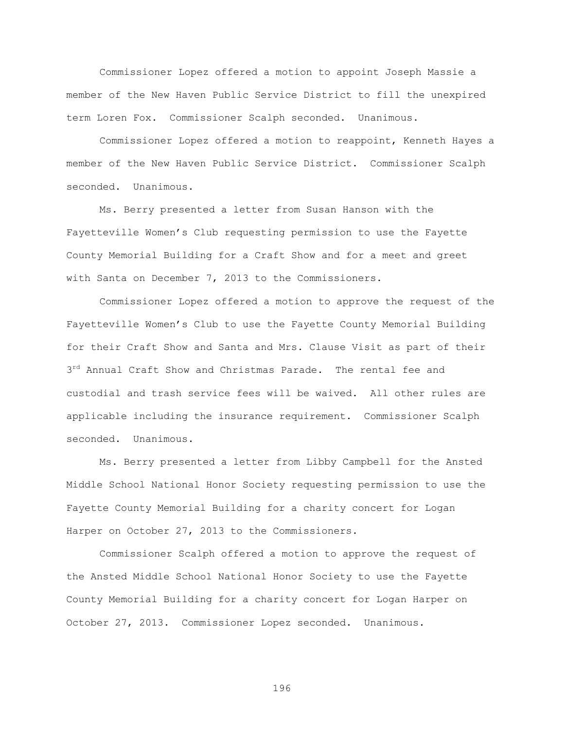Commissioner Lopez offered a motion to appoint Joseph Massie a member of the New Haven Public Service District to fill the unexpired term Loren Fox. Commissioner Scalph seconded. Unanimous.

Commissioner Lopez offered a motion to reappoint, Kenneth Hayes a member of the New Haven Public Service District. Commissioner Scalph seconded. Unanimous.

Ms. Berry presented a letter from Susan Hanson with the Fayetteville Women"s Club requesting permission to use the Fayette County Memorial Building for a Craft Show and for a meet and greet with Santa on December 7, 2013 to the Commissioners.

Commissioner Lopez offered a motion to approve the request of the Fayetteville Women"s Club to use the Fayette County Memorial Building for their Craft Show and Santa and Mrs. Clause Visit as part of their 3<sup>rd</sup> Annual Craft Show and Christmas Parade. The rental fee and custodial and trash service fees will be waived. All other rules are applicable including the insurance requirement. Commissioner Scalph seconded. Unanimous.

Ms. Berry presented a letter from Libby Campbell for the Ansted Middle School National Honor Society requesting permission to use the Fayette County Memorial Building for a charity concert for Logan Harper on October 27, 2013 to the Commissioners.

Commissioner Scalph offered a motion to approve the request of the Ansted Middle School National Honor Society to use the Fayette County Memorial Building for a charity concert for Logan Harper on October 27, 2013. Commissioner Lopez seconded. Unanimous.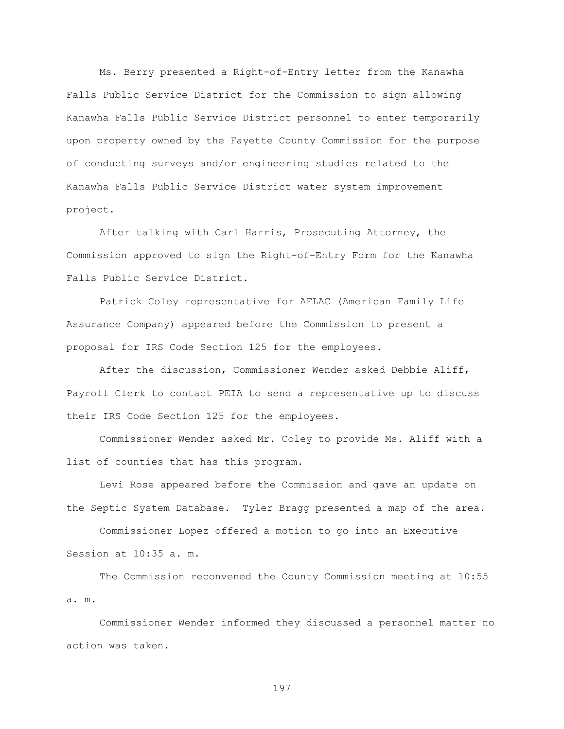Ms. Berry presented a Right-of-Entry letter from the Kanawha Falls Public Service District for the Commission to sign allowing Kanawha Falls Public Service District personnel to enter temporarily upon property owned by the Fayette County Commission for the purpose of conducting surveys and/or engineering studies related to the Kanawha Falls Public Service District water system improvement project.

After talking with Carl Harris, Prosecuting Attorney, the Commission approved to sign the Right-of-Entry Form for the Kanawha Falls Public Service District.

Patrick Coley representative for AFLAC (American Family Life Assurance Company) appeared before the Commission to present a proposal for IRS Code Section 125 for the employees.

After the discussion, Commissioner Wender asked Debbie Aliff, Payroll Clerk to contact PEIA to send a representative up to discuss their IRS Code Section 125 for the employees.

Commissioner Wender asked Mr. Coley to provide Ms. Aliff with a list of counties that has this program.

Levi Rose appeared before the Commission and gave an update on the Septic System Database. Tyler Bragg presented a map of the area.

Commissioner Lopez offered a motion to go into an Executive Session at 10:35 a. m.

The Commission reconvened the County Commission meeting at 10:55 a. m.

Commissioner Wender informed they discussed a personnel matter no action was taken.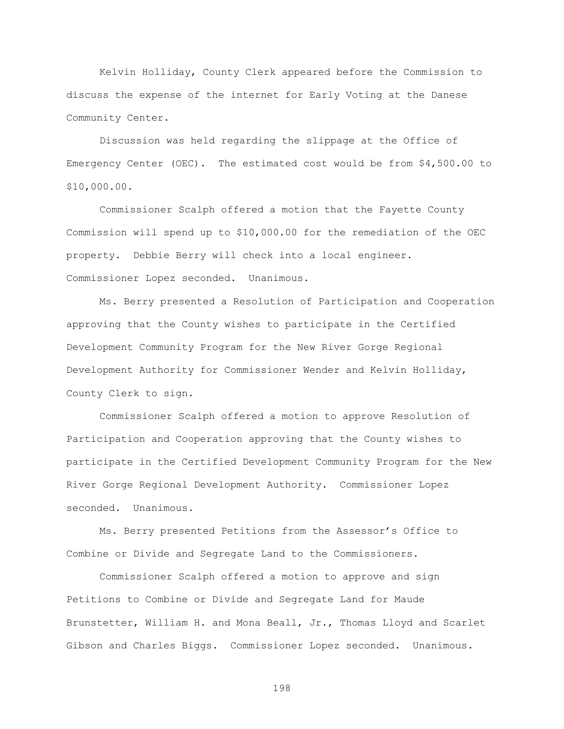Kelvin Holliday, County Clerk appeared before the Commission to discuss the expense of the internet for Early Voting at the Danese Community Center.

Discussion was held regarding the slippage at the Office of Emergency Center (OEC). The estimated cost would be from \$4,500.00 to \$10,000.00.

Commissioner Scalph offered a motion that the Fayette County Commission will spend up to \$10,000.00 for the remediation of the OEC property. Debbie Berry will check into a local engineer. Commissioner Lopez seconded. Unanimous.

Ms. Berry presented a Resolution of Participation and Cooperation approving that the County wishes to participate in the Certified Development Community Program for the New River Gorge Regional Development Authority for Commissioner Wender and Kelvin Holliday, County Clerk to sign.

Commissioner Scalph offered a motion to approve Resolution of Participation and Cooperation approving that the County wishes to participate in the Certified Development Community Program for the New River Gorge Regional Development Authority. Commissioner Lopez seconded. Unanimous.

Ms. Berry presented Petitions from the Assessor"s Office to Combine or Divide and Segregate Land to the Commissioners.

Commissioner Scalph offered a motion to approve and sign Petitions to Combine or Divide and Segregate Land for Maude Brunstetter, William H. and Mona Beall, Jr., Thomas Lloyd and Scarlet Gibson and Charles Biggs. Commissioner Lopez seconded. Unanimous.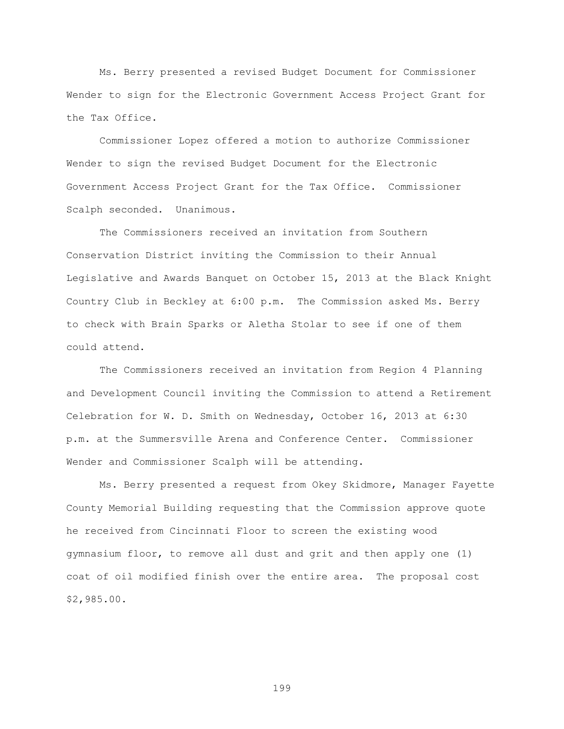Ms. Berry presented a revised Budget Document for Commissioner Wender to sign for the Electronic Government Access Project Grant for the Tax Office.

Commissioner Lopez offered a motion to authorize Commissioner Wender to sign the revised Budget Document for the Electronic Government Access Project Grant for the Tax Office. Commissioner Scalph seconded. Unanimous.

The Commissioners received an invitation from Southern Conservation District inviting the Commission to their Annual Legislative and Awards Banquet on October 15, 2013 at the Black Knight Country Club in Beckley at 6:00 p.m. The Commission asked Ms. Berry to check with Brain Sparks or Aletha Stolar to see if one of them could attend.

The Commissioners received an invitation from Region 4 Planning and Development Council inviting the Commission to attend a Retirement Celebration for W. D. Smith on Wednesday, October 16, 2013 at 6:30 p.m. at the Summersville Arena and Conference Center. Commissioner Wender and Commissioner Scalph will be attending.

Ms. Berry presented a request from Okey Skidmore, Manager Fayette County Memorial Building requesting that the Commission approve quote he received from Cincinnati Floor to screen the existing wood gymnasium floor, to remove all dust and grit and then apply one (1) coat of oil modified finish over the entire area. The proposal cost \$2,985.00.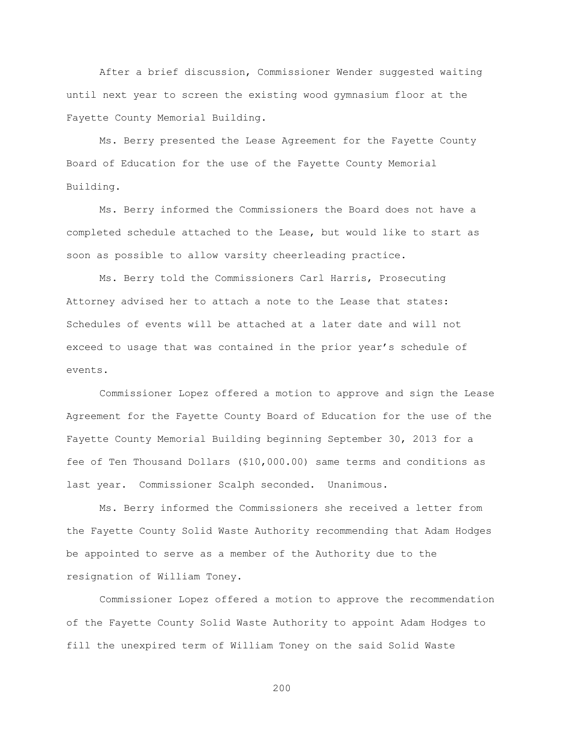After a brief discussion, Commissioner Wender suggested waiting until next year to screen the existing wood gymnasium floor at the Fayette County Memorial Building.

Ms. Berry presented the Lease Agreement for the Fayette County Board of Education for the use of the Fayette County Memorial Building.

Ms. Berry informed the Commissioners the Board does not have a completed schedule attached to the Lease, but would like to start as soon as possible to allow varsity cheerleading practice.

Ms. Berry told the Commissioners Carl Harris, Prosecuting Attorney advised her to attach a note to the Lease that states: Schedules of events will be attached at a later date and will not exceed to usage that was contained in the prior year"s schedule of events.

Commissioner Lopez offered a motion to approve and sign the Lease Agreement for the Fayette County Board of Education for the use of the Fayette County Memorial Building beginning September 30, 2013 for a fee of Ten Thousand Dollars (\$10,000.00) same terms and conditions as last year. Commissioner Scalph seconded. Unanimous.

Ms. Berry informed the Commissioners she received a letter from the Fayette County Solid Waste Authority recommending that Adam Hodges be appointed to serve as a member of the Authority due to the resignation of William Toney.

Commissioner Lopez offered a motion to approve the recommendation of the Fayette County Solid Waste Authority to appoint Adam Hodges to fill the unexpired term of William Toney on the said Solid Waste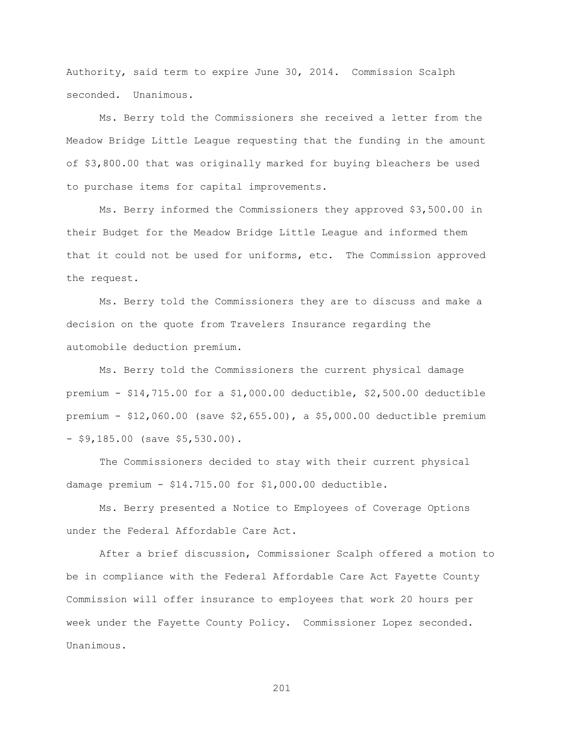Authority, said term to expire June 30, 2014. Commission Scalph seconded. Unanimous.

Ms. Berry told the Commissioners she received a letter from the Meadow Bridge Little League requesting that the funding in the amount of \$3,800.00 that was originally marked for buying bleachers be used to purchase items for capital improvements.

Ms. Berry informed the Commissioners they approved \$3,500.00 in their Budget for the Meadow Bridge Little League and informed them that it could not be used for uniforms, etc. The Commission approved the request.

Ms. Berry told the Commissioners they are to discuss and make a decision on the quote from Travelers Insurance regarding the automobile deduction premium.

Ms. Berry told the Commissioners the current physical damage premium - \$14,715.00 for a \$1,000.00 deductible, \$2,500.00 deductible premium - \$12,060.00 (save \$2,655.00), a \$5,000.00 deductible premium - \$9,185.00 (save \$5,530.00).

The Commissioners decided to stay with their current physical damage premium - \$14.715.00 for \$1,000.00 deductible.

Ms. Berry presented a Notice to Employees of Coverage Options under the Federal Affordable Care Act.

After a brief discussion, Commissioner Scalph offered a motion to be in compliance with the Federal Affordable Care Act Fayette County Commission will offer insurance to employees that work 20 hours per week under the Fayette County Policy. Commissioner Lopez seconded. Unanimous.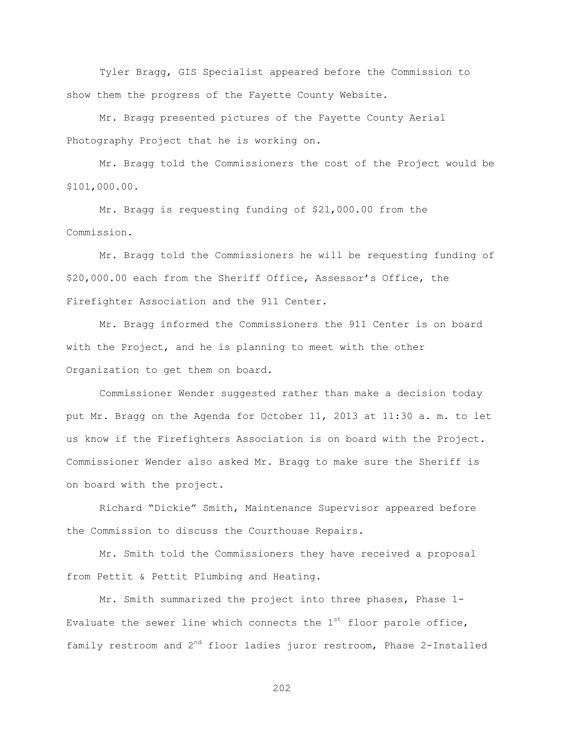Tyler Bragg, GIS Specialist appeared before the Commission to show them the progress of the Fayette County Website.

Mr. Bragg presented pictures of the Fayette County Aerial Photography Project that he is working on.

Mr. Bragg told the Commissioners the cost of the Project would be \$101,000.00.

Mr. Bragg is requesting funding of \$21,000.00 from the Commission.

Mr. Bragg told the Commissioners he will be requesting funding of \$20,000.00 each from the Sheriff Office, Assessor"s Office, the Firefighter Association and the 911 Center.

Mr. Bragg informed the Commissioners the 911 Center is on board with the Project, and he is planning to meet with the other Organization to get them on board.

Commissioner Wender suggested rather than make a decision today put Mr. Bragg on the Agenda for October 11, 2013 at 11:30 a. m. to let us know if the Firefighters Association is on board with the Project. Commissioner Wender also asked Mr. Bragg to make sure the Sheriff is on board with the project.

Richard "Dickie" Smith, Maintenance Supervisor appeared before the Commission to discuss the Courthouse Repairs.

Mr. Smith told the Commissioners they have received a proposal from Pettit & Pettit Plumbing and Heating.

Mr. Smith summarized the project into three phases, Phase 1- Evaluate the sewer line which connects the  $1<sup>st</sup>$  floor parole office, family restroom and  $2^{nd}$  floor ladies juror restroom, Phase 2-Installed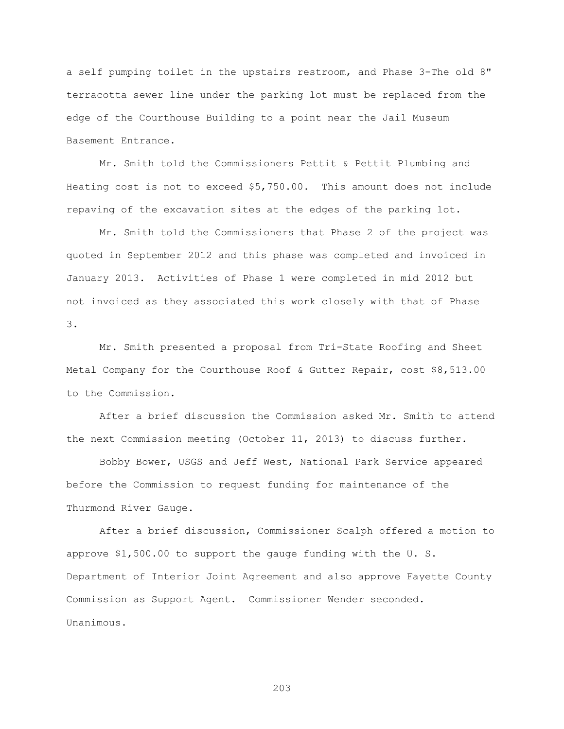a self pumping toilet in the upstairs restroom, and Phase 3-The old 8" terracotta sewer line under the parking lot must be replaced from the edge of the Courthouse Building to a point near the Jail Museum Basement Entrance.

Mr. Smith told the Commissioners Pettit & Pettit Plumbing and Heating cost is not to exceed \$5,750.00. This amount does not include repaving of the excavation sites at the edges of the parking lot.

Mr. Smith told the Commissioners that Phase 2 of the project was quoted in September 2012 and this phase was completed and invoiced in January 2013. Activities of Phase 1 were completed in mid 2012 but not invoiced as they associated this work closely with that of Phase 3.

Mr. Smith presented a proposal from Tri-State Roofing and Sheet Metal Company for the Courthouse Roof & Gutter Repair, cost \$8,513.00 to the Commission.

After a brief discussion the Commission asked Mr. Smith to attend the next Commission meeting (October 11, 2013) to discuss further.

Bobby Bower, USGS and Jeff West, National Park Service appeared before the Commission to request funding for maintenance of the Thurmond River Gauge.

After a brief discussion, Commissioner Scalph offered a motion to approve \$1,500.00 to support the gauge funding with the U. S. Department of Interior Joint Agreement and also approve Fayette County Commission as Support Agent. Commissioner Wender seconded. Unanimous.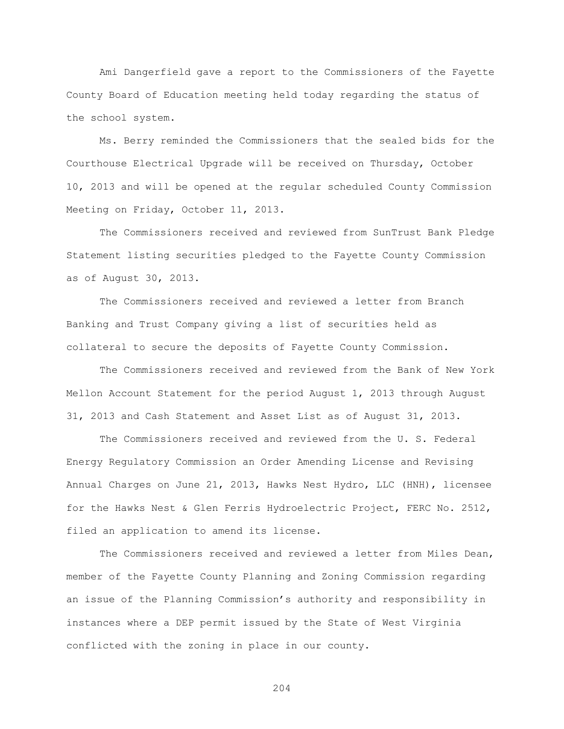Ami Dangerfield gave a report to the Commissioners of the Fayette County Board of Education meeting held today regarding the status of the school system.

Ms. Berry reminded the Commissioners that the sealed bids for the Courthouse Electrical Upgrade will be received on Thursday, October 10, 2013 and will be opened at the regular scheduled County Commission Meeting on Friday, October 11, 2013.

The Commissioners received and reviewed from SunTrust Bank Pledge Statement listing securities pledged to the Fayette County Commission as of August 30, 2013.

The Commissioners received and reviewed a letter from Branch Banking and Trust Company giving a list of securities held as collateral to secure the deposits of Fayette County Commission.

The Commissioners received and reviewed from the Bank of New York Mellon Account Statement for the period August 1, 2013 through August 31, 2013 and Cash Statement and Asset List as of August 31, 2013.

The Commissioners received and reviewed from the U. S. Federal Energy Regulatory Commission an Order Amending License and Revising Annual Charges on June 21, 2013, Hawks Nest Hydro, LLC (HNH), licensee for the Hawks Nest & Glen Ferris Hydroelectric Project, FERC No. 2512, filed an application to amend its license.

The Commissioners received and reviewed a letter from Miles Dean, member of the Fayette County Planning and Zoning Commission regarding an issue of the Planning Commission"s authority and responsibility in instances where a DEP permit issued by the State of West Virginia conflicted with the zoning in place in our county.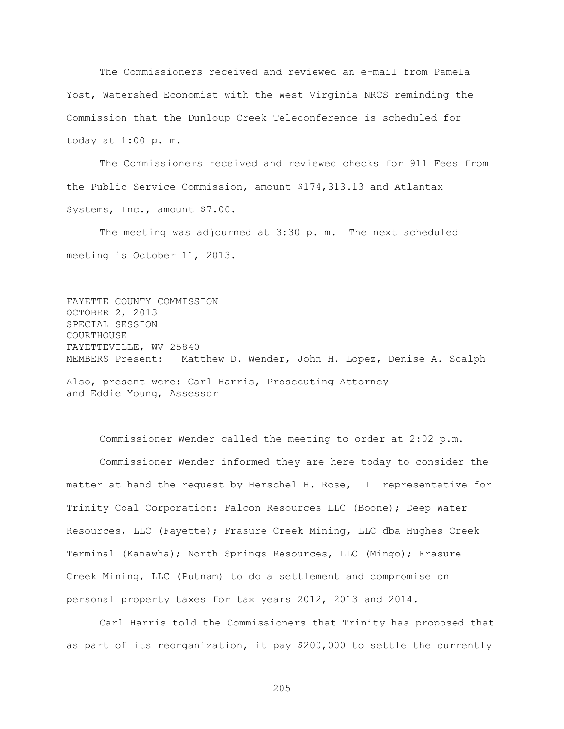The Commissioners received and reviewed an e-mail from Pamela Yost, Watershed Economist with the West Virginia NRCS reminding the Commission that the Dunloup Creek Teleconference is scheduled for today at 1:00 p. m.

The Commissioners received and reviewed checks for 911 Fees from the Public Service Commission, amount \$174,313.13 and Atlantax Systems, Inc., amount \$7.00.

The meeting was adjourned at 3:30 p. m. The next scheduled meeting is October 11, 2013.

FAYETTE COUNTY COMMISSION OCTOBER 2, 2013 SPECIAL SESSION COURTHOUSE FAYETTEVILLE, WV 25840 MEMBERS Present: Matthew D. Wender, John H. Lopez, Denise A. Scalph Also, present were: Carl Harris, Prosecuting Attorney

and Eddie Young, Assessor

Commissioner Wender called the meeting to order at 2:02 p.m. Commissioner Wender informed they are here today to consider the matter at hand the request by Herschel H. Rose, III representative for Trinity Coal Corporation: Falcon Resources LLC (Boone); Deep Water Resources, LLC (Fayette); Frasure Creek Mining, LLC dba Hughes Creek Terminal (Kanawha); North Springs Resources, LLC (Mingo); Frasure Creek Mining, LLC (Putnam) to do a settlement and compromise on personal property taxes for tax years 2012, 2013 and 2014.

Carl Harris told the Commissioners that Trinity has proposed that as part of its reorganization, it pay \$200,000 to settle the currently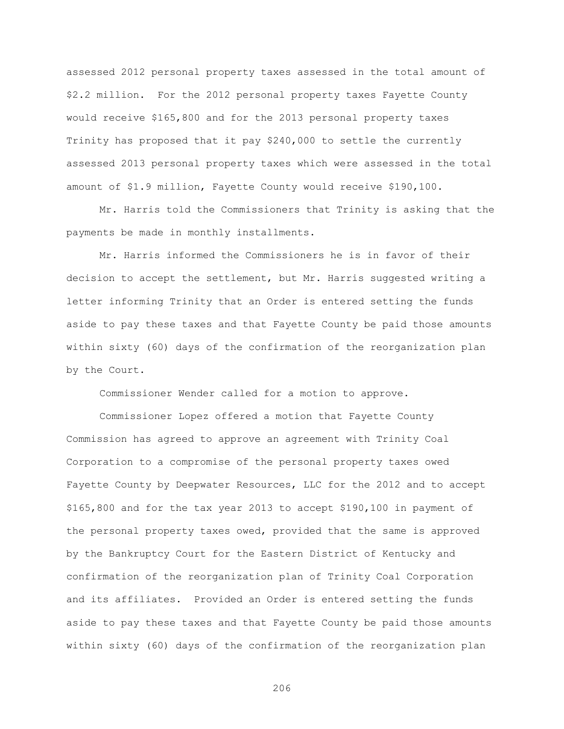assessed 2012 personal property taxes assessed in the total amount of \$2.2 million. For the 2012 personal property taxes Fayette County would receive \$165,800 and for the 2013 personal property taxes Trinity has proposed that it pay \$240,000 to settle the currently assessed 2013 personal property taxes which were assessed in the total amount of \$1.9 million, Fayette County would receive \$190,100.

Mr. Harris told the Commissioners that Trinity is asking that the payments be made in monthly installments.

Mr. Harris informed the Commissioners he is in favor of their decision to accept the settlement, but Mr. Harris suggested writing a letter informing Trinity that an Order is entered setting the funds aside to pay these taxes and that Fayette County be paid those amounts within sixty (60) days of the confirmation of the reorganization plan by the Court.

Commissioner Wender called for a motion to approve.

Commissioner Lopez offered a motion that Fayette County Commission has agreed to approve an agreement with Trinity Coal Corporation to a compromise of the personal property taxes owed Fayette County by Deepwater Resources, LLC for the 2012 and to accept \$165,800 and for the tax year 2013 to accept \$190,100 in payment of the personal property taxes owed, provided that the same is approved by the Bankruptcy Court for the Eastern District of Kentucky and confirmation of the reorganization plan of Trinity Coal Corporation and its affiliates. Provided an Order is entered setting the funds aside to pay these taxes and that Fayette County be paid those amounts within sixty (60) days of the confirmation of the reorganization plan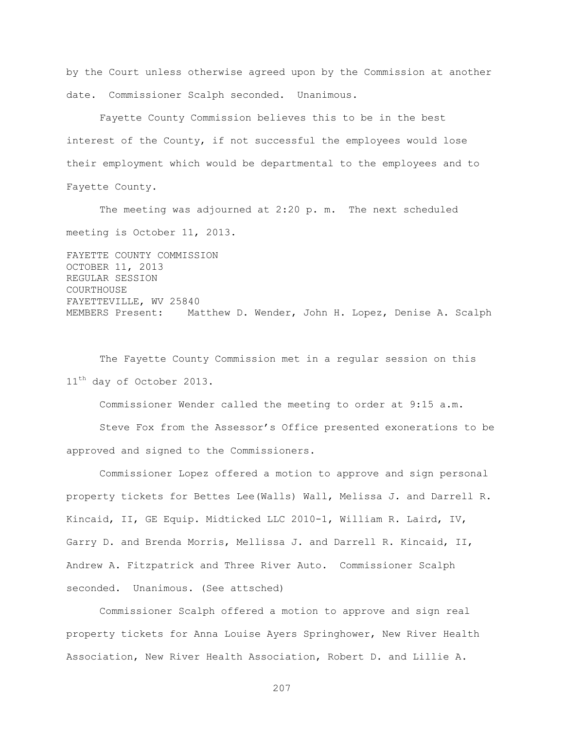by the Court unless otherwise agreed upon by the Commission at another date. Commissioner Scalph seconded. Unanimous.

Fayette County Commission believes this to be in the best interest of the County, if not successful the employees would lose their employment which would be departmental to the employees and to Fayette County.

The meeting was adjourned at 2:20 p. m. The next scheduled meeting is October 11, 2013.

FAYETTE COUNTY COMMISSION OCTOBER 11, 2013 REGULAR SESSION COURTHOUSE FAYETTEVILLE, WV 25840 MEMBERS Present: Matthew D. Wender, John H. Lopez, Denise A. Scalph

The Fayette County Commission met in a regular session on this  $11<sup>th</sup>$  day of October 2013.

Commissioner Wender called the meeting to order at 9:15 a.m.

Steve Fox from the Assessor"s Office presented exonerations to be approved and signed to the Commissioners.

Commissioner Lopez offered a motion to approve and sign personal property tickets for Bettes Lee(Walls) Wall, Melissa J. and Darrell R. Kincaid, II, GE Equip. Midticked LLC 2010-1, William R. Laird, IV, Garry D. and Brenda Morris, Mellissa J. and Darrell R. Kincaid, II, Andrew A. Fitzpatrick and Three River Auto. Commissioner Scalph seconded. Unanimous. (See attsched)

Commissioner Scalph offered a motion to approve and sign real property tickets for Anna Louise Ayers Springhower, New River Health Association, New River Health Association, Robert D. and Lillie A.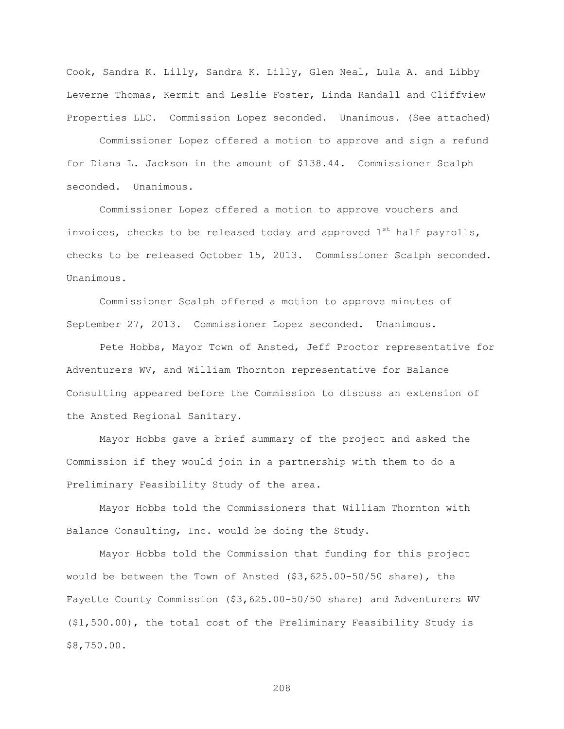Cook, Sandra K. Lilly, Sandra K. Lilly, Glen Neal, Lula A. and Libby Leverne Thomas, Kermit and Leslie Foster, Linda Randall and Cliffview Properties LLC. Commission Lopez seconded. Unanimous. (See attached)

Commissioner Lopez offered a motion to approve and sign a refund for Diana L. Jackson in the amount of \$138.44. Commissioner Scalph seconded. Unanimous.

Commissioner Lopez offered a motion to approve vouchers and invoices, checks to be released today and approved  $1^{st}$  half payrolls, checks to be released October 15, 2013. Commissioner Scalph seconded. Unanimous.

Commissioner Scalph offered a motion to approve minutes of September 27, 2013. Commissioner Lopez seconded. Unanimous.

Pete Hobbs, Mayor Town of Ansted, Jeff Proctor representative for Adventurers WV, and William Thornton representative for Balance Consulting appeared before the Commission to discuss an extension of the Ansted Regional Sanitary.

Mayor Hobbs gave a brief summary of the project and asked the Commission if they would join in a partnership with them to do a Preliminary Feasibility Study of the area.

Mayor Hobbs told the Commissioners that William Thornton with Balance Consulting, Inc. would be doing the Study.

Mayor Hobbs told the Commission that funding for this project would be between the Town of Ansted (\$3,625.00-50/50 share), the Fayette County Commission (\$3,625.00-50/50 share) and Adventurers WV (\$1,500.00), the total cost of the Preliminary Feasibility Study is \$8,750.00.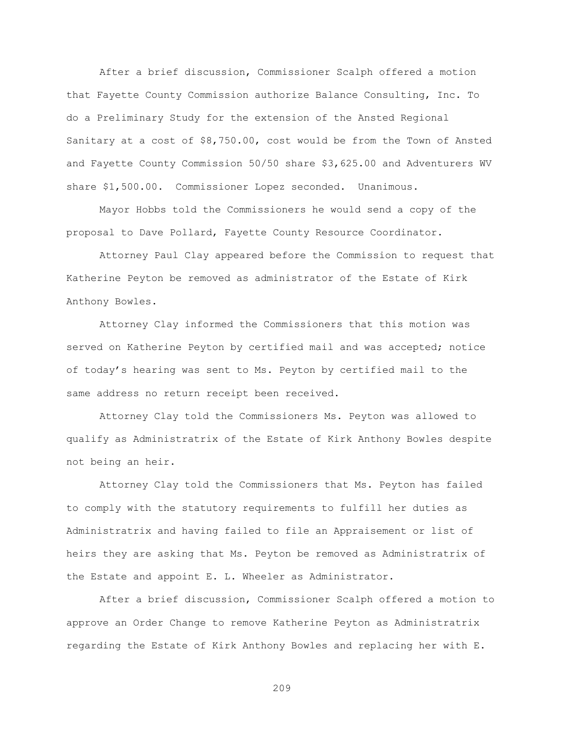After a brief discussion, Commissioner Scalph offered a motion that Fayette County Commission authorize Balance Consulting, Inc. To do a Preliminary Study for the extension of the Ansted Regional Sanitary at a cost of \$8,750.00, cost would be from the Town of Ansted and Fayette County Commission 50/50 share \$3,625.00 and Adventurers WV share \$1,500.00. Commissioner Lopez seconded. Unanimous.

Mayor Hobbs told the Commissioners he would send a copy of the proposal to Dave Pollard, Fayette County Resource Coordinator.

Attorney Paul Clay appeared before the Commission to request that Katherine Peyton be removed as administrator of the Estate of Kirk Anthony Bowles.

Attorney Clay informed the Commissioners that this motion was served on Katherine Peyton by certified mail and was accepted; notice of today"s hearing was sent to Ms. Peyton by certified mail to the same address no return receipt been received.

Attorney Clay told the Commissioners Ms. Peyton was allowed to qualify as Administratrix of the Estate of Kirk Anthony Bowles despite not being an heir.

Attorney Clay told the Commissioners that Ms. Peyton has failed to comply with the statutory requirements to fulfill her duties as Administratrix and having failed to file an Appraisement or list of heirs they are asking that Ms. Peyton be removed as Administratrix of the Estate and appoint E. L. Wheeler as Administrator.

After a brief discussion, Commissioner Scalph offered a motion to approve an Order Change to remove Katherine Peyton as Administratrix regarding the Estate of Kirk Anthony Bowles and replacing her with E.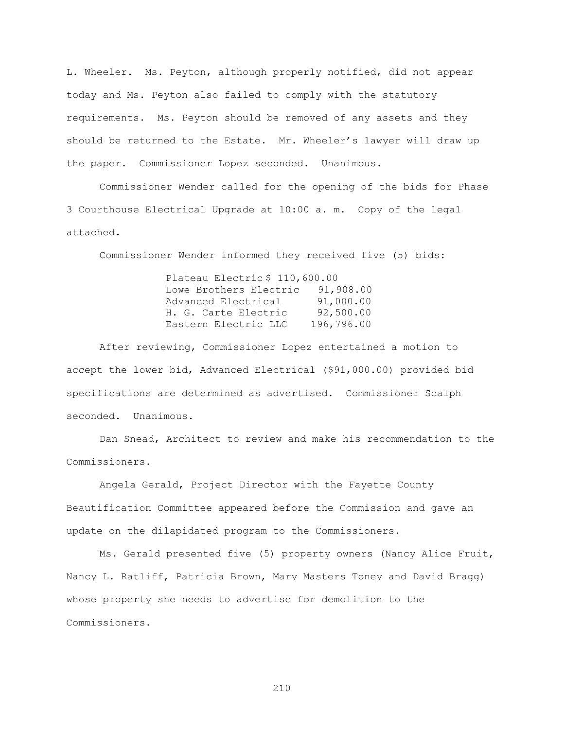L. Wheeler. Ms. Peyton, although properly notified, did not appear today and Ms. Peyton also failed to comply with the statutory requirements. Ms. Peyton should be removed of any assets and they should be returned to the Estate. Mr. Wheeler's lawyer will draw up the paper. Commissioner Lopez seconded. Unanimous.

Commissioner Wender called for the opening of the bids for Phase 3 Courthouse Electrical Upgrade at 10:00 a. m. Copy of the legal attached.

Commissioner Wender informed they received five (5) bids:

Plateau Electric \$ 110,600.00 Lowe Brothers Electric 91,908.00 Advanced Electrical 91,000.00 H. G. Carte Electric 92,500.00 Eastern Electric LLC 196,796.00

After reviewing, Commissioner Lopez entertained a motion to accept the lower bid, Advanced Electrical (\$91,000.00) provided bid specifications are determined as advertised. Commissioner Scalph seconded. Unanimous.

Dan Snead, Architect to review and make his recommendation to the Commissioners.

Angela Gerald, Project Director with the Fayette County Beautification Committee appeared before the Commission and gave an update on the dilapidated program to the Commissioners.

Ms. Gerald presented five (5) property owners (Nancy Alice Fruit, Nancy L. Ratliff, Patricia Brown, Mary Masters Toney and David Bragg) whose property she needs to advertise for demolition to the Commissioners.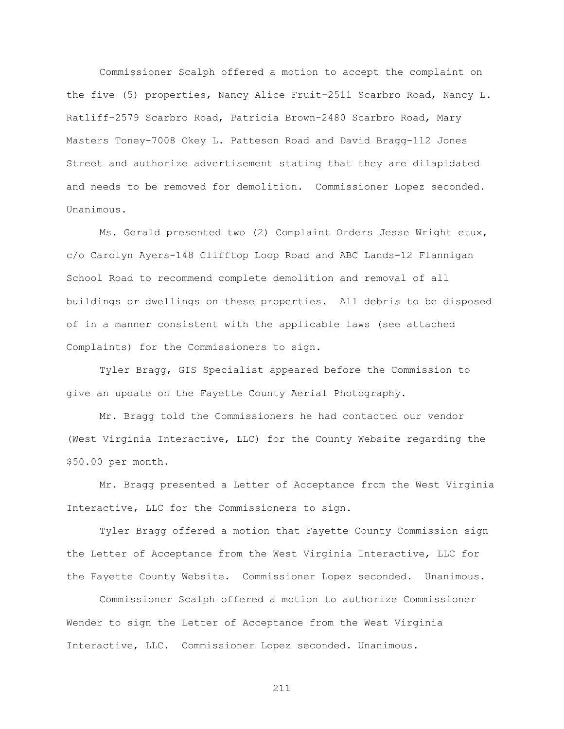Commissioner Scalph offered a motion to accept the complaint on the five (5) properties, Nancy Alice Fruit-2511 Scarbro Road, Nancy L. Ratliff-2579 Scarbro Road, Patricia Brown-2480 Scarbro Road, Mary Masters Toney-7008 Okey L. Patteson Road and David Bragg-112 Jones Street and authorize advertisement stating that they are dilapidated and needs to be removed for demolition. Commissioner Lopez seconded. Unanimous.

Ms. Gerald presented two (2) Complaint Orders Jesse Wright etux, c/o Carolyn Ayers-148 Clifftop Loop Road and ABC Lands-12 Flannigan School Road to recommend complete demolition and removal of all buildings or dwellings on these properties. All debris to be disposed of in a manner consistent with the applicable laws (see attached Complaints) for the Commissioners to sign.

 Tyler Bragg, GIS Specialist appeared before the Commission to give an update on the Fayette County Aerial Photography.

Mr. Bragg told the Commissioners he had contacted our vendor (West Virginia Interactive, LLC) for the County Website regarding the \$50.00 per month.

Mr. Bragg presented a Letter of Acceptance from the West Virginia Interactive, LLC for the Commissioners to sign.

Tyler Bragg offered a motion that Fayette County Commission sign the Letter of Acceptance from the West Virginia Interactive, LLC for the Fayette County Website. Commissioner Lopez seconded. Unanimous.

Commissioner Scalph offered a motion to authorize Commissioner Wender to sign the Letter of Acceptance from the West Virginia Interactive, LLC. Commissioner Lopez seconded. Unanimous.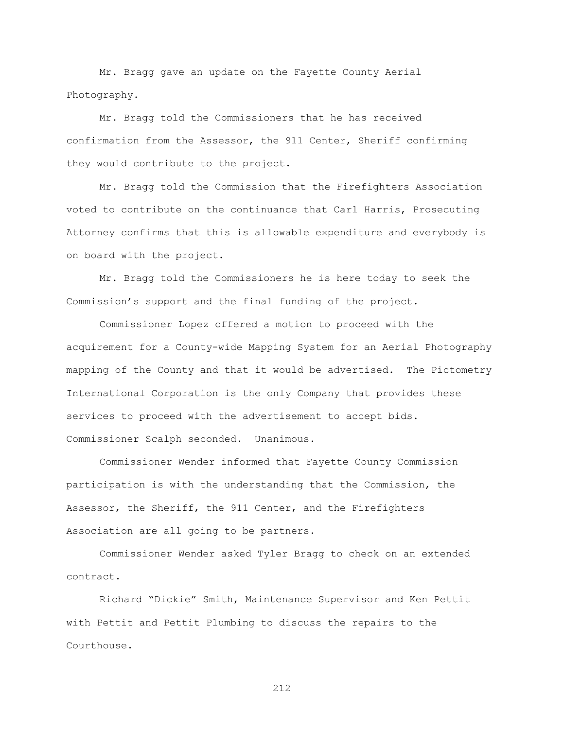Mr. Bragg gave an update on the Fayette County Aerial Photography.

Mr. Bragg told the Commissioners that he has received confirmation from the Assessor, the 911 Center, Sheriff confirming they would contribute to the project.

Mr. Bragg told the Commission that the Firefighters Association voted to contribute on the continuance that Carl Harris, Prosecuting Attorney confirms that this is allowable expenditure and everybody is on board with the project.

Mr. Bragg told the Commissioners he is here today to seek the Commission"s support and the final funding of the project.

Commissioner Lopez offered a motion to proceed with the acquirement for a County-wide Mapping System for an Aerial Photography mapping of the County and that it would be advertised. The Pictometry International Corporation is the only Company that provides these services to proceed with the advertisement to accept bids. Commissioner Scalph seconded. Unanimous.

Commissioner Wender informed that Fayette County Commission participation is with the understanding that the Commission, the Assessor, the Sheriff, the 911 Center, and the Firefighters Association are all going to be partners.

Commissioner Wender asked Tyler Bragg to check on an extended contract.

Richard "Dickie" Smith, Maintenance Supervisor and Ken Pettit with Pettit and Pettit Plumbing to discuss the repairs to the Courthouse.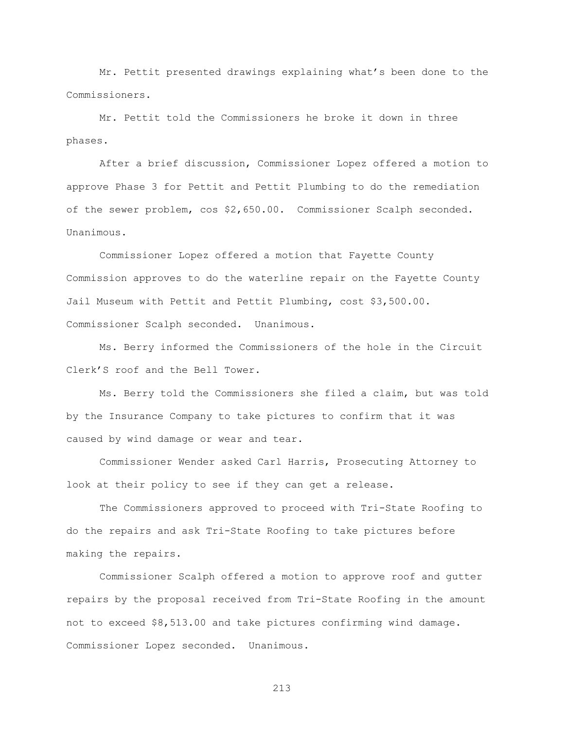Mr. Pettit presented drawings explaining what's been done to the Commissioners.

Mr. Pettit told the Commissioners he broke it down in three phases.

After a brief discussion, Commissioner Lopez offered a motion to approve Phase 3 for Pettit and Pettit Plumbing to do the remediation of the sewer problem, cos \$2,650.00. Commissioner Scalph seconded. Unanimous.

Commissioner Lopez offered a motion that Fayette County Commission approves to do the waterline repair on the Fayette County Jail Museum with Pettit and Pettit Plumbing, cost \$3,500.00. Commissioner Scalph seconded. Unanimous.

Ms. Berry informed the Commissioners of the hole in the Circuit Clerk"S roof and the Bell Tower.

Ms. Berry told the Commissioners she filed a claim, but was told by the Insurance Company to take pictures to confirm that it was caused by wind damage or wear and tear.

Commissioner Wender asked Carl Harris, Prosecuting Attorney to look at their policy to see if they can get a release.

The Commissioners approved to proceed with Tri-State Roofing to do the repairs and ask Tri-State Roofing to take pictures before making the repairs.

Commissioner Scalph offered a motion to approve roof and gutter repairs by the proposal received from Tri-State Roofing in the amount not to exceed \$8,513.00 and take pictures confirming wind damage. Commissioner Lopez seconded. Unanimous.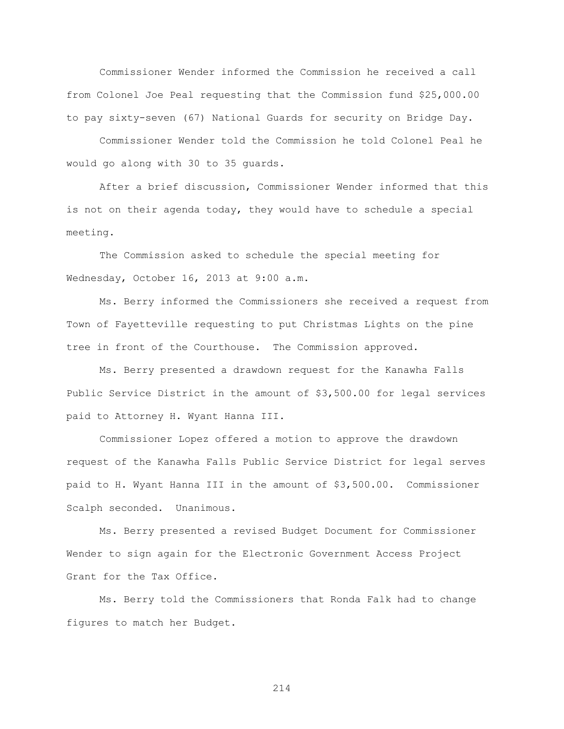Commissioner Wender informed the Commission he received a call from Colonel Joe Peal requesting that the Commission fund \$25,000.00 to pay sixty-seven (67) National Guards for security on Bridge Day.

Commissioner Wender told the Commission he told Colonel Peal he would go along with 30 to 35 guards.

After a brief discussion, Commissioner Wender informed that this is not on their agenda today, they would have to schedule a special meeting.

The Commission asked to schedule the special meeting for Wednesday, October 16, 2013 at 9:00 a.m.

Ms. Berry informed the Commissioners she received a request from Town of Fayetteville requesting to put Christmas Lights on the pine tree in front of the Courthouse. The Commission approved.

Ms. Berry presented a drawdown request for the Kanawha Falls Public Service District in the amount of \$3,500.00 for legal services paid to Attorney H. Wyant Hanna III.

Commissioner Lopez offered a motion to approve the drawdown request of the Kanawha Falls Public Service District for legal serves paid to H. Wyant Hanna III in the amount of \$3,500.00. Commissioner Scalph seconded. Unanimous.

Ms. Berry presented a revised Budget Document for Commissioner Wender to sign again for the Electronic Government Access Project Grant for the Tax Office.

Ms. Berry told the Commissioners that Ronda Falk had to change figures to match her Budget.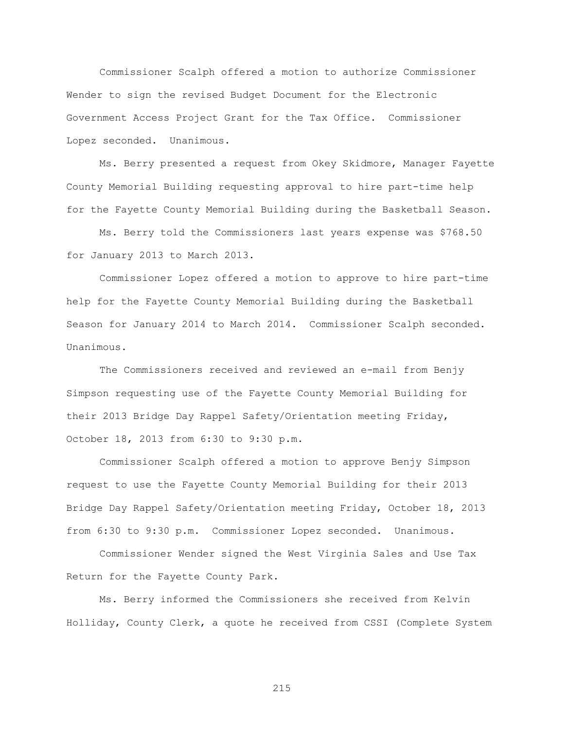Commissioner Scalph offered a motion to authorize Commissioner Wender to sign the revised Budget Document for the Electronic Government Access Project Grant for the Tax Office. Commissioner Lopez seconded. Unanimous.

Ms. Berry presented a request from Okey Skidmore, Manager Fayette County Memorial Building requesting approval to hire part-time help for the Fayette County Memorial Building during the Basketball Season.

Ms. Berry told the Commissioners last years expense was \$768.50 for January 2013 to March 2013.

Commissioner Lopez offered a motion to approve to hire part-time help for the Fayette County Memorial Building during the Basketball Season for January 2014 to March 2014. Commissioner Scalph seconded. Unanimous.

The Commissioners received and reviewed an e-mail from Benjy Simpson requesting use of the Fayette County Memorial Building for their 2013 Bridge Day Rappel Safety/Orientation meeting Friday, October 18, 2013 from 6:30 to 9:30 p.m.

Commissioner Scalph offered a motion to approve Benjy Simpson request to use the Fayette County Memorial Building for their 2013 Bridge Day Rappel Safety/Orientation meeting Friday, October 18, 2013 from 6:30 to 9:30 p.m. Commissioner Lopez seconded. Unanimous.

Commissioner Wender signed the West Virginia Sales and Use Tax Return for the Fayette County Park.

Ms. Berry informed the Commissioners she received from Kelvin Holliday, County Clerk, a quote he received from CSSI (Complete System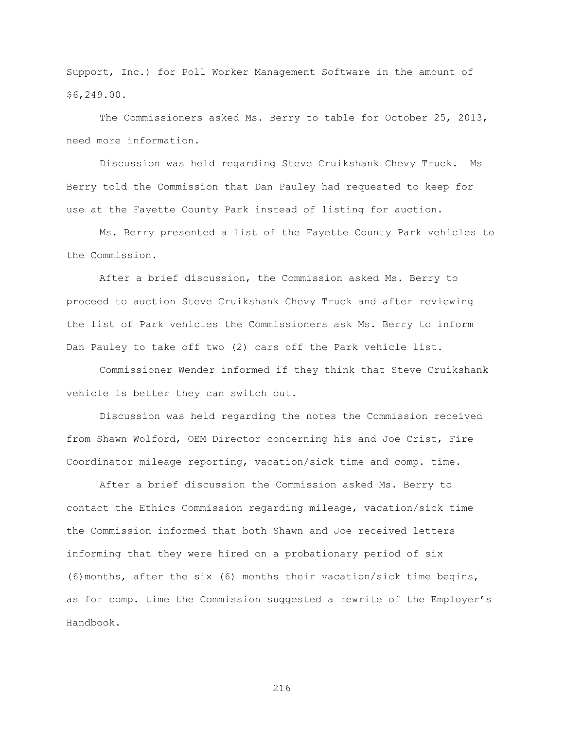Support, Inc.) for Poll Worker Management Software in the amount of \$6,249.00.

The Commissioners asked Ms. Berry to table for October 25, 2013, need more information.

Discussion was held regarding Steve Cruikshank Chevy Truck. Ms Berry told the Commission that Dan Pauley had requested to keep for use at the Fayette County Park instead of listing for auction.

Ms. Berry presented a list of the Fayette County Park vehicles to the Commission.

After a brief discussion, the Commission asked Ms. Berry to proceed to auction Steve Cruikshank Chevy Truck and after reviewing the list of Park vehicles the Commissioners ask Ms. Berry to inform Dan Pauley to take off two (2) cars off the Park vehicle list.

Commissioner Wender informed if they think that Steve Cruikshank vehicle is better they can switch out.

Discussion was held regarding the notes the Commission received from Shawn Wolford, OEM Director concerning his and Joe Crist, Fire Coordinator mileage reporting, vacation/sick time and comp. time.

After a brief discussion the Commission asked Ms. Berry to contact the Ethics Commission regarding mileage, vacation/sick time the Commission informed that both Shawn and Joe received letters informing that they were hired on a probationary period of six (6)months, after the six (6) months their vacation/sick time begins, as for comp. time the Commission suggested a rewrite of the Employer"s Handbook.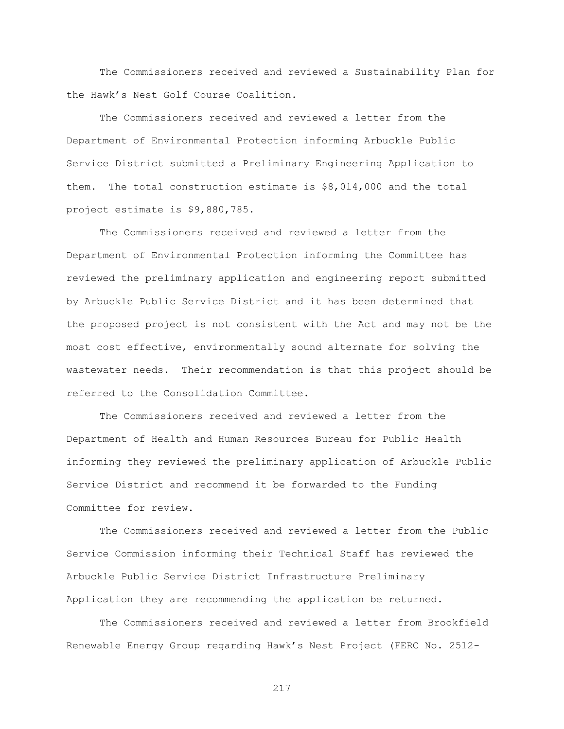The Commissioners received and reviewed a Sustainability Plan for the Hawk"s Nest Golf Course Coalition.

The Commissioners received and reviewed a letter from the Department of Environmental Protection informing Arbuckle Public Service District submitted a Preliminary Engineering Application to them. The total construction estimate is \$8,014,000 and the total project estimate is \$9,880,785.

The Commissioners received and reviewed a letter from the Department of Environmental Protection informing the Committee has reviewed the preliminary application and engineering report submitted by Arbuckle Public Service District and it has been determined that the proposed project is not consistent with the Act and may not be the most cost effective, environmentally sound alternate for solving the wastewater needs. Their recommendation is that this project should be referred to the Consolidation Committee.

The Commissioners received and reviewed a letter from the Department of Health and Human Resources Bureau for Public Health informing they reviewed the preliminary application of Arbuckle Public Service District and recommend it be forwarded to the Funding Committee for review.

The Commissioners received and reviewed a letter from the Public Service Commission informing their Technical Staff has reviewed the Arbuckle Public Service District Infrastructure Preliminary Application they are recommending the application be returned.

The Commissioners received and reviewed a letter from Brookfield Renewable Energy Group regarding Hawk"s Nest Project (FERC No. 2512-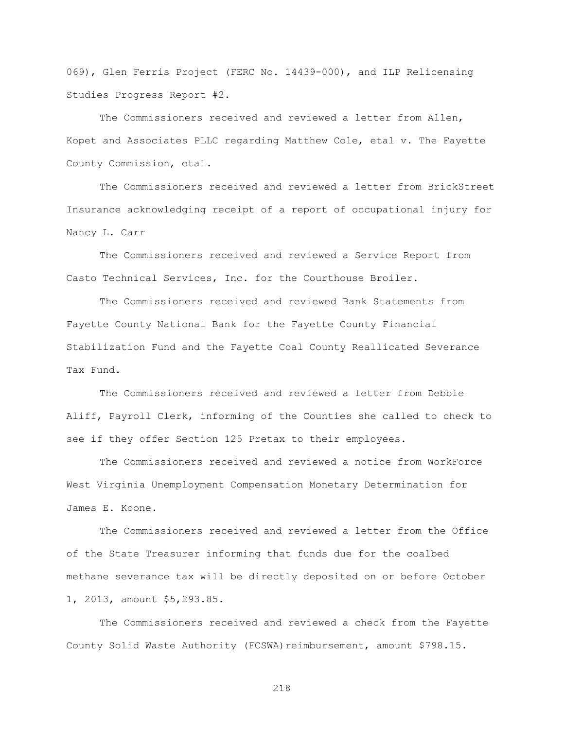069), Glen Ferris Project (FERC No. 14439-000), and ILP Relicensing Studies Progress Report #2.

The Commissioners received and reviewed a letter from Allen, Kopet and Associates PLLC regarding Matthew Cole, etal v. The Fayette County Commission, etal.

The Commissioners received and reviewed a letter from BrickStreet Insurance acknowledging receipt of a report of occupational injury for Nancy L. Carr

The Commissioners received and reviewed a Service Report from Casto Technical Services, Inc. for the Courthouse Broiler.

The Commissioners received and reviewed Bank Statements from Fayette County National Bank for the Fayette County Financial Stabilization Fund and the Fayette Coal County Reallicated Severance Tax Fund.

The Commissioners received and reviewed a letter from Debbie Aliff, Payroll Clerk, informing of the Counties she called to check to see if they offer Section 125 Pretax to their employees.

The Commissioners received and reviewed a notice from WorkForce West Virginia Unemployment Compensation Monetary Determination for James E. Koone.

The Commissioners received and reviewed a letter from the Office of the State Treasurer informing that funds due for the coalbed methane severance tax will be directly deposited on or before October 1, 2013, amount \$5,293.85.

The Commissioners received and reviewed a check from the Fayette County Solid Waste Authority (FCSWA) reimbursement, amount \$798.15.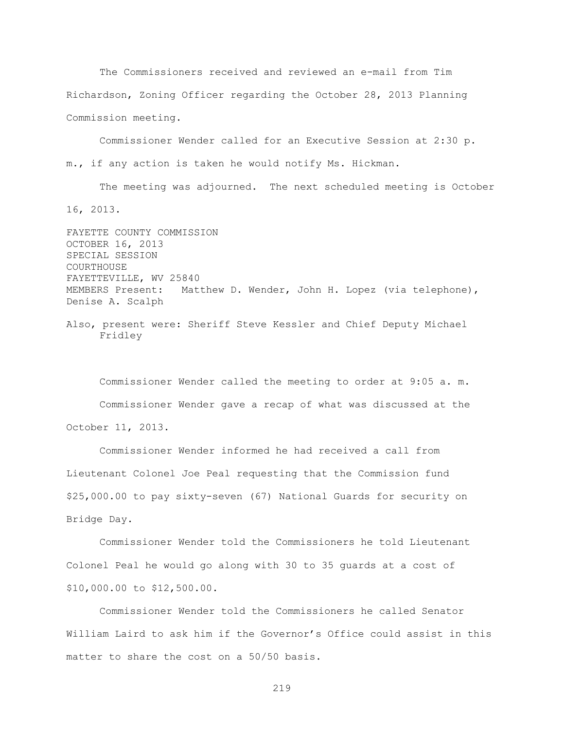The Commissioners received and reviewed an e-mail from Tim Richardson, Zoning Officer regarding the October 28, 2013 Planning Commission meeting.

Commissioner Wender called for an Executive Session at 2:30 p. m., if any action is taken he would notify Ms. Hickman.

The meeting was adjourned. The next scheduled meeting is October 16, 2013.

FAYETTE COUNTY COMMISSION OCTOBER 16, 2013 SPECIAL SESSION COURTHOUSE FAYETTEVILLE, WV 25840 MEMBERS Present: Matthew D. Wender, John H. Lopez (via telephone), Denise A. Scalph

Also, present were: Sheriff Steve Kessler and Chief Deputy Michael Fridley

Commissioner Wender called the meeting to order at 9:05 a. m. Commissioner Wender gave a recap of what was discussed at the October 11, 2013.

Commissioner Wender informed he had received a call from Lieutenant Colonel Joe Peal requesting that the Commission fund \$25,000.00 to pay sixty-seven (67) National Guards for security on Bridge Day.

Commissioner Wender told the Commissioners he told Lieutenant Colonel Peal he would go along with 30 to 35 guards at a cost of \$10,000.00 to \$12,500.00.

Commissioner Wender told the Commissioners he called Senator William Laird to ask him if the Governor"s Office could assist in this matter to share the cost on a 50/50 basis.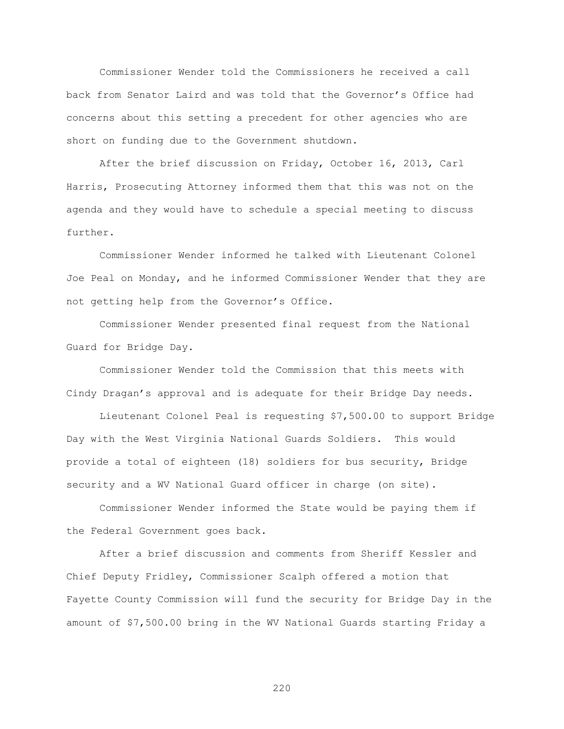Commissioner Wender told the Commissioners he received a call back from Senator Laird and was told that the Governor"s Office had concerns about this setting a precedent for other agencies who are short on funding due to the Government shutdown.

After the brief discussion on Friday, October 16, 2013, Carl Harris, Prosecuting Attorney informed them that this was not on the agenda and they would have to schedule a special meeting to discuss further.

Commissioner Wender informed he talked with Lieutenant Colonel Joe Peal on Monday, and he informed Commissioner Wender that they are not getting help from the Governor's Office.

Commissioner Wender presented final request from the National Guard for Bridge Day.

Commissioner Wender told the Commission that this meets with Cindy Dragan's approval and is adequate for their Bridge Day needs.

Lieutenant Colonel Peal is requesting \$7,500.00 to support Bridge Day with the West Virginia National Guards Soldiers. This would provide a total of eighteen (18) soldiers for bus security, Bridge security and a WV National Guard officer in charge (on site).

Commissioner Wender informed the State would be paying them if the Federal Government goes back.

After a brief discussion and comments from Sheriff Kessler and Chief Deputy Fridley, Commissioner Scalph offered a motion that Fayette County Commission will fund the security for Bridge Day in the amount of \$7,500.00 bring in the WV National Guards starting Friday a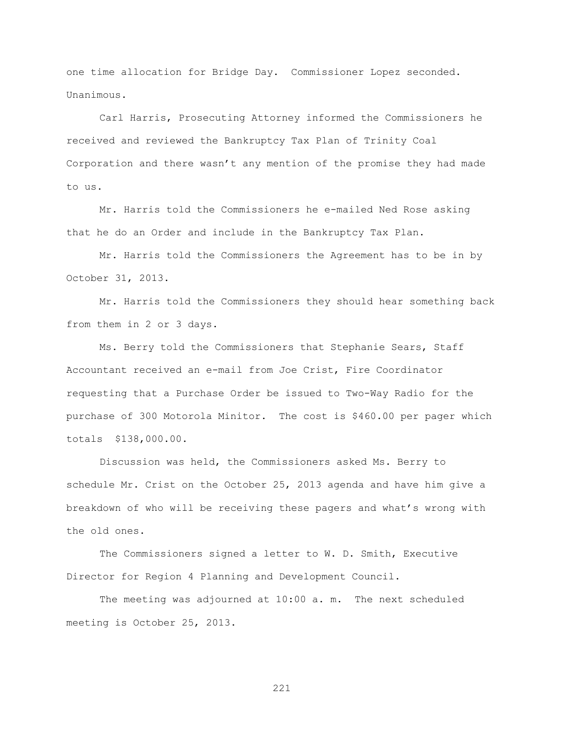one time allocation for Bridge Day. Commissioner Lopez seconded. Unanimous.

Carl Harris, Prosecuting Attorney informed the Commissioners he received and reviewed the Bankruptcy Tax Plan of Trinity Coal Corporation and there wasn"t any mention of the promise they had made to us.

Mr. Harris told the Commissioners he e-mailed Ned Rose asking that he do an Order and include in the Bankruptcy Tax Plan.

Mr. Harris told the Commissioners the Agreement has to be in by October 31, 2013.

Mr. Harris told the Commissioners they should hear something back from them in 2 or 3 days.

Ms. Berry told the Commissioners that Stephanie Sears, Staff Accountant received an e-mail from Joe Crist, Fire Coordinator requesting that a Purchase Order be issued to Two-Way Radio for the purchase of 300 Motorola Minitor. The cost is \$460.00 per pager which totals \$138,000.00.

Discussion was held, the Commissioners asked Ms. Berry to schedule Mr. Crist on the October 25, 2013 agenda and have him give a breakdown of who will be receiving these pagers and what"s wrong with the old ones.

The Commissioners signed a letter to W. D. Smith, Executive Director for Region 4 Planning and Development Council.

The meeting was adjourned at 10:00 a. m. The next scheduled meeting is October 25, 2013.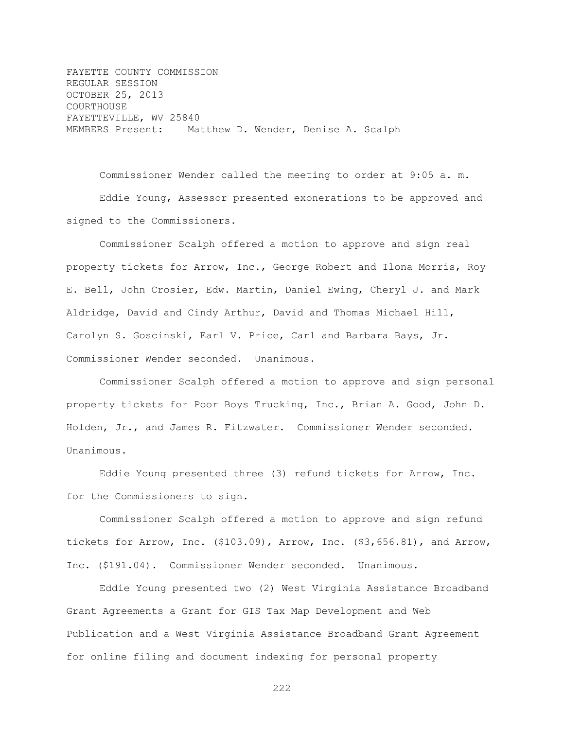FAYETTE COUNTY COMMISSION REGULAR SESSION OCTOBER 25, 2013 COURTHOUSE FAYETTEVILLE, WV 25840 MEMBERS Present: Matthew D. Wender, Denise A. Scalph

Commissioner Wender called the meeting to order at 9:05 a. m. Eddie Young, Assessor presented exonerations to be approved and signed to the Commissioners.

Commissioner Scalph offered a motion to approve and sign real property tickets for Arrow, Inc., George Robert and Ilona Morris, Roy E. Bell, John Crosier, Edw. Martin, Daniel Ewing, Cheryl J. and Mark Aldridge, David and Cindy Arthur, David and Thomas Michael Hill, Carolyn S. Goscinski, Earl V. Price, Carl and Barbara Bays, Jr. Commissioner Wender seconded. Unanimous.

Commissioner Scalph offered a motion to approve and sign personal property tickets for Poor Boys Trucking, Inc., Brian A. Good, John D. Holden, Jr., and James R. Fitzwater. Commissioner Wender seconded. Unanimous.

Eddie Young presented three (3) refund tickets for Arrow, Inc. for the Commissioners to sign.

Commissioner Scalph offered a motion to approve and sign refund tickets for Arrow, Inc. (\$103.09), Arrow, Inc. (\$3,656.81), and Arrow, Inc. (\$191.04). Commissioner Wender seconded. Unanimous.

Eddie Young presented two (2) West Virginia Assistance Broadband Grant Agreements a Grant for GIS Tax Map Development and Web Publication and a West Virginia Assistance Broadband Grant Agreement for online filing and document indexing for personal property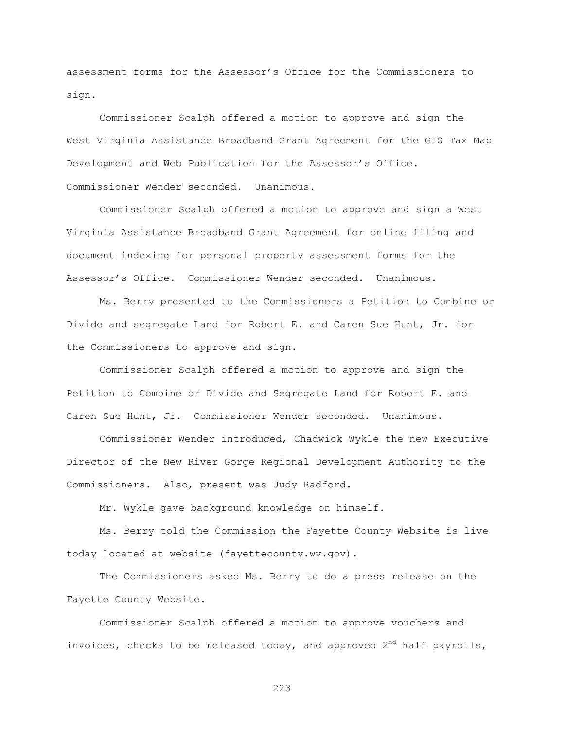assessment forms for the Assessor"s Office for the Commissioners to sign.

Commissioner Scalph offered a motion to approve and sign the West Virginia Assistance Broadband Grant Agreement for the GIS Tax Map Development and Web Publication for the Assessor"s Office. Commissioner Wender seconded. Unanimous.

Commissioner Scalph offered a motion to approve and sign a West Virginia Assistance Broadband Grant Agreement for online filing and document indexing for personal property assessment forms for the Assessor"s Office. Commissioner Wender seconded. Unanimous.

Ms. Berry presented to the Commissioners a Petition to Combine or Divide and segregate Land for Robert E. and Caren Sue Hunt, Jr. for the Commissioners to approve and sign.

Commissioner Scalph offered a motion to approve and sign the Petition to Combine or Divide and Segregate Land for Robert E. and Caren Sue Hunt, Jr. Commissioner Wender seconded. Unanimous.

Commissioner Wender introduced, Chadwick Wykle the new Executive Director of the New River Gorge Regional Development Authority to the Commissioners. Also, present was Judy Radford.

Mr. Wykle gave background knowledge on himself.

Ms. Berry told the Commission the Fayette County Website is live today located at website (fayettecounty.wv.gov).

The Commissioners asked Ms. Berry to do a press release on the Fayette County Website.

Commissioner Scalph offered a motion to approve vouchers and invoices, checks to be released today, and approved  $2^{nd}$  half payrolls,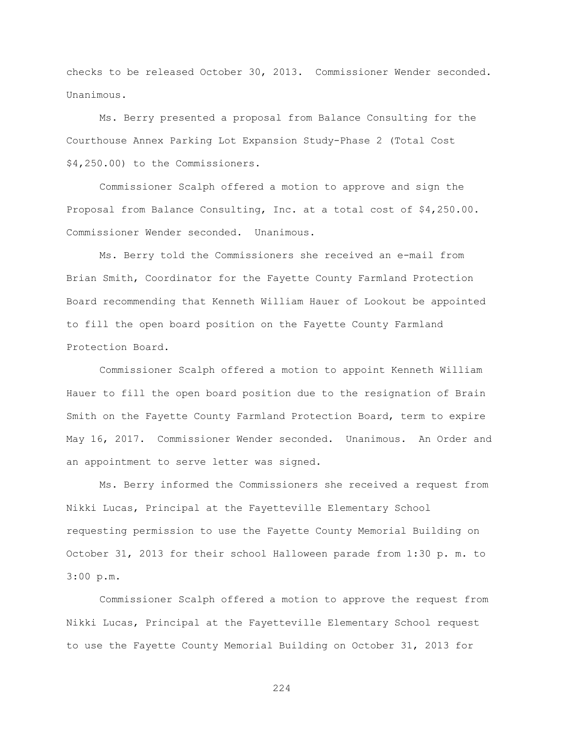checks to be released October 30, 2013. Commissioner Wender seconded. Unanimous.

Ms. Berry presented a proposal from Balance Consulting for the Courthouse Annex Parking Lot Expansion Study-Phase 2 (Total Cost \$4,250.00) to the Commissioners.

Commissioner Scalph offered a motion to approve and sign the Proposal from Balance Consulting, Inc. at a total cost of \$4,250.00. Commissioner Wender seconded. Unanimous.

Ms. Berry told the Commissioners she received an e-mail from Brian Smith, Coordinator for the Fayette County Farmland Protection Board recommending that Kenneth William Hauer of Lookout be appointed to fill the open board position on the Fayette County Farmland Protection Board.

Commissioner Scalph offered a motion to appoint Kenneth William Hauer to fill the open board position due to the resignation of Brain Smith on the Fayette County Farmland Protection Board, term to expire May 16, 2017. Commissioner Wender seconded. Unanimous. An Order and an appointment to serve letter was signed.

Ms. Berry informed the Commissioners she received a request from Nikki Lucas, Principal at the Fayetteville Elementary School requesting permission to use the Fayette County Memorial Building on October 31, 2013 for their school Halloween parade from 1:30 p. m. to 3:00 p.m.

Commissioner Scalph offered a motion to approve the request from Nikki Lucas, Principal at the Fayetteville Elementary School request to use the Fayette County Memorial Building on October 31, 2013 for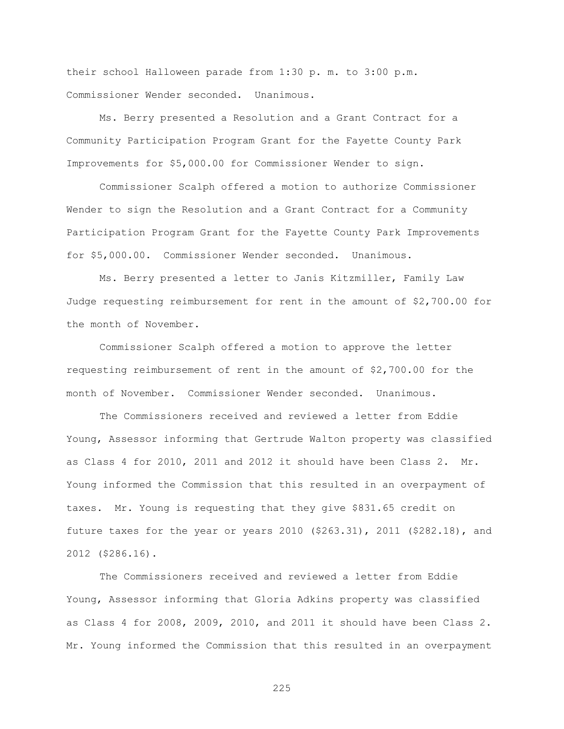their school Halloween parade from 1:30 p. m. to 3:00 p.m. Commissioner Wender seconded. Unanimous.

Ms. Berry presented a Resolution and a Grant Contract for a Community Participation Program Grant for the Fayette County Park Improvements for \$5,000.00 for Commissioner Wender to sign.

Commissioner Scalph offered a motion to authorize Commissioner Wender to sign the Resolution and a Grant Contract for a Community Participation Program Grant for the Fayette County Park Improvements for \$5,000.00. Commissioner Wender seconded. Unanimous.

Ms. Berry presented a letter to Janis Kitzmiller, Family Law Judge requesting reimbursement for rent in the amount of \$2,700.00 for the month of November.

Commissioner Scalph offered a motion to approve the letter requesting reimbursement of rent in the amount of \$2,700.00 for the month of November. Commissioner Wender seconded. Unanimous.

The Commissioners received and reviewed a letter from Eddie Young, Assessor informing that Gertrude Walton property was classified as Class 4 for 2010, 2011 and 2012 it should have been Class 2. Mr. Young informed the Commission that this resulted in an overpayment of taxes. Mr. Young is requesting that they give \$831.65 credit on future taxes for the year or years 2010 (\$263.31), 2011 (\$282.18), and 2012 (\$286.16).

The Commissioners received and reviewed a letter from Eddie Young, Assessor informing that Gloria Adkins property was classified as Class 4 for 2008, 2009, 2010, and 2011 it should have been Class 2. Mr. Young informed the Commission that this resulted in an overpayment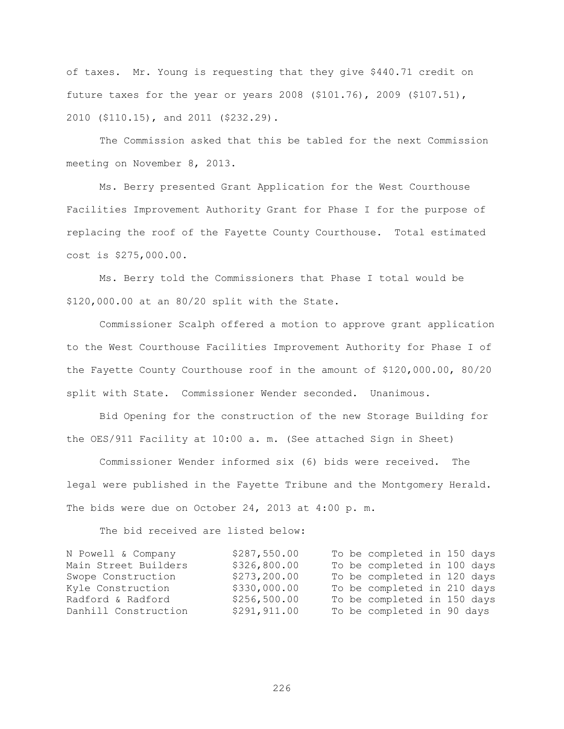of taxes. Mr. Young is requesting that they give \$440.71 credit on future taxes for the year or years 2008 (\$101.76), 2009 (\$107.51), 2010 (\$110.15), and 2011 (\$232.29).

The Commission asked that this be tabled for the next Commission meeting on November 8, 2013.

Ms. Berry presented Grant Application for the West Courthouse Facilities Improvement Authority Grant for Phase I for the purpose of replacing the roof of the Fayette County Courthouse. Total estimated cost is \$275,000.00.

Ms. Berry told the Commissioners that Phase I total would be \$120,000.00 at an 80/20 split with the State.

Commissioner Scalph offered a motion to approve grant application to the West Courthouse Facilities Improvement Authority for Phase I of the Fayette County Courthouse roof in the amount of \$120,000.00, 80/20 split with State. Commissioner Wender seconded. Unanimous.

Bid Opening for the construction of the new Storage Building for the OES/911 Facility at 10:00 a. m. (See attached Sign in Sheet)

Commissioner Wender informed six (6) bids were received. The legal were published in the Fayette Tribune and the Montgomery Herald. The bids were due on October 24, 2013 at 4:00 p. m.

The bid received are listed below:

| N Powell & Company   | \$287,550.00 |  | To be completed in 150 days |  |  |
|----------------------|--------------|--|-----------------------------|--|--|
| Main Street Builders | \$326,800.00 |  | To be completed in 100 days |  |  |
| Swope Construction   | \$273,200.00 |  | To be completed in 120 days |  |  |
| Kyle Construction    | \$330,000.00 |  | To be completed in 210 days |  |  |
| Radford & Radford    | \$256,500.00 |  | To be completed in 150 days |  |  |
| Danhill Construction | \$291,911.00 |  | To be completed in 90 days  |  |  |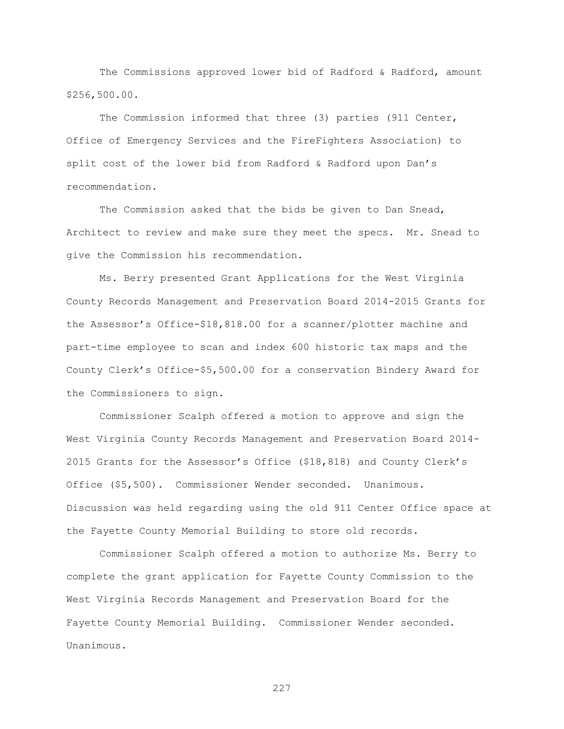The Commissions approved lower bid of Radford & Radford, amount \$256,500.00.

The Commission informed that three (3) parties (911 Center, Office of Emergency Services and the FireFighters Association) to split cost of the lower bid from Radford & Radford upon Dan"s recommendation.

The Commission asked that the bids be given to Dan Snead, Architect to review and make sure they meet the specs. Mr. Snead to give the Commission his recommendation.

Ms. Berry presented Grant Applications for the West Virginia County Records Management and Preservation Board 2014-2015 Grants for the Assessor"s Office-\$18,818.00 for a scanner/plotter machine and part-time employee to scan and index 600 historic tax maps and the County Clerk"s Office-\$5,500.00 for a conservation Bindery Award for the Commissioners to sign.

Commissioner Scalph offered a motion to approve and sign the West Virginia County Records Management and Preservation Board 2014- 2015 Grants for the Assessor"s Office (\$18,818) and County Clerk"s Office (\$5,500). Commissioner Wender seconded. Unanimous. Discussion was held regarding using the old 911 Center Office space at the Fayette County Memorial Building to store old records.

Commissioner Scalph offered a motion to authorize Ms. Berry to complete the grant application for Fayette County Commission to the West Virginia Records Management and Preservation Board for the Fayette County Memorial Building. Commissioner Wender seconded. Unanimous.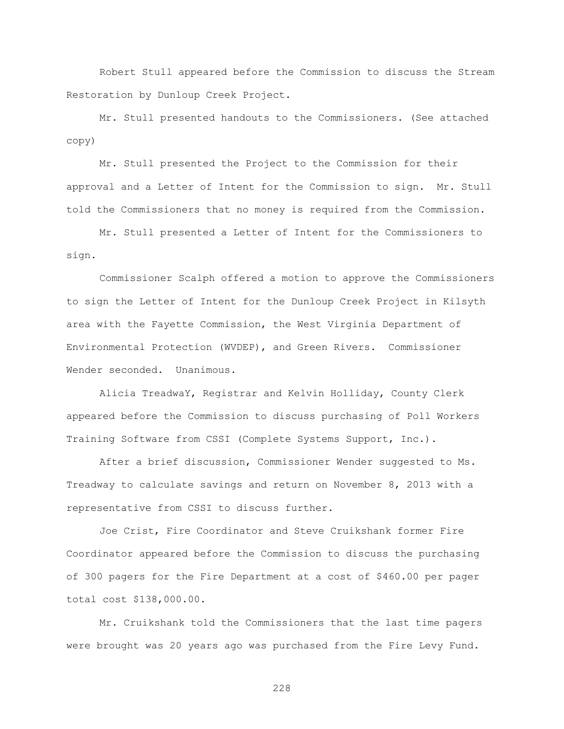Robert Stull appeared before the Commission to discuss the Stream Restoration by Dunloup Creek Project.

Mr. Stull presented handouts to the Commissioners. (See attached copy)

Mr. Stull presented the Project to the Commission for their approval and a Letter of Intent for the Commission to sign. Mr. Stull told the Commissioners that no money is required from the Commission.

Mr. Stull presented a Letter of Intent for the Commissioners to sign.

Commissioner Scalph offered a motion to approve the Commissioners to sign the Letter of Intent for the Dunloup Creek Project in Kilsyth area with the Fayette Commission, the West Virginia Department of Environmental Protection (WVDEP), and Green Rivers. Commissioner Wender seconded. Unanimous.

Alicia TreadwaY, Registrar and Kelvin Holliday, County Clerk appeared before the Commission to discuss purchasing of Poll Workers Training Software from CSSI (Complete Systems Support, Inc.).

After a brief discussion, Commissioner Wender suggested to Ms. Treadway to calculate savings and return on November 8, 2013 with a representative from CSSI to discuss further.

Joe Crist, Fire Coordinator and Steve Cruikshank former Fire Coordinator appeared before the Commission to discuss the purchasing of 300 pagers for the Fire Department at a cost of \$460.00 per pager total cost \$138,000.00.

Mr. Cruikshank told the Commissioners that the last time pagers were brought was 20 years ago was purchased from the Fire Levy Fund.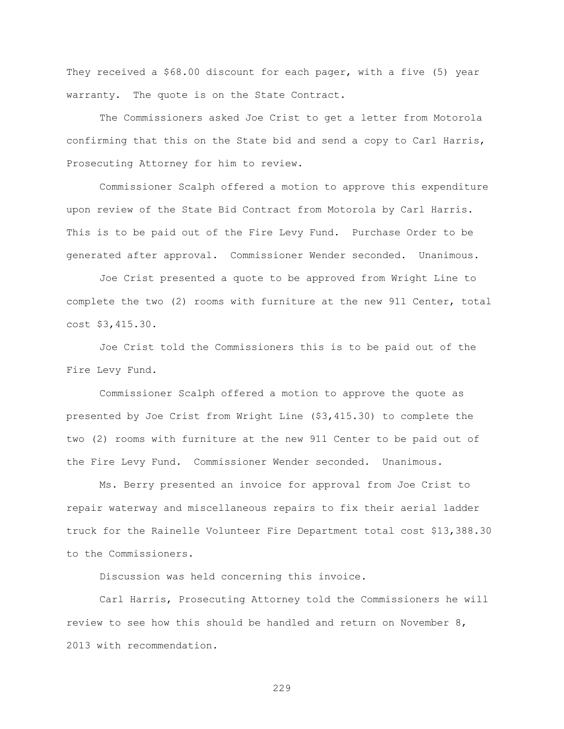They received a \$68.00 discount for each pager, with a five (5) year warranty. The quote is on the State Contract.

The Commissioners asked Joe Crist to get a letter from Motorola confirming that this on the State bid and send a copy to Carl Harris, Prosecuting Attorney for him to review.

Commissioner Scalph offered a motion to approve this expenditure upon review of the State Bid Contract from Motorola by Carl Harris. This is to be paid out of the Fire Levy Fund. Purchase Order to be generated after approval. Commissioner Wender seconded. Unanimous.

Joe Crist presented a quote to be approved from Wright Line to complete the two (2) rooms with furniture at the new 911 Center, total cost \$3,415.30.

Joe Crist told the Commissioners this is to be paid out of the Fire Levy Fund.

Commissioner Scalph offered a motion to approve the quote as presented by Joe Crist from Wright Line (\$3,415.30) to complete the two (2) rooms with furniture at the new 911 Center to be paid out of the Fire Levy Fund. Commissioner Wender seconded. Unanimous.

Ms. Berry presented an invoice for approval from Joe Crist to repair waterway and miscellaneous repairs to fix their aerial ladder truck for the Rainelle Volunteer Fire Department total cost \$13,388.30 to the Commissioners.

Discussion was held concerning this invoice.

Carl Harris, Prosecuting Attorney told the Commissioners he will review to see how this should be handled and return on November 8, 2013 with recommendation.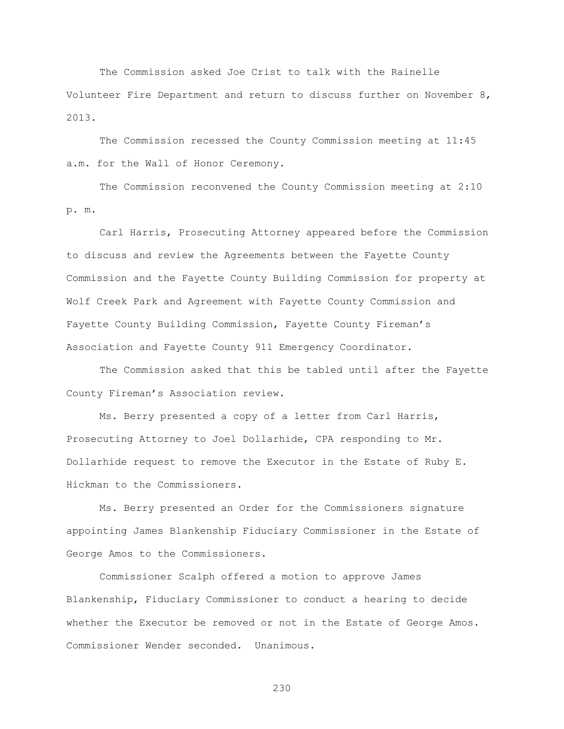The Commission asked Joe Crist to talk with the Rainelle Volunteer Fire Department and return to discuss further on November 8, 2013.

The Commission recessed the County Commission meeting at 11:45 a.m. for the Wall of Honor Ceremony.

The Commission reconvened the County Commission meeting at 2:10 p. m.

Carl Harris, Prosecuting Attorney appeared before the Commission to discuss and review the Agreements between the Fayette County Commission and the Fayette County Building Commission for property at Wolf Creek Park and Agreement with Fayette County Commission and Fayette County Building Commission, Fayette County Fireman"s Association and Fayette County 911 Emergency Coordinator.

 The Commission asked that this be tabled until after the Fayette County Fireman"s Association review.

Ms. Berry presented a copy of a letter from Carl Harris, Prosecuting Attorney to Joel Dollarhide, CPA responding to Mr. Dollarhide request to remove the Executor in the Estate of Ruby E. Hickman to the Commissioners.

Ms. Berry presented an Order for the Commissioners signature appointing James Blankenship Fiduciary Commissioner in the Estate of George Amos to the Commissioners.

Commissioner Scalph offered a motion to approve James Blankenship, Fiduciary Commissioner to conduct a hearing to decide whether the Executor be removed or not in the Estate of George Amos. Commissioner Wender seconded. Unanimous.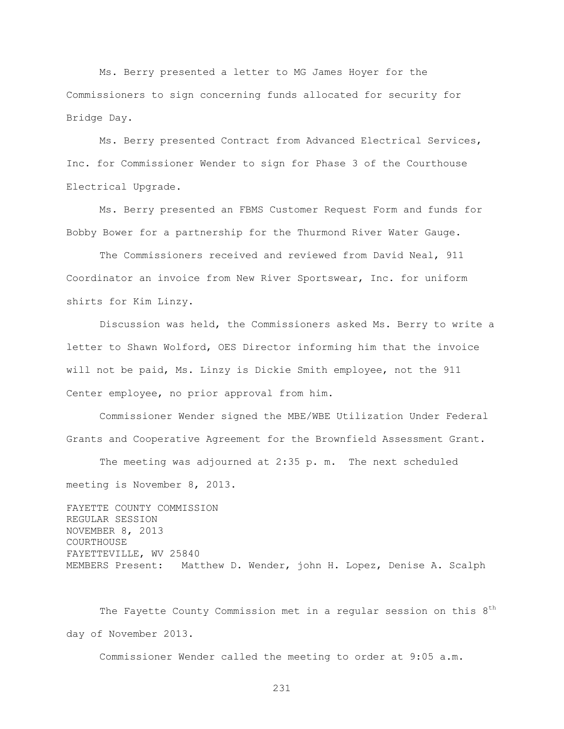Ms. Berry presented a letter to MG James Hoyer for the Commissioners to sign concerning funds allocated for security for Bridge Day.

Ms. Berry presented Contract from Advanced Electrical Services, Inc. for Commissioner Wender to sign for Phase 3 of the Courthouse Electrical Upgrade.

Ms. Berry presented an FBMS Customer Request Form and funds for Bobby Bower for a partnership for the Thurmond River Water Gauge.

The Commissioners received and reviewed from David Neal, 911 Coordinator an invoice from New River Sportswear, Inc. for uniform shirts for Kim Linzy.

Discussion was held, the Commissioners asked Ms. Berry to write a letter to Shawn Wolford, OES Director informing him that the invoice will not be paid, Ms. Linzy is Dickie Smith employee, not the 911 Center employee, no prior approval from him.

 Commissioner Wender signed the MBE/WBE Utilization Under Federal Grants and Cooperative Agreement for the Brownfield Assessment Grant.

The meeting was adjourned at 2:35 p. m. The next scheduled meeting is November 8, 2013.

FAYETTE COUNTY COMMISSION REGULAR SESSION NOVEMBER 8, 2013 COURTHOUSE FAYETTEVILLE, WV 25840 MEMBERS Present: Matthew D. Wender, john H. Lopez, Denise A. Scalph

The Fayette County Commission met in a regular session on this  $8<sup>th</sup>$ day of November 2013.

Commissioner Wender called the meeting to order at 9:05 a.m.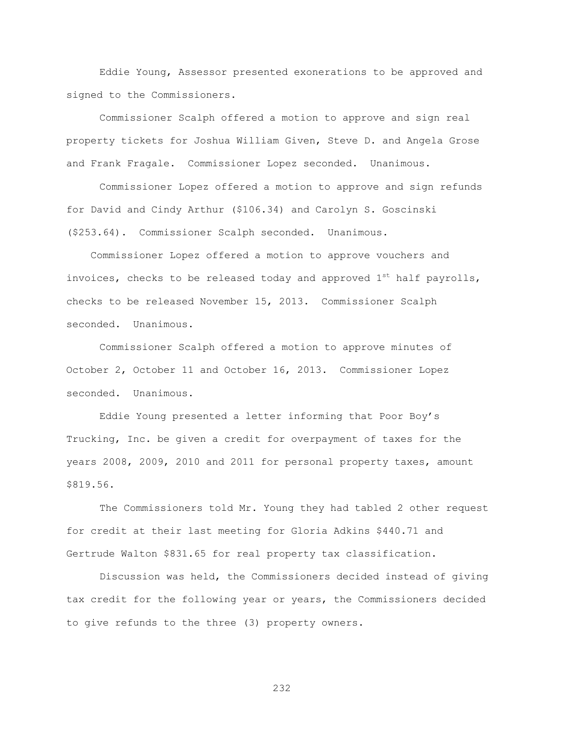Eddie Young, Assessor presented exonerations to be approved and signed to the Commissioners.

Commissioner Scalph offered a motion to approve and sign real property tickets for Joshua William Given, Steve D. and Angela Grose and Frank Fragale. Commissioner Lopez seconded. Unanimous.

Commissioner Lopez offered a motion to approve and sign refunds for David and Cindy Arthur (\$106.34) and Carolyn S. Goscinski (\$253.64). Commissioner Scalph seconded. Unanimous.

 Commissioner Lopez offered a motion to approve vouchers and invoices, checks to be released today and approved  $1^{st}$  half payrolls, checks to be released November 15, 2013. Commissioner Scalph seconded. Unanimous.

Commissioner Scalph offered a motion to approve minutes of October 2, October 11 and October 16, 2013. Commissioner Lopez seconded. Unanimous.

Eddie Young presented a letter informing that Poor Boy"s Trucking, Inc. be given a credit for overpayment of taxes for the years 2008, 2009, 2010 and 2011 for personal property taxes, amount \$819.56.

The Commissioners told Mr. Young they had tabled 2 other request for credit at their last meeting for Gloria Adkins \$440.71 and Gertrude Walton \$831.65 for real property tax classification.

Discussion was held, the Commissioners decided instead of giving tax credit for the following year or years, the Commissioners decided to give refunds to the three (3) property owners.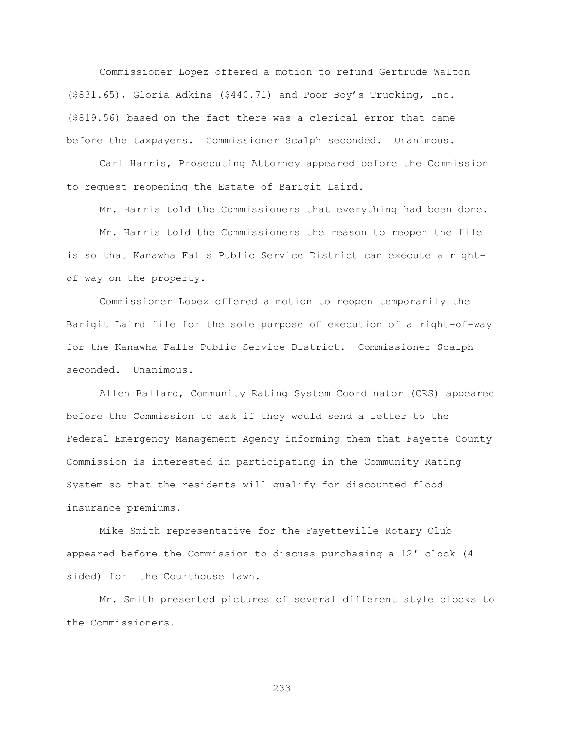Commissioner Lopez offered a motion to refund Gertrude Walton (\$831.65), Gloria Adkins (\$440.71) and Poor Boy"s Trucking, Inc. (\$819.56) based on the fact there was a clerical error that came before the taxpayers. Commissioner Scalph seconded. Unanimous.

Carl Harris, Prosecuting Attorney appeared before the Commission to request reopening the Estate of Barigit Laird.

Mr. Harris told the Commissioners that everything had been done.

Mr. Harris told the Commissioners the reason to reopen the file is so that Kanawha Falls Public Service District can execute a rightof-way on the property.

Commissioner Lopez offered a motion to reopen temporarily the Barigit Laird file for the sole purpose of execution of a right-of-way for the Kanawha Falls Public Service District. Commissioner Scalph seconded. Unanimous.

Allen Ballard, Community Rating System Coordinator (CRS) appeared before the Commission to ask if they would send a letter to the Federal Emergency Management Agency informing them that Fayette County Commission is interested in participating in the Community Rating System so that the residents will qualify for discounted flood insurance premiums.

Mike Smith representative for the Fayetteville Rotary Club appeared before the Commission to discuss purchasing a 12' clock (4 sided) for the Courthouse lawn.

Mr. Smith presented pictures of several different style clocks to the Commissioners.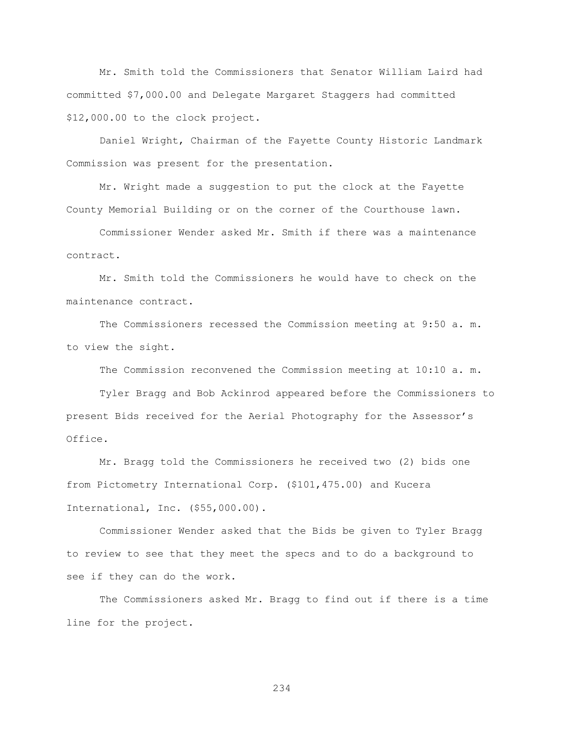Mr. Smith told the Commissioners that Senator William Laird had committed \$7,000.00 and Delegate Margaret Staggers had committed \$12,000.00 to the clock project.

Daniel Wright, Chairman of the Fayette County Historic Landmark Commission was present for the presentation.

Mr. Wright made a suggestion to put the clock at the Fayette County Memorial Building or on the corner of the Courthouse lawn.

Commissioner Wender asked Mr. Smith if there was a maintenance contract.

Mr. Smith told the Commissioners he would have to check on the maintenance contract.

The Commissioners recessed the Commission meeting at 9:50 a. m. to view the sight.

The Commission reconvened the Commission meeting at 10:10 a. m.

Tyler Bragg and Bob Ackinrod appeared before the Commissioners to present Bids received for the Aerial Photography for the Assessor"s Office.

Mr. Bragg told the Commissioners he received two (2) bids one from Pictometry International Corp. (\$101,475.00) and Kucera International, Inc. (\$55,000.00).

Commissioner Wender asked that the Bids be given to Tyler Bragg to review to see that they meet the specs and to do a background to see if they can do the work.

The Commissioners asked Mr. Bragg to find out if there is a time line for the project.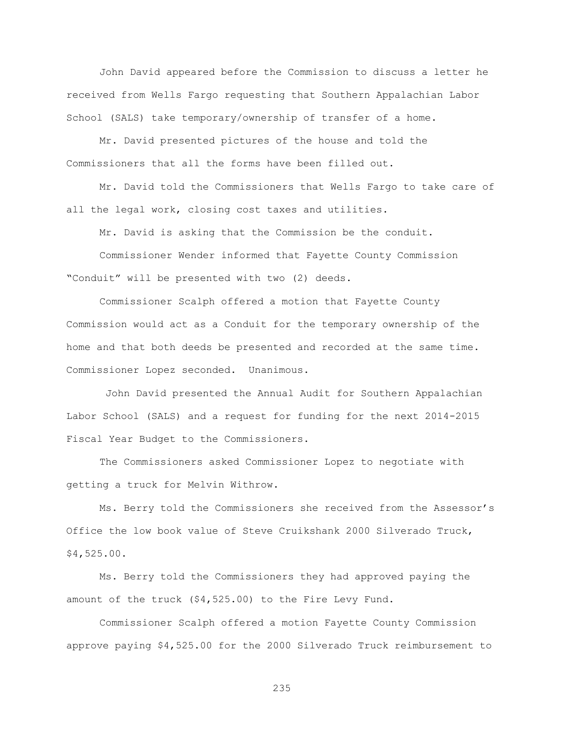John David appeared before the Commission to discuss a letter he received from Wells Fargo requesting that Southern Appalachian Labor School (SALS) take temporary/ownership of transfer of a home.

Mr. David presented pictures of the house and told the Commissioners that all the forms have been filled out.

Mr. David told the Commissioners that Wells Fargo to take care of all the legal work, closing cost taxes and utilities.

Mr. David is asking that the Commission be the conduit.

Commissioner Wender informed that Fayette County Commission "Conduit" will be presented with two (2) deeds.

Commissioner Scalph offered a motion that Fayette County Commission would act as a Conduit for the temporary ownership of the home and that both deeds be presented and recorded at the same time. Commissioner Lopez seconded. Unanimous.

John David presented the Annual Audit for Southern Appalachian Labor School (SALS) and a request for funding for the next 2014-2015 Fiscal Year Budget to the Commissioners.

The Commissioners asked Commissioner Lopez to negotiate with getting a truck for Melvin Withrow.

Ms. Berry told the Commissioners she received from the Assessor"s Office the low book value of Steve Cruikshank 2000 Silverado Truck, \$4,525.00.

Ms. Berry told the Commissioners they had approved paying the amount of the truck (\$4,525.00) to the Fire Levy Fund.

Commissioner Scalph offered a motion Fayette County Commission approve paying \$4,525.00 for the 2000 Silverado Truck reimbursement to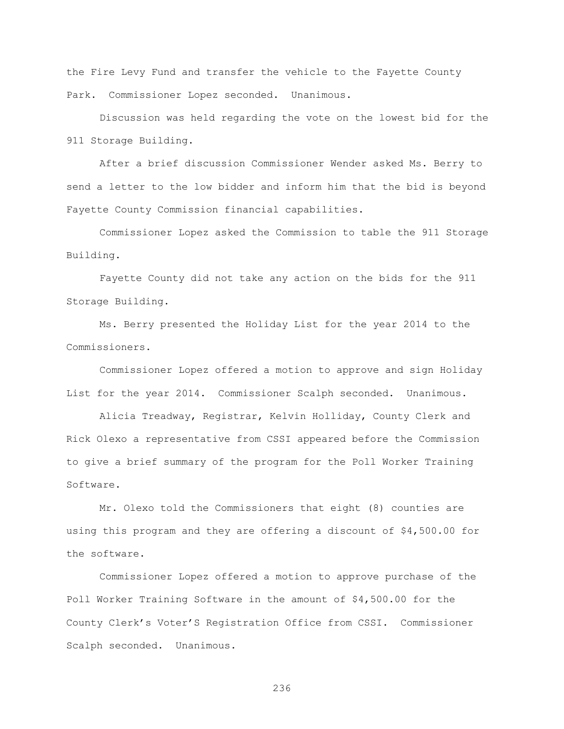the Fire Levy Fund and transfer the vehicle to the Fayette County Park. Commissioner Lopez seconded. Unanimous.

Discussion was held regarding the vote on the lowest bid for the 911 Storage Building.

After a brief discussion Commissioner Wender asked Ms. Berry to send a letter to the low bidder and inform him that the bid is beyond Fayette County Commission financial capabilities.

Commissioner Lopez asked the Commission to table the 911 Storage Building.

Fayette County did not take any action on the bids for the 911 Storage Building.

Ms. Berry presented the Holiday List for the year 2014 to the Commissioners.

Commissioner Lopez offered a motion to approve and sign Holiday List for the year 2014. Commissioner Scalph seconded. Unanimous.

Alicia Treadway, Registrar, Kelvin Holliday, County Clerk and Rick Olexo a representative from CSSI appeared before the Commission to give a brief summary of the program for the Poll Worker Training Software.

Mr. Olexo told the Commissioners that eight (8) counties are using this program and they are offering a discount of \$4,500.00 for the software.

Commissioner Lopez offered a motion to approve purchase of the Poll Worker Training Software in the amount of \$4,500.00 for the County Clerk"s Voter"S Registration Office from CSSI. Commissioner Scalph seconded. Unanimous.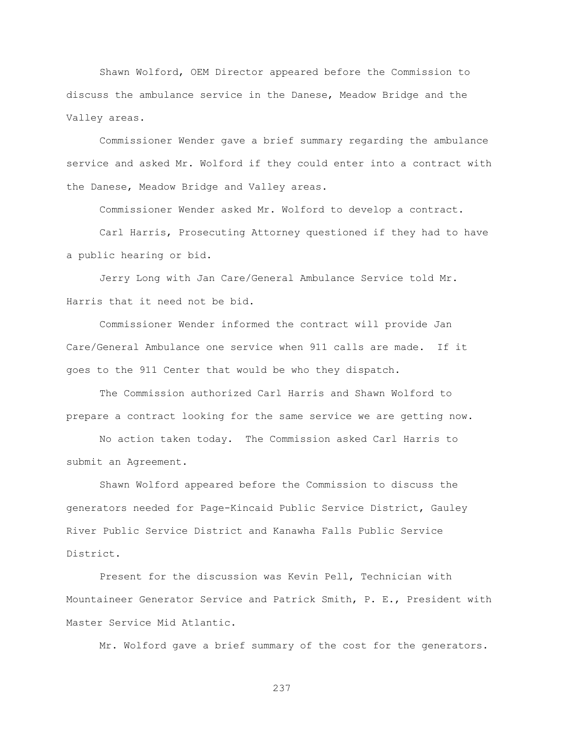Shawn Wolford, OEM Director appeared before the Commission to discuss the ambulance service in the Danese, Meadow Bridge and the Valley areas.

Commissioner Wender gave a brief summary regarding the ambulance service and asked Mr. Wolford if they could enter into a contract with the Danese, Meadow Bridge and Valley areas.

Commissioner Wender asked Mr. Wolford to develop a contract.

Carl Harris, Prosecuting Attorney questioned if they had to have a public hearing or bid.

Jerry Long with Jan Care/General Ambulance Service told Mr. Harris that it need not be bid.

Commissioner Wender informed the contract will provide Jan Care/General Ambulance one service when 911 calls are made. If it goes to the 911 Center that would be who they dispatch.

The Commission authorized Carl Harris and Shawn Wolford to prepare a contract looking for the same service we are getting now.

No action taken today. The Commission asked Carl Harris to submit an Agreement.

Shawn Wolford appeared before the Commission to discuss the generators needed for Page-Kincaid Public Service District, Gauley River Public Service District and Kanawha Falls Public Service District.

Present for the discussion was Kevin Pell, Technician with Mountaineer Generator Service and Patrick Smith, P. E., President with Master Service Mid Atlantic.

Mr. Wolford gave a brief summary of the cost for the generators.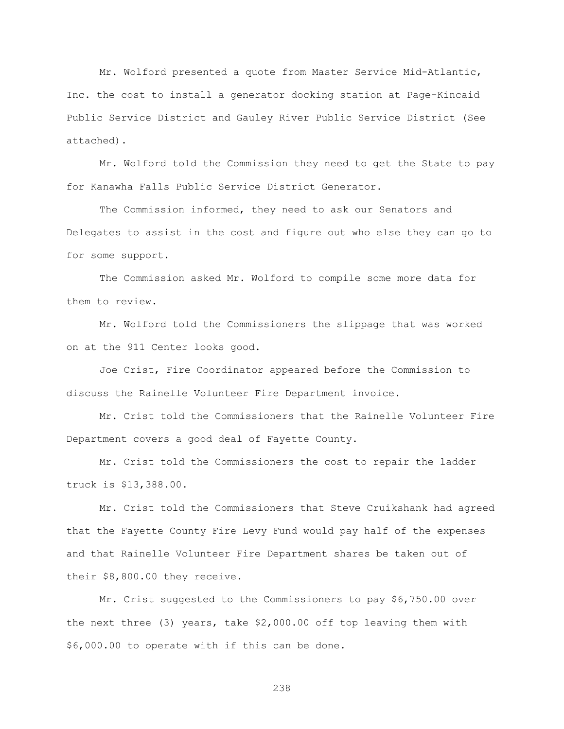Mr. Wolford presented a quote from Master Service Mid-Atlantic, Inc. the cost to install a generator docking station at Page-Kincaid Public Service District and Gauley River Public Service District (See attached).

Mr. Wolford told the Commission they need to get the State to pay for Kanawha Falls Public Service District Generator.

The Commission informed, they need to ask our Senators and Delegates to assist in the cost and figure out who else they can go to for some support.

The Commission asked Mr. Wolford to compile some more data for them to review.

Mr. Wolford told the Commissioners the slippage that was worked on at the 911 Center looks good.

Joe Crist, Fire Coordinator appeared before the Commission to discuss the Rainelle Volunteer Fire Department invoice.

Mr. Crist told the Commissioners that the Rainelle Volunteer Fire Department covers a good deal of Fayette County.

Mr. Crist told the Commissioners the cost to repair the ladder truck is \$13,388.00.

Mr. Crist told the Commissioners that Steve Cruikshank had agreed that the Fayette County Fire Levy Fund would pay half of the expenses and that Rainelle Volunteer Fire Department shares be taken out of their \$8,800.00 they receive.

Mr. Crist suggested to the Commissioners to pay \$6,750.00 over the next three (3) years, take \$2,000.00 off top leaving them with \$6,000.00 to operate with if this can be done.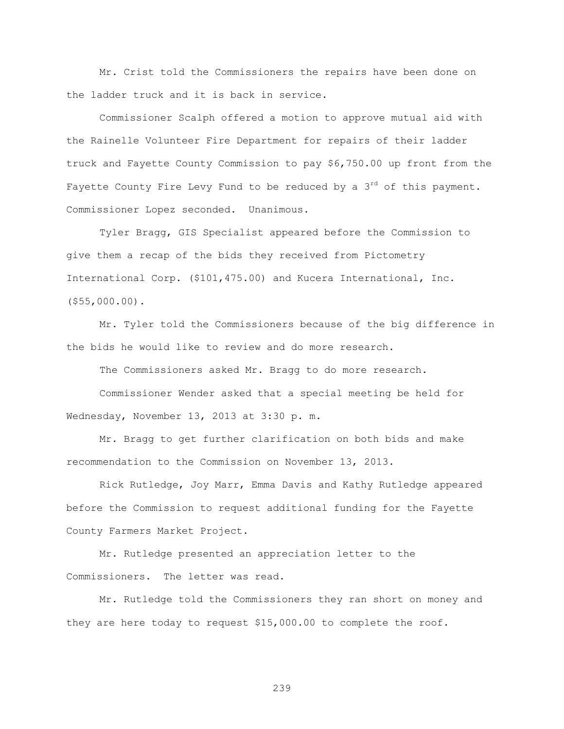Mr. Crist told the Commissioners the repairs have been done on the ladder truck and it is back in service.

Commissioner Scalph offered a motion to approve mutual aid with the Rainelle Volunteer Fire Department for repairs of their ladder truck and Fayette County Commission to pay \$6,750.00 up front from the Fayette County Fire Levy Fund to be reduced by a  $3<sup>rd</sup>$  of this payment. Commissioner Lopez seconded. Unanimous.

Tyler Bragg, GIS Specialist appeared before the Commission to give them a recap of the bids they received from Pictometry International Corp. (\$101,475.00) and Kucera International, Inc. (\$55,000.00).

Mr. Tyler told the Commissioners because of the big difference in the bids he would like to review and do more research.

The Commissioners asked Mr. Bragg to do more research.

Commissioner Wender asked that a special meeting be held for Wednesday, November 13, 2013 at 3:30 p. m.

Mr. Bragg to get further clarification on both bids and make recommendation to the Commission on November 13, 2013.

Rick Rutledge, Joy Marr, Emma Davis and Kathy Rutledge appeared before the Commission to request additional funding for the Fayette County Farmers Market Project.

Mr. Rutledge presented an appreciation letter to the Commissioners. The letter was read.

Mr. Rutledge told the Commissioners they ran short on money and they are here today to request \$15,000.00 to complete the roof.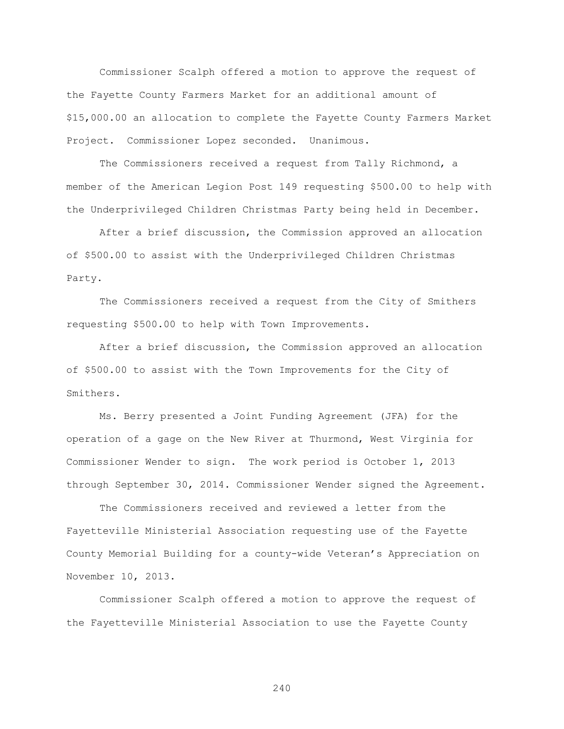Commissioner Scalph offered a motion to approve the request of the Fayette County Farmers Market for an additional amount of \$15,000.00 an allocation to complete the Fayette County Farmers Market Project. Commissioner Lopez seconded. Unanimous.

The Commissioners received a request from Tally Richmond, a member of the American Legion Post 149 requesting \$500.00 to help with the Underprivileged Children Christmas Party being held in December.

After a brief discussion, the Commission approved an allocation of \$500.00 to assist with the Underprivileged Children Christmas Party.

The Commissioners received a request from the City of Smithers requesting \$500.00 to help with Town Improvements.

After a brief discussion, the Commission approved an allocation of \$500.00 to assist with the Town Improvements for the City of Smithers.

Ms. Berry presented a Joint Funding Agreement (JFA) for the operation of a gage on the New River at Thurmond, West Virginia for Commissioner Wender to sign. The work period is October 1, 2013 through September 30, 2014. Commissioner Wender signed the Agreement.

The Commissioners received and reviewed a letter from the Fayetteville Ministerial Association requesting use of the Fayette County Memorial Building for a county-wide Veteran"s Appreciation on November 10, 2013.

Commissioner Scalph offered a motion to approve the request of the Fayetteville Ministerial Association to use the Fayette County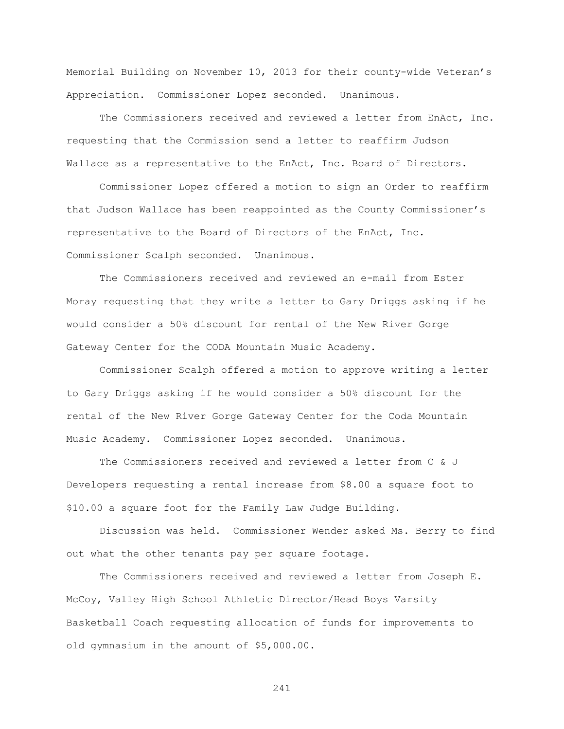Memorial Building on November 10, 2013 for their county-wide Veteran"s Appreciation. Commissioner Lopez seconded. Unanimous.

The Commissioners received and reviewed a letter from EnAct, Inc. requesting that the Commission send a letter to reaffirm Judson Wallace as a representative to the EnAct, Inc. Board of Directors.

Commissioner Lopez offered a motion to sign an Order to reaffirm that Judson Wallace has been reappointed as the County Commissioner"s representative to the Board of Directors of the EnAct, Inc. Commissioner Scalph seconded. Unanimous.

The Commissioners received and reviewed an e-mail from Ester Moray requesting that they write a letter to Gary Driggs asking if he would consider a 50% discount for rental of the New River Gorge Gateway Center for the CODA Mountain Music Academy.

Commissioner Scalph offered a motion to approve writing a letter to Gary Driggs asking if he would consider a 50% discount for the rental of the New River Gorge Gateway Center for the Coda Mountain Music Academy. Commissioner Lopez seconded. Unanimous.

The Commissioners received and reviewed a letter from C & J Developers requesting a rental increase from \$8.00 a square foot to \$10.00 a square foot for the Family Law Judge Building.

Discussion was held. Commissioner Wender asked Ms. Berry to find out what the other tenants pay per square footage.

The Commissioners received and reviewed a letter from Joseph E. McCoy, Valley High School Athletic Director/Head Boys Varsity Basketball Coach requesting allocation of funds for improvements to old gymnasium in the amount of \$5,000.00.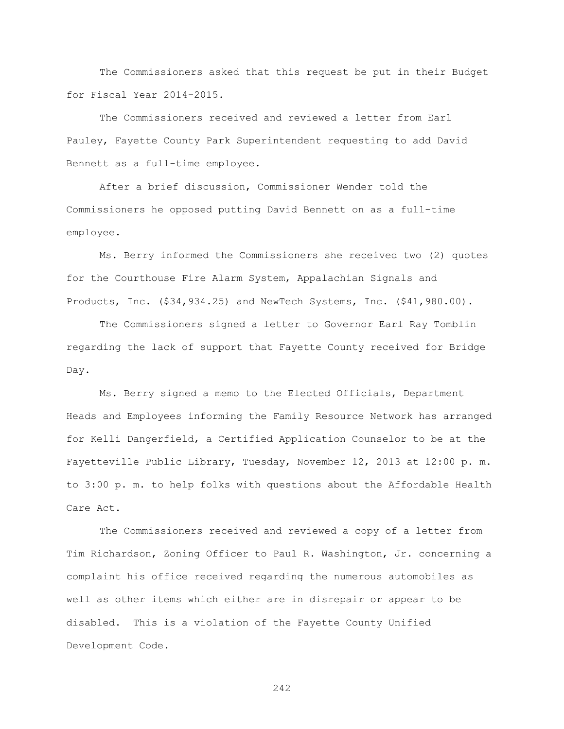The Commissioners asked that this request be put in their Budget for Fiscal Year 2014-2015.

The Commissioners received and reviewed a letter from Earl Pauley, Fayette County Park Superintendent requesting to add David Bennett as a full-time employee.

After a brief discussion, Commissioner Wender told the Commissioners he opposed putting David Bennett on as a full-time employee.

Ms. Berry informed the Commissioners she received two (2) quotes for the Courthouse Fire Alarm System, Appalachian Signals and Products, Inc. (\$34,934.25) and NewTech Systems, Inc. (\$41,980.00).

The Commissioners signed a letter to Governor Earl Ray Tomblin regarding the lack of support that Fayette County received for Bridge Day.

Ms. Berry signed a memo to the Elected Officials, Department Heads and Employees informing the Family Resource Network has arranged for Kelli Dangerfield, a Certified Application Counselor to be at the Fayetteville Public Library, Tuesday, November 12, 2013 at 12:00 p. m. to 3:00 p. m. to help folks with questions about the Affordable Health Care Act.

The Commissioners received and reviewed a copy of a letter from Tim Richardson, Zoning Officer to Paul R. Washington, Jr. concerning a complaint his office received regarding the numerous automobiles as well as other items which either are in disrepair or appear to be disabled. This is a violation of the Fayette County Unified Development Code.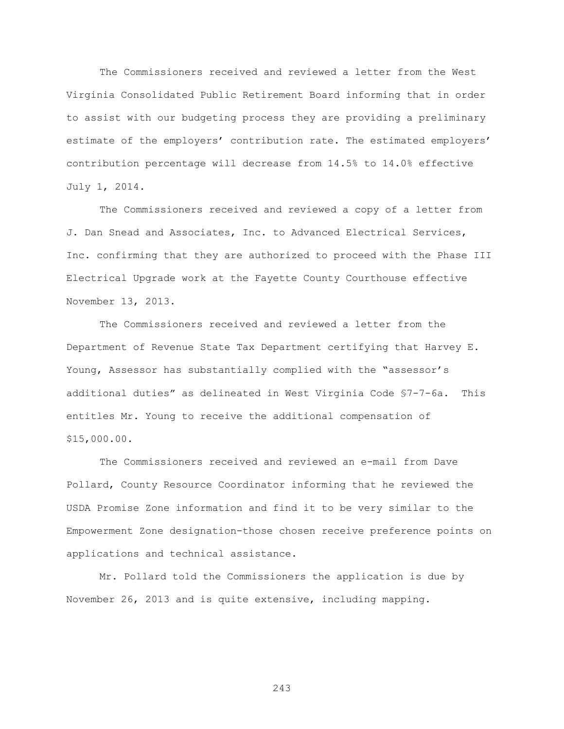The Commissioners received and reviewed a letter from the West Virginia Consolidated Public Retirement Board informing that in order to assist with our budgeting process they are providing a preliminary estimate of the employers' contribution rate. The estimated employers' contribution percentage will decrease from 14.5% to 14.0% effective July 1, 2014.

The Commissioners received and reviewed a copy of a letter from J. Dan Snead and Associates, Inc. to Advanced Electrical Services, Inc. confirming that they are authorized to proceed with the Phase III Electrical Upgrade work at the Fayette County Courthouse effective November 13, 2013.

The Commissioners received and reviewed a letter from the Department of Revenue State Tax Department certifying that Harvey E. Young, Assessor has substantially complied with the "assessor's additional duties" as delineated in West Virginia Code §7-7-6a. This entitles Mr. Young to receive the additional compensation of \$15,000.00.

The Commissioners received and reviewed an e-mail from Dave Pollard, County Resource Coordinator informing that he reviewed the USDA Promise Zone information and find it to be very similar to the Empowerment Zone designation-those chosen receive preference points on applications and technical assistance.

Mr. Pollard told the Commissioners the application is due by November 26, 2013 and is quite extensive, including mapping.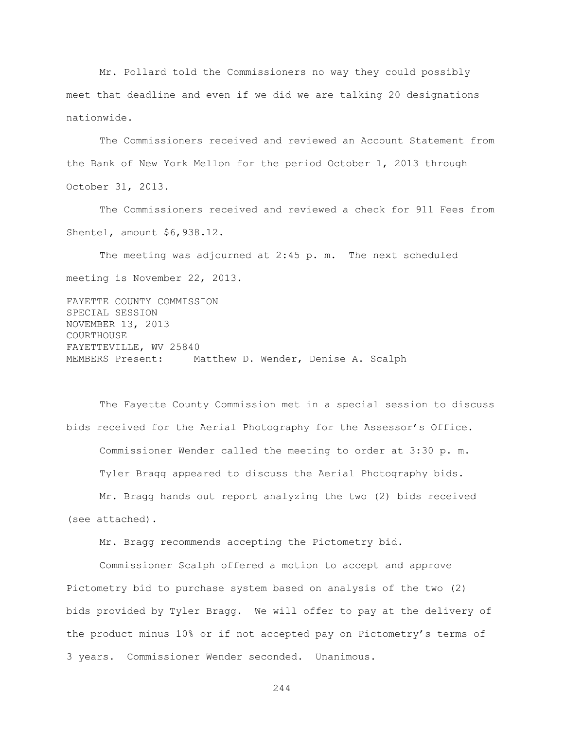Mr. Pollard told the Commissioners no way they could possibly meet that deadline and even if we did we are talking 20 designations nationwide.

The Commissioners received and reviewed an Account Statement from the Bank of New York Mellon for the period October 1, 2013 through October 31, 2013.

The Commissioners received and reviewed a check for 911 Fees from Shentel, amount \$6,938.12.

The meeting was adjourned at 2:45 p. m. The next scheduled meeting is November 22, 2013.

FAYETTE COUNTY COMMISSION SPECIAL SESSION NOVEMBER 13, 2013 COURTHOUSE FAYETTEVILLE, WV 25840 MEMBERS Present: Matthew D. Wender, Denise A. Scalph

The Fayette County Commission met in a special session to discuss bids received for the Aerial Photography for the Assessor"s Office. Commissioner Wender called the meeting to order at 3:30 p. m. Tyler Bragg appeared to discuss the Aerial Photography bids. Mr. Bragg hands out report analyzing the two (2) bids received

(see attached).

Mr. Bragg recommends accepting the Pictometry bid.

Commissioner Scalph offered a motion to accept and approve Pictometry bid to purchase system based on analysis of the two (2) bids provided by Tyler Bragg. We will offer to pay at the delivery of the product minus 10% or if not accepted pay on Pictometry"s terms of 3 years. Commissioner Wender seconded. Unanimous.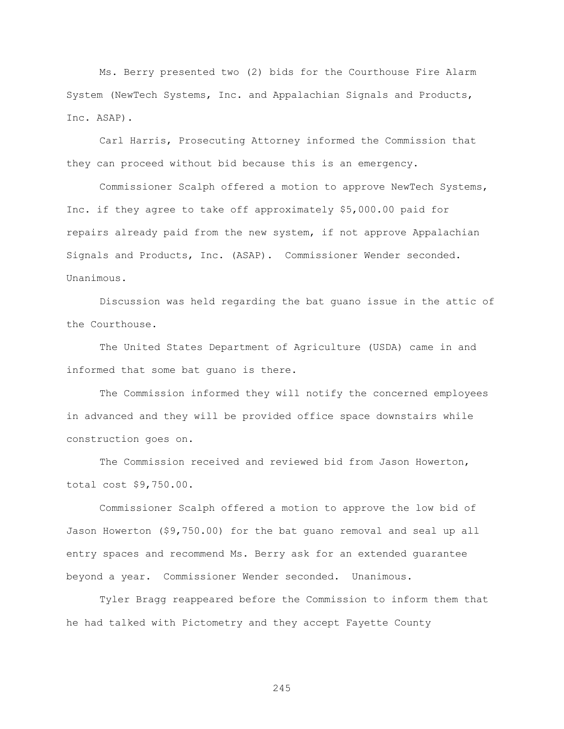Ms. Berry presented two (2) bids for the Courthouse Fire Alarm System (NewTech Systems, Inc. and Appalachian Signals and Products, Inc. ASAP).

Carl Harris, Prosecuting Attorney informed the Commission that they can proceed without bid because this is an emergency.

Commissioner Scalph offered a motion to approve NewTech Systems, Inc. if they agree to take off approximately \$5,000.00 paid for repairs already paid from the new system, if not approve Appalachian Signals and Products, Inc. (ASAP). Commissioner Wender seconded. Unanimous.

Discussion was held regarding the bat guano issue in the attic of the Courthouse.

The United States Department of Agriculture (USDA) came in and informed that some bat guano is there.

The Commission informed they will notify the concerned employees in advanced and they will be provided office space downstairs while construction goes on.

The Commission received and reviewed bid from Jason Howerton, total cost \$9,750.00.

Commissioner Scalph offered a motion to approve the low bid of Jason Howerton (\$9,750.00) for the bat guano removal and seal up all entry spaces and recommend Ms. Berry ask for an extended guarantee beyond a year. Commissioner Wender seconded. Unanimous.

Tyler Bragg reappeared before the Commission to inform them that he had talked with Pictometry and they accept Fayette County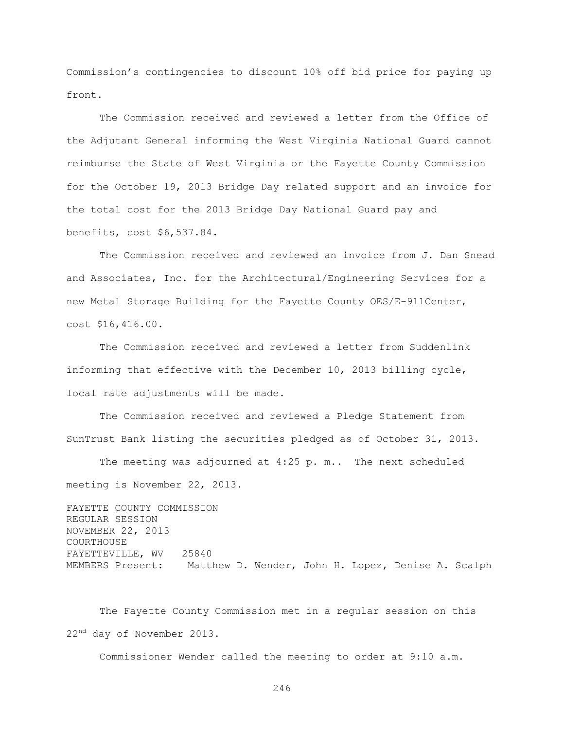Commission"s contingencies to discount 10% off bid price for paying up front.

The Commission received and reviewed a letter from the Office of the Adjutant General informing the West Virginia National Guard cannot reimburse the State of West Virginia or the Fayette County Commission for the October 19, 2013 Bridge Day related support and an invoice for the total cost for the 2013 Bridge Day National Guard pay and benefits, cost \$6,537.84.

The Commission received and reviewed an invoice from J. Dan Snead and Associates, Inc. for the Architectural/Engineering Services for a new Metal Storage Building for the Fayette County OES/E-911Center, cost \$16,416.00.

The Commission received and reviewed a letter from Suddenlink informing that effective with the December 10, 2013 billing cycle, local rate adjustments will be made.

The Commission received and reviewed a Pledge Statement from SunTrust Bank listing the securities pledged as of October 31, 2013.

The meeting was adjourned at 4:25 p. m.. The next scheduled meeting is November 22, 2013.

FAYETTE COUNTY COMMISSION REGULAR SESSION NOVEMBER 22, 2013 COURTHOUSE FAYETTEVILLE, WV 25840 MEMBERS Present: Matthew D. Wender, John H. Lopez, Denise A. Scalph

The Fayette County Commission met in a regular session on this 22<sup>nd</sup> day of November 2013.

Commissioner Wender called the meeting to order at 9:10 a.m.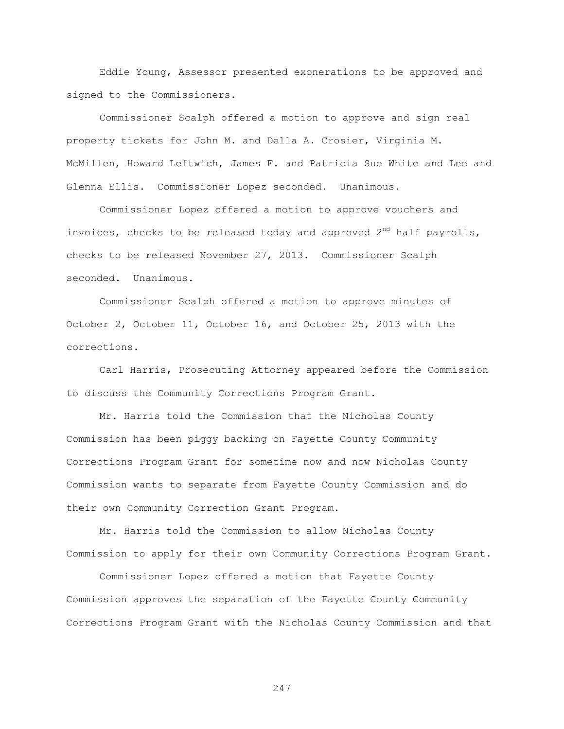Eddie Young, Assessor presented exonerations to be approved and signed to the Commissioners.

Commissioner Scalph offered a motion to approve and sign real property tickets for John M. and Della A. Crosier, Virginia M. McMillen, Howard Leftwich, James F. and Patricia Sue White and Lee and Glenna Ellis. Commissioner Lopez seconded. Unanimous.

Commissioner Lopez offered a motion to approve vouchers and invoices, checks to be released today and approved  $2<sup>nd</sup>$  half payrolls, checks to be released November 27, 2013. Commissioner Scalph seconded. Unanimous.

Commissioner Scalph offered a motion to approve minutes of October 2, October 11, October 16, and October 25, 2013 with the corrections.

Carl Harris, Prosecuting Attorney appeared before the Commission to discuss the Community Corrections Program Grant.

Mr. Harris told the Commission that the Nicholas County Commission has been piggy backing on Fayette County Community Corrections Program Grant for sometime now and now Nicholas County Commission wants to separate from Fayette County Commission and do their own Community Correction Grant Program.

Mr. Harris told the Commission to allow Nicholas County Commission to apply for their own Community Corrections Program Grant.

Commissioner Lopez offered a motion that Fayette County Commission approves the separation of the Fayette County Community Corrections Program Grant with the Nicholas County Commission and that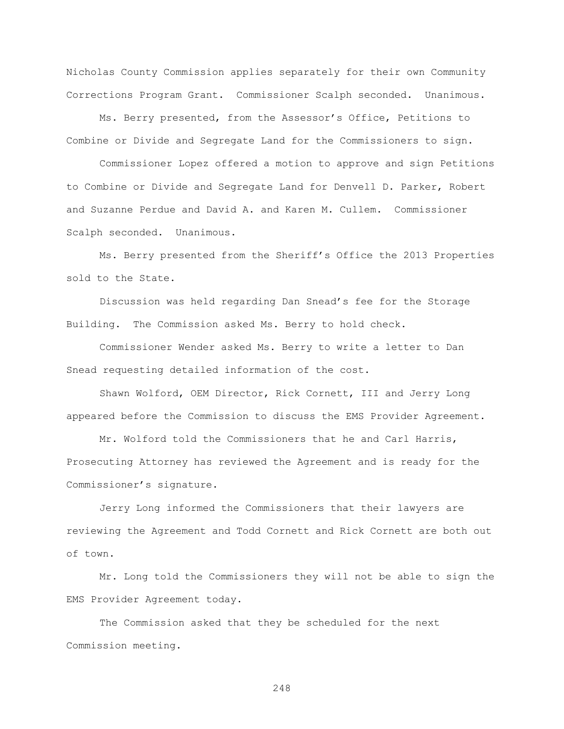Nicholas County Commission applies separately for their own Community Corrections Program Grant. Commissioner Scalph seconded. Unanimous.

Ms. Berry presented, from the Assessor"s Office, Petitions to Combine or Divide and Segregate Land for the Commissioners to sign.

Commissioner Lopez offered a motion to approve and sign Petitions to Combine or Divide and Segregate Land for Denvell D. Parker, Robert and Suzanne Perdue and David A. and Karen M. Cullem. Commissioner Scalph seconded. Unanimous.

Ms. Berry presented from the Sheriff"s Office the 2013 Properties sold to the State.

Discussion was held regarding Dan Snead"s fee for the Storage Building. The Commission asked Ms. Berry to hold check.

Commissioner Wender asked Ms. Berry to write a letter to Dan Snead requesting detailed information of the cost.

Shawn Wolford, OEM Director, Rick Cornett, III and Jerry Long appeared before the Commission to discuss the EMS Provider Agreement.

Mr. Wolford told the Commissioners that he and Carl Harris, Prosecuting Attorney has reviewed the Agreement and is ready for the Commissioner's signature.

Jerry Long informed the Commissioners that their lawyers are reviewing the Agreement and Todd Cornett and Rick Cornett are both out of town.

Mr. Long told the Commissioners they will not be able to sign the EMS Provider Agreement today.

The Commission asked that they be scheduled for the next Commission meeting.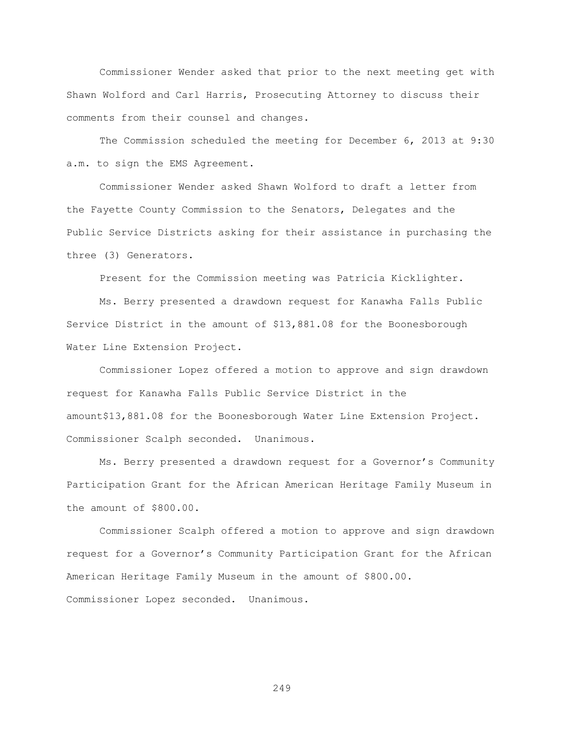Commissioner Wender asked that prior to the next meeting get with Shawn Wolford and Carl Harris, Prosecuting Attorney to discuss their comments from their counsel and changes.

The Commission scheduled the meeting for December 6, 2013 at 9:30 a.m. to sign the EMS Agreement.

 Commissioner Wender asked Shawn Wolford to draft a letter from the Fayette County Commission to the Senators, Delegates and the Public Service Districts asking for their assistance in purchasing the three (3) Generators.

Present for the Commission meeting was Patricia Kicklighter.

Ms. Berry presented a drawdown request for Kanawha Falls Public Service District in the amount of \$13,881.08 for the Boonesborough Water Line Extension Project.

Commissioner Lopez offered a motion to approve and sign drawdown request for Kanawha Falls Public Service District in the amount\$13,881.08 for the Boonesborough Water Line Extension Project. Commissioner Scalph seconded. Unanimous.

 Ms. Berry presented a drawdown request for a Governor"s Community Participation Grant for the African American Heritage Family Museum in the amount of \$800.00.

Commissioner Scalph offered a motion to approve and sign drawdown request for a Governor"s Community Participation Grant for the African American Heritage Family Museum in the amount of \$800.00. Commissioner Lopez seconded. Unanimous.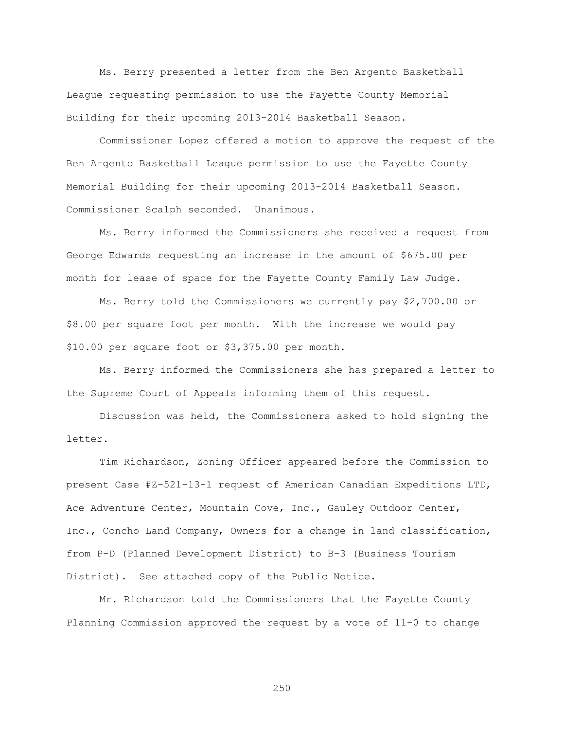Ms. Berry presented a letter from the Ben Argento Basketball League requesting permission to use the Fayette County Memorial Building for their upcoming 2013-2014 Basketball Season.

Commissioner Lopez offered a motion to approve the request of the Ben Argento Basketball League permission to use the Fayette County Memorial Building for their upcoming 2013-2014 Basketball Season. Commissioner Scalph seconded. Unanimous.

Ms. Berry informed the Commissioners she received a request from George Edwards requesting an increase in the amount of \$675.00 per month for lease of space for the Fayette County Family Law Judge.

Ms. Berry told the Commissioners we currently pay \$2,700.00 or \$8.00 per square foot per month. With the increase we would pay \$10.00 per square foot or \$3,375.00 per month.

Ms. Berry informed the Commissioners she has prepared a letter to the Supreme Court of Appeals informing them of this request.

Discussion was held, the Commissioners asked to hold signing the letter.

Tim Richardson, Zoning Officer appeared before the Commission to present Case #Z-521-13-1 request of American Canadian Expeditions LTD, Ace Adventure Center, Mountain Cove, Inc., Gauley Outdoor Center, Inc., Concho Land Company, Owners for a change in land classification, from P-D (Planned Development District) to B-3 (Business Tourism District). See attached copy of the Public Notice.

Mr. Richardson told the Commissioners that the Fayette County Planning Commission approved the request by a vote of 11-0 to change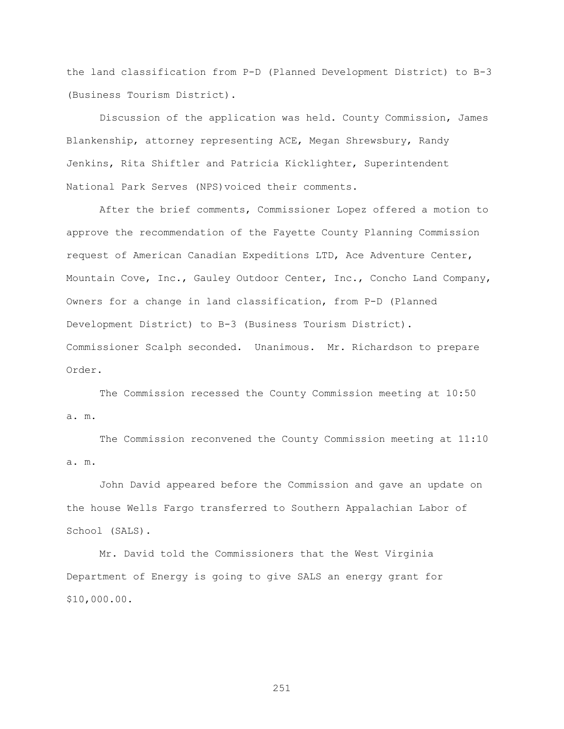the land classification from P-D (Planned Development District) to B-3 (Business Tourism District).

Discussion of the application was held. County Commission, James Blankenship, attorney representing ACE, Megan Shrewsbury, Randy Jenkins, Rita Shiftler and Patricia Kicklighter, Superintendent National Park Serves (NPS)voiced their comments.

After the brief comments, Commissioner Lopez offered a motion to approve the recommendation of the Fayette County Planning Commission request of American Canadian Expeditions LTD, Ace Adventure Center, Mountain Cove, Inc., Gauley Outdoor Center, Inc., Concho Land Company, Owners for a change in land classification, from P-D (Planned Development District) to B-3 (Business Tourism District). Commissioner Scalph seconded. Unanimous. Mr. Richardson to prepare Order.

The Commission recessed the County Commission meeting at 10:50 a. m.

The Commission reconvened the County Commission meeting at 11:10 a. m.

John David appeared before the Commission and gave an update on the house Wells Fargo transferred to Southern Appalachian Labor of School (SALS).

Mr. David told the Commissioners that the West Virginia Department of Energy is going to give SALS an energy grant for \$10,000.00.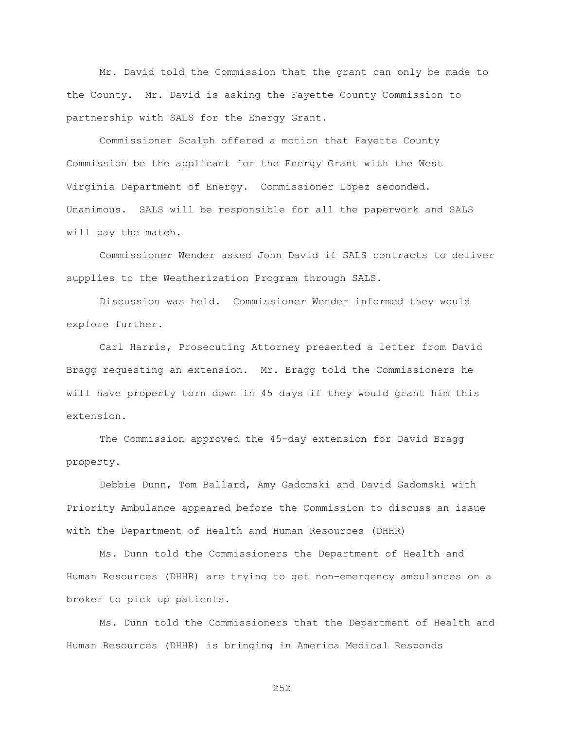Mr. David told the Commission that the grant can only be made to the County. Mr. David is asking the Fayette County Commission to partnership with SALS for the Energy Grant.

Commissioner Scalph offered a motion that Fayette County Commission be the applicant for the Energy Grant with the West Virginia Department of Energy. Commissioner Lopez seconded. Unanimous. SALS will be responsible for all the paperwork and SALS will pay the match.

Commissioner Wender asked John David if SALS contracts to deliver supplies to the Weatherization Program through SALS.

Discussion was held. Commissioner Wender informed they would explore further.

Carl Harris, Prosecuting Attorney presented a letter from David Bragg requesting an extension. Mr. Bragg told the Commissioners he will have property torn down in 45 days if they would grant him this extension.

The Commission approved the 45-day extension for David Bragg property.

Debbie Dunn, Tom Ballard, Amy Gadomski and David Gadomski with Priority Ambulance appeared before the Commission to discuss an issue with the Department of Health and Human Resources (DHHR)

Ms. Dunn told the Commissioners the Department of Health and Human Resources (DHHR) are trying to get non-emergency ambulances on a broker to pick up patients.

Ms. Dunn told the Commissioners that the Department of Health and Human Resources (DHHR) is bringing in America Medical Responds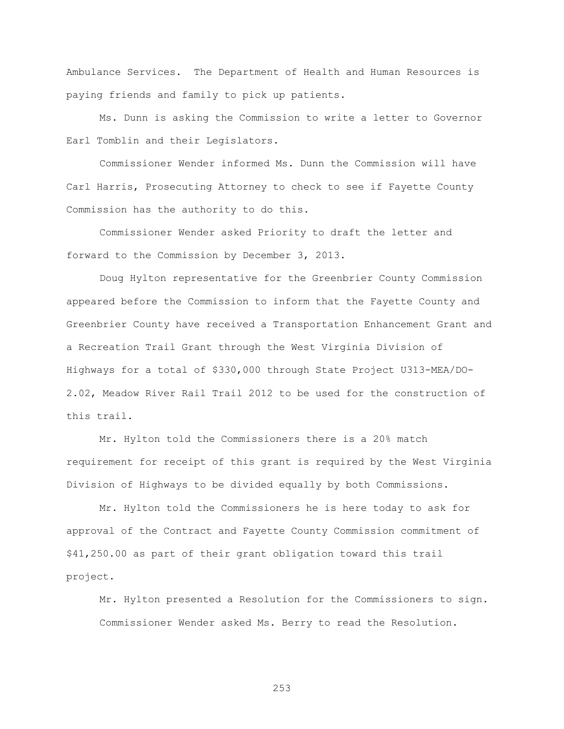Ambulance Services. The Department of Health and Human Resources is paying friends and family to pick up patients.

Ms. Dunn is asking the Commission to write a letter to Governor Earl Tomblin and their Legislators.

Commissioner Wender informed Ms. Dunn the Commission will have Carl Harris, Prosecuting Attorney to check to see if Fayette County Commission has the authority to do this.

Commissioner Wender asked Priority to draft the letter and forward to the Commission by December 3, 2013.

Doug Hylton representative for the Greenbrier County Commission appeared before the Commission to inform that the Fayette County and Greenbrier County have received a Transportation Enhancement Grant and a Recreation Trail Grant through the West Virginia Division of Highways for a total of \$330,000 through State Project U313-MEA/DO-2.02, Meadow River Rail Trail 2012 to be used for the construction of this trail.

Mr. Hylton told the Commissioners there is a 20% match requirement for receipt of this grant is required by the West Virginia Division of Highways to be divided equally by both Commissions.

Mr. Hylton told the Commissioners he is here today to ask for approval of the Contract and Fayette County Commission commitment of \$41,250.00 as part of their grant obligation toward this trail project.

Mr. Hylton presented a Resolution for the Commissioners to sign. Commissioner Wender asked Ms. Berry to read the Resolution.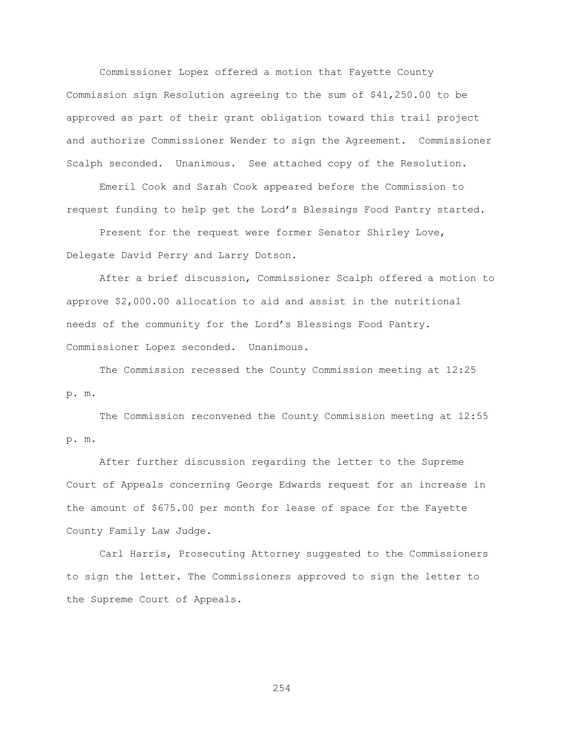Commissioner Lopez offered a motion that Fayette County Commission sign Resolution agreeing to the sum of \$41,250.00 to be approved as part of their grant obligation toward this trail project and authorize Commissioner Wender to sign the Agreement. Commissioner Scalph seconded. Unanimous. See attached copy of the Resolution.

Emeril Cook and Sarah Cook appeared before the Commission to request funding to help get the Lord"s Blessings Food Pantry started.

Present for the request were former Senator Shirley Love, Delegate David Perry and Larry Dotson.

After a brief discussion, Commissioner Scalph offered a motion to approve \$2,000.00 allocation to aid and assist in the nutritional needs of the community for the Lord"s Blessings Food Pantry. Commissioner Lopez seconded. Unanimous.

The Commission recessed the County Commission meeting at 12:25 p. m.

The Commission reconvened the County Commission meeting at 12:55 p. m.

After further discussion regarding the letter to the Supreme Court of Appeals concerning George Edwards request for an increase in the amount of \$675.00 per month for lease of space for the Fayette County Family Law Judge.

Carl Harris, Prosecuting Attorney suggested to the Commissioners to sign the letter. The Commissioners approved to sign the letter to the Supreme Court of Appeals.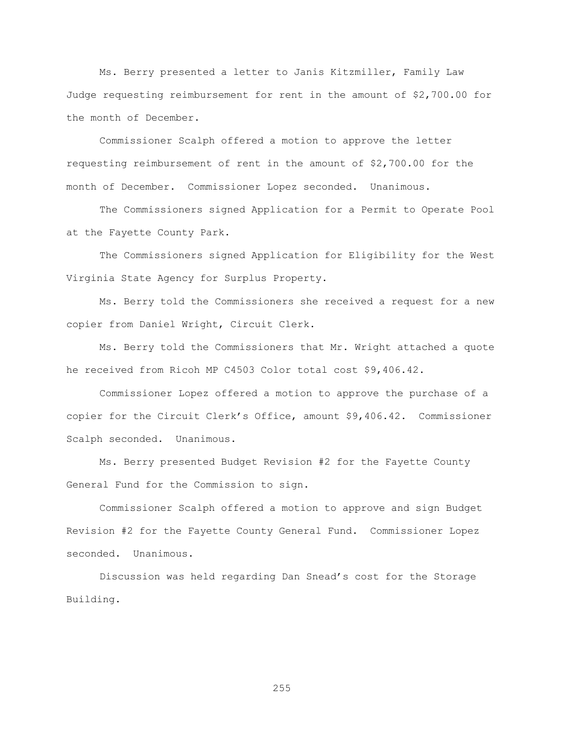Ms. Berry presented a letter to Janis Kitzmiller, Family Law Judge requesting reimbursement for rent in the amount of \$2,700.00 for the month of December.

Commissioner Scalph offered a motion to approve the letter requesting reimbursement of rent in the amount of \$2,700.00 for the month of December. Commissioner Lopez seconded. Unanimous.

The Commissioners signed Application for a Permit to Operate Pool at the Fayette County Park.

The Commissioners signed Application for Eligibility for the West Virginia State Agency for Surplus Property.

Ms. Berry told the Commissioners she received a request for a new copier from Daniel Wright, Circuit Clerk.

Ms. Berry told the Commissioners that Mr. Wright attached a quote he received from Ricoh MP C4503 Color total cost \$9,406.42.

Commissioner Lopez offered a motion to approve the purchase of a copier for the Circuit Clerk"s Office, amount \$9,406.42. Commissioner Scalph seconded. Unanimous.

Ms. Berry presented Budget Revision #2 for the Fayette County General Fund for the Commission to sign.

Commissioner Scalph offered a motion to approve and sign Budget Revision #2 for the Fayette County General Fund. Commissioner Lopez seconded. Unanimous.

Discussion was held regarding Dan Snead's cost for the Storage Building.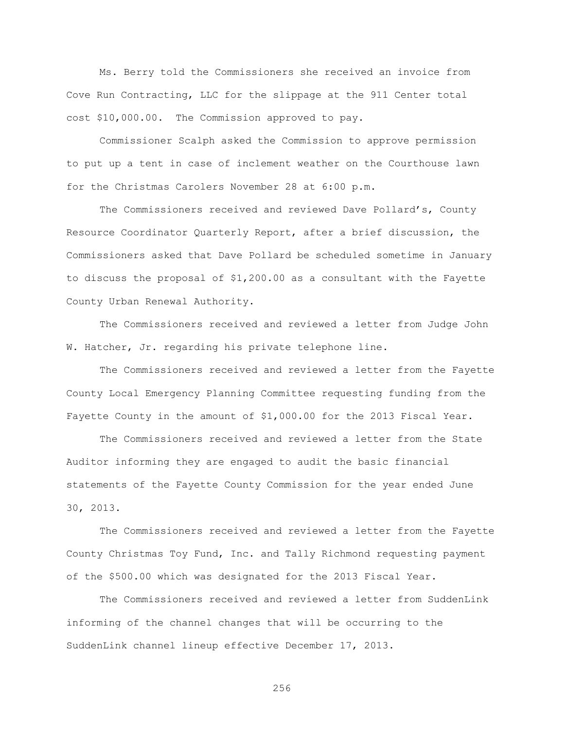Ms. Berry told the Commissioners she received an invoice from Cove Run Contracting, LLC for the slippage at the 911 Center total cost \$10,000.00. The Commission approved to pay.

Commissioner Scalph asked the Commission to approve permission to put up a tent in case of inclement weather on the Courthouse lawn for the Christmas Carolers November 28 at 6:00 p.m.

The Commissioners received and reviewed Dave Pollard"s, County Resource Coordinator Quarterly Report, after a brief discussion, the Commissioners asked that Dave Pollard be scheduled sometime in January to discuss the proposal of \$1,200.00 as a consultant with the Fayette County Urban Renewal Authority.

The Commissioners received and reviewed a letter from Judge John W. Hatcher, Jr. regarding his private telephone line.

The Commissioners received and reviewed a letter from the Fayette County Local Emergency Planning Committee requesting funding from the Fayette County in the amount of \$1,000.00 for the 2013 Fiscal Year.

The Commissioners received and reviewed a letter from the State Auditor informing they are engaged to audit the basic financial statements of the Fayette County Commission for the year ended June 30, 2013.

The Commissioners received and reviewed a letter from the Fayette County Christmas Toy Fund, Inc. and Tally Richmond requesting payment of the \$500.00 which was designated for the 2013 Fiscal Year.

The Commissioners received and reviewed a letter from SuddenLink informing of the channel changes that will be occurring to the SuddenLink channel lineup effective December 17, 2013.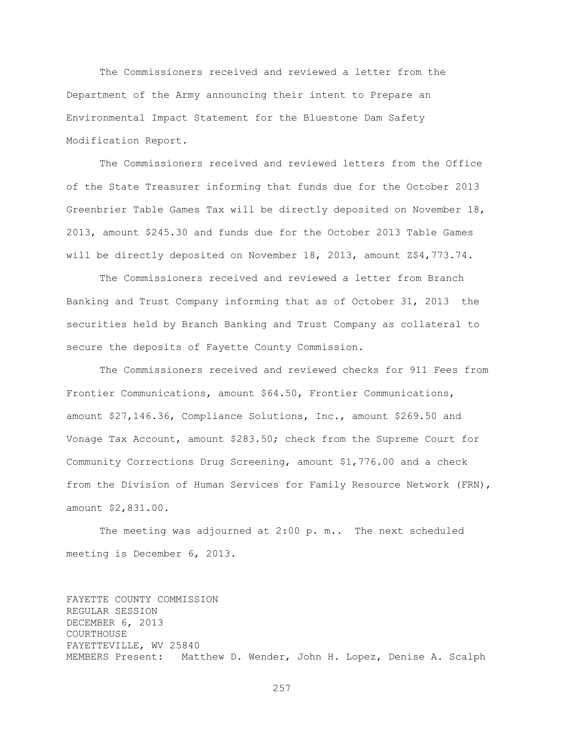The Commissioners received and reviewed a letter from the Department of the Army announcing their intent to Prepare an Environmental Impact Statement for the Bluestone Dam Safety Modification Report.

The Commissioners received and reviewed letters from the Office of the State Treasurer informing that funds due for the October 2013 Greenbrier Table Games Tax will be directly deposited on November 18, 2013, amount \$245.30 and funds due for the October 2013 Table Games will be directly deposited on November 18, 2013, amount Z\$4,773.74.

The Commissioners received and reviewed a letter from Branch Banking and Trust Company informing that as of October 31, 2013 the securities held by Branch Banking and Trust Company as collateral to secure the deposits of Fayette County Commission.

The Commissioners received and reviewed checks for 911 Fees from Frontier Communications, amount \$64.50, Frontier Communications, amount \$27,146.36, Compliance Solutions, Inc., amount \$269.50 and Vonage Tax Account, amount \$283.50; check from the Supreme Court for Community Corrections Drug Screening, amount \$1,776.00 and a check from the Division of Human Services for Family Resource Network (FRN), amount \$2,831.00.

The meeting was adjourned at 2:00 p. m.. The next scheduled meeting is December 6, 2013.

FAYETTE COUNTY COMMISSION REGULAR SESSION DECEMBER 6, 2013 COURTHOUSE FAYETTEVILLE, WV 25840 MEMBERS Present: Matthew D. Wender, John H. Lopez, Denise A. Scalph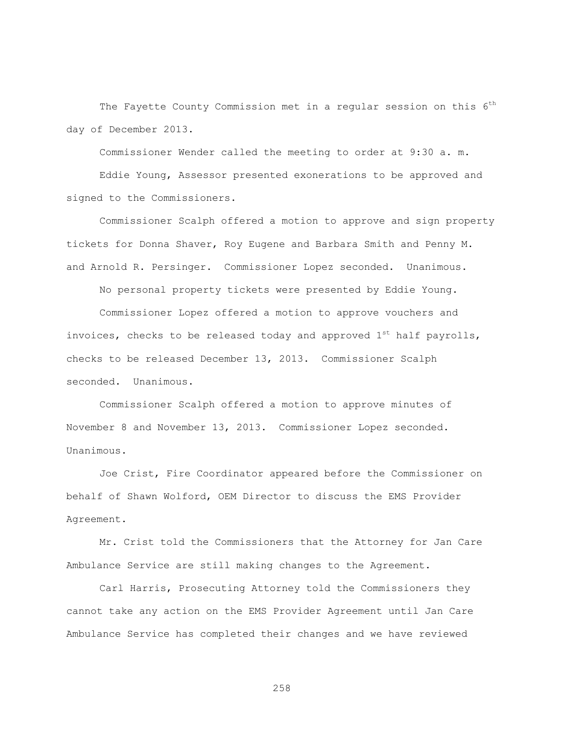The Fayette County Commission met in a regular session on this 6<sup>th</sup> day of December 2013.

Commissioner Wender called the meeting to order at 9:30 a. m.

Eddie Young, Assessor presented exonerations to be approved and signed to the Commissioners.

Commissioner Scalph offered a motion to approve and sign property tickets for Donna Shaver, Roy Eugene and Barbara Smith and Penny M. and Arnold R. Persinger. Commissioner Lopez seconded. Unanimous.

No personal property tickets were presented by Eddie Young.

Commissioner Lopez offered a motion to approve vouchers and invoices, checks to be released today and approved  $1^{st}$  half payrolls, checks to be released December 13, 2013. Commissioner Scalph seconded. Unanimous.

Commissioner Scalph offered a motion to approve minutes of November 8 and November 13, 2013. Commissioner Lopez seconded. Unanimous.

Joe Crist, Fire Coordinator appeared before the Commissioner on behalf of Shawn Wolford, OEM Director to discuss the EMS Provider Agreement.

Mr. Crist told the Commissioners that the Attorney for Jan Care Ambulance Service are still making changes to the Agreement.

Carl Harris, Prosecuting Attorney told the Commissioners they cannot take any action on the EMS Provider Agreement until Jan Care Ambulance Service has completed their changes and we have reviewed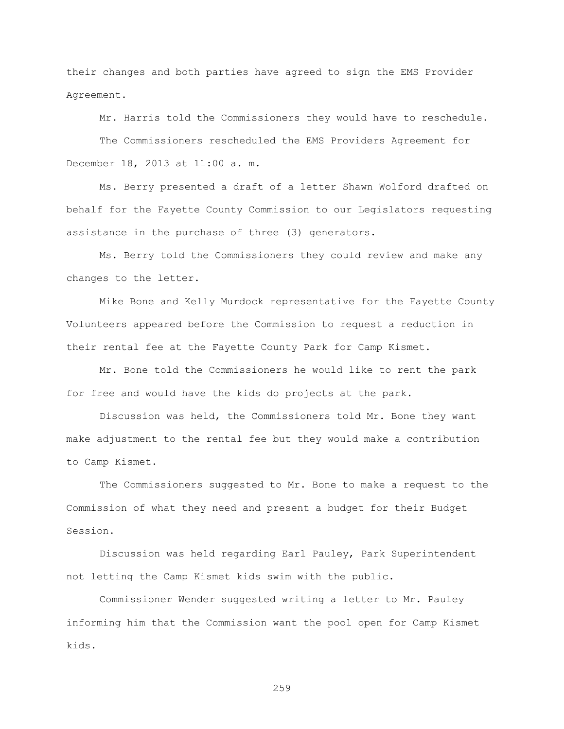their changes and both parties have agreed to sign the EMS Provider Agreement.

Mr. Harris told the Commissioners they would have to reschedule.

The Commissioners rescheduled the EMS Providers Agreement for December 18, 2013 at 11:00 a. m.

Ms. Berry presented a draft of a letter Shawn Wolford drafted on behalf for the Fayette County Commission to our Legislators requesting assistance in the purchase of three (3) generators.

Ms. Berry told the Commissioners they could review and make any changes to the letter.

Mike Bone and Kelly Murdock representative for the Fayette County Volunteers appeared before the Commission to request a reduction in their rental fee at the Fayette County Park for Camp Kismet.

Mr. Bone told the Commissioners he would like to rent the park for free and would have the kids do projects at the park.

Discussion was held, the Commissioners told Mr. Bone they want make adjustment to the rental fee but they would make a contribution to Camp Kismet.

The Commissioners suggested to Mr. Bone to make a request to the Commission of what they need and present a budget for their Budget Session.

Discussion was held regarding Earl Pauley, Park Superintendent not letting the Camp Kismet kids swim with the public.

Commissioner Wender suggested writing a letter to Mr. Pauley informing him that the Commission want the pool open for Camp Kismet kids.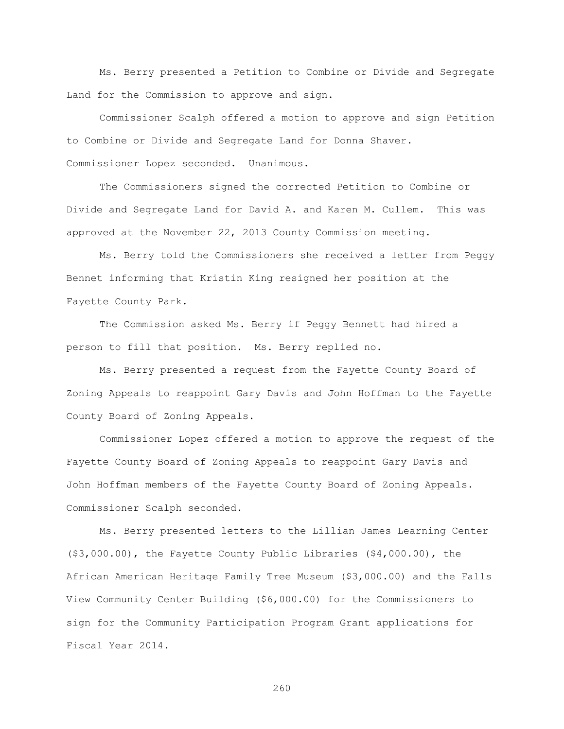Ms. Berry presented a Petition to Combine or Divide and Segregate Land for the Commission to approve and sign.

Commissioner Scalph offered a motion to approve and sign Petition to Combine or Divide and Segregate Land for Donna Shaver. Commissioner Lopez seconded. Unanimous.

The Commissioners signed the corrected Petition to Combine or Divide and Segregate Land for David A. and Karen M. Cullem. This was approved at the November 22, 2013 County Commission meeting.

Ms. Berry told the Commissioners she received a letter from Peggy Bennet informing that Kristin King resigned her position at the Fayette County Park.

The Commission asked Ms. Berry if Peggy Bennett had hired a person to fill that position. Ms. Berry replied no.

Ms. Berry presented a request from the Fayette County Board of Zoning Appeals to reappoint Gary Davis and John Hoffman to the Fayette County Board of Zoning Appeals.

Commissioner Lopez offered a motion to approve the request of the Fayette County Board of Zoning Appeals to reappoint Gary Davis and John Hoffman members of the Fayette County Board of Zoning Appeals. Commissioner Scalph seconded.

Ms. Berry presented letters to the Lillian James Learning Center (\$3,000.00), the Fayette County Public Libraries (\$4,000.00), the African American Heritage Family Tree Museum (\$3,000.00) and the Falls View Community Center Building (\$6,000.00) for the Commissioners to sign for the Community Participation Program Grant applications for Fiscal Year 2014.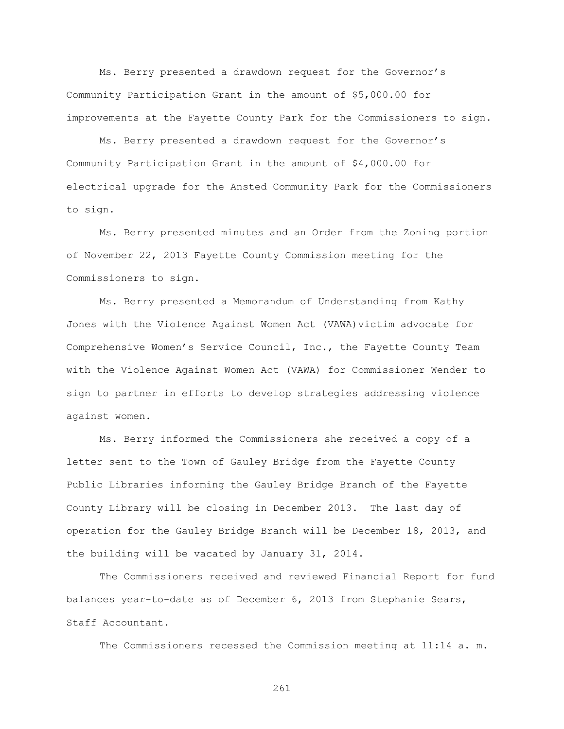Ms. Berry presented a drawdown request for the Governor"s Community Participation Grant in the amount of \$5,000.00 for improvements at the Fayette County Park for the Commissioners to sign.

Ms. Berry presented a drawdown request for the Governor"s Community Participation Grant in the amount of \$4,000.00 for electrical upgrade for the Ansted Community Park for the Commissioners to sign.

Ms. Berry presented minutes and an Order from the Zoning portion of November 22, 2013 Fayette County Commission meeting for the Commissioners to sign.

Ms. Berry presented a Memorandum of Understanding from Kathy Jones with the Violence Against Women Act (VAWA)victim advocate for Comprehensive Women"s Service Council, Inc., the Fayette County Team with the Violence Against Women Act (VAWA) for Commissioner Wender to sign to partner in efforts to develop strategies addressing violence against women.

Ms. Berry informed the Commissioners she received a copy of a letter sent to the Town of Gauley Bridge from the Fayette County Public Libraries informing the Gauley Bridge Branch of the Fayette County Library will be closing in December 2013. The last day of operation for the Gauley Bridge Branch will be December 18, 2013, and the building will be vacated by January 31, 2014.

The Commissioners received and reviewed Financial Report for fund balances year-to-date as of December 6, 2013 from Stephanie Sears, Staff Accountant.

The Commissioners recessed the Commission meeting at 11:14 a. m.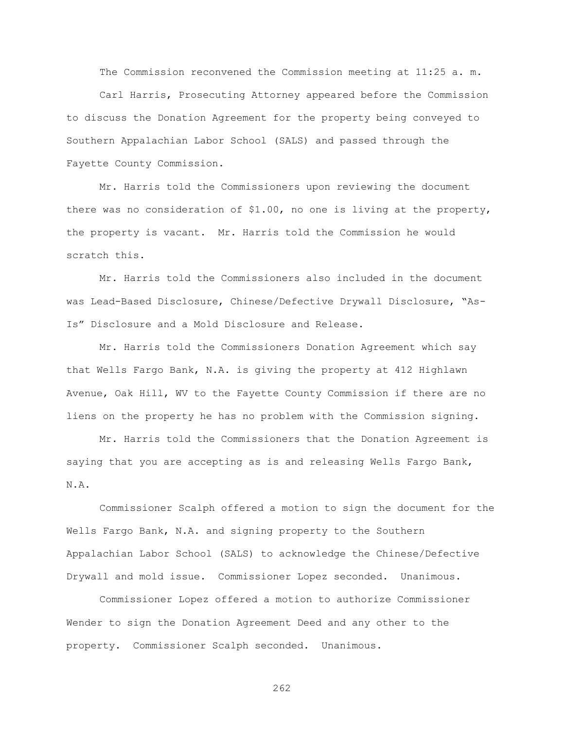The Commission reconvened the Commission meeting at 11:25 a. m.

Carl Harris, Prosecuting Attorney appeared before the Commission to discuss the Donation Agreement for the property being conveyed to Southern Appalachian Labor School (SALS) and passed through the Fayette County Commission.

Mr. Harris told the Commissioners upon reviewing the document there was no consideration of \$1.00, no one is living at the property, the property is vacant. Mr. Harris told the Commission he would scratch this.

Mr. Harris told the Commissioners also included in the document was Lead-Based Disclosure, Chinese/Defective Drywall Disclosure, "As-Is" Disclosure and a Mold Disclosure and Release.

Mr. Harris told the Commissioners Donation Agreement which say that Wells Fargo Bank, N.A. is giving the property at 412 Highlawn Avenue, Oak Hill, WV to the Fayette County Commission if there are no liens on the property he has no problem with the Commission signing.

Mr. Harris told the Commissioners that the Donation Agreement is saying that you are accepting as is and releasing Wells Fargo Bank, N.A.

Commissioner Scalph offered a motion to sign the document for the Wells Fargo Bank, N.A. and signing property to the Southern Appalachian Labor School (SALS) to acknowledge the Chinese/Defective Drywall and mold issue. Commissioner Lopez seconded. Unanimous.

Commissioner Lopez offered a motion to authorize Commissioner Wender to sign the Donation Agreement Deed and any other to the property. Commissioner Scalph seconded. Unanimous.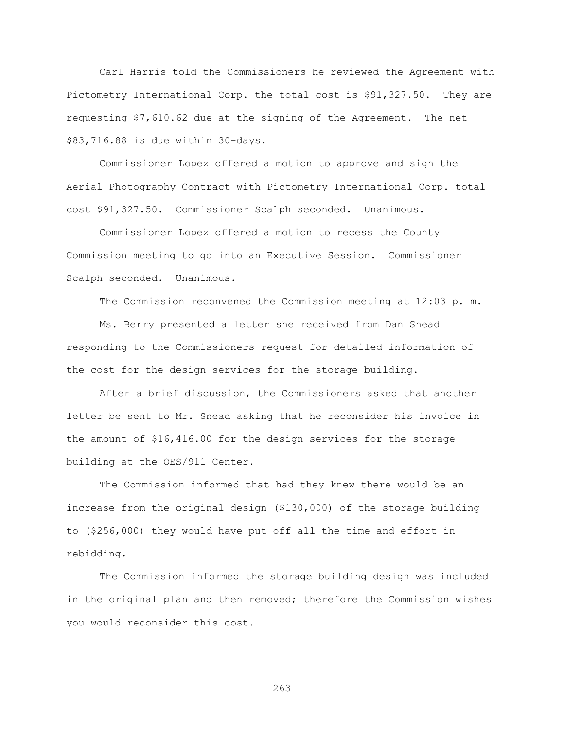Carl Harris told the Commissioners he reviewed the Agreement with Pictometry International Corp. the total cost is \$91,327.50. They are requesting \$7,610.62 due at the signing of the Agreement. The net \$83,716.88 is due within 30-days.

Commissioner Lopez offered a motion to approve and sign the Aerial Photography Contract with Pictometry International Corp. total cost \$91,327.50. Commissioner Scalph seconded. Unanimous.

Commissioner Lopez offered a motion to recess the County Commission meeting to go into an Executive Session. Commissioner Scalph seconded. Unanimous.

The Commission reconvened the Commission meeting at 12:03 p. m.

Ms. Berry presented a letter she received from Dan Snead responding to the Commissioners request for detailed information of the cost for the design services for the storage building.

After a brief discussion, the Commissioners asked that another letter be sent to Mr. Snead asking that he reconsider his invoice in the amount of \$16,416.00 for the design services for the storage building at the OES/911 Center.

The Commission informed that had they knew there would be an increase from the original design (\$130,000) of the storage building to (\$256,000) they would have put off all the time and effort in rebidding.

The Commission informed the storage building design was included in the original plan and then removed; therefore the Commission wishes you would reconsider this cost.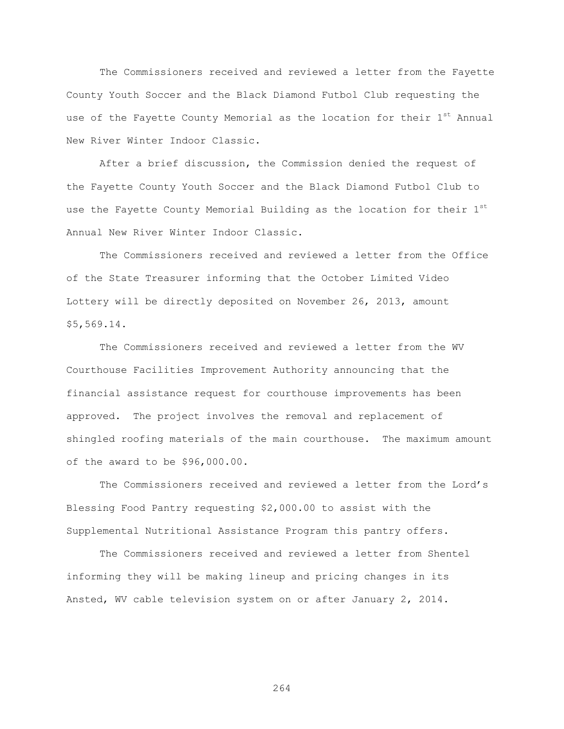The Commissioners received and reviewed a letter from the Fayette County Youth Soccer and the Black Diamond Futbol Club requesting the use of the Fayette County Memorial as the location for their 1<sup>st</sup> Annual New River Winter Indoor Classic.

After a brief discussion, the Commission denied the request of the Fayette County Youth Soccer and the Black Diamond Futbol Club to use the Fayette County Memorial Building as the location for their  $1<sup>st</sup>$ Annual New River Winter Indoor Classic.

The Commissioners received and reviewed a letter from the Office of the State Treasurer informing that the October Limited Video Lottery will be directly deposited on November 26, 2013, amount \$5,569.14.

The Commissioners received and reviewed a letter from the WV Courthouse Facilities Improvement Authority announcing that the financial assistance request for courthouse improvements has been approved. The project involves the removal and replacement of shingled roofing materials of the main courthouse. The maximum amount of the award to be \$96,000.00.

The Commissioners received and reviewed a letter from the Lord"s Blessing Food Pantry requesting \$2,000.00 to assist with the Supplemental Nutritional Assistance Program this pantry offers.

The Commissioners received and reviewed a letter from Shentel informing they will be making lineup and pricing changes in its Ansted, WV cable television system on or after January 2, 2014.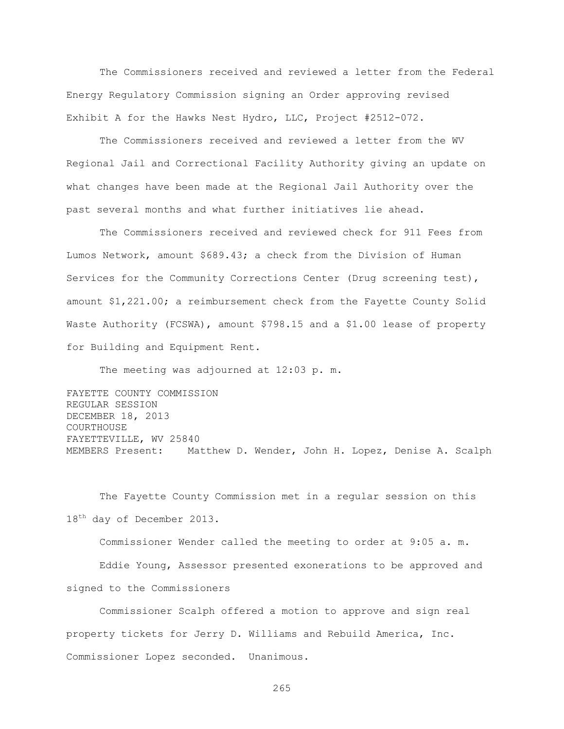The Commissioners received and reviewed a letter from the Federal Energy Regulatory Commission signing an Order approving revised Exhibit A for the Hawks Nest Hydro, LLC, Project #2512-072.

The Commissioners received and reviewed a letter from the WV Regional Jail and Correctional Facility Authority giving an update on what changes have been made at the Regional Jail Authority over the past several months and what further initiatives lie ahead.

The Commissioners received and reviewed check for 911 Fees from Lumos Network, amount \$689.43; a check from the Division of Human Services for the Community Corrections Center (Drug screening test), amount \$1,221.00; a reimbursement check from the Fayette County Solid Waste Authority (FCSWA), amount \$798.15 and a \$1.00 lease of property for Building and Equipment Rent.

The meeting was adjourned at 12:03 p. m.

FAYETTE COUNTY COMMISSION REGULAR SESSION DECEMBER 18, 2013 COURTHOUSE FAYETTEVILLE, WV 25840 MEMBERS Present: Matthew D. Wender, John H. Lopez, Denise A. Scalph

The Fayette County Commission met in a regular session on this 18<sup>th</sup> day of December 2013.

Commissioner Wender called the meeting to order at 9:05 a. m.

Eddie Young, Assessor presented exonerations to be approved and signed to the Commissioners

Commissioner Scalph offered a motion to approve and sign real property tickets for Jerry D. Williams and Rebuild America, Inc. Commissioner Lopez seconded. Unanimous.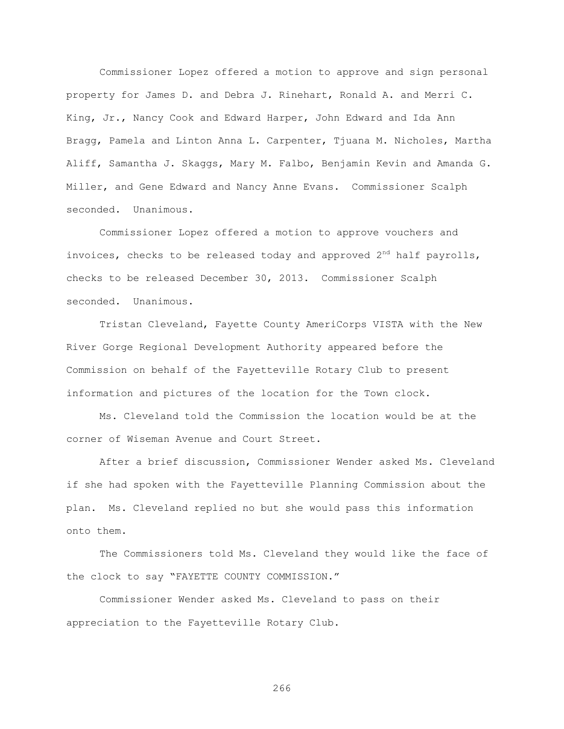Commissioner Lopez offered a motion to approve and sign personal property for James D. and Debra J. Rinehart, Ronald A. and Merri C. King, Jr., Nancy Cook and Edward Harper, John Edward and Ida Ann Bragg, Pamela and Linton Anna L. Carpenter, Tjuana M. Nicholes, Martha Aliff, Samantha J. Skaggs, Mary M. Falbo, Benjamin Kevin and Amanda G. Miller, and Gene Edward and Nancy Anne Evans. Commissioner Scalph seconded. Unanimous.

Commissioner Lopez offered a motion to approve vouchers and invoices, checks to be released today and approved  $2^{nd}$  half payrolls, checks to be released December 30, 2013. Commissioner Scalph seconded. Unanimous.

Tristan Cleveland, Fayette County AmeriCorps VISTA with the New River Gorge Regional Development Authority appeared before the Commission on behalf of the Fayetteville Rotary Club to present information and pictures of the location for the Town clock.

Ms. Cleveland told the Commission the location would be at the corner of Wiseman Avenue and Court Street.

After a brief discussion, Commissioner Wender asked Ms. Cleveland if she had spoken with the Fayetteville Planning Commission about the plan. Ms. Cleveland replied no but she would pass this information onto them.

The Commissioners told Ms. Cleveland they would like the face of the clock to say "FAYETTE COUNTY COMMISSION."

Commissioner Wender asked Ms. Cleveland to pass on their appreciation to the Fayetteville Rotary Club.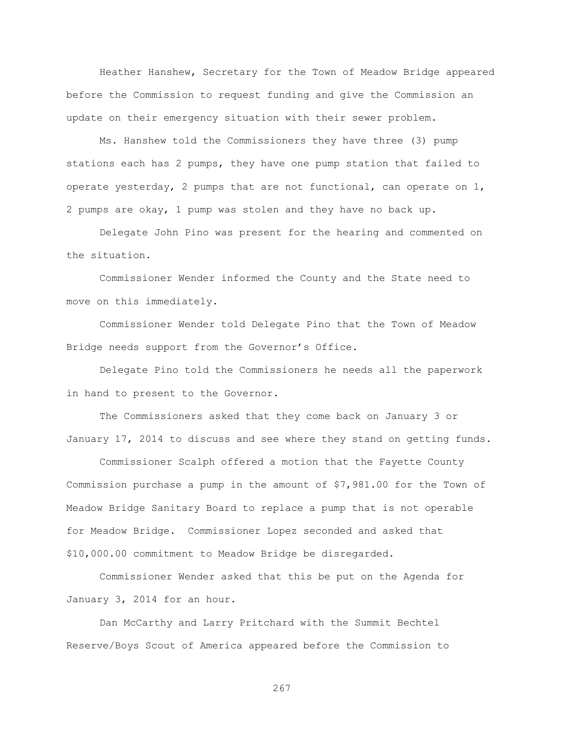Heather Hanshew, Secretary for the Town of Meadow Bridge appeared before the Commission to request funding and give the Commission an update on their emergency situation with their sewer problem.

Ms. Hanshew told the Commissioners they have three (3) pump stations each has 2 pumps, they have one pump station that failed to operate yesterday, 2 pumps that are not functional, can operate on 1, 2 pumps are okay, 1 pump was stolen and they have no back up.

Delegate John Pino was present for the hearing and commented on the situation.

Commissioner Wender informed the County and the State need to move on this immediately.

Commissioner Wender told Delegate Pino that the Town of Meadow Bridge needs support from the Governor's Office.

Delegate Pino told the Commissioners he needs all the paperwork in hand to present to the Governor.

The Commissioners asked that they come back on January 3 or January 17, 2014 to discuss and see where they stand on getting funds.

Commissioner Scalph offered a motion that the Fayette County Commission purchase a pump in the amount of \$7,981.00 for the Town of Meadow Bridge Sanitary Board to replace a pump that is not operable for Meadow Bridge. Commissioner Lopez seconded and asked that \$10,000.00 commitment to Meadow Bridge be disregarded.

Commissioner Wender asked that this be put on the Agenda for January 3, 2014 for an hour.

Dan McCarthy and Larry Pritchard with the Summit Bechtel Reserve/Boys Scout of America appeared before the Commission to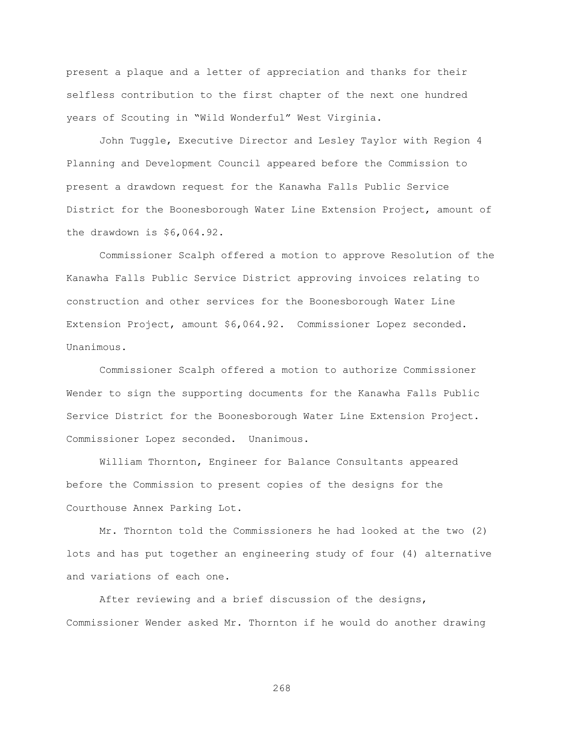present a plaque and a letter of appreciation and thanks for their selfless contribution to the first chapter of the next one hundred years of Scouting in "Wild Wonderful" West Virginia.

John Tuggle, Executive Director and Lesley Taylor with Region 4 Planning and Development Council appeared before the Commission to present a drawdown request for the Kanawha Falls Public Service District for the Boonesborough Water Line Extension Project, amount of the drawdown is \$6,064.92.

Commissioner Scalph offered a motion to approve Resolution of the Kanawha Falls Public Service District approving invoices relating to construction and other services for the Boonesborough Water Line Extension Project, amount \$6,064.92. Commissioner Lopez seconded. Unanimous.

Commissioner Scalph offered a motion to authorize Commissioner Wender to sign the supporting documents for the Kanawha Falls Public Service District for the Boonesborough Water Line Extension Project. Commissioner Lopez seconded. Unanimous.

William Thornton, Engineer for Balance Consultants appeared before the Commission to present copies of the designs for the Courthouse Annex Parking Lot.

Mr. Thornton told the Commissioners he had looked at the two (2) lots and has put together an engineering study of four (4) alternative and variations of each one.

After reviewing and a brief discussion of the designs, Commissioner Wender asked Mr. Thornton if he would do another drawing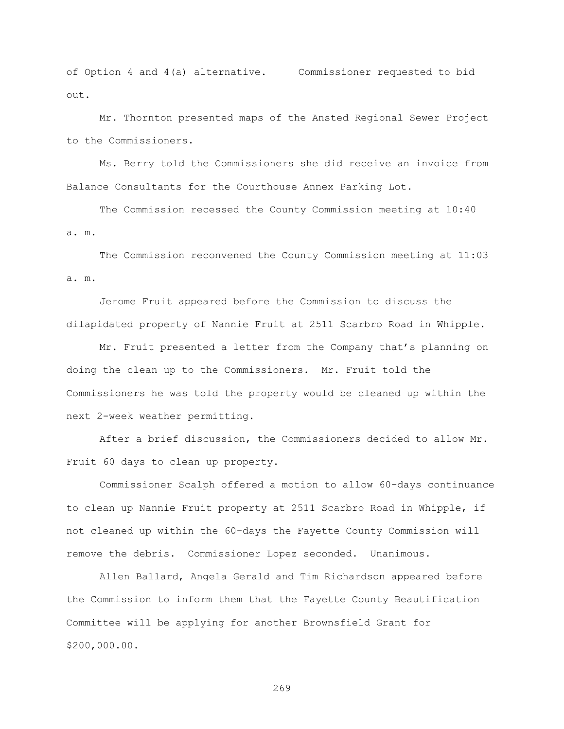of Option 4 and 4(a) alternative. Commissioner requested to bid out.

Mr. Thornton presented maps of the Ansted Regional Sewer Project to the Commissioners.

Ms. Berry told the Commissioners she did receive an invoice from Balance Consultants for the Courthouse Annex Parking Lot.

The Commission recessed the County Commission meeting at 10:40 a. m.

The Commission reconvened the County Commission meeting at 11:03 a. m.

Jerome Fruit appeared before the Commission to discuss the dilapidated property of Nannie Fruit at 2511 Scarbro Road in Whipple.

Mr. Fruit presented a letter from the Company that's planning on doing the clean up to the Commissioners. Mr. Fruit told the Commissioners he was told the property would be cleaned up within the next 2-week weather permitting.

After a brief discussion, the Commissioners decided to allow Mr. Fruit 60 days to clean up property.

Commissioner Scalph offered a motion to allow 60-days continuance to clean up Nannie Fruit property at 2511 Scarbro Road in Whipple, if not cleaned up within the 60-days the Fayette County Commission will remove the debris. Commissioner Lopez seconded. Unanimous.

Allen Ballard, Angela Gerald and Tim Richardson appeared before the Commission to inform them that the Fayette County Beautification Committee will be applying for another Brownsfield Grant for \$200,000.00.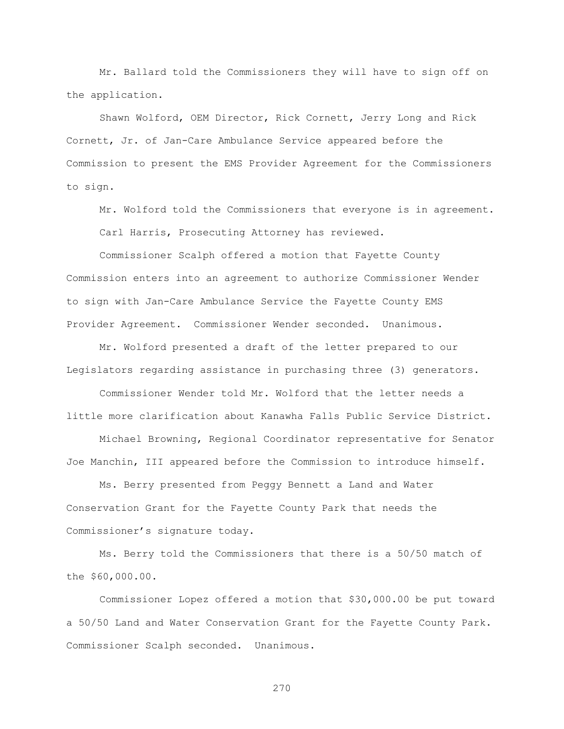Mr. Ballard told the Commissioners they will have to sign off on the application.

Shawn Wolford, OEM Director, Rick Cornett, Jerry Long and Rick Cornett, Jr. of Jan-Care Ambulance Service appeared before the Commission to present the EMS Provider Agreement for the Commissioners to sign.

Mr. Wolford told the Commissioners that everyone is in agreement. Carl Harris, Prosecuting Attorney has reviewed.

Commissioner Scalph offered a motion that Fayette County Commission enters into an agreement to authorize Commissioner Wender to sign with Jan-Care Ambulance Service the Fayette County EMS Provider Agreement. Commissioner Wender seconded. Unanimous.

Mr. Wolford presented a draft of the letter prepared to our Legislators regarding assistance in purchasing three (3) generators.

Commissioner Wender told Mr. Wolford that the letter needs a little more clarification about Kanawha Falls Public Service District.

Michael Browning, Regional Coordinator representative for Senator Joe Manchin, III appeared before the Commission to introduce himself.

Ms. Berry presented from Peggy Bennett a Land and Water Conservation Grant for the Fayette County Park that needs the Commissioner"s signature today.

Ms. Berry told the Commissioners that there is a 50/50 match of the \$60,000.00.

Commissioner Lopez offered a motion that \$30,000.00 be put toward a 50/50 Land and Water Conservation Grant for the Fayette County Park. Commissioner Scalph seconded. Unanimous.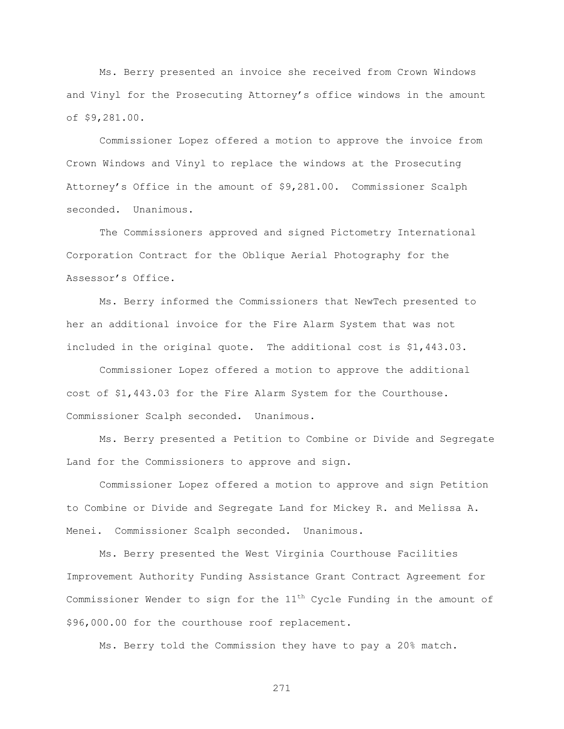Ms. Berry presented an invoice she received from Crown Windows and Vinyl for the Prosecuting Attorney's office windows in the amount of \$9,281.00.

Commissioner Lopez offered a motion to approve the invoice from Crown Windows and Vinyl to replace the windows at the Prosecuting Attorney"s Office in the amount of \$9,281.00. Commissioner Scalph seconded. Unanimous.

The Commissioners approved and signed Pictometry International Corporation Contract for the Oblique Aerial Photography for the Assessor"s Office.

Ms. Berry informed the Commissioners that NewTech presented to her an additional invoice for the Fire Alarm System that was not included in the original quote. The additional cost is \$1,443.03.

Commissioner Lopez offered a motion to approve the additional cost of \$1,443.03 for the Fire Alarm System for the Courthouse. Commissioner Scalph seconded. Unanimous.

Ms. Berry presented a Petition to Combine or Divide and Segregate Land for the Commissioners to approve and sign.

Commissioner Lopez offered a motion to approve and sign Petition to Combine or Divide and Segregate Land for Mickey R. and Melissa A. Menei. Commissioner Scalph seconded. Unanimous.

Ms. Berry presented the West Virginia Courthouse Facilities Improvement Authority Funding Assistance Grant Contract Agreement for Commissioner Wender to sign for the  $11<sup>th</sup>$  Cycle Funding in the amount of \$96,000.00 for the courthouse roof replacement.

Ms. Berry told the Commission they have to pay a 20% match.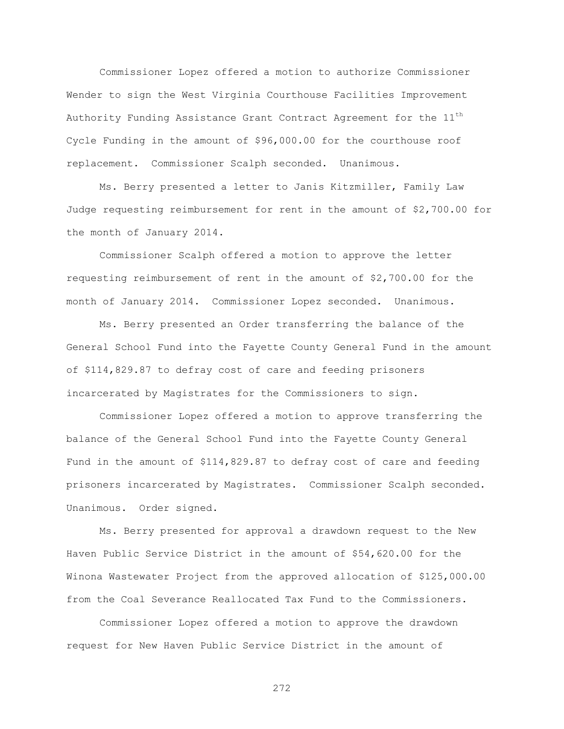Commissioner Lopez offered a motion to authorize Commissioner Wender to sign the West Virginia Courthouse Facilities Improvement Authority Funding Assistance Grant Contract Agreement for the 11<sup>th</sup> Cycle Funding in the amount of \$96,000.00 for the courthouse roof replacement. Commissioner Scalph seconded. Unanimous.

Ms. Berry presented a letter to Janis Kitzmiller, Family Law Judge requesting reimbursement for rent in the amount of \$2,700.00 for the month of January 2014.

Commissioner Scalph offered a motion to approve the letter requesting reimbursement of rent in the amount of \$2,700.00 for the month of January 2014. Commissioner Lopez seconded. Unanimous.

Ms. Berry presented an Order transferring the balance of the General School Fund into the Fayette County General Fund in the amount of \$114,829.87 to defray cost of care and feeding prisoners incarcerated by Magistrates for the Commissioners to sign.

Commissioner Lopez offered a motion to approve transferring the balance of the General School Fund into the Fayette County General Fund in the amount of \$114,829.87 to defray cost of care and feeding prisoners incarcerated by Magistrates. Commissioner Scalph seconded. Unanimous. Order signed.

Ms. Berry presented for approval a drawdown request to the New Haven Public Service District in the amount of \$54,620.00 for the Winona Wastewater Project from the approved allocation of \$125,000.00 from the Coal Severance Reallocated Tax Fund to the Commissioners.

Commissioner Lopez offered a motion to approve the drawdown request for New Haven Public Service District in the amount of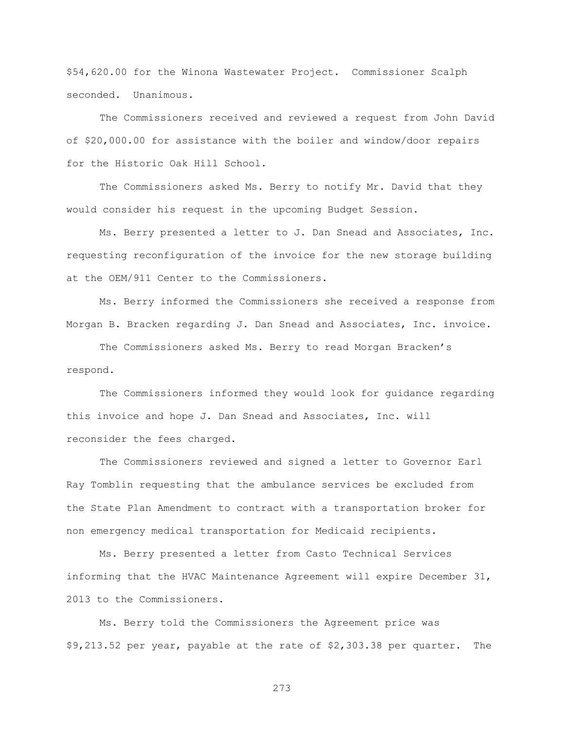\$54,620.00 for the Winona Wastewater Project. Commissioner Scalph seconded. Unanimous.

The Commissioners received and reviewed a request from John David of \$20,000.00 for assistance with the boiler and window/door repairs for the Historic Oak Hill School.

The Commissioners asked Ms. Berry to notify Mr. David that they would consider his request in the upcoming Budget Session.

Ms. Berry presented a letter to J. Dan Snead and Associates, Inc. requesting reconfiguration of the invoice for the new storage building at the OEM/911 Center to the Commissioners.

Ms. Berry informed the Commissioners she received a response from Morgan B. Bracken regarding J. Dan Snead and Associates, Inc. invoice.

The Commissioners asked Ms. Berry to read Morgan Bracken"s respond.

The Commissioners informed they would look for guidance regarding this invoice and hope J. Dan Snead and Associates, Inc. will reconsider the fees charged.

The Commissioners reviewed and signed a letter to Governor Earl Ray Tomblin requesting that the ambulance services be excluded from the State Plan Amendment to contract with a transportation broker for non emergency medical transportation for Medicaid recipients.

Ms. Berry presented a letter from Casto Technical Services informing that the HVAC Maintenance Agreement will expire December 31, 2013 to the Commissioners.

Ms. Berry told the Commissioners the Agreement price was \$9,213.52 per year, payable at the rate of \$2,303.38 per quarter. The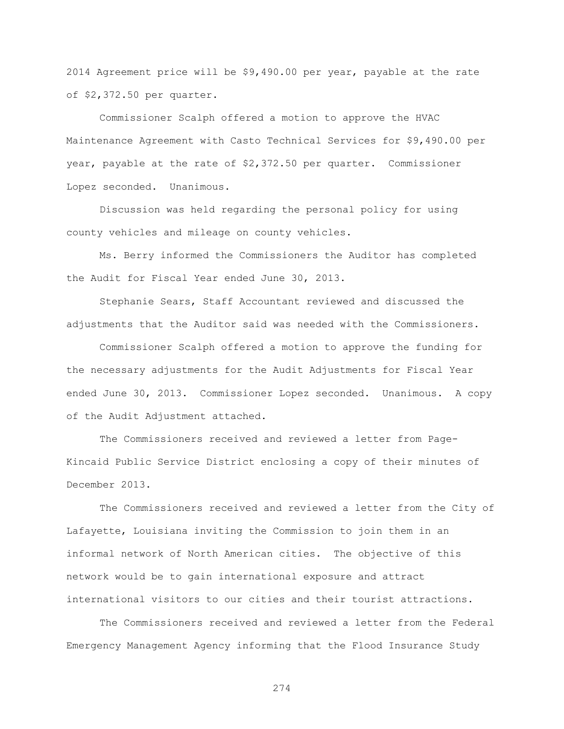2014 Agreement price will be \$9,490.00 per year, payable at the rate of \$2,372.50 per quarter.

Commissioner Scalph offered a motion to approve the HVAC Maintenance Agreement with Casto Technical Services for \$9,490.00 per year, payable at the rate of \$2,372.50 per quarter. Commissioner Lopez seconded. Unanimous.

Discussion was held regarding the personal policy for using county vehicles and mileage on county vehicles.

Ms. Berry informed the Commissioners the Auditor has completed the Audit for Fiscal Year ended June 30, 2013.

Stephanie Sears, Staff Accountant reviewed and discussed the adjustments that the Auditor said was needed with the Commissioners.

Commissioner Scalph offered a motion to approve the funding for the necessary adjustments for the Audit Adjustments for Fiscal Year ended June 30, 2013. Commissioner Lopez seconded. Unanimous. A copy of the Audit Adjustment attached.

The Commissioners received and reviewed a letter from Page-Kincaid Public Service District enclosing a copy of their minutes of December 2013.

The Commissioners received and reviewed a letter from the City of Lafayette, Louisiana inviting the Commission to join them in an informal network of North American cities. The objective of this network would be to gain international exposure and attract international visitors to our cities and their tourist attractions.

The Commissioners received and reviewed a letter from the Federal Emergency Management Agency informing that the Flood Insurance Study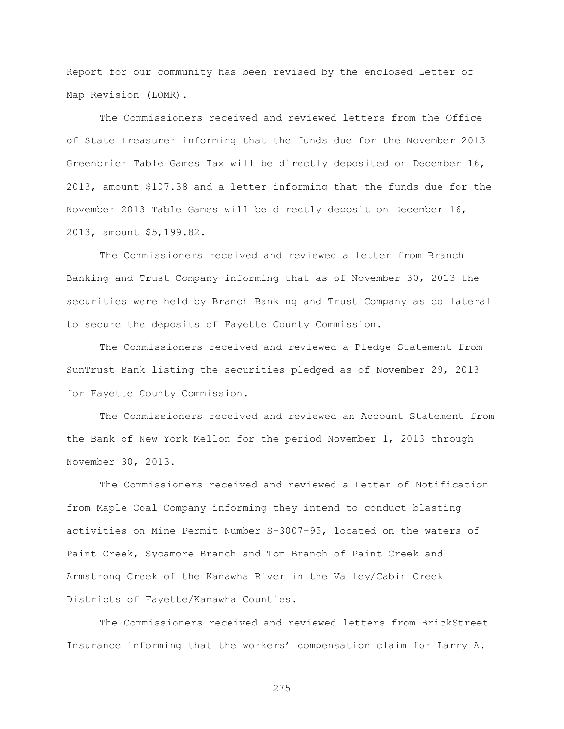Report for our community has been revised by the enclosed Letter of Map Revision (LOMR).

The Commissioners received and reviewed letters from the Office of State Treasurer informing that the funds due for the November 2013 Greenbrier Table Games Tax will be directly deposited on December 16, 2013, amount \$107.38 and a letter informing that the funds due for the November 2013 Table Games will be directly deposit on December 16, 2013, amount \$5,199.82.

The Commissioners received and reviewed a letter from Branch Banking and Trust Company informing that as of November 30, 2013 the securities were held by Branch Banking and Trust Company as collateral to secure the deposits of Fayette County Commission.

The Commissioners received and reviewed a Pledge Statement from SunTrust Bank listing the securities pledged as of November 29, 2013 for Fayette County Commission.

The Commissioners received and reviewed an Account Statement from the Bank of New York Mellon for the period November 1, 2013 through November 30, 2013.

The Commissioners received and reviewed a Letter of Notification from Maple Coal Company informing they intend to conduct blasting activities on Mine Permit Number S-3007-95, located on the waters of Paint Creek, Sycamore Branch and Tom Branch of Paint Creek and Armstrong Creek of the Kanawha River in the Valley/Cabin Creek Districts of Fayette/Kanawha Counties.

The Commissioners received and reviewed letters from BrickStreet Insurance informing that the workers" compensation claim for Larry A.